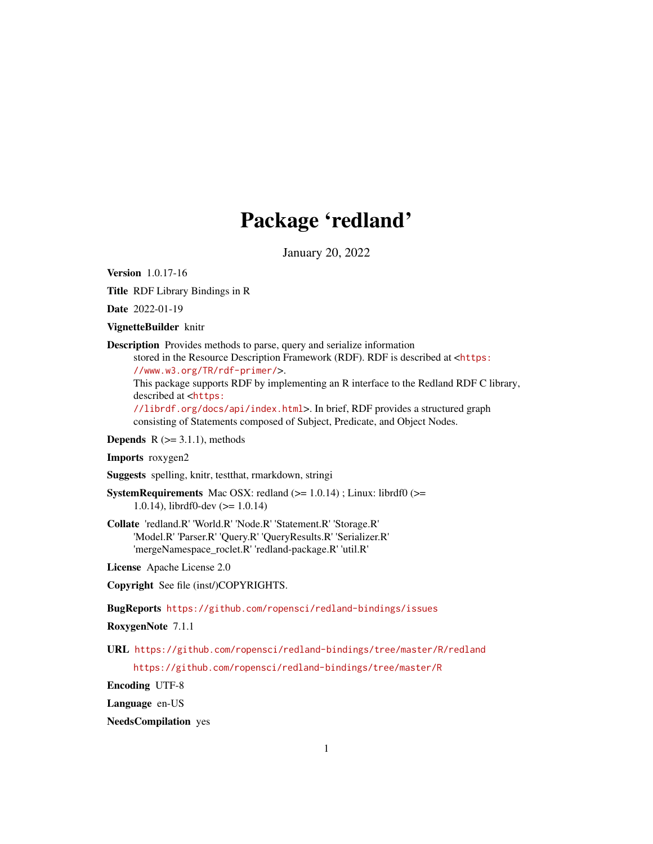# Package 'redland'

January 20, 2022

Version 1.0.17-16

Title RDF Library Bindings in R

Date 2022-01-19

VignetteBuilder knitr

Description Provides methods to parse, query and serialize information stored in the Resource Description Framework (RDF). RDF is described at <[https:](https://www.w3.org/TR/rdf-primer/)

[//www.w3.org/TR/rdf-primer/](https://www.w3.org/TR/rdf-primer/)>.

This package supports RDF by implementing an R interface to the Redland RDF C library, described at <[https:](https://librdf.org/docs/api/index.html)

[//librdf.org/docs/api/index.html](https://librdf.org/docs/api/index.html)>. In brief, RDF provides a structured graph consisting of Statements composed of Subject, Predicate, and Object Nodes.

**Depends**  $R$  ( $>= 3.1.1$ ), methods

Imports roxygen2

Suggests spelling, knitr, testthat, rmarkdown, stringi

- SystemRequirements Mac OSX: redland (>= 1.0.14) ; Linux: librdf0 (>= 1.0.14), librdf0-dev (>= 1.0.14)
- Collate 'redland.R' 'World.R' 'Node.R' 'Statement.R' 'Storage.R' 'Model.R' 'Parser.R' 'Query.R' 'QueryResults.R' 'Serializer.R' 'mergeNamespace\_roclet.R' 'redland-package.R' 'util.R'

License Apache License 2.0

Copyright See file (inst/)COPYRIGHTS.

BugReports <https://github.com/ropensci/redland-bindings/issues>

RoxygenNote 7.1.1

URL <https://github.com/ropensci/redland-bindings/tree/master/R/redland>

<https://github.com/ropensci/redland-bindings/tree/master/R>

Encoding UTF-8

Language en-US

NeedsCompilation yes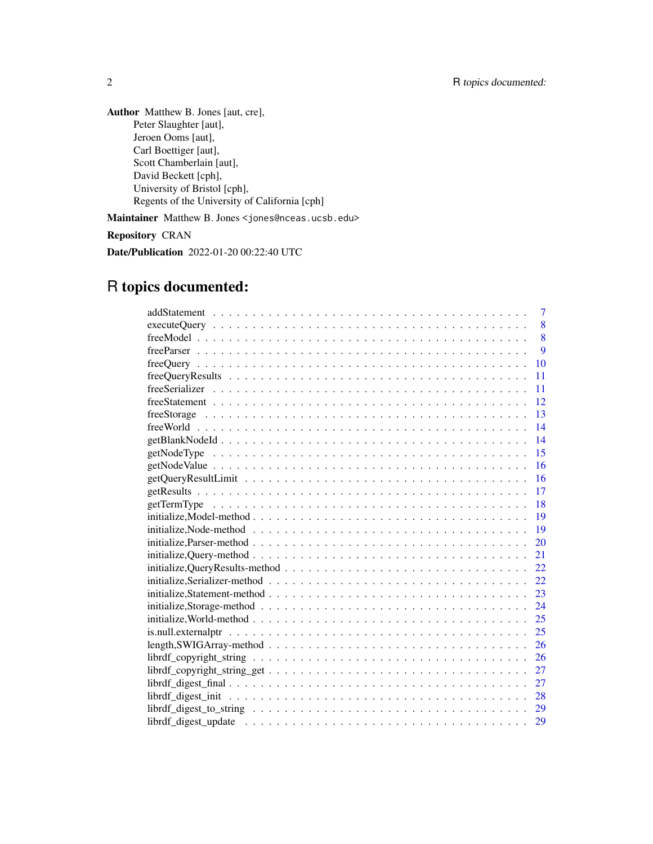Author Matthew B. Jones [aut, cre], Peter Slaughter [aut], Jeroen Ooms [aut], Carl Boettiger [aut], Scott Chamberlain [aut], David Beckett [cph], University of Bristol [cph], Regents of the University of California [cph] Maintainer Matthew B. Jones <jones@nceas.ucsb.edu>

Repository CRAN

Date/Publication 2022-01-20 00:22:40 UTC

# R topics documented:

| 7           |
|-------------|
| 8           |
| 8           |
| $\mathbf Q$ |
| 10          |
| 11          |
| 11          |
| 12          |
| 13          |
| 14          |
| 14          |
| 15          |
| 16          |
| 16          |
| 17          |
| 18          |
| 19          |
| -19         |
| 20          |
| 21          |
| 22          |
| 22          |
| 23          |
|             |
|             |
|             |
|             |
|             |
| 27          |
| 27          |
|             |
| 29          |
|             |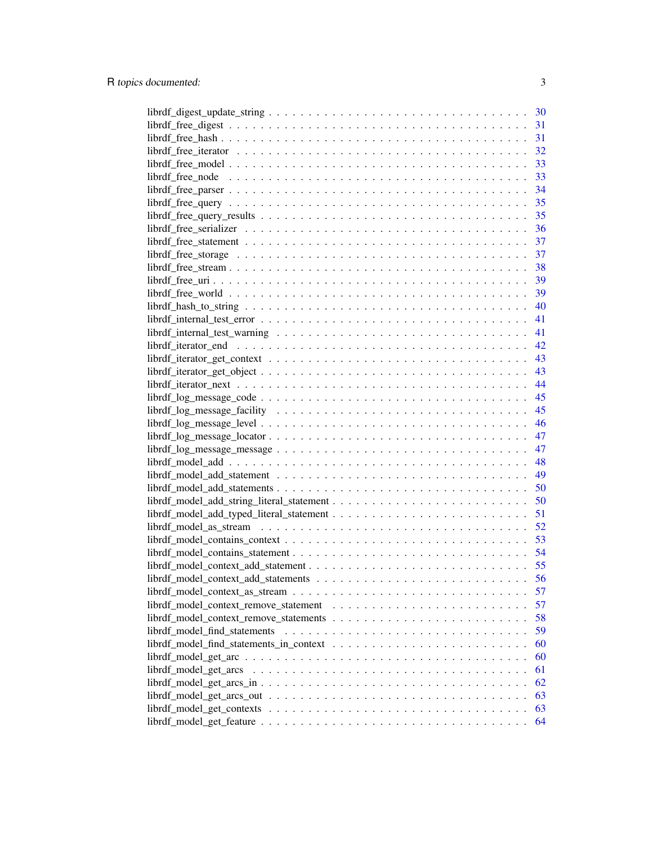|                                                                                                                                                                                                                                                                                                                     | 30 |
|---------------------------------------------------------------------------------------------------------------------------------------------------------------------------------------------------------------------------------------------------------------------------------------------------------------------|----|
|                                                                                                                                                                                                                                                                                                                     | 31 |
|                                                                                                                                                                                                                                                                                                                     | 31 |
|                                                                                                                                                                                                                                                                                                                     | 32 |
|                                                                                                                                                                                                                                                                                                                     | 33 |
|                                                                                                                                                                                                                                                                                                                     | 33 |
|                                                                                                                                                                                                                                                                                                                     | 34 |
|                                                                                                                                                                                                                                                                                                                     | 35 |
|                                                                                                                                                                                                                                                                                                                     | 35 |
|                                                                                                                                                                                                                                                                                                                     | 36 |
|                                                                                                                                                                                                                                                                                                                     | 37 |
| $librdf_free_storage \dots \dots \dots \dots \dots \dots \dots \dots \dots \dots \dots \dots \dots \dots \dots$                                                                                                                                                                                                     | 37 |
|                                                                                                                                                                                                                                                                                                                     | 38 |
|                                                                                                                                                                                                                                                                                                                     |    |
|                                                                                                                                                                                                                                                                                                                     |    |
|                                                                                                                                                                                                                                                                                                                     | 40 |
|                                                                                                                                                                                                                                                                                                                     | 41 |
|                                                                                                                                                                                                                                                                                                                     | 41 |
|                                                                                                                                                                                                                                                                                                                     | 42 |
|                                                                                                                                                                                                                                                                                                                     | 43 |
|                                                                                                                                                                                                                                                                                                                     | 43 |
|                                                                                                                                                                                                                                                                                                                     | 44 |
| $librdf_log_message_code \dots \dots \dots \dots \dots \dots \dots \dots \dots \dots \dots \dots \dots$                                                                                                                                                                                                             | 45 |
|                                                                                                                                                                                                                                                                                                                     | 45 |
|                                                                                                                                                                                                                                                                                                                     | 46 |
|                                                                                                                                                                                                                                                                                                                     | 47 |
|                                                                                                                                                                                                                                                                                                                     | 47 |
|                                                                                                                                                                                                                                                                                                                     | 48 |
|                                                                                                                                                                                                                                                                                                                     | 49 |
|                                                                                                                                                                                                                                                                                                                     | 50 |
|                                                                                                                                                                                                                                                                                                                     | 50 |
|                                                                                                                                                                                                                                                                                                                     | 51 |
|                                                                                                                                                                                                                                                                                                                     | 52 |
|                                                                                                                                                                                                                                                                                                                     | 53 |
|                                                                                                                                                                                                                                                                                                                     | 54 |
|                                                                                                                                                                                                                                                                                                                     | 55 |
|                                                                                                                                                                                                                                                                                                                     | 56 |
|                                                                                                                                                                                                                                                                                                                     | 57 |
|                                                                                                                                                                                                                                                                                                                     | 57 |
|                                                                                                                                                                                                                                                                                                                     | 58 |
|                                                                                                                                                                                                                                                                                                                     | 59 |
|                                                                                                                                                                                                                                                                                                                     | 60 |
|                                                                                                                                                                                                                                                                                                                     | 60 |
|                                                                                                                                                                                                                                                                                                                     | 61 |
|                                                                                                                                                                                                                                                                                                                     | 62 |
| $\frac{1}{2}$ $\frac{1}{2}$ $\frac{1}{2}$ $\frac{1}{2}$ $\frac{1}{2}$ $\frac{1}{2}$ $\frac{1}{2}$ $\frac{1}{2}$ $\frac{1}{2}$ $\frac{1}{2}$ $\frac{1}{2}$ $\frac{1}{2}$ $\frac{1}{2}$ $\frac{1}{2}$ $\frac{1}{2}$ $\frac{1}{2}$ $\frac{1}{2}$ $\frac{1}{2}$ $\frac{1}{2}$ $\frac{1}{2}$ $\frac{1}{2}$ $\frac{1}{2}$ | 63 |
|                                                                                                                                                                                                                                                                                                                     | 63 |
|                                                                                                                                                                                                                                                                                                                     | 64 |
|                                                                                                                                                                                                                                                                                                                     |    |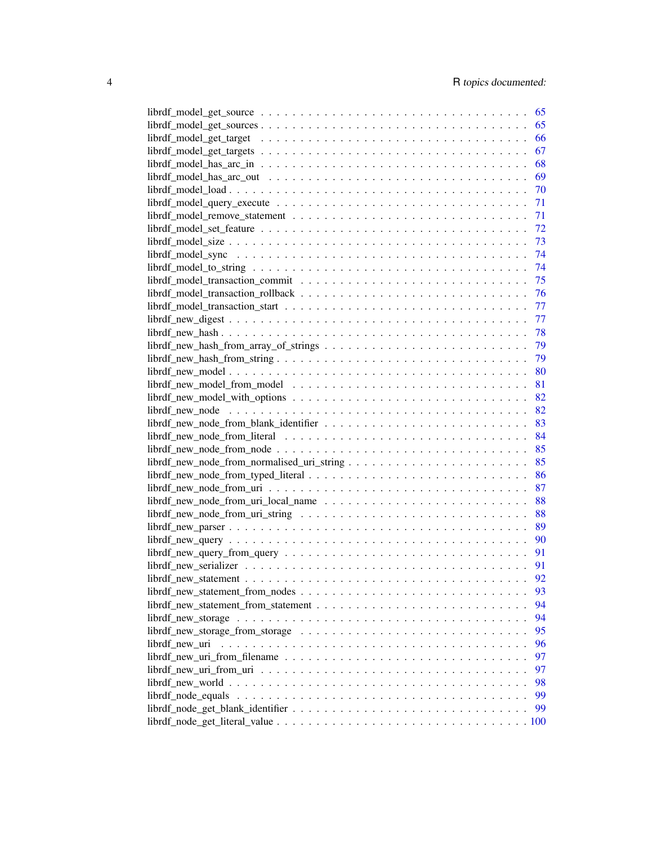|                                                                                                             | 65 |
|-------------------------------------------------------------------------------------------------------------|----|
|                                                                                                             | 65 |
|                                                                                                             | 66 |
|                                                                                                             | 67 |
|                                                                                                             | 68 |
|                                                                                                             | 69 |
|                                                                                                             | 70 |
| $\text{librdf_modelquery\_execute} \dots \dots \dots \dots \dots \dots \dots \dots \dots \dots \dots \dots$ | 71 |
|                                                                                                             | 71 |
|                                                                                                             | 72 |
| $librdf_model_size \ldots \ldots \ldots \ldots \ldots \ldots \ldots \ldots \ldots \ldots \ldots \ldots$     | 73 |
|                                                                                                             | 74 |
|                                                                                                             | 74 |
|                                                                                                             | 75 |
|                                                                                                             | 76 |
|                                                                                                             | 77 |
|                                                                                                             | 77 |
|                                                                                                             | 78 |
|                                                                                                             |    |
|                                                                                                             |    |
|                                                                                                             |    |
|                                                                                                             |    |
|                                                                                                             |    |
|                                                                                                             |    |
|                                                                                                             |    |
|                                                                                                             |    |
|                                                                                                             |    |
|                                                                                                             |    |
|                                                                                                             |    |
|                                                                                                             |    |
|                                                                                                             |    |
|                                                                                                             |    |
|                                                                                                             |    |
|                                                                                                             |    |
|                                                                                                             |    |
|                                                                                                             |    |
|                                                                                                             |    |
|                                                                                                             | 92 |
|                                                                                                             | 93 |
|                                                                                                             | 94 |
|                                                                                                             | 94 |
|                                                                                                             | 95 |
|                                                                                                             | 96 |
|                                                                                                             | 97 |
|                                                                                                             | 97 |
|                                                                                                             | 98 |
|                                                                                                             | 99 |
|                                                                                                             | 99 |
|                                                                                                             |    |
|                                                                                                             |    |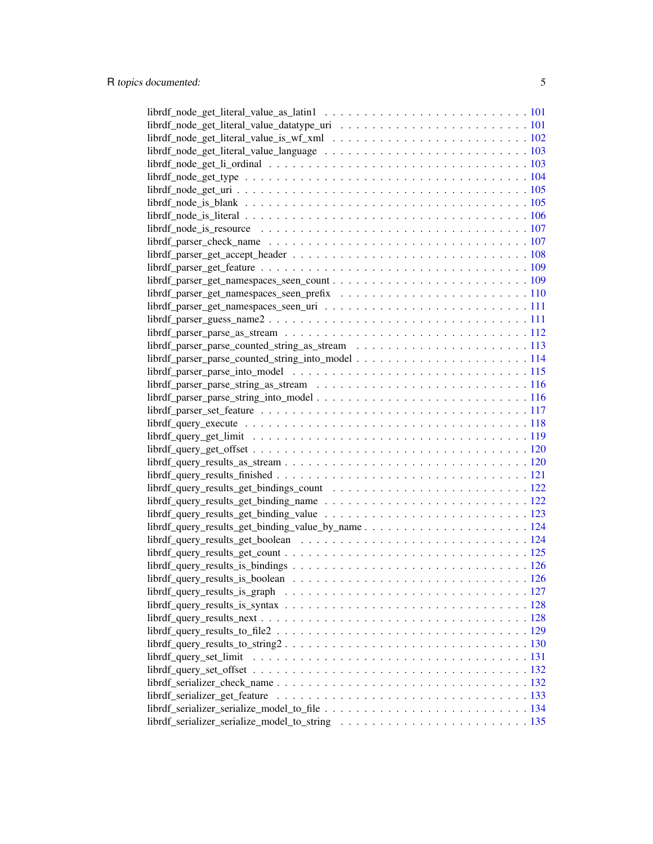| librdf_query_set_limit |  |
|------------------------|--|
|                        |  |
|                        |  |
|                        |  |
|                        |  |
|                        |  |
|                        |  |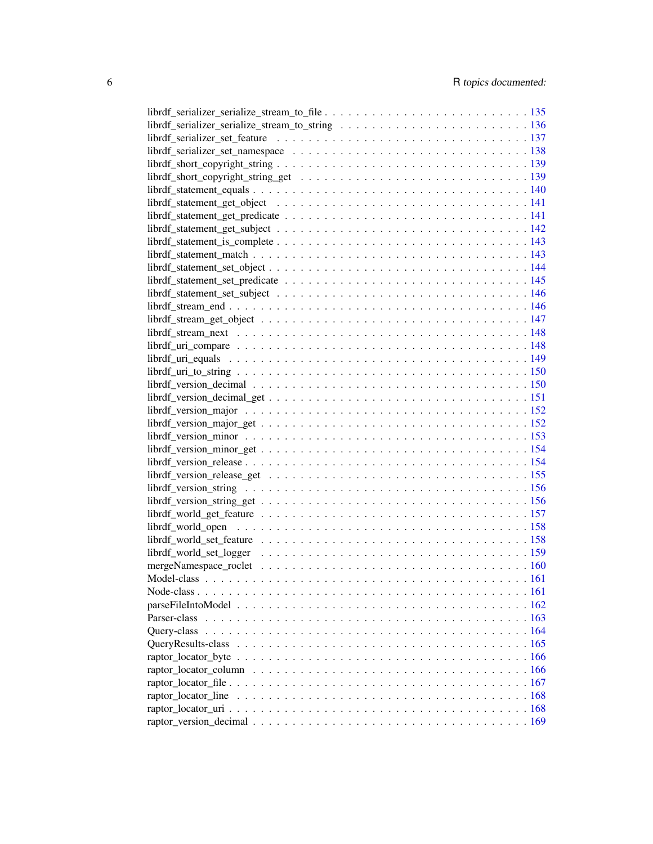| librdf_statement_set_subject \cdot \cdot \cdot \cdot \cdot \cdot \cdot \cdot \cdot \cdot \cdot \cdot \cdot \cdot \cdot \cdot \cdot \cdot \cdot \cdot \cdot \cdot \cdot \cdot \cdot \cdot \cdot \cdot \cdot \cdot \cdot \cdot \ |  |
|--------------------------------------------------------------------------------------------------------------------------------------------------------------------------------------------------------------------------------|--|
|                                                                                                                                                                                                                                |  |
| $librdf_{\text{inter}} = 147$                                                                                                                                                                                                  |  |
|                                                                                                                                                                                                                                |  |
|                                                                                                                                                                                                                                |  |
|                                                                                                                                                                                                                                |  |
|                                                                                                                                                                                                                                |  |
|                                                                                                                                                                                                                                |  |
|                                                                                                                                                                                                                                |  |
|                                                                                                                                                                                                                                |  |
|                                                                                                                                                                                                                                |  |
|                                                                                                                                                                                                                                |  |
|                                                                                                                                                                                                                                |  |
|                                                                                                                                                                                                                                |  |
|                                                                                                                                                                                                                                |  |
|                                                                                                                                                                                                                                |  |
| $librdf_version_sstring_get \ldots \ldots \ldots \ldots \ldots \ldots \ldots \ldots \ldots \ldots \ldots \ldots \ldots 156$                                                                                                    |  |
|                                                                                                                                                                                                                                |  |
|                                                                                                                                                                                                                                |  |
|                                                                                                                                                                                                                                |  |
|                                                                                                                                                                                                                                |  |
|                                                                                                                                                                                                                                |  |
|                                                                                                                                                                                                                                |  |
|                                                                                                                                                                                                                                |  |
|                                                                                                                                                                                                                                |  |
| Parser-class                                                                                                                                                                                                                   |  |
|                                                                                                                                                                                                                                |  |
|                                                                                                                                                                                                                                |  |
|                                                                                                                                                                                                                                |  |
|                                                                                                                                                                                                                                |  |
|                                                                                                                                                                                                                                |  |
|                                                                                                                                                                                                                                |  |
|                                                                                                                                                                                                                                |  |
|                                                                                                                                                                                                                                |  |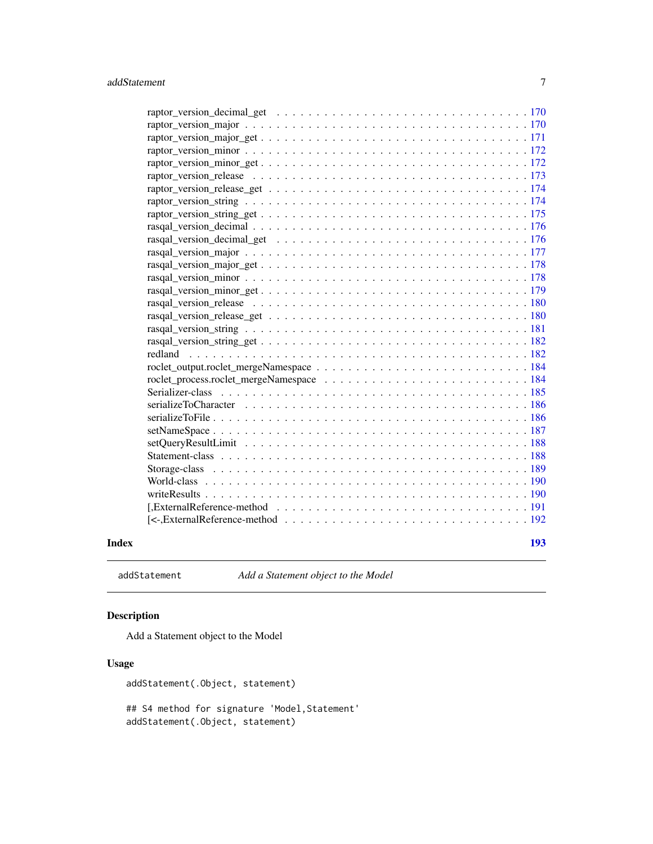<span id="page-6-0"></span>

| Index | 193 |  |
|-------|-----|--|
|       |     |  |
|       |     |  |
|       |     |  |
|       |     |  |
|       |     |  |
|       |     |  |
|       |     |  |
|       |     |  |
|       |     |  |
|       |     |  |
|       |     |  |
|       |     |  |
|       |     |  |
|       |     |  |
|       |     |  |
|       |     |  |
|       |     |  |
|       |     |  |
|       |     |  |
|       |     |  |
|       |     |  |
|       |     |  |
|       |     |  |
|       |     |  |
|       |     |  |
|       |     |  |
|       |     |  |
|       |     |  |
|       |     |  |
|       |     |  |
|       |     |  |
|       |     |  |
|       |     |  |

addStatement *Add a Statement object to the Model*

# Description

Add a Statement object to the Model

# Usage

addStatement(.Object, statement)

## S4 method for signature 'Model,Statement' addStatement(.Object, statement)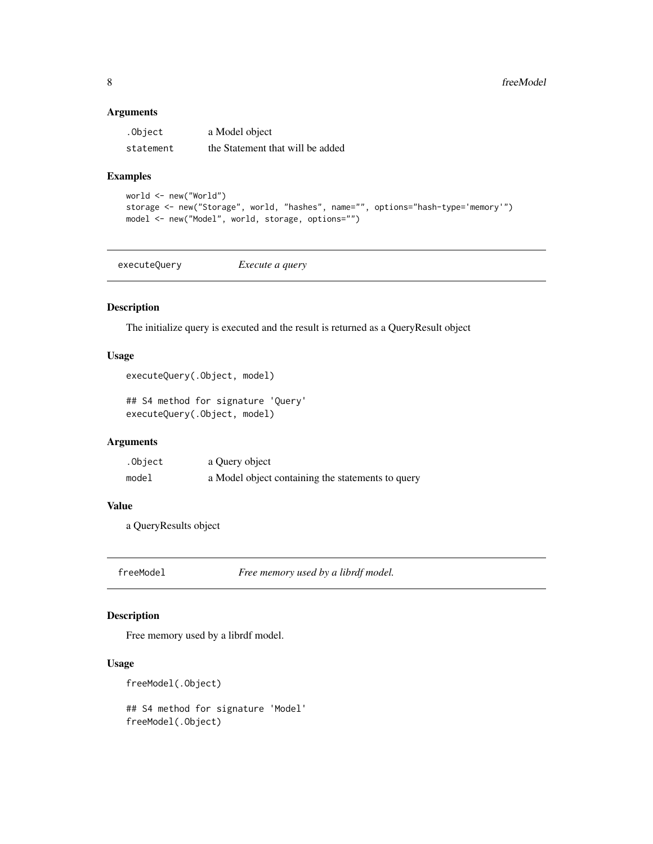<span id="page-7-0"></span>

| .Object   | a Model object                   |
|-----------|----------------------------------|
| statement | the Statement that will be added |

# Examples

```
world <- new("World")
storage <- new("Storage", world, "hashes", name="", options="hash-type='memory'")
model <- new("Model", world, storage, options="")
```
executeQuery *Execute a query*

# Description

The initialize query is executed and the result is returned as a QueryResult object

#### Usage

```
executeQuery(.Object, model)
```
## S4 method for signature 'Query' executeQuery(.Object, model)

#### Arguments

| .Object | a Query object                                    |
|---------|---------------------------------------------------|
| model   | a Model object containing the statements to query |

# Value

a QueryResults object

freeModel *Free memory used by a librdf model.*

# Description

Free memory used by a librdf model.

# Usage

```
freeModel(.Object)
```
## S4 method for signature 'Model' freeModel(.Object)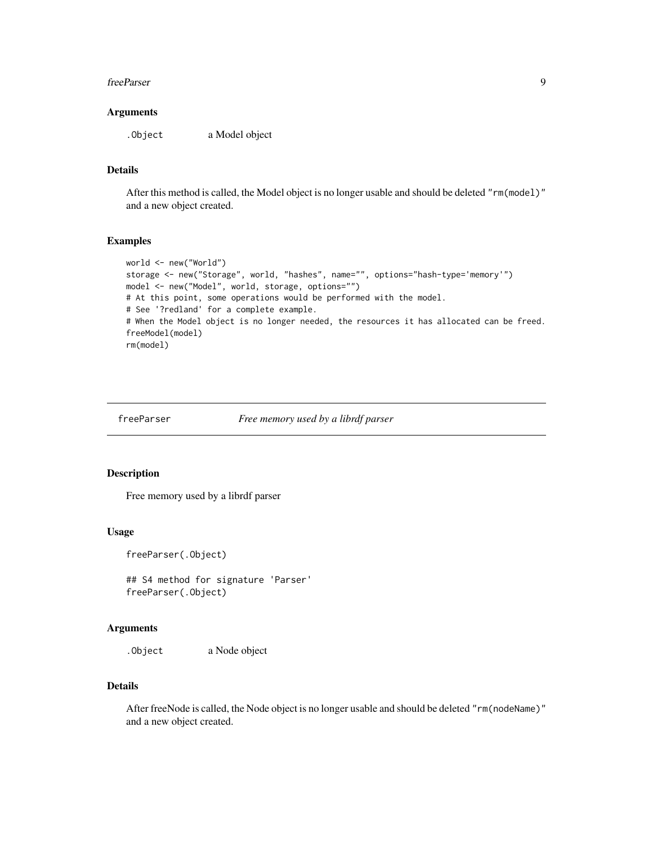#### <span id="page-8-0"></span>freeParser 9

#### **Arguments**

.Object a Model object

# Details

After this method is called, the Model object is no longer usable and should be deleted "rm(model)" and a new object created.

#### Examples

```
world <- new("World")
storage <- new("Storage", world, "hashes", name="", options="hash-type='memory'")
model <- new("Model", world, storage, options="")
# At this point, some operations would be performed with the model.
# See '?redland' for a complete example.
# When the Model object is no longer needed, the resources it has allocated can be freed.
freeModel(model)
rm(model)
```
freeParser *Free memory used by a librdf parser*

# Description

Free memory used by a librdf parser

#### Usage

freeParser(.Object)

## S4 method for signature 'Parser' freeParser(.Object)

#### Arguments

.Object a Node object

#### Details

After freeNode is called, the Node object is no longer usable and should be deleted "rm(nodeName)" and a new object created.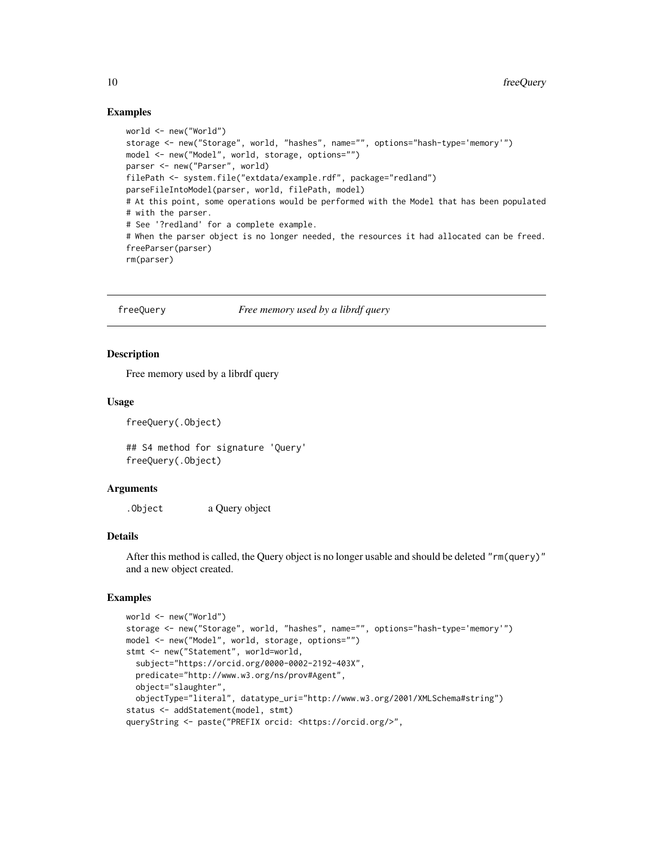#### Examples

```
world <- new("World")
storage <- new("Storage", world, "hashes", name="", options="hash-type='memory'")
model <- new("Model", world, storage, options="")
parser <- new("Parser", world)
filePath <- system.file("extdata/example.rdf", package="redland")
parseFileIntoModel(parser, world, filePath, model)
# At this point, some operations would be performed with the Model that has been populated
# with the parser.
# See '?redland' for a complete example.
# When the parser object is no longer needed, the resources it had allocated can be freed.
freeParser(parser)
rm(parser)
```
freeQuery *Free memory used by a librdf query*

#### **Description**

Free memory used by a librdf query

#### Usage

freeQuery(.Object)

## S4 method for signature 'Query' freeQuery(.Object)

#### Arguments

.Object a Query object

#### Details

After this method is called, the Query object is no longer usable and should be deleted "rm(query)" and a new object created.

# Examples

```
world <- new("World")
storage <- new("Storage", world, "hashes", name="", options="hash-type='memory'")
model <- new("Model", world, storage, options="")
stmt <- new("Statement", world=world,
  subject="https://orcid.org/0000-0002-2192-403X",
  predicate="http://www.w3.org/ns/prov#Agent",
  object="slaughter",
  objectType="literal", datatype_uri="http://www.w3.org/2001/XMLSchema#string")
status <- addStatement(model, stmt)
queryString <- paste("PREFIX orcid: <https://orcid.org/>",
```
<span id="page-9-0"></span>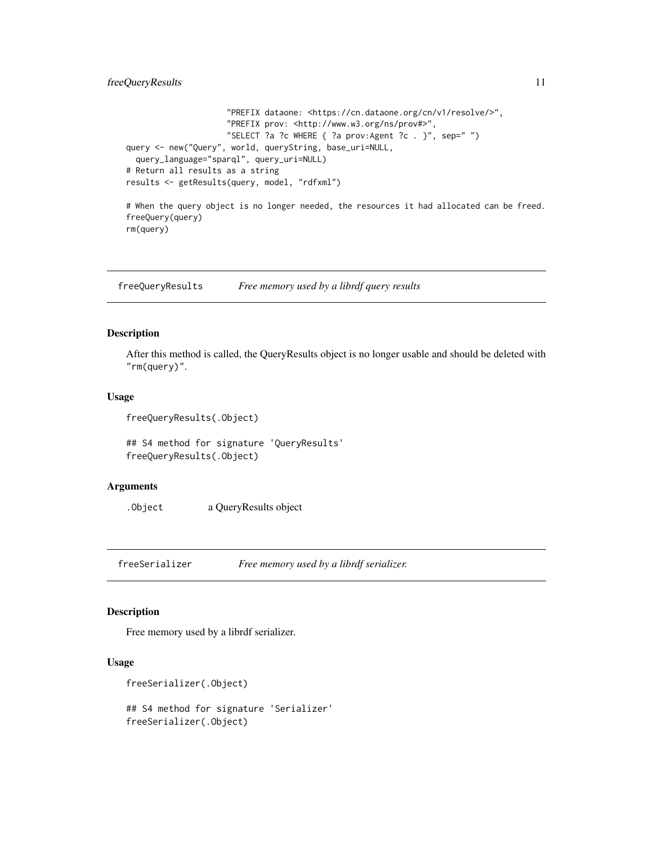# <span id="page-10-0"></span>freeQueryResults 11

```
"PREFIX dataone: <https://cn.dataone.org/cn/v1/resolve/>",
                     "PREFIX prov: <http://www.w3.org/ns/prov#>",
                     "SELECT ?a ?c WHERE { ?a prov:Agent ?c . }", sep=" ")
query <- new("Query", world, queryString, base_uri=NULL,
  query_language="sparql", query_uri=NULL)
# Return all results as a string
results <- getResults(query, model, "rdfxml")
```

```
# When the query object is no longer needed, the resources it had allocated can be freed.
freeQuery(query)
rm(query)
```
freeQueryResults *Free memory used by a librdf query results*

#### Description

After this method is called, the QueryResults object is no longer usable and should be deleted with "rm(query)".

#### Usage

```
freeQueryResults(.Object)
```
## S4 method for signature 'QueryResults' freeQueryResults(.Object)

# Arguments

.Object a QueryResults object

freeSerializer *Free memory used by a librdf serializer.*

#### Description

Free memory used by a librdf serializer.

#### Usage

```
freeSerializer(.Object)
```
## S4 method for signature 'Serializer' freeSerializer(.Object)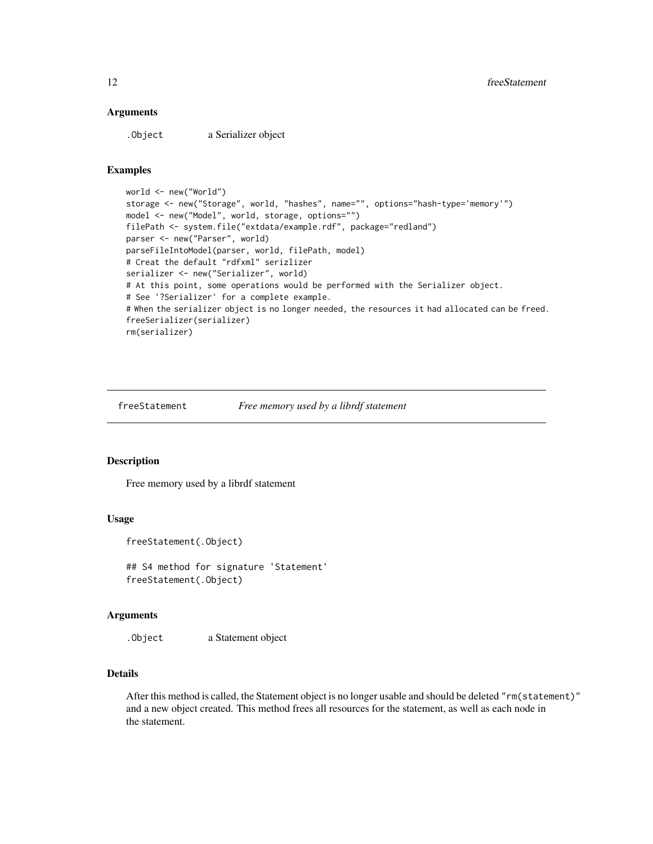<span id="page-11-0"></span>.Object a Serializer object

#### Examples

```
world <- new("World")
storage <- new("Storage", world, "hashes", name="", options="hash-type='memory'")
model <- new("Model", world, storage, options="")
filePath <- system.file("extdata/example.rdf", package="redland")
parser <- new("Parser", world)
parseFileIntoModel(parser, world, filePath, model)
# Creat the default "rdfxml" serizlizer
serializer <- new("Serializer", world)
# At this point, some operations would be performed with the Serializer object.
# See '?Serializer' for a complete example.
# When the serializer object is no longer needed, the resources it had allocated can be freed.
freeSerializer(serializer)
rm(serializer)
```
freeStatement *Free memory used by a librdf statement*

#### Description

Free memory used by a librdf statement

#### Usage

```
freeStatement(.Object)
```
## S4 method for signature 'Statement' freeStatement(.Object)

#### Arguments

.Object a Statement object

## Details

After this method is called, the Statement object is no longer usable and should be deleted "rm(statement)" and a new object created. This method frees all resources for the statement, as well as each node in the statement.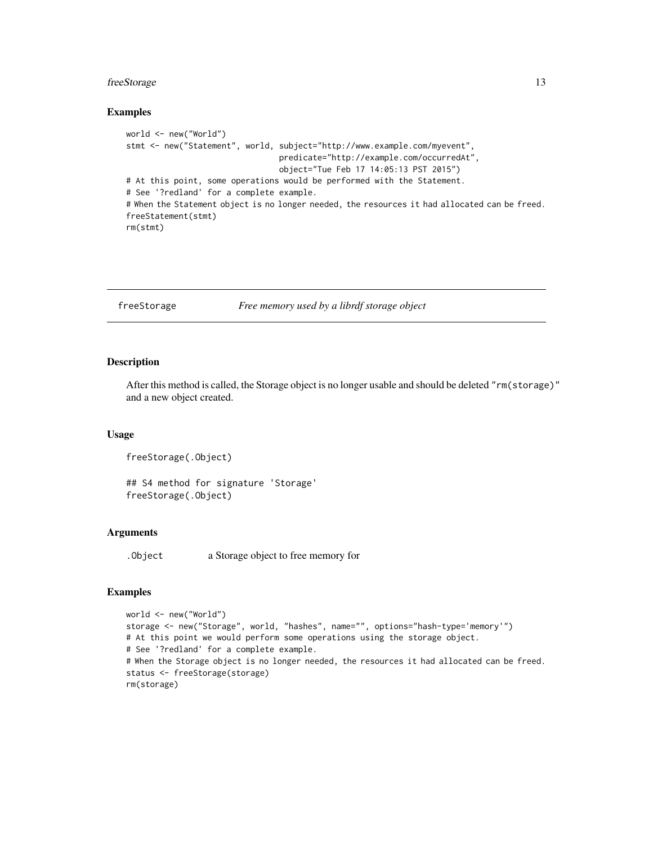# <span id="page-12-0"></span>freeStorage 13

#### Examples

```
world <- new("World")
stmt <- new("Statement", world, subject="http://www.example.com/myevent",
                                predicate="http://example.com/occurredAt",
                                object="Tue Feb 17 14:05:13 PST 2015")
# At this point, some operations would be performed with the Statement.
# See '?redland' for a complete example.
# When the Statement object is no longer needed, the resources it had allocated can be freed.
freeStatement(stmt)
rm(stmt)
```
#### freeStorage *Free memory used by a librdf storage object*

#### Description

After this method is called, the Storage object is no longer usable and should be deleted "rm(storage)" and a new object created.

#### Usage

freeStorage(.Object)

## S4 method for signature 'Storage' freeStorage(.Object)

#### Arguments

.Object a Storage object to free memory for

#### Examples

```
world <- new("World")
storage <- new("Storage", world, "hashes", name="", options="hash-type='memory'")
# At this point we would perform some operations using the storage object.
# See '?redland' for a complete example.
# When the Storage object is no longer needed, the resources it had allocated can be freed.
status <- freeStorage(storage)
rm(storage)
```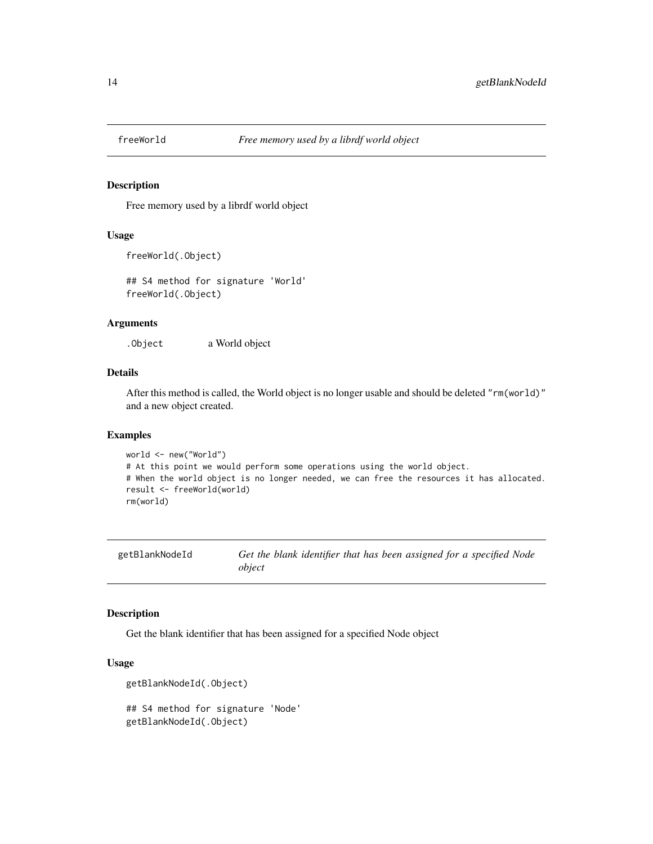<span id="page-13-0"></span>

#### Description

Free memory used by a librdf world object

#### Usage

freeWorld(.Object)

## S4 method for signature 'World' freeWorld(.Object)

# Arguments

.Object a World object

# Details

After this method is called, the World object is no longer usable and should be deleted "rm(world)" and a new object created.

#### Examples

```
world <- new("World")
# At this point we would perform some operations using the world object.
# When the world object is no longer needed, we can free the resources it has allocated.
result <- freeWorld(world)
rm(world)
```

```
getBlankNodeId Get the blank identifier that has been assigned for a specified Node
                        object
```
#### Description

Get the blank identifier that has been assigned for a specified Node object

# Usage

```
getBlankNodeId(.Object)
## S4 method for signature 'Node'
getBlankNodeId(.Object)
```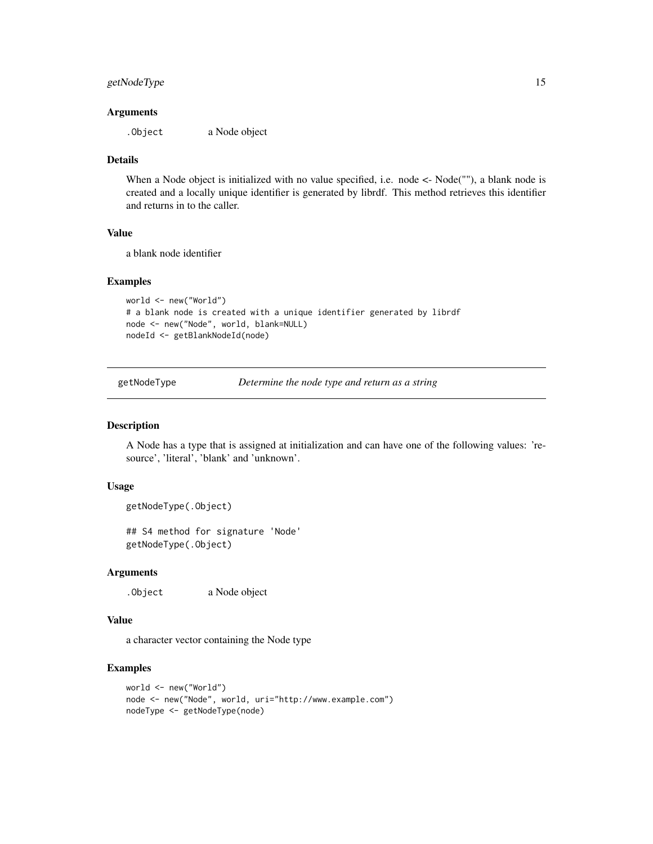# <span id="page-14-0"></span>getNodeType 15

#### **Arguments**

.Object a Node object

#### Details

When a Node object is initialized with no value specified, i.e. node <- Node(""), a blank node is created and a locally unique identifier is generated by librdf. This method retrieves this identifier and returns in to the caller.

#### Value

a blank node identifier

#### Examples

```
world <- new("World")
# a blank node is created with a unique identifier generated by librdf
node <- new("Node", world, blank=NULL)
nodeId <- getBlankNodeId(node)
```
getNodeType *Determine the node type and return as a string*

#### Description

A Node has a type that is assigned at initialization and can have one of the following values: 'resource', 'literal', 'blank' and 'unknown'.

#### Usage

getNodeType(.Object)

## S4 method for signature 'Node' getNodeType(.Object)

# Arguments

.Object a Node object

#### Value

a character vector containing the Node type

# Examples

```
world <- new("World")
node <- new("Node", world, uri="http://www.example.com")
nodeType <- getNodeType(node)
```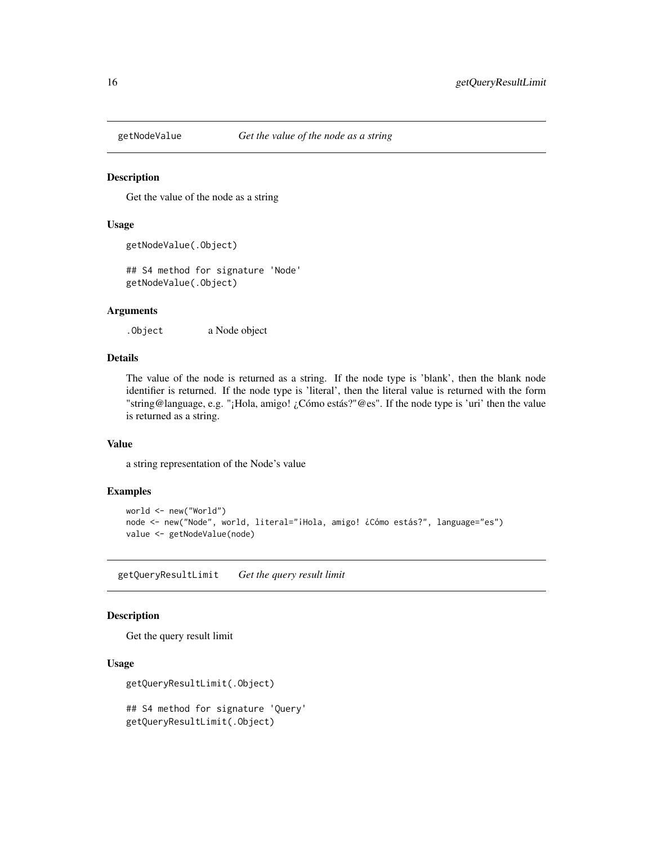<span id="page-15-0"></span>

#### Description

Get the value of the node as a string

#### Usage

```
getNodeValue(.Object)
```
## S4 method for signature 'Node' getNodeValue(.Object)

# Arguments

.Object a Node object

# Details

The value of the node is returned as a string. If the node type is 'blank', then the blank node identifier is returned. If the node type is 'literal', then the literal value is returned with the form "string@language, e.g. "¡Hola, amigo! ¿Cómo estás?"@es". If the node type is 'uri' then the value is returned as a string.

#### Value

a string representation of the Node's value

# Examples

```
world <- new("World")
node <- new("Node", world, literal="¡Hola, amigo! ¿Cómo estás?", language="es")
value <- getNodeValue(node)
```
getQueryResultLimit *Get the query result limit*

# Description

Get the query result limit

#### Usage

```
getQueryResultLimit(.Object)
```
## S4 method for signature 'Query' getQueryResultLimit(.Object)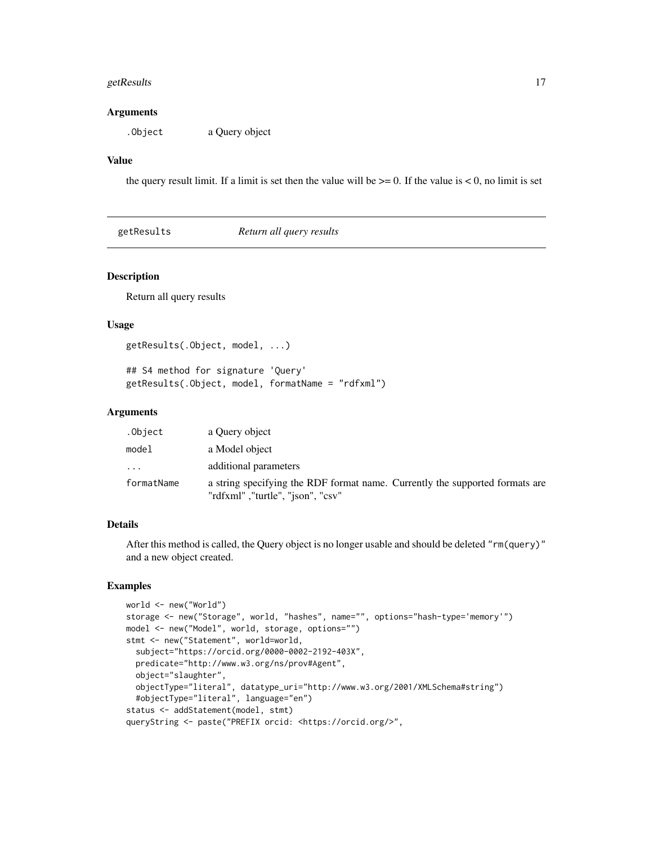#### <span id="page-16-0"></span> $getResults$  17

#### **Arguments**

.Object a Query object

#### Value

the query result limit. If a limit is set then the value will be  $\geq 0$ . If the value is < 0, no limit is set

getResults *Return all query results*

# Description

Return all query results

# Usage

```
getResults(.Object, model, ...)
```

```
## S4 method for signature 'Query'
getResults(.Object, model, formatName = "rdfxml")
```
#### Arguments

| .Object    | a Query object                                                                                                    |
|------------|-------------------------------------------------------------------------------------------------------------------|
| model      | a Model object                                                                                                    |
| .          | additional parameters                                                                                             |
| formatName | a string specifying the RDF format name. Currently the supported formats are<br>"rdfxml", "turtle", "ison", "csv" |

# Details

After this method is called, the Query object is no longer usable and should be deleted "rm(query)" and a new object created.

# Examples

```
world <- new("World")
storage <- new("Storage", world, "hashes", name="", options="hash-type='memory'")
model <- new("Model", world, storage, options="")
stmt <- new("Statement", world=world,
  subject="https://orcid.org/0000-0002-2192-403X",
  predicate="http://www.w3.org/ns/prov#Agent",
  object="slaughter",
  objectType="literal", datatype_uri="http://www.w3.org/2001/XMLSchema#string")
  #objectType="literal", language="en")
status <- addStatement(model, stmt)
queryString <- paste("PREFIX orcid: <https://orcid.org/>",
```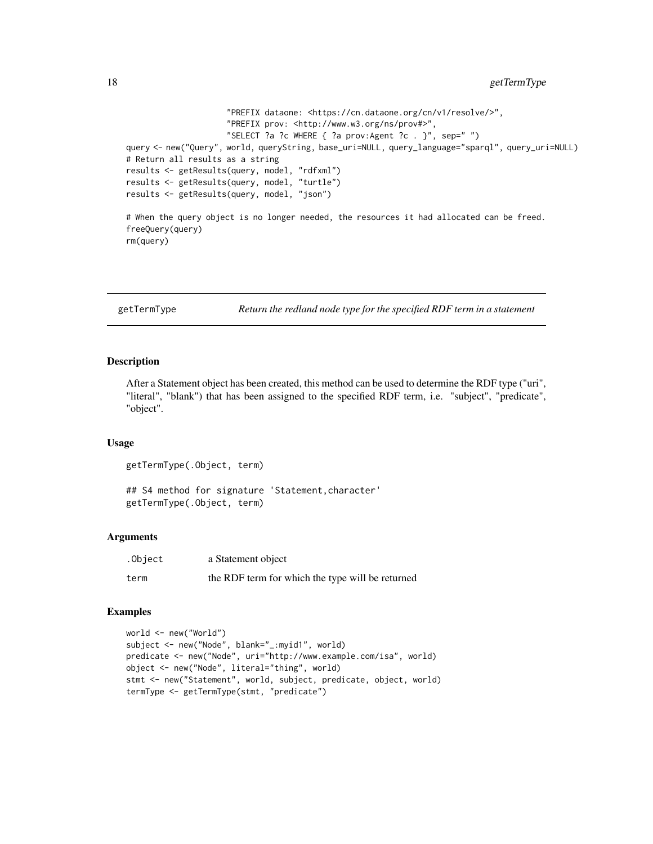```
"PREFIX dataone: <https://cn.dataone.org/cn/v1/resolve/>",
                     "PREFIX prov: <http://www.w3.org/ns/prov#>",
                     "SELECT ?a ?c WHERE { ?a prov:Agent ?c . }", sep=" ")
query <- new("Query", world, queryString, base_uri=NULL, query_language="sparql", query_uri=NULL)
# Return all results as a string
results <- getResults(query, model, "rdfxml")
results <- getResults(query, model, "turtle")
results <- getResults(query, model, "json")
# When the query object is no longer needed, the resources it had allocated can be freed.
freeQuery(query)
rm(query)
```
getTermType *Return the redland node type for the specified RDF term in a statement*

#### Description

After a Statement object has been created, this method can be used to determine the RDF type ("uri", "literal", "blank") that has been assigned to the specified RDF term, i.e. "subject", "predicate", "object".

#### Usage

```
getTermType(.Object, term)
## S4 method for signature 'Statement,character'
getTermType(.Object, term)
```
#### Arguments

| .Object | a Statement object                               |
|---------|--------------------------------------------------|
| term    | the RDF term for which the type will be returned |

#### Examples

```
world <- new("World")
subject <- new("Node", blank="_:myid1", world)
predicate <- new("Node", uri="http://www.example.com/isa", world)
object <- new("Node", literal="thing", world)
stmt <- new("Statement", world, subject, predicate, object, world)
termType <- getTermType(stmt, "predicate")
```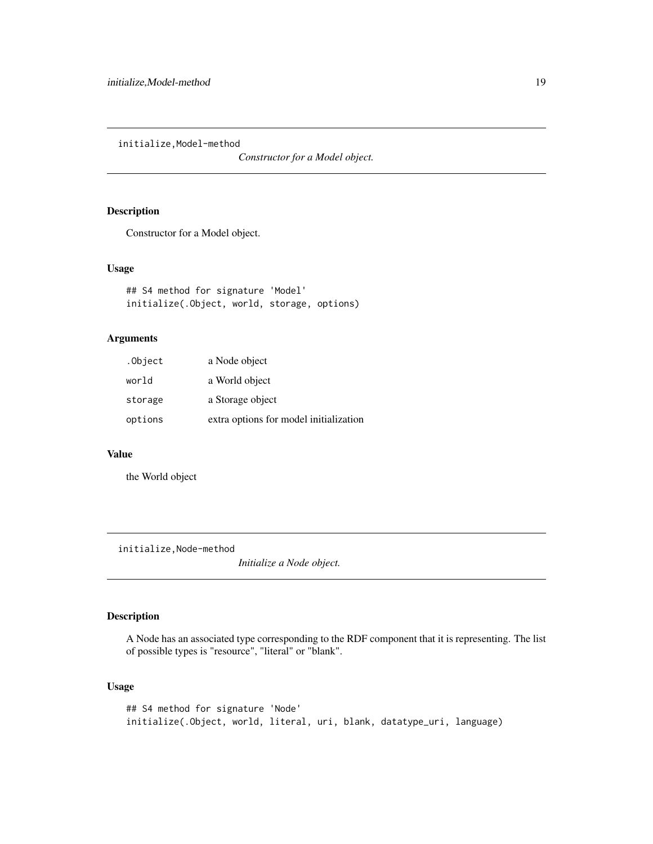<span id="page-18-0"></span>initialize,Model-method

*Constructor for a Model object.*

# Description

Constructor for a Model object.

# Usage

```
## S4 method for signature 'Model'
initialize(.Object, world, storage, options)
```
#### Arguments

| .Object | a Node object                          |
|---------|----------------------------------------|
| world   | a World object                         |
| storage | a Storage object                       |
| options | extra options for model initialization |

#### Value

the World object

initialize,Node-method

*Initialize a Node object.*

# Description

A Node has an associated type corresponding to the RDF component that it is representing. The list of possible types is "resource", "literal" or "blank".

#### Usage

## S4 method for signature 'Node' initialize(.Object, world, literal, uri, blank, datatype\_uri, language)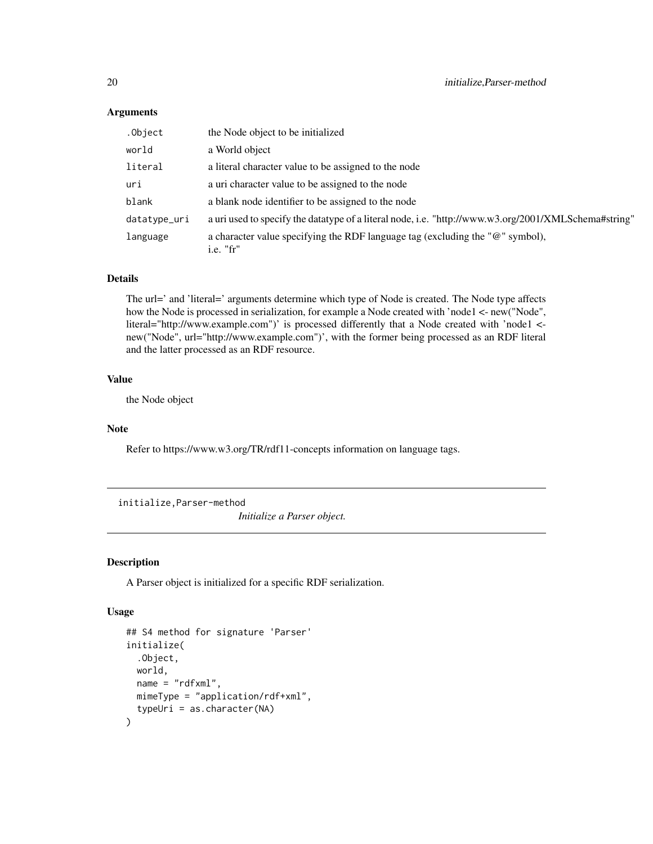<span id="page-19-0"></span>

| .Object      | the Node object to be initialized                                                                     |
|--------------|-------------------------------------------------------------------------------------------------------|
| world        | a World object                                                                                        |
| literal      | a literal character value to be assigned to the node                                                  |
| uri          | a uri character value to be assigned to the node                                                      |
| blank        | a blank node identifier to be assigned to the node                                                    |
| datatype_uri | a uri used to specify the data type of a literal node, i.e. "http://www.w3.org/2001/XMLSchema#string" |
| language     | a character value specifying the RDF language tag (excluding the "@" symbol),<br>i.e. $"fr"$          |

#### Details

The url=' and 'literal=' arguments determine which type of Node is created. The Node type affects how the Node is processed in serialization, for example a Node created with 'node1 <- new("Node", literal="http://www.example.com")' is processed differently that a Node created with 'node1 < new("Node", url="http://www.example.com")', with the former being processed as an RDF literal and the latter processed as an RDF resource.

#### Value

the Node object

#### Note

Refer to https://www.w3.org/TR/rdf11-concepts information on language tags.

initialize,Parser-method

*Initialize a Parser object.*

#### Description

A Parser object is initialized for a specific RDF serialization.

# Usage

```
## S4 method for signature 'Parser'
initialize(
  .Object,
 world,
 name = "rdfxml".mimeType = "application/rdf+xml",
  typeUri = as.character(NA)
\mathcal{E}
```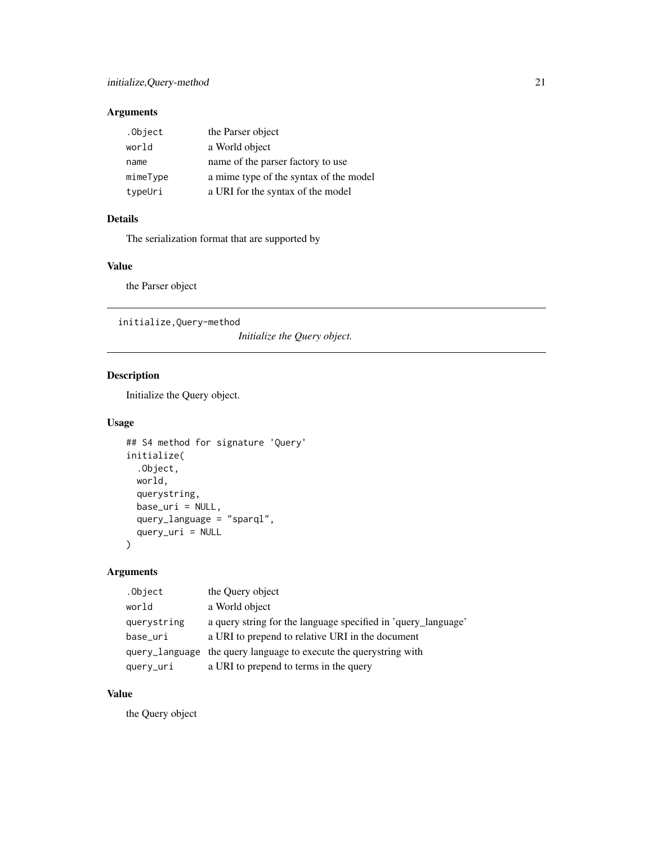<span id="page-20-0"></span>

| .Object  | the Parser object                      |
|----------|----------------------------------------|
| world    | a World object                         |
| name     | name of the parser factory to use      |
| mimeType | a mime type of the syntax of the model |
| typeUri  | a URI for the syntax of the model      |

# Details

The serialization format that are supported by

# Value

the Parser object

initialize,Query-method

*Initialize the Query object.*

# Description

Initialize the Query object.

#### Usage

```
## S4 method for signature 'Query'
initialize(
  .Object,
 world,
 querystring,
 base_uri = NULL,
 query_language = "sparql",
 query_uri = NULL
)
```
# Arguments

| .Object     | the Query object                                                  |
|-------------|-------------------------------------------------------------------|
| world       | a World object                                                    |
| querystring | a query string for the language specified in 'query_language'     |
| base_uri    | a URI to prepend to relative URI in the document                  |
|             | query_language the query language to execute the querystring with |
| query_uri   | a URI to prepend to terms in the query                            |

# Value

the Query object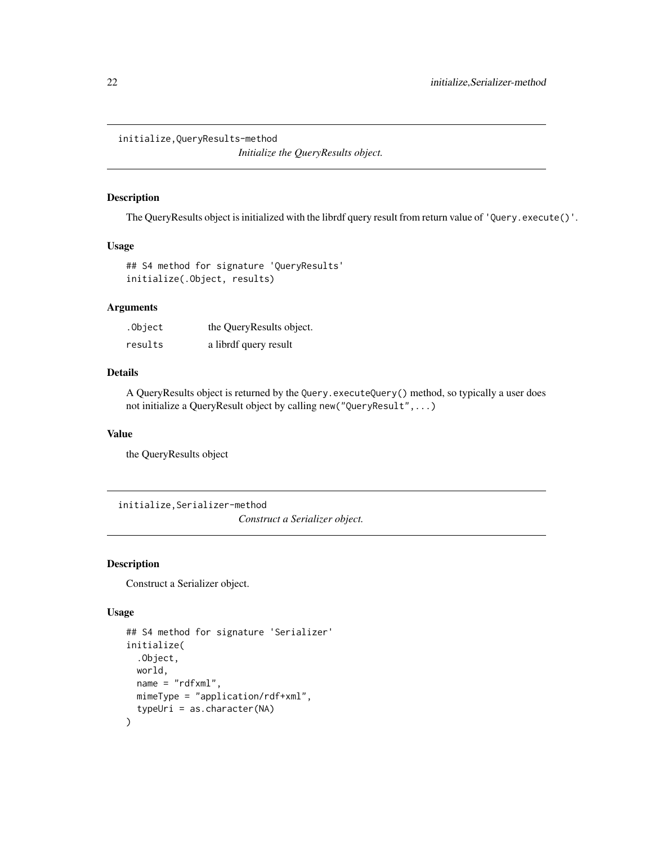<span id="page-21-0"></span>initialize,QueryResults-method

*Initialize the QueryResults object.*

#### Description

The QueryResults object is initialized with the librdf query result from return value of 'Query.execute()'.

# Usage

```
## S4 method for signature 'QueryResults'
initialize(.Object, results)
```
# Arguments

| .Object | the QueryResults object. |
|---------|--------------------------|
| results | a librdf query result    |

# Details

A QueryResults object is returned by the Query.executeQuery() method, so typically a user does not initialize a QueryResult object by calling new("QueryResult",...)

# Value

the QueryResults object

initialize, Serializer-method

*Construct a Serializer object.*

#### Description

Construct a Serializer object.

# Usage

```
## S4 method for signature 'Serializer'
initialize(
  .Object,
 world,
 name = "rdfxml".mimeType = "application/rdf+xml",
  typeUri = as.character(NA)
\mathcal{E}
```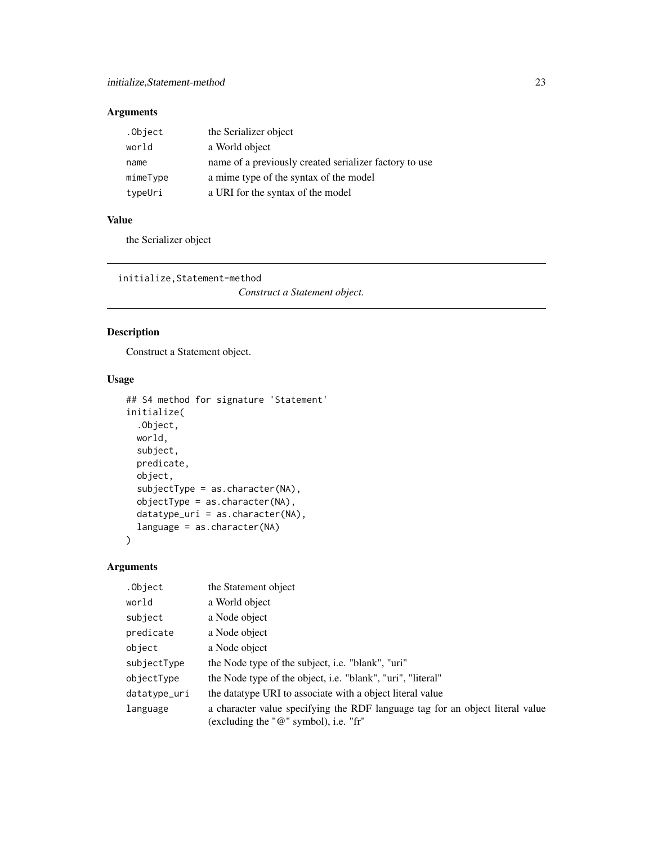<span id="page-22-0"></span>

| .Object  | the Serializer object                                  |
|----------|--------------------------------------------------------|
| world    | a World object                                         |
| name     | name of a previously created serializer factory to use |
| mimeType | a mime type of the syntax of the model                 |
| typeUri  | a URI for the syntax of the model                      |

#### Value

the Serializer object

initialize,Statement-method

*Construct a Statement object.*

# Description

Construct a Statement object.

# Usage

```
## S4 method for signature 'Statement'
initialize(
  .Object,
 world,
  subject,
 predicate,
 object,
  subjectType = as.character(NA),
  objectType = as.character(NA),
  datatype_uri = as.character(NA),
 language = as.character(NA)
\mathcal{L}
```
# Arguments

| .Object      | the Statement object                                                                                                       |
|--------------|----------------------------------------------------------------------------------------------------------------------------|
| world        | a World object                                                                                                             |
| subject      | a Node object                                                                                                              |
| predicate    | a Node object                                                                                                              |
| object       | a Node object                                                                                                              |
| subjectType  | the Node type of the subject, <i>i.e.</i> "blank", "uri"                                                                   |
| objectType   | the Node type of the object, <i>i.e.</i> "blank", "uri", "literal"                                                         |
| datatype_uri | the datatype URI to associate with a object literal value                                                                  |
| language     | a character value specifying the RDF language tag for an object literal value<br>(excluding the " $@$ " symbol), i.e. "fr" |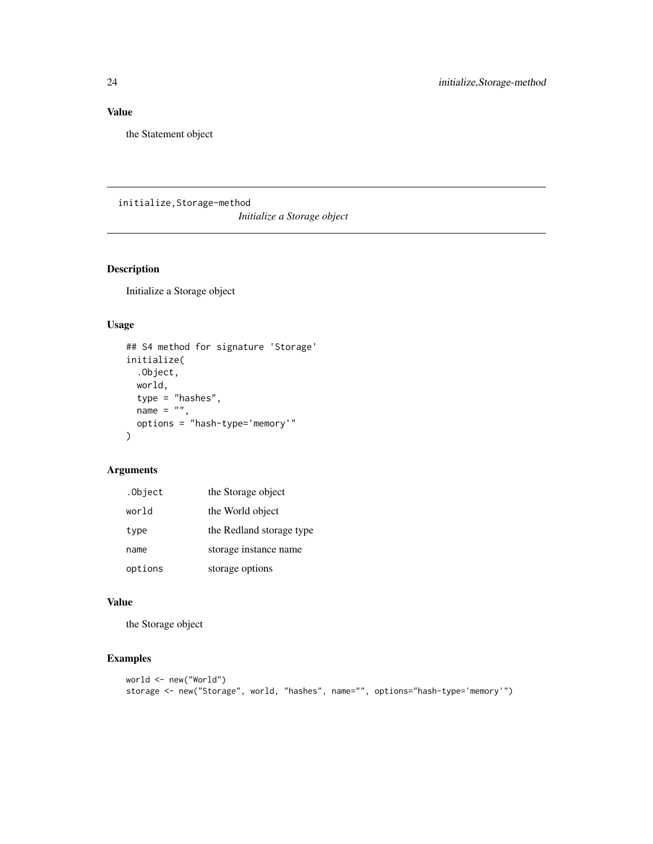# <span id="page-23-0"></span>Value

the Statement object

initialize, Storage-method *Initialize a Storage object*

# Description

Initialize a Storage object

# Usage

```
## S4 method for signature 'Storage'
initialize(
  .Object,
 world,
  type = "hashes",
 name = ",
 options = "hash-type='memory'"
\lambda
```
# Arguments

| .Object | the Storage object       |
|---------|--------------------------|
| world   | the World object         |
| type    | the Redland storage type |
| name    | storage instance name    |
| options | storage options          |

#### Value

the Storage object

#### Examples

```
world <- new("World")
storage <- new("Storage", world, "hashes", name="", options="hash-type='memory'")
```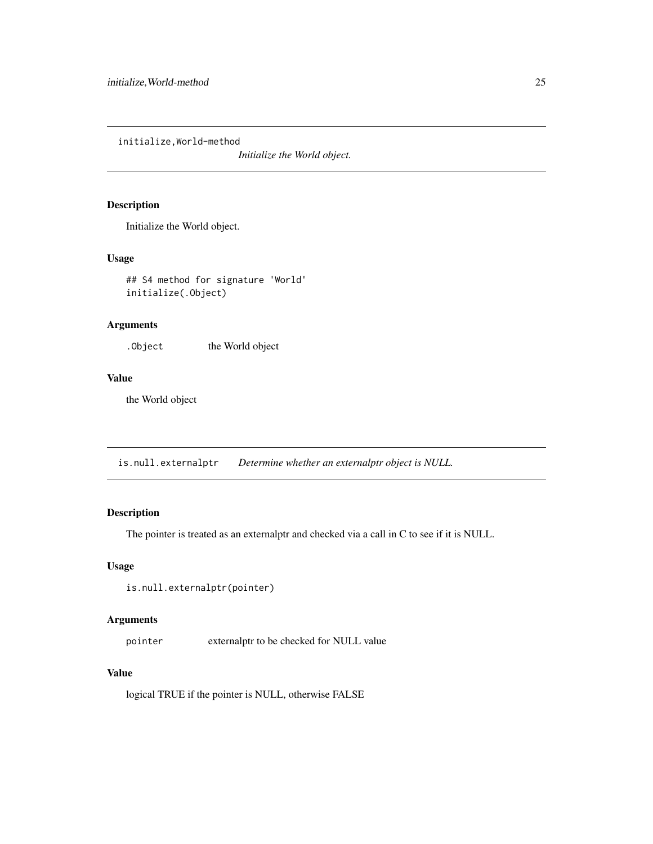<span id="page-24-0"></span>initialize,World-method

*Initialize the World object.*

#### Description

Initialize the World object.

# Usage

## S4 method for signature 'World' initialize(.Object)

# Arguments

. Object the World object

#### Value

the World object

is.null.externalptr *Determine whether an externalptr object is NULL.*

# Description

The pointer is treated as an externalptr and checked via a call in C to see if it is NULL.

#### Usage

```
is.null.externalptr(pointer)
```
#### Arguments

pointer externalptr to be checked for NULL value

## Value

logical TRUE if the pointer is NULL, otherwise FALSE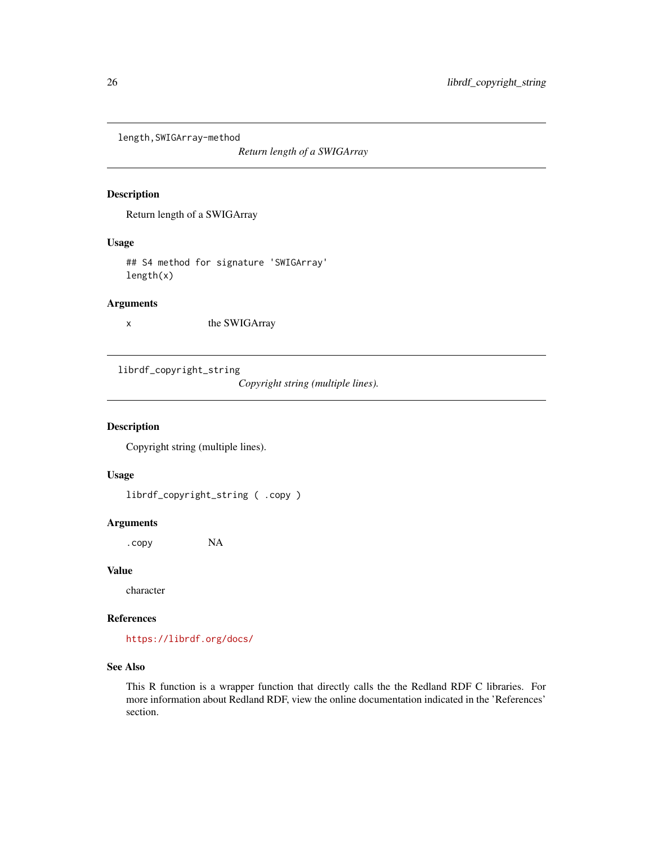<span id="page-25-0"></span>length,SWIGArray-method

*Return length of a SWIGArray*

#### Description

Return length of a SWIGArray

# Usage

## S4 method for signature 'SWIGArray' length(x)

#### Arguments

x the SWIGArray

librdf\_copyright\_string

*Copyright string (multiple lines).*

# Description

Copyright string (multiple lines).

# Usage

librdf\_copyright\_string ( .copy )

#### Arguments

.copy NA

# Value

character

#### References

<https://librdf.org/docs/>

#### See Also

This R function is a wrapper function that directly calls the the Redland RDF C libraries. For more information about Redland RDF, view the online documentation indicated in the 'References' section.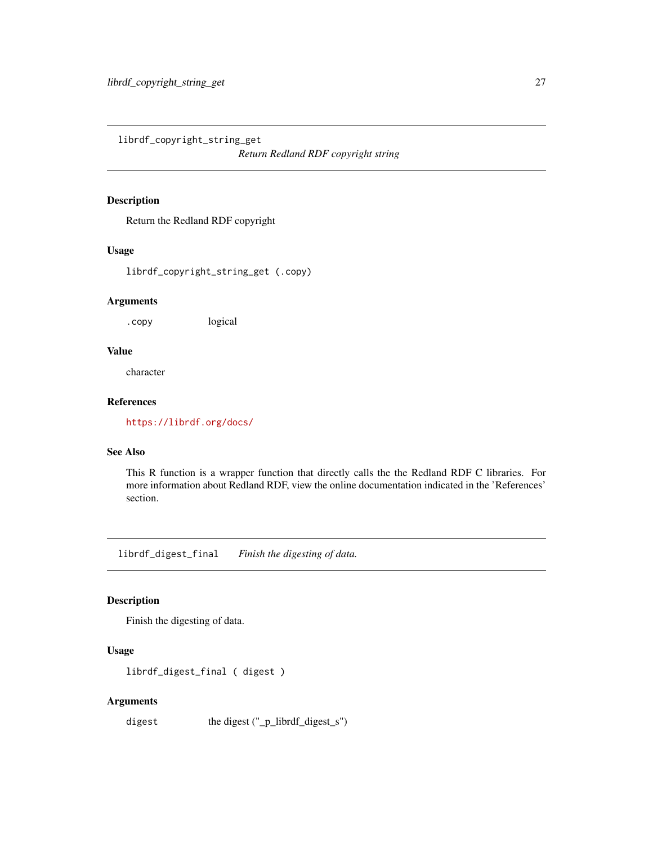<span id="page-26-0"></span>librdf\_copyright\_string\_get

*Return Redland RDF copyright string*

#### Description

Return the Redland RDF copyright

# Usage

librdf\_copyright\_string\_get (.copy)

# Arguments

.copy logical

#### Value

character

#### References

<https://librdf.org/docs/>

# See Also

This R function is a wrapper function that directly calls the the Redland RDF C libraries. For more information about Redland RDF, view the online documentation indicated in the 'References' section.

librdf\_digest\_final *Finish the digesting of data.*

#### Description

Finish the digesting of data.

# Usage

librdf\_digest\_final ( digest )

# Arguments

digest the digest ("\_p\_librdf\_digest\_s")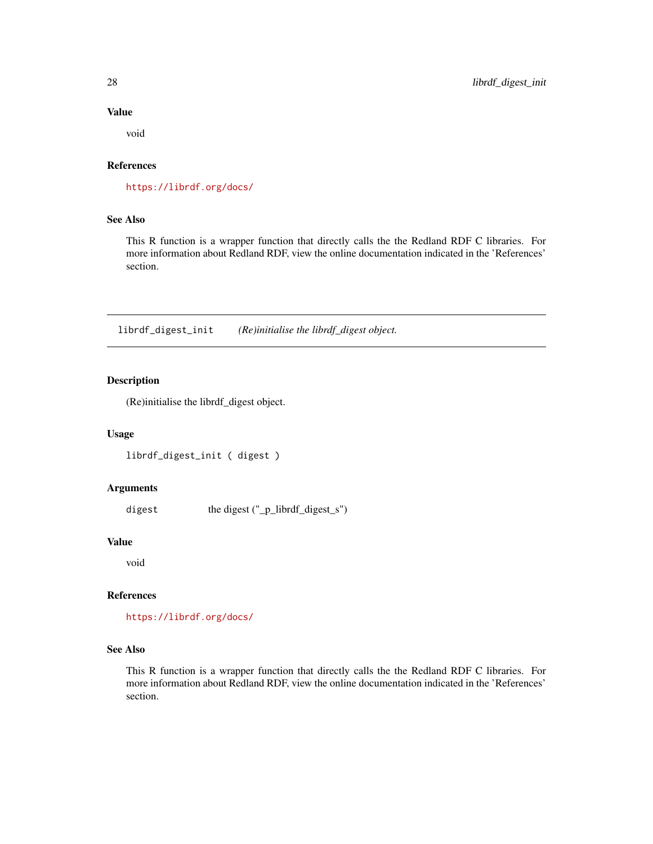#### Value

void

#### References

<https://librdf.org/docs/>

#### See Also

This R function is a wrapper function that directly calls the the Redland RDF C libraries. For more information about Redland RDF, view the online documentation indicated in the 'References' section.

librdf\_digest\_init *(Re)initialise the librdf\_digest object.*

# Description

(Re)initialise the librdf\_digest object.

#### Usage

librdf\_digest\_init ( digest )

#### Arguments

digest the digest ("\_p\_librdf\_digest\_s")

#### Value

void

#### References

<https://librdf.org/docs/>

#### See Also

This R function is a wrapper function that directly calls the the Redland RDF C libraries. For more information about Redland RDF, view the online documentation indicated in the 'References' section.

<span id="page-27-0"></span>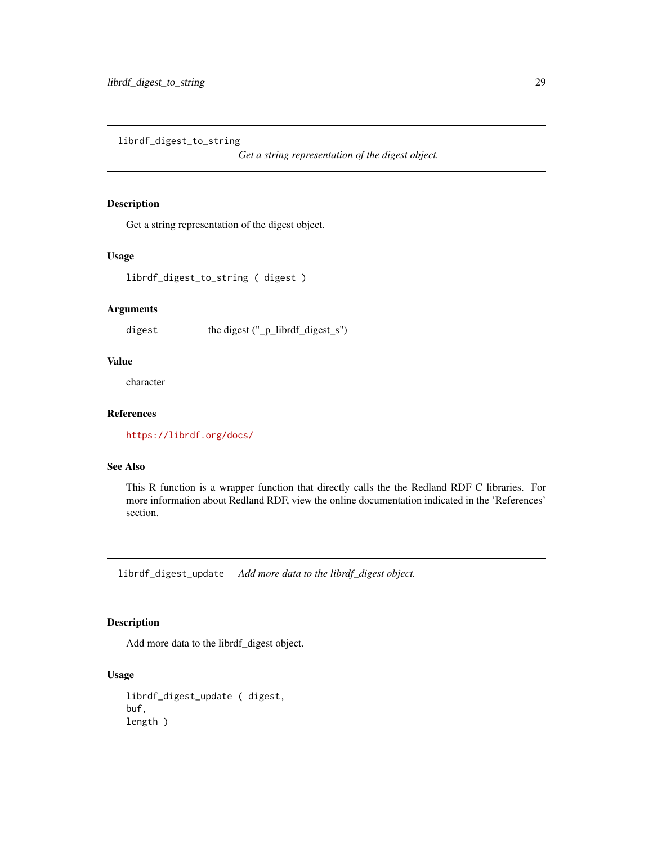<span id="page-28-0"></span>librdf\_digest\_to\_string

*Get a string representation of the digest object.*

# Description

Get a string representation of the digest object.

#### Usage

librdf\_digest\_to\_string ( digest )

#### Arguments

digest the digest ("\_p\_librdf\_digest\_s")

#### Value

character

# References

<https://librdf.org/docs/>

# See Also

This R function is a wrapper function that directly calls the the Redland RDF C libraries. For more information about Redland RDF, view the online documentation indicated in the 'References' section.

librdf\_digest\_update *Add more data to the librdf\_digest object.*

# Description

Add more data to the librdf\_digest object.

#### Usage

```
librdf_digest_update ( digest,
buf,
length )
```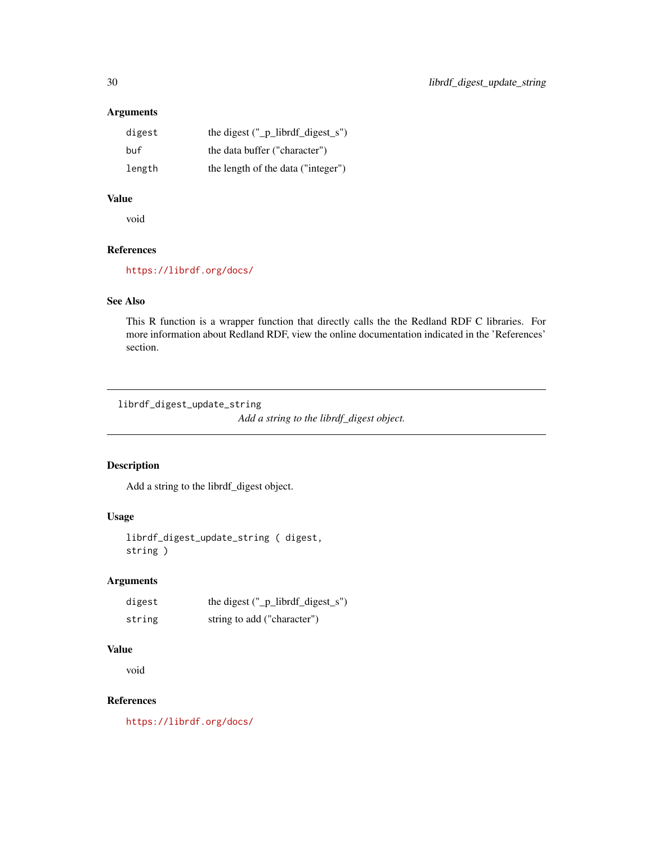| digest | the digest $("_p_{{\text{-}}liptdf_{{\text{-}}digest_s"}})$ |
|--------|-------------------------------------------------------------|
| buf    | the data buffer ("character")                               |
| length | the length of the data ("integer")                          |

# Value

void

#### References

<https://librdf.org/docs/>

#### See Also

This R function is a wrapper function that directly calls the the Redland RDF C libraries. For more information about Redland RDF, view the online documentation indicated in the 'References' section.

librdf\_digest\_update\_string

*Add a string to the librdf\_digest object.*

# Description

Add a string to the librdf\_digest object.

# Usage

```
librdf_digest_update_string ( digest,
string )
```
#### Arguments

| digest | the digest $("_p_{{\text{-}}liptdf_{{\text{-}}digest_s"})$ |
|--------|------------------------------------------------------------|
| string | string to add ("character")                                |

#### Value

void

# References

<https://librdf.org/docs/>

<span id="page-29-0"></span>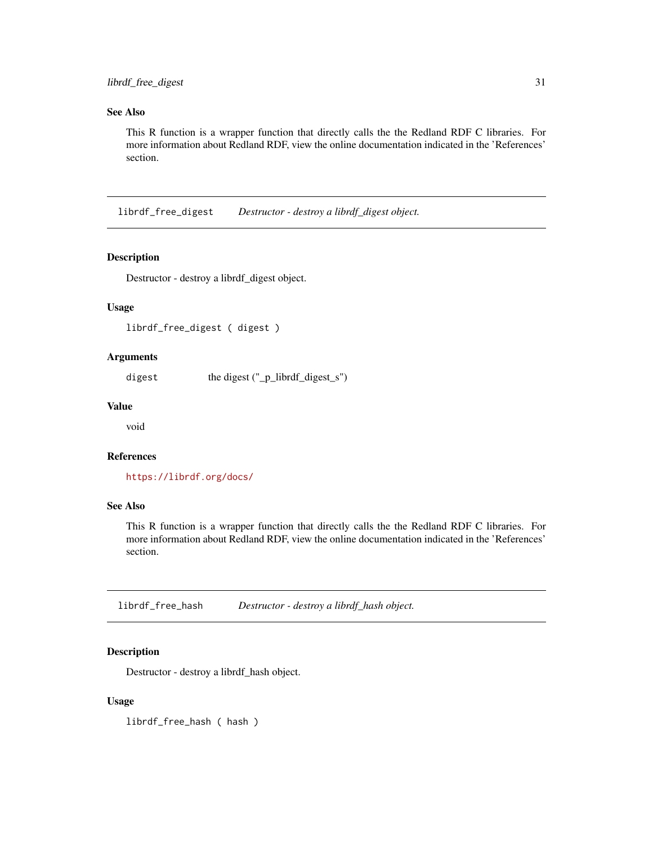# <span id="page-30-0"></span>See Also

This R function is a wrapper function that directly calls the the Redland RDF C libraries. For more information about Redland RDF, view the online documentation indicated in the 'References' section.

librdf\_free\_digest *Destructor - destroy a librdf\_digest object.*

### Description

Destructor - destroy a librdf\_digest object.

#### Usage

librdf\_free\_digest ( digest )

## Arguments

digest the digest ("\_p\_librdf\_digest\_s")

#### Value

void

#### References

<https://librdf.org/docs/>

# See Also

This R function is a wrapper function that directly calls the the Redland RDF C libraries. For more information about Redland RDF, view the online documentation indicated in the 'References' section.

librdf\_free\_hash *Destructor - destroy a librdf\_hash object.*

#### Description

Destructor - destroy a librdf\_hash object.

#### Usage

librdf\_free\_hash ( hash )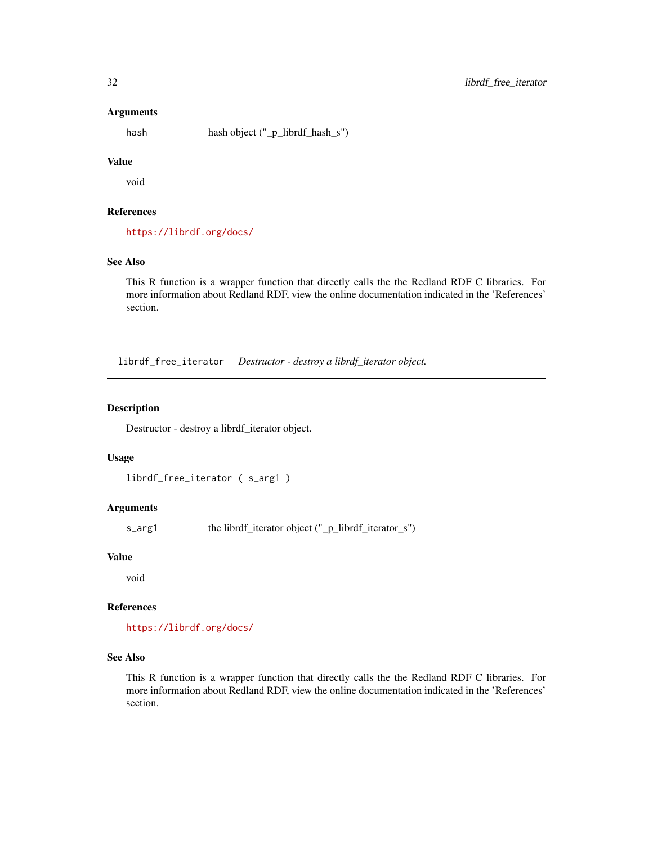hash hash object ("\_p\_librdf\_hash\_s")

# Value

void

# References

<https://librdf.org/docs/>

#### See Also

This R function is a wrapper function that directly calls the the Redland RDF C libraries. For more information about Redland RDF, view the online documentation indicated in the 'References' section.

librdf\_free\_iterator *Destructor - destroy a librdf\_iterator object.*

#### Description

Destructor - destroy a librdf\_iterator object.

#### Usage

```
librdf_free_iterator ( s_arg1 )
```
#### Arguments

s\_arg1 the librdf\_iterator object ("\_p\_librdf\_iterator\_s")

#### Value

void

#### References

<https://librdf.org/docs/>

# See Also

This R function is a wrapper function that directly calls the the Redland RDF C libraries. For more information about Redland RDF, view the online documentation indicated in the 'References' section.

<span id="page-31-0"></span>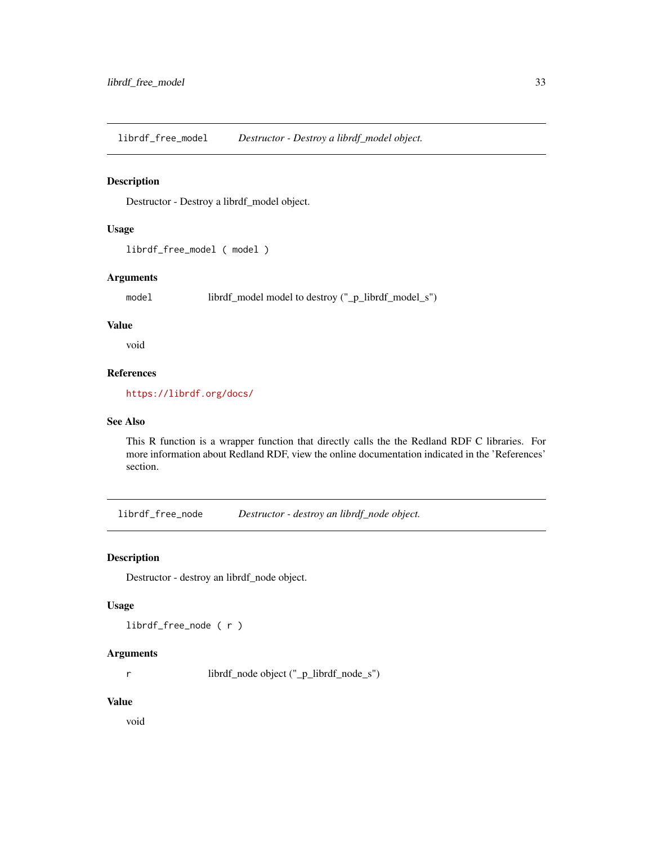<span id="page-32-0"></span>librdf\_free\_model *Destructor - Destroy a librdf\_model object.*

# **Description**

Destructor - Destroy a librdf\_model object.

# Usage

librdf\_free\_model ( model )

#### Arguments

model librdf\_model model to destroy ("\_p\_librdf\_model\_s")

#### Value

void

# References

<https://librdf.org/docs/>

#### See Also

This R function is a wrapper function that directly calls the the Redland RDF C libraries. For more information about Redland RDF, view the online documentation indicated in the 'References' section.

librdf\_free\_node *Destructor - destroy an librdf\_node object.*

#### Description

Destructor - destroy an librdf\_node object.

#### Usage

librdf\_free\_node ( r )

#### Arguments

r librdf\_node object ("\_p\_librdf\_node\_s")

# Value

void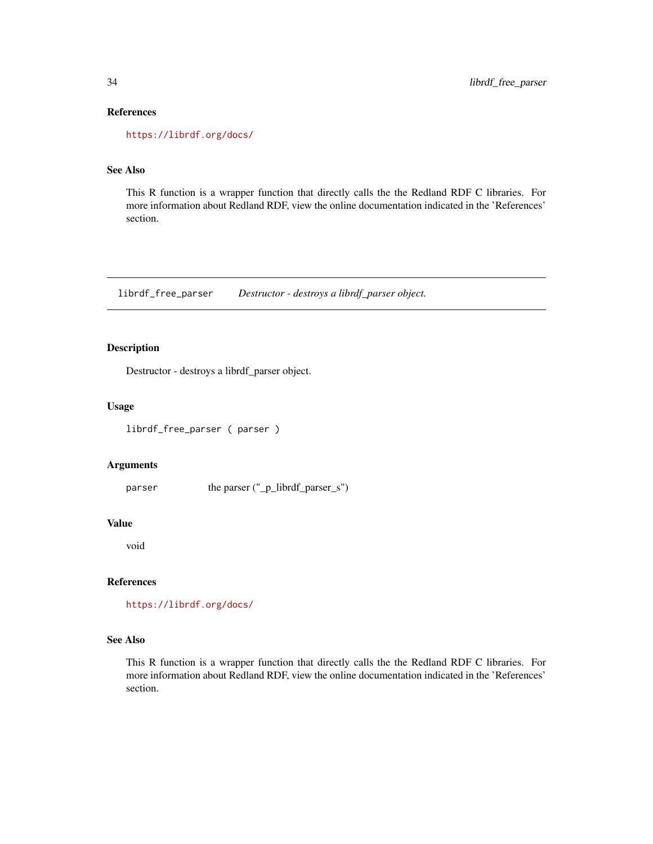# References

<https://librdf.org/docs/>

# See Also

This R function is a wrapper function that directly calls the the Redland RDF C libraries. For more information about Redland RDF, view the online documentation indicated in the 'References' section.

librdf\_free\_parser *Destructor - destroys a librdf\_parser object.*

#### Description

Destructor - destroys a librdf\_parser object.

#### Usage

librdf\_free\_parser ( parser )

#### Arguments

parser the parser ("\_p\_librdf\_parser\_s")

# Value

void

#### References

<https://librdf.org/docs/>

# See Also

This R function is a wrapper function that directly calls the the Redland RDF C libraries. For more information about Redland RDF, view the online documentation indicated in the 'References' section.

<span id="page-33-0"></span>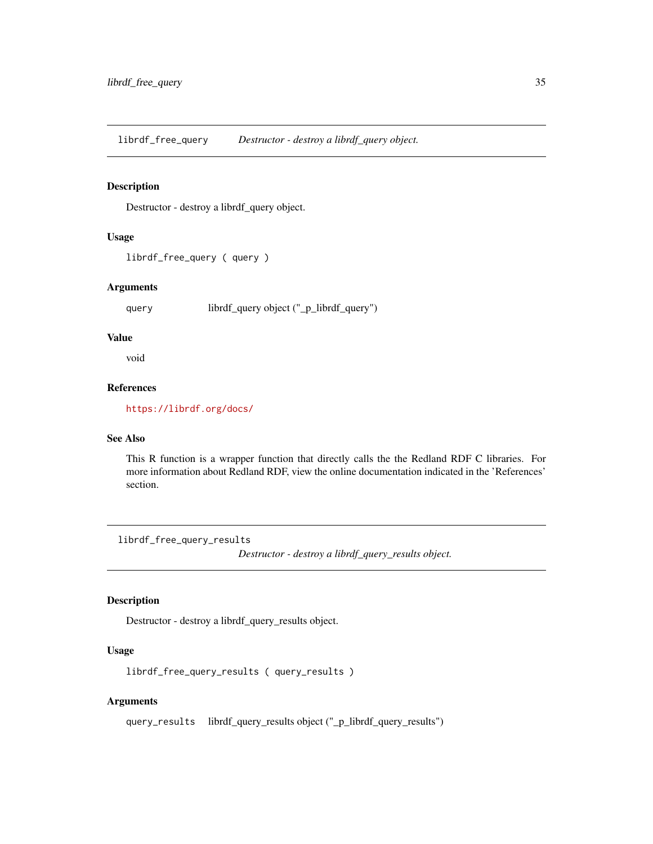<span id="page-34-0"></span>librdf\_free\_query *Destructor - destroy a librdf\_query object.*

# Description

Destructor - destroy a librdf\_query object.

# Usage

```
librdf_free_query ( query )
```
# Arguments

query librdf\_query object ("\_p\_librdf\_query")

#### Value

void

# References

<https://librdf.org/docs/>

#### See Also

This R function is a wrapper function that directly calls the the Redland RDF C libraries. For more information about Redland RDF, view the online documentation indicated in the 'References' section.

librdf\_free\_query\_results

*Destructor - destroy a librdf\_query\_results object.*

#### Description

Destructor - destroy a librdf\_query\_results object.

# Usage

librdf\_free\_query\_results ( query\_results )

# Arguments

query\_results librdf\_query\_results object ("\_p\_librdf\_query\_results")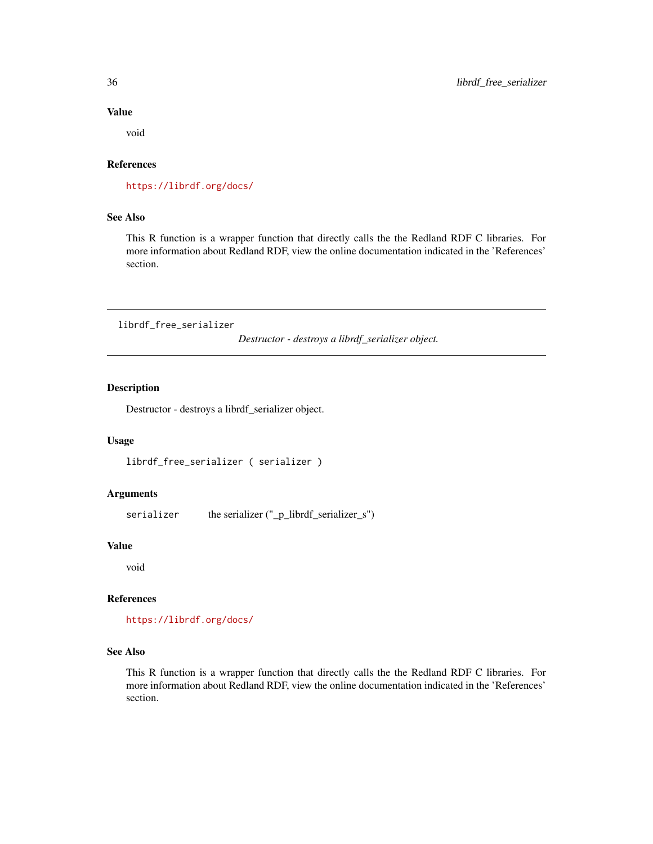#### Value

void

# References

<https://librdf.org/docs/>

# See Also

This R function is a wrapper function that directly calls the the Redland RDF C libraries. For more information about Redland RDF, view the online documentation indicated in the 'References' section.

librdf\_free\_serializer

*Destructor - destroys a librdf\_serializer object.*

#### Description

Destructor - destroys a librdf\_serializer object.

#### Usage

librdf\_free\_serializer ( serializer )

# Arguments

serializer the serializer ("\_p\_librdf\_serializer\_s")

#### Value

void

#### References

<https://librdf.org/docs/>

#### See Also

This R function is a wrapper function that directly calls the the Redland RDF C libraries. For more information about Redland RDF, view the online documentation indicated in the 'References' section.

<span id="page-35-0"></span>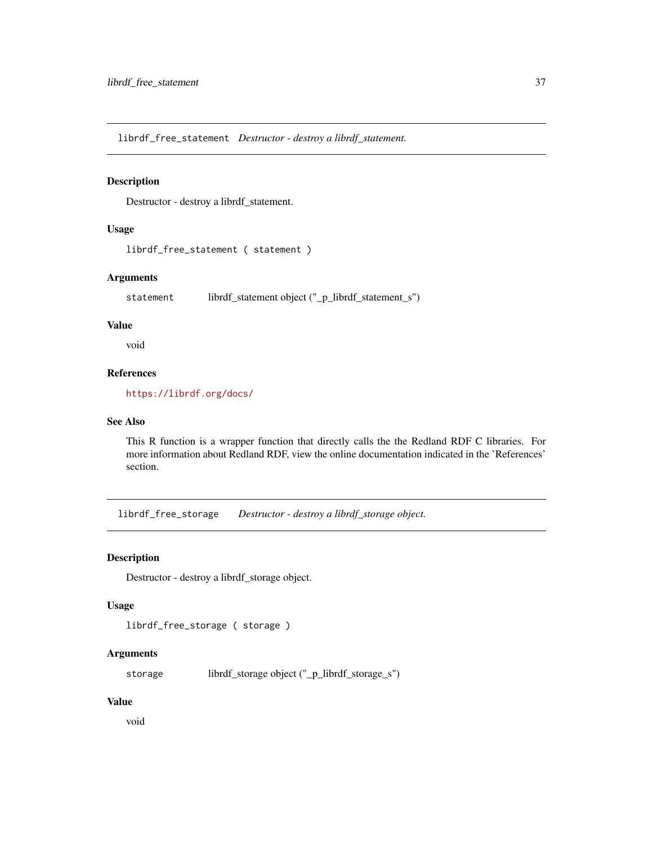librdf\_free\_statement *Destructor - destroy a librdf\_statement.*

## Description

Destructor - destroy a librdf\_statement.

## Usage

librdf\_free\_statement ( statement )

## Arguments

statement librdf\_statement object ("\_p\_librdf\_statement\_s")

### Value

void

## References

<https://librdf.org/docs/>

## See Also

This R function is a wrapper function that directly calls the the Redland RDF C libraries. For more information about Redland RDF, view the online documentation indicated in the 'References' section.

librdf\_free\_storage *Destructor - destroy a librdf\_storage object.*

### Description

Destructor - destroy a librdf\_storage object.

### Usage

```
librdf_free_storage ( storage )
```
## Arguments

storage librdf\_storage object ("\_p\_librdf\_storage\_s")

### Value

void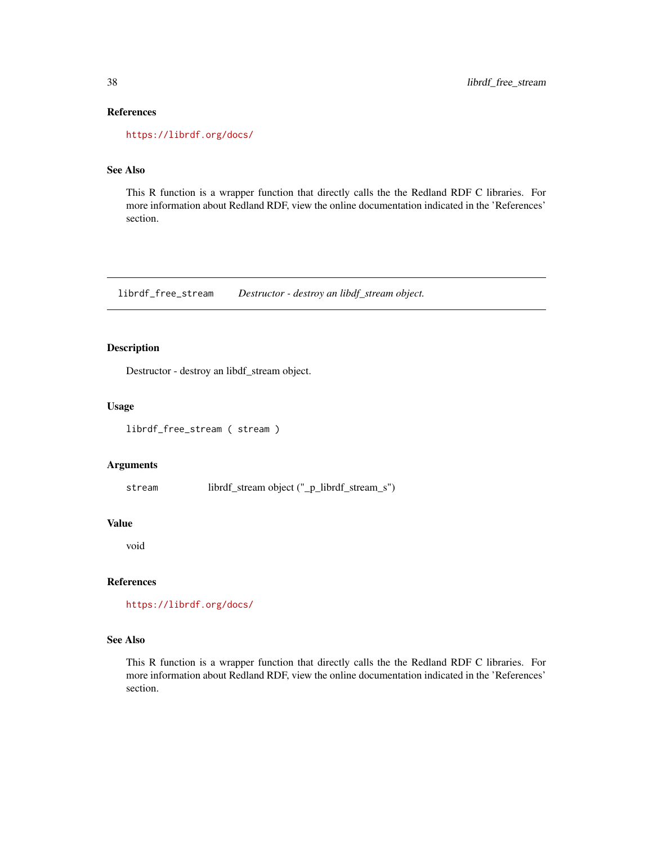## References

<https://librdf.org/docs/>

# See Also

This R function is a wrapper function that directly calls the the Redland RDF C libraries. For more information about Redland RDF, view the online documentation indicated in the 'References' section.

librdf\_free\_stream *Destructor - destroy an libdf\_stream object.*

## Description

Destructor - destroy an libdf\_stream object.

### Usage

librdf\_free\_stream ( stream )

### Arguments

stream librdf\_stream object ("\_p\_librdf\_stream\_s")

### Value

void

### References

<https://librdf.org/docs/>

# See Also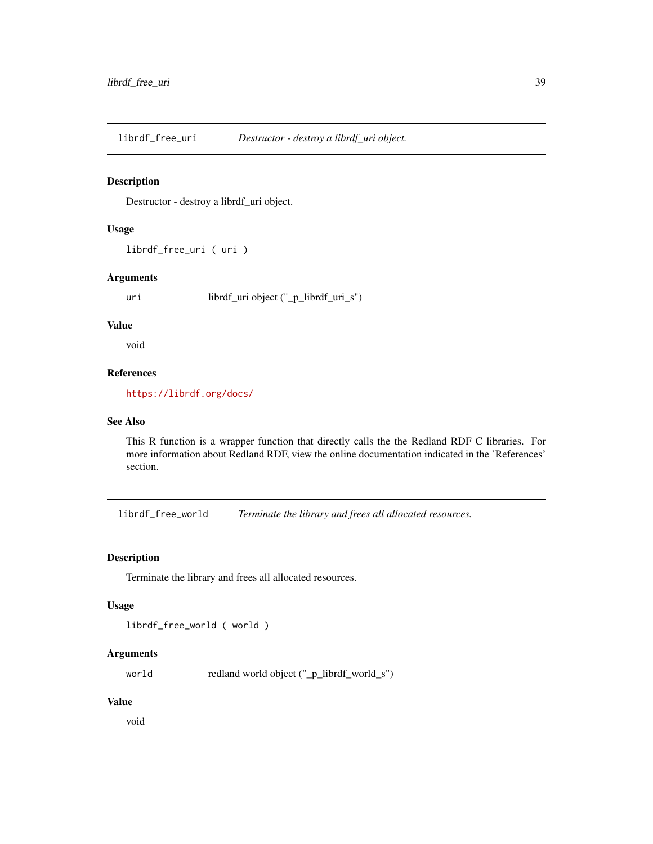librdf\_free\_uri *Destructor - destroy a librdf\_uri object.*

## Description

Destructor - destroy a librdf\_uri object.

## Usage

librdf\_free\_uri ( uri )

## Arguments

uri librdf\_uri object ("\_p\_librdf\_uri\_s")

### Value

void

## References

<https://librdf.org/docs/>

## See Also

This R function is a wrapper function that directly calls the the Redland RDF C libraries. For more information about Redland RDF, view the online documentation indicated in the 'References' section.

librdf\_free\_world *Terminate the library and frees all allocated resources.*

### Description

Terminate the library and frees all allocated resources.

### Usage

librdf\_free\_world ( world )

## Arguments

world redland world object ("\_p\_librdf\_world\_s")

### Value

void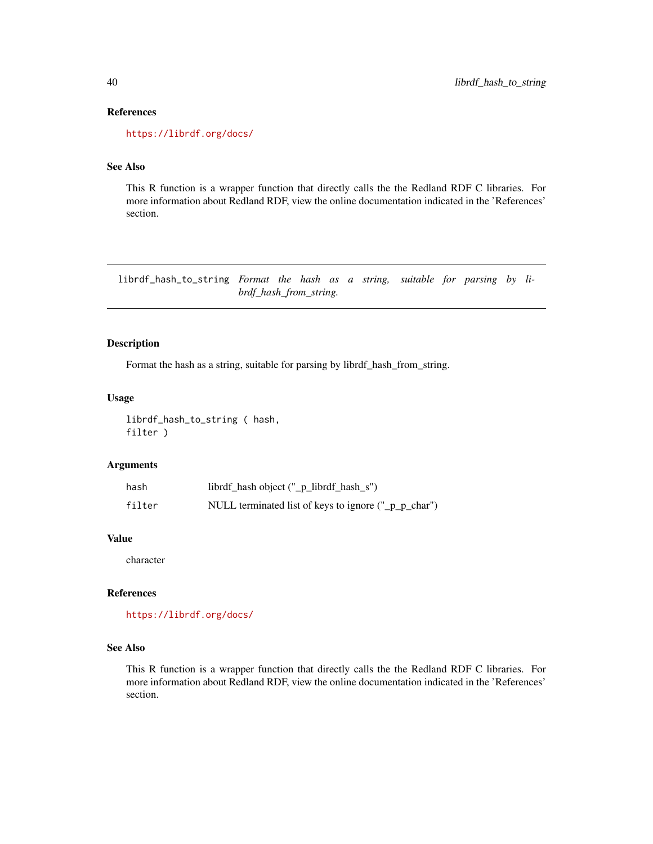#### References

<https://librdf.org/docs/>

## See Also

This R function is a wrapper function that directly calls the the Redland RDF C libraries. For more information about Redland RDF, view the online documentation indicated in the 'References' section.

librdf\_hash\_to\_string *Format the hash as a string, suitable for parsing by librdf\_hash\_from\_string.*

## Description

Format the hash as a string, suitable for parsing by librdf\_hash\_from\_string.

### Usage

librdf\_hash\_to\_string ( hash, filter )

### Arguments

| hash   | librdf_hash object ("_p_librdf_hash_s")              |
|--------|------------------------------------------------------|
| filter | NULL terminated list of keys to ignore ("_p_p_char") |

### Value

character

### References

<https://librdf.org/docs/>

### See Also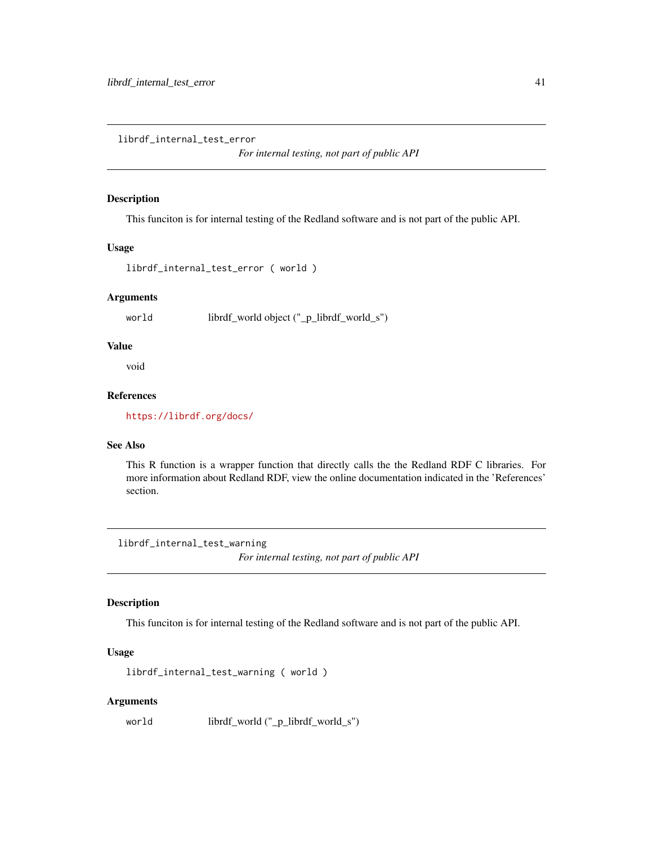librdf\_internal\_test\_error

*For internal testing, not part of public API*

### Description

This funciton is for internal testing of the Redland software and is not part of the public API.

#### Usage

```
librdf_internal_test_error ( world )
```
### Arguments

world librdf\_world object ("\_p\_librdf\_world\_s")

## Value

void

# References

<https://librdf.org/docs/>

## See Also

This R function is a wrapper function that directly calls the the Redland RDF C libraries. For more information about Redland RDF, view the online documentation indicated in the 'References' section.

librdf\_internal\_test\_warning *For internal testing, not part of public API*

### Description

This funciton is for internal testing of the Redland software and is not part of the public API.

### Usage

librdf\_internal\_test\_warning ( world )

#### Arguments

world librdf\_world ("\_p\_librdf\_world\_s")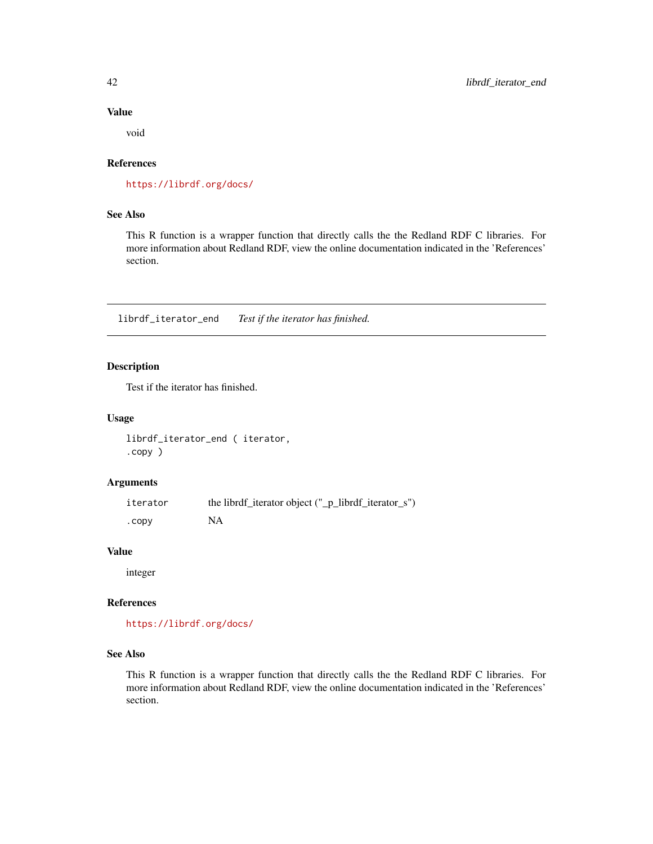### Value

void

## References

<https://librdf.org/docs/>

# See Also

This R function is a wrapper function that directly calls the the Redland RDF C libraries. For more information about Redland RDF, view the online documentation indicated in the 'References' section.

librdf\_iterator\_end *Test if the iterator has finished.*

## Description

Test if the iterator has finished.

### Usage

librdf\_iterator\_end ( iterator, .copy )

# Arguments

| iterator | the librdf_iterator object ("_p_librdf_iterator_s") |
|----------|-----------------------------------------------------|
| . CODV   | NA                                                  |

### Value

integer

## References

<https://librdf.org/docs/>

## See Also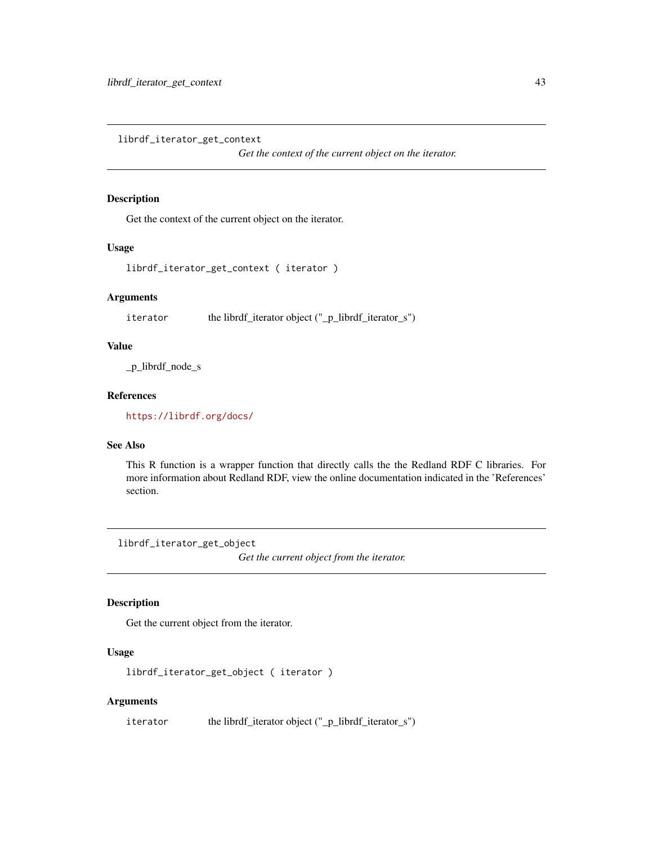librdf\_iterator\_get\_context

*Get the context of the current object on the iterator.*

## Description

Get the context of the current object on the iterator.

#### Usage

librdf\_iterator\_get\_context ( iterator )

### Arguments

iterator the librdf\_iterator object ("\_p\_librdf\_iterator\_s")

## Value

\_p\_librdf\_node\_s

## References

<https://librdf.org/docs/>

## See Also

This R function is a wrapper function that directly calls the the Redland RDF C libraries. For more information about Redland RDF, view the online documentation indicated in the 'References' section.

librdf\_iterator\_get\_object

*Get the current object from the iterator.*

### Description

Get the current object from the iterator.

### Usage

librdf\_iterator\_get\_object ( iterator )

#### Arguments

iterator the librdf\_iterator object ("\_p\_librdf\_iterator\_s")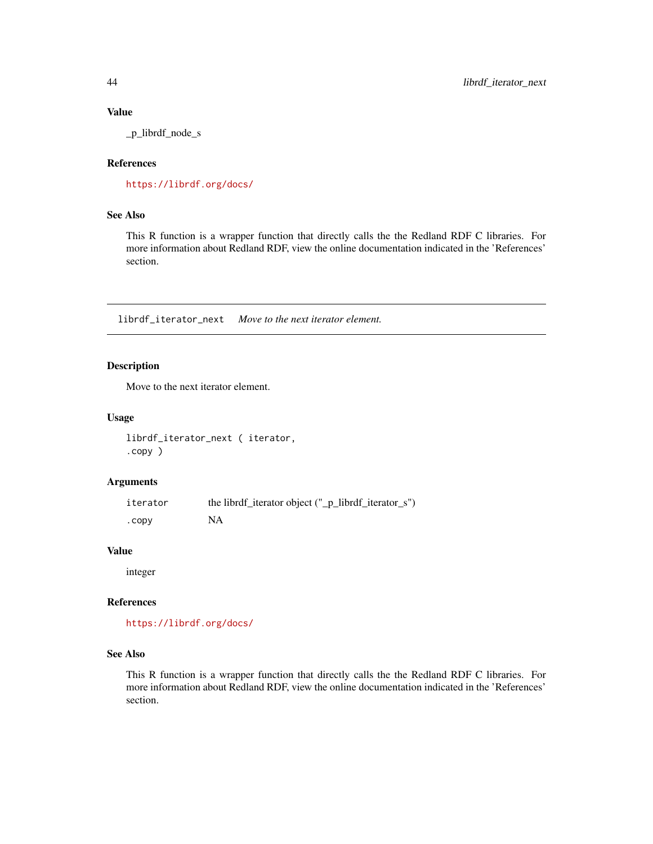## Value

\_p\_librdf\_node\_s

## References

<https://librdf.org/docs/>

## See Also

This R function is a wrapper function that directly calls the the Redland RDF C libraries. For more information about Redland RDF, view the online documentation indicated in the 'References' section.

librdf\_iterator\_next *Move to the next iterator element.*

### Description

Move to the next iterator element.

### Usage

librdf\_iterator\_next ( iterator, .copy )

# Arguments

| iterator | the librdf_iterator object ("_p_librdf_iterator_s") |
|----------|-----------------------------------------------------|
| . CODV   | NA                                                  |

### Value

integer

#### References

<https://librdf.org/docs/>

## See Also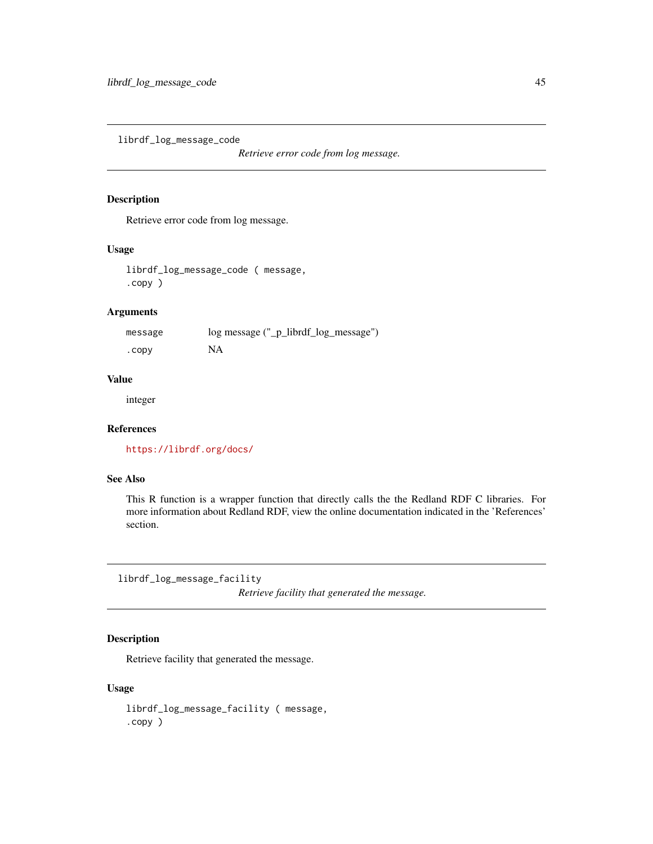librdf\_log\_message\_code

*Retrieve error code from log message.*

### Description

Retrieve error code from log message.

## Usage

librdf\_log\_message\_code ( message, .copy )

## Arguments

| message | log message ("_p_librdf_log_message") |
|---------|---------------------------------------|
| . CODV  | NA                                    |

#### Value

integer

## References

<https://librdf.org/docs/>

# See Also

This R function is a wrapper function that directly calls the the Redland RDF C libraries. For more information about Redland RDF, view the online documentation indicated in the 'References' section.

librdf\_log\_message\_facility

*Retrieve facility that generated the message.*

# Description

Retrieve facility that generated the message.

#### Usage

librdf\_log\_message\_facility ( message, .copy )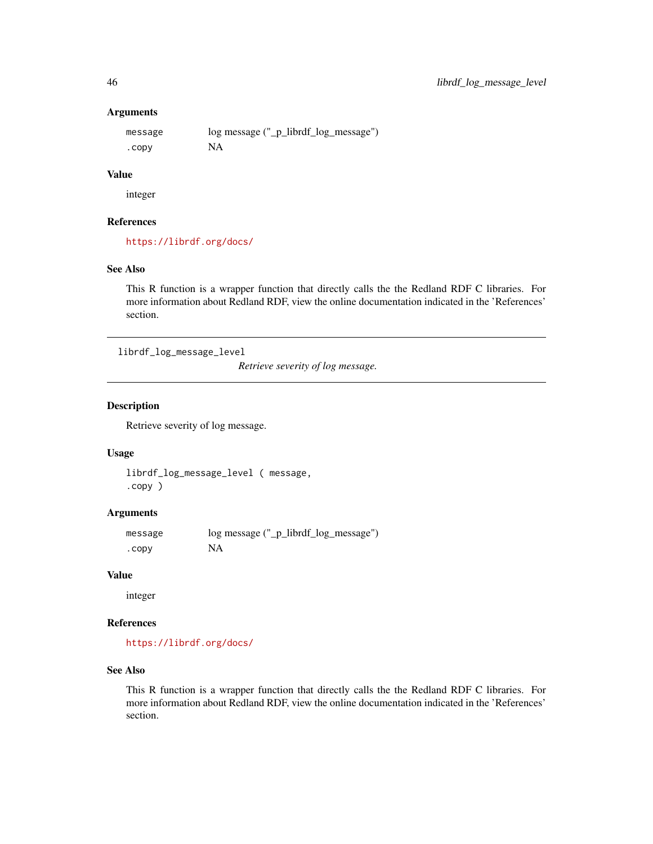### Arguments

message log message ("\_p\_librdf\_log\_message") .copy NA

### Value

integer

## References

<https://librdf.org/docs/>

## See Also

This R function is a wrapper function that directly calls the the Redland RDF C libraries. For more information about Redland RDF, view the online documentation indicated in the 'References' section.

librdf\_log\_message\_level

*Retrieve severity of log message.*

## Description

Retrieve severity of log message.

#### Usage

librdf\_log\_message\_level ( message, .copy )

## Arguments

| message | log message ("_p_librdf_log_message") |
|---------|---------------------------------------|
| .copy   | NA                                    |

## Value

integer

### References

<https://librdf.org/docs/>

### See Also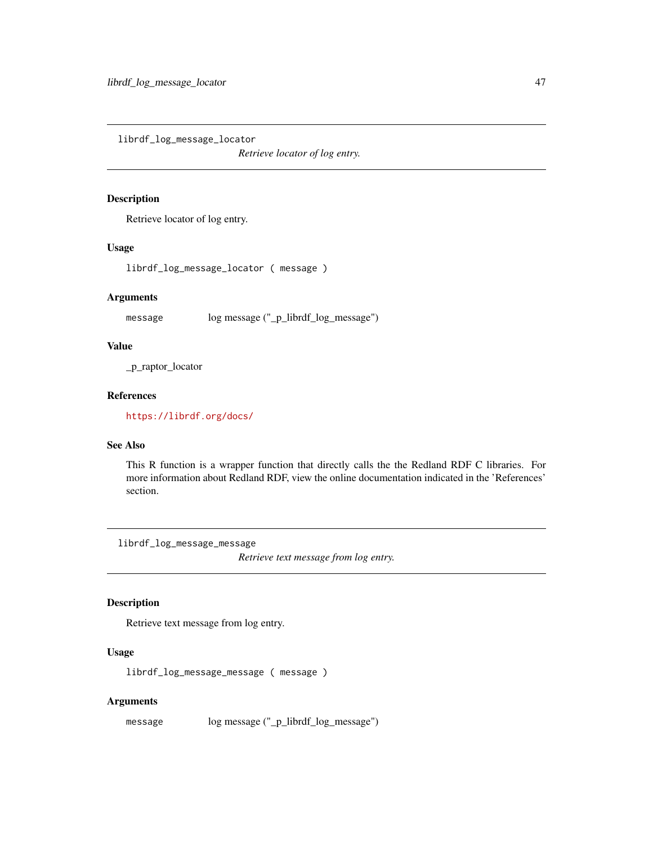librdf\_log\_message\_locator

*Retrieve locator of log entry.*

### Description

Retrieve locator of log entry.

#### Usage

librdf\_log\_message\_locator ( message )

#### Arguments

message log message ("\_p\_librdf\_log\_message")

## Value

\_p\_raptor\_locator

## References

<https://librdf.org/docs/>

## See Also

This R function is a wrapper function that directly calls the the Redland RDF C libraries. For more information about Redland RDF, view the online documentation indicated in the 'References' section.

librdf\_log\_message\_message

*Retrieve text message from log entry.*

## Description

Retrieve text message from log entry.

### Usage

librdf\_log\_message\_message ( message )

### Arguments

message log message ("\_p\_librdf\_log\_message")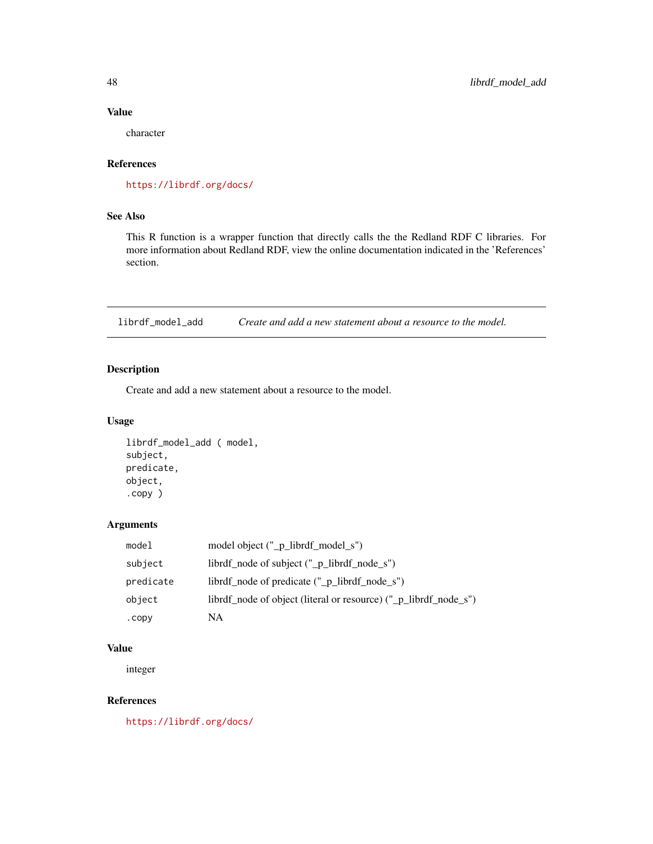## Value

character

# References

<https://librdf.org/docs/>

## See Also

This R function is a wrapper function that directly calls the the Redland RDF C libraries. For more information about Redland RDF, view the online documentation indicated in the 'References' section.

librdf\_model\_add *Create and add a new statement about a resource to the model.*

## Description

Create and add a new statement about a resource to the model.

## Usage

```
librdf_model_add ( model,
subject,
predicate,
object,
.copy )
```
## Arguments

| model     | model object ("_p_librdf_model_s")                               |
|-----------|------------------------------------------------------------------|
| subject   | librdf_node of subject ("_p_librdf_node_s")                      |
| predicate | librdf_node of predicate ("_p_librdf_node_s")                    |
| object    | librdf_node of object (literal or resource) ("_p_librdf_node_s") |
| . copy    | NA                                                               |

## Value

integer

## References

<https://librdf.org/docs/>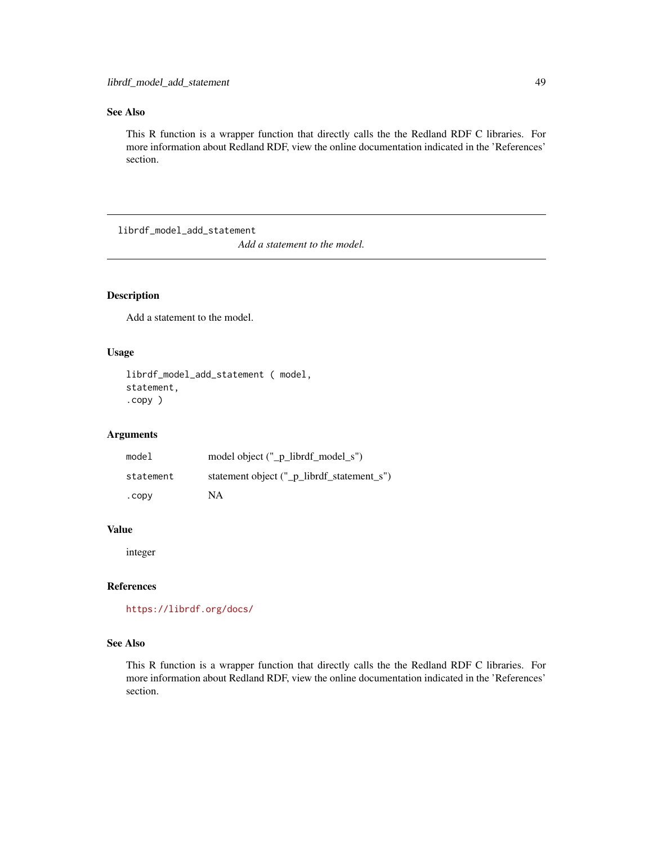## See Also

This R function is a wrapper function that directly calls the the Redland RDF C libraries. For more information about Redland RDF, view the online documentation indicated in the 'References' section.

librdf\_model\_add\_statement

*Add a statement to the model.*

## Description

Add a statement to the model.

## Usage

```
librdf_model_add_statement ( model,
statement,
.copy )
```
## Arguments

| model     | model object ("_p_librdf_model_s")         |
|-----------|--------------------------------------------|
| statement | statement object ("_p_librdf_statement_s") |
| . CODV    | NA                                         |

### Value

integer

# References

<https://librdf.org/docs/>

#### See Also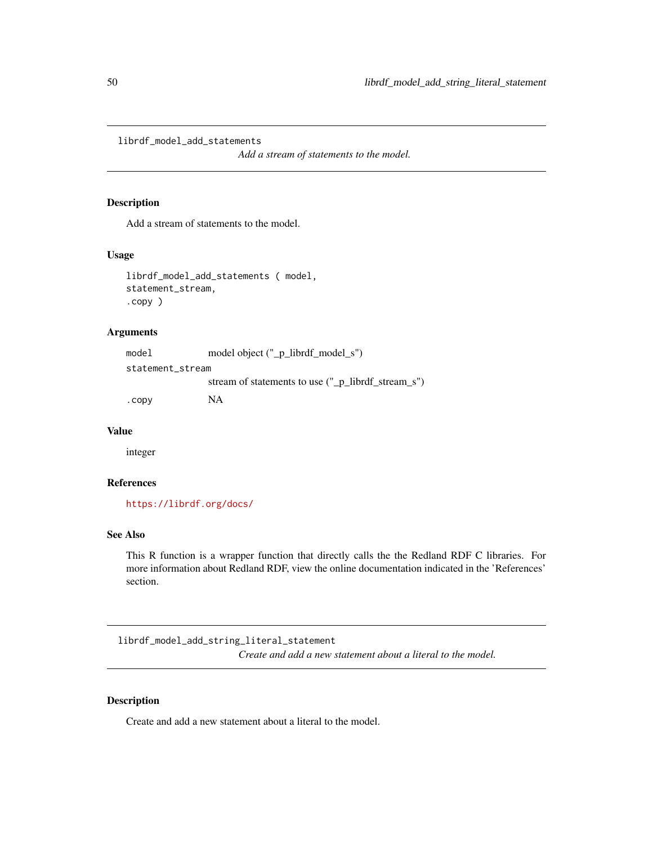librdf\_model\_add\_statements

*Add a stream of statements to the model.*

## Description

Add a stream of statements to the model.

### Usage

```
librdf_model_add_statements ( model,
statement_stream,
.copy )
```
## Arguments

| model            | model object ("_p_librdf_model_s")                 |  |
|------------------|----------------------------------------------------|--|
| statement stream |                                                    |  |
|                  | stream of statements to use (" p librdf stream s") |  |
| . CODV           | NA                                                 |  |

### Value

integer

### References

<https://librdf.org/docs/>

### See Also

This R function is a wrapper function that directly calls the the Redland RDF C libraries. For more information about Redland RDF, view the online documentation indicated in the 'References' section.

librdf\_model\_add\_string\_literal\_statement *Create and add a new statement about a literal to the model.*

## Description

Create and add a new statement about a literal to the model.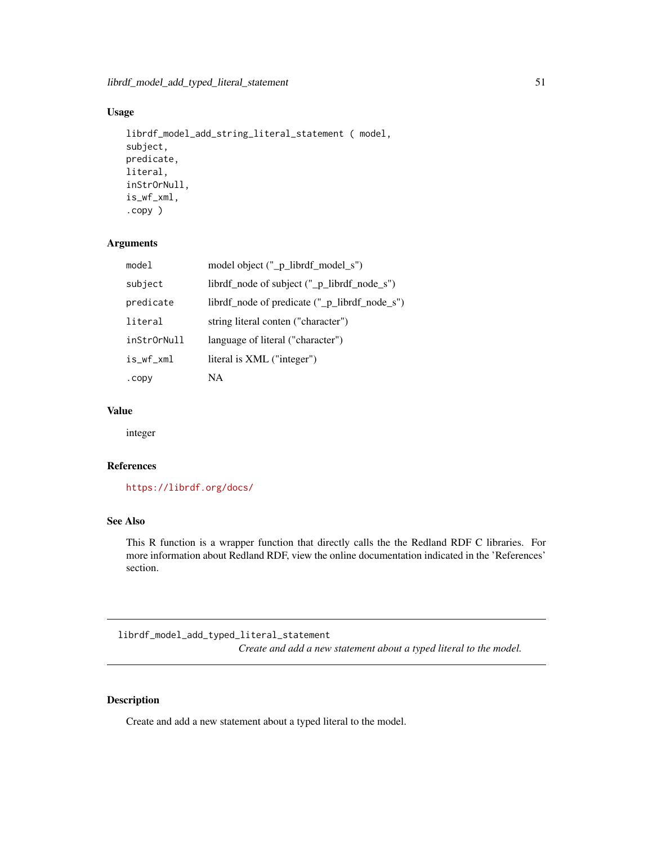## Usage

```
librdf_model_add_string_literal_statement ( model,
subject,
predicate,
literal,
inStrOrNull,
is_wf_xml,
.copy )
```
# Arguments

| model       | model object ("_p_librdf_model_s")            |
|-------------|-----------------------------------------------|
| subject     | librdf_node of subject ("_p_librdf_node_s")   |
| predicate   | librdf_node of predicate ("_p_librdf_node_s") |
| literal     | string literal conten ("character")           |
| inStrOrNull | language of literal ("character")             |
| is_wf_xml   | literal is XML ("integer")                    |
| .copy       | NA                                            |

## Value

integer

### References

<https://librdf.org/docs/>

# See Also

This R function is a wrapper function that directly calls the the Redland RDF C libraries. For more information about Redland RDF, view the online documentation indicated in the 'References' section.

librdf\_model\_add\_typed\_literal\_statement *Create and add a new statement about a typed literal to the model.*

## Description

Create and add a new statement about a typed literal to the model.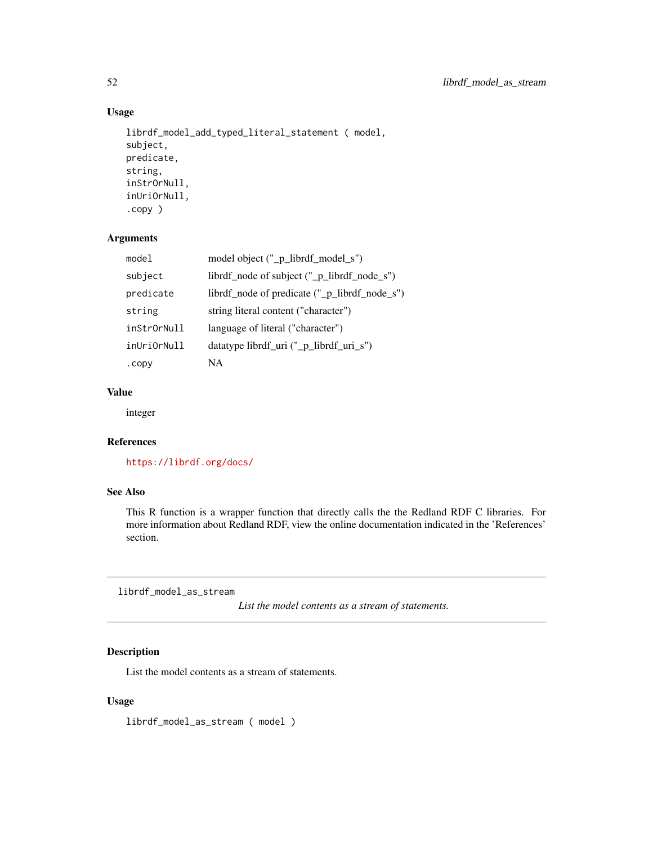# Usage

```
librdf_model_add_typed_literal_statement ( model,
subject,
predicate,
string,
inStrOrNull,
inUriOrNull,
.copy )
```
## Arguments

| model       | model object ("_p_librdf_model_s")                 |
|-------------|----------------------------------------------------|
| subject     | librdf_node of subject ("_p_librdf_node_s")        |
| predicate   | librdf_node of predicate ("_p_librdf_node_s")      |
| string      | string literal content ("character")               |
| inStrOrNull | language of literal ("character")                  |
| inUriOrNull | datatype librdf_uri $("_p_{{\text{light}}}\right]$ |
| .copy       | NA                                                 |

## Value

integer

### References

<https://librdf.org/docs/>

# See Also

This R function is a wrapper function that directly calls the the Redland RDF C libraries. For more information about Redland RDF, view the online documentation indicated in the 'References' section.

librdf\_model\_as\_stream

*List the model contents as a stream of statements.*

# Description

List the model contents as a stream of statements.

## Usage

librdf\_model\_as\_stream ( model )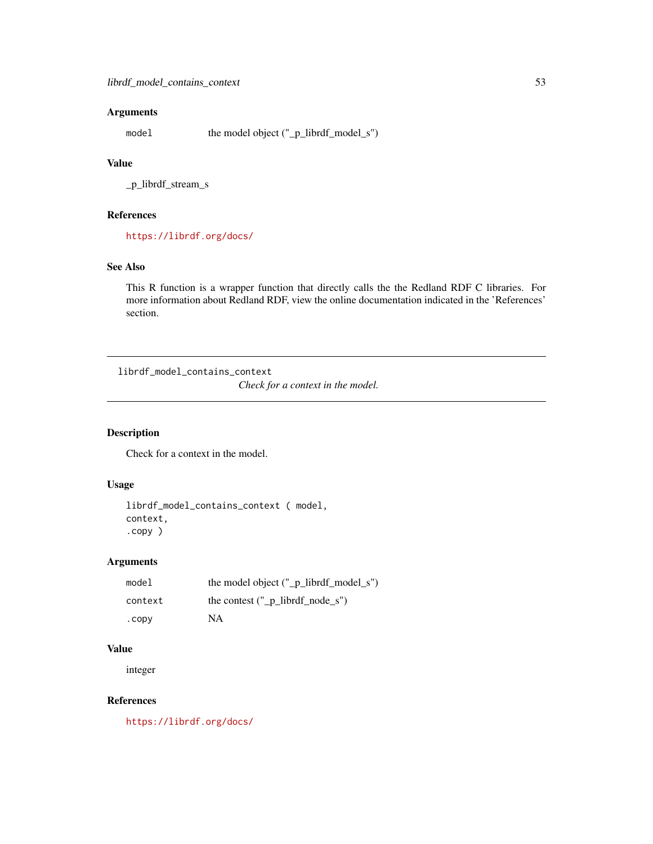## Arguments

model the model object ("\_p\_librdf\_model\_s")

## Value

\_p\_librdf\_stream\_s

## References

<https://librdf.org/docs/>

## See Also

This R function is a wrapper function that directly calls the the Redland RDF C libraries. For more information about Redland RDF, view the online documentation indicated in the 'References' section.

librdf\_model\_contains\_context

*Check for a context in the model.*

### Description

Check for a context in the model.

### Usage

```
librdf_model_contains_context ( model,
context,
.copy )
```
## Arguments

| model   | the model object ("_p_librdf_model_s")     |
|---------|--------------------------------------------|
| context | the contest $(" p lineth)$ librdf node s") |
| .copy   | NA                                         |

## Value

integer

## References

<https://librdf.org/docs/>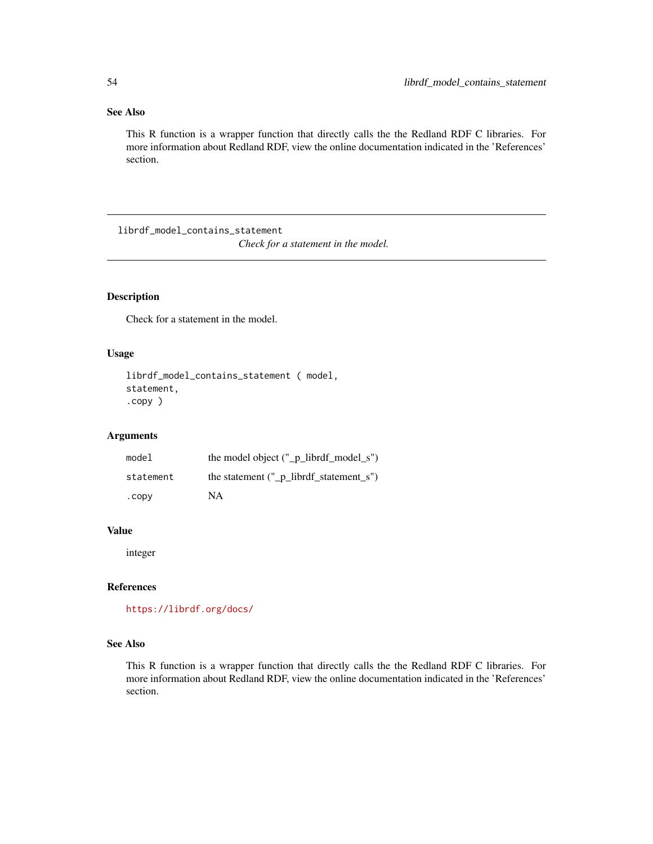# See Also

This R function is a wrapper function that directly calls the the Redland RDF C libraries. For more information about Redland RDF, view the online documentation indicated in the 'References' section.

librdf\_model\_contains\_statement *Check for a statement in the model.*

# Description

Check for a statement in the model.

### Usage

```
librdf_model_contains_statement ( model,
statement,
.copy )
```
## Arguments

| model     | the model object ("_p_librdf_model_s")    |
|-----------|-------------------------------------------|
| statement | the statement $(" p librdf statement s")$ |
| . CODV    | NA                                        |

## Value

integer

### References

<https://librdf.org/docs/>

### See Also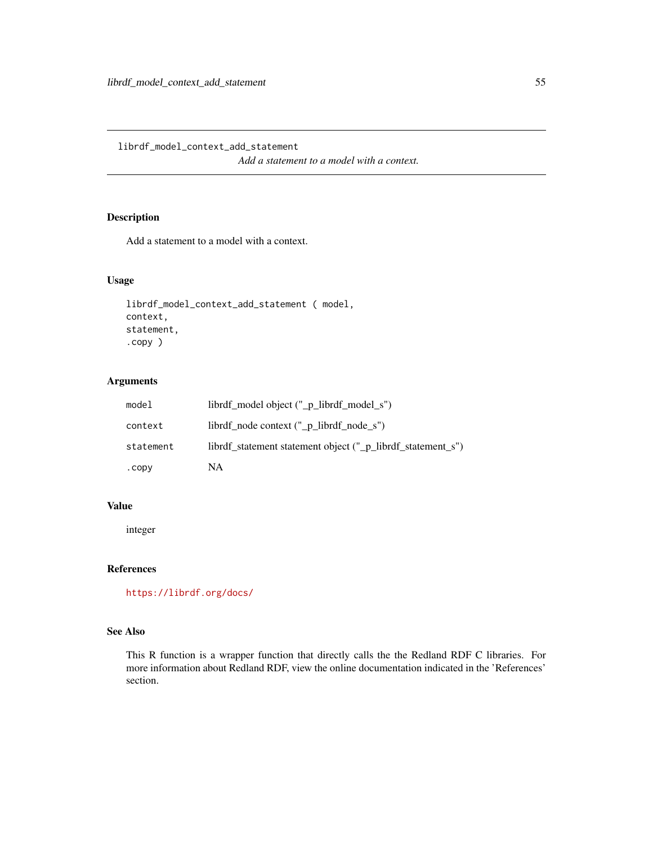librdf\_model\_context\_add\_statement *Add a statement to a model with a context.*

# Description

Add a statement to a model with a context.

### Usage

```
librdf_model_context_add_statement ( model,
context,
statement,
.copy )
```
# Arguments

| model     | librdf_model object ("_p_librdf_model_s")                   |
|-----------|-------------------------------------------------------------|
| context   | librdf_node context ("_p_librdf_node_s")                    |
| statement | librdf_statement statement object ("_p_librdf_statement_s") |
| .copy     | NA                                                          |

#### Value

integer

# References

<https://librdf.org/docs/>

## See Also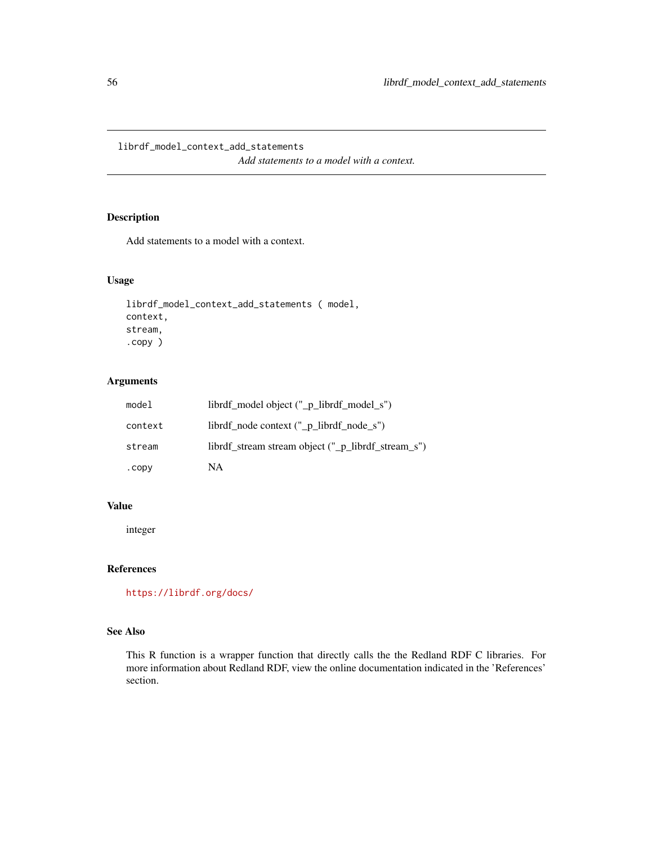librdf\_model\_context\_add\_statements *Add statements to a model with a context.*

# Description

Add statements to a model with a context.

## Usage

```
librdf_model_context_add_statements ( model,
context,
stream,
.copy )
```
# Arguments

| model   | librdf_model object ("_p_librdf_model_s")          |
|---------|----------------------------------------------------|
| context | librdf_node context ("_p_librdf_node_s")           |
| stream  | librdf_stream stream object ("_p_librdf_stream_s") |
| .copy   | NA                                                 |

### Value

integer

# References

<https://librdf.org/docs/>

## See Also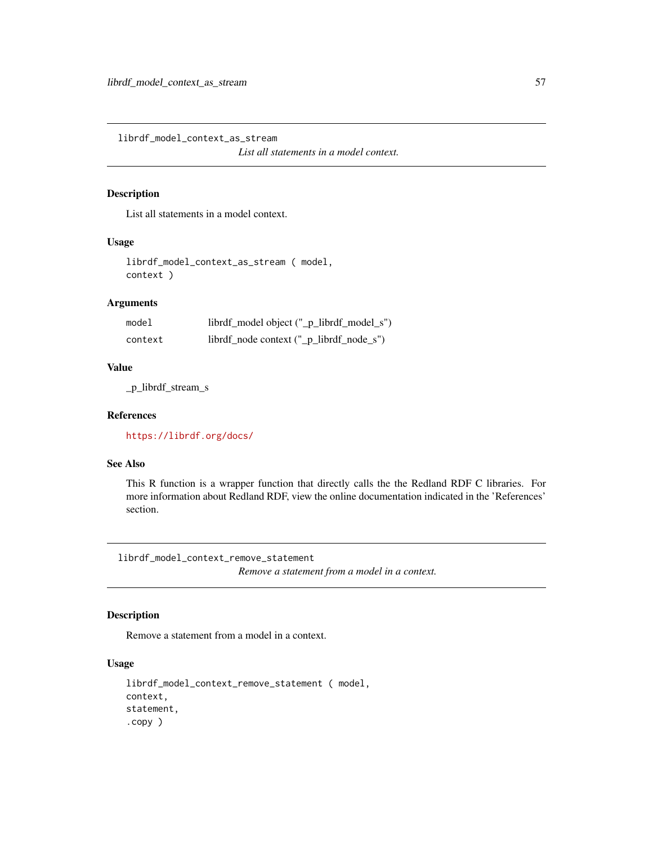librdf\_model\_context\_as\_stream *List all statements in a model context.*

### Description

List all statements in a model context.

#### Usage

librdf\_model\_context\_as\_stream ( model, context )

## Arguments

| model   | librdf_model object ("_p_librdf_model_s")            |
|---------|------------------------------------------------------|
| context | $librdf_{node}code context ("_p_{librdf_{node_s''})$ |

### Value

\_p\_librdf\_stream\_s

### References

<https://librdf.org/docs/>

## See Also

This R function is a wrapper function that directly calls the the Redland RDF C libraries. For more information about Redland RDF, view the online documentation indicated in the 'References' section.

librdf\_model\_context\_remove\_statement *Remove a statement from a model in a context.*

# Description

Remove a statement from a model in a context.

### Usage

```
librdf_model_context_remove_statement ( model,
context,
statement,
.copy )
```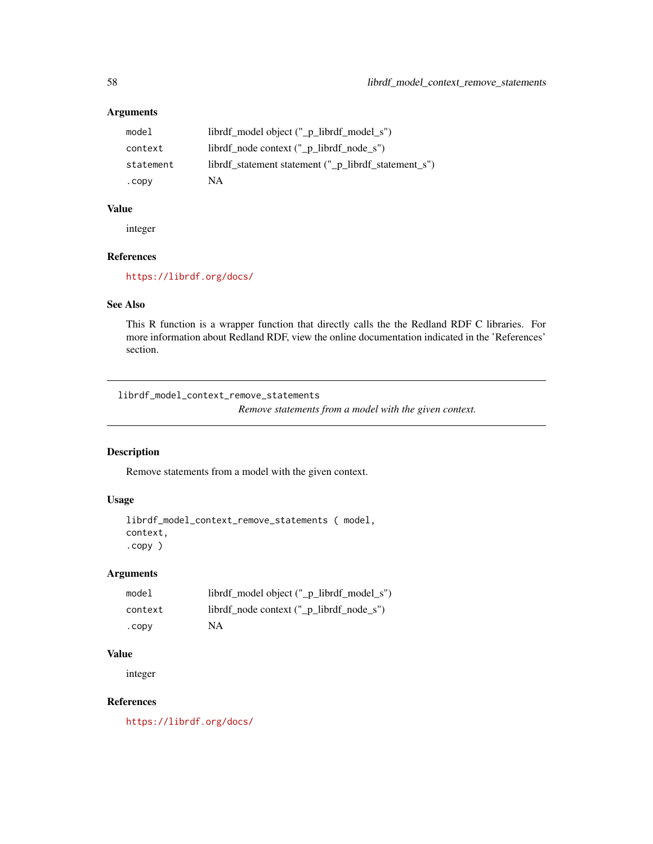# Arguments

| model     | librdf_model object ("_p_librdf_model_s")            |
|-----------|------------------------------------------------------|
| context   | librdf_node context ("_p_librdf_node_s")             |
| statement | librdf_statement statement ("_p_librdf_statement_s") |
| . CODV    | NA                                                   |

# Value

integer

# References

<https://librdf.org/docs/>

## See Also

This R function is a wrapper function that directly calls the the Redland RDF C libraries. For more information about Redland RDF, view the online documentation indicated in the 'References' section.

librdf\_model\_context\_remove\_statements

*Remove statements from a model with the given context.*

## Description

Remove statements from a model with the given context.

## Usage

```
librdf_model_context_remove_statements ( model,
context,
.copy )
```
## Arguments

| model   | librdf_model object ("_p_librdf_model_s")     |
|---------|-----------------------------------------------|
| context | librdf node context $(" p lineth 1)$ node s") |
| . CODV  | NA                                            |

# Value

integer

# References

<https://librdf.org/docs/>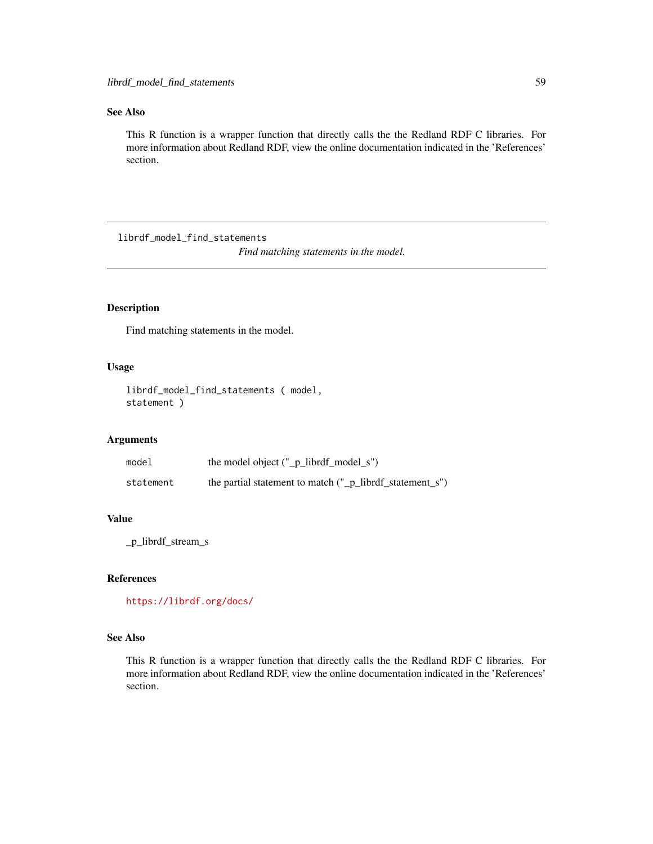## See Also

This R function is a wrapper function that directly calls the the Redland RDF C libraries. For more information about Redland RDF, view the online documentation indicated in the 'References' section.

librdf\_model\_find\_statements

*Find matching statements in the model.*

## Description

Find matching statements in the model.

### Usage

```
librdf_model_find_statements ( model,
statement )
```
## Arguments

| model     | the model object $("_p_{{\text{-}}}\text{librdf}_{{\text{-}}}\text{model}_s")$ |
|-----------|--------------------------------------------------------------------------------|
| statement | the partial statement to match ("_p_librdf_statement_s")                       |

## Value

\_p\_librdf\_stream\_s

### References

<https://librdf.org/docs/>

### See Also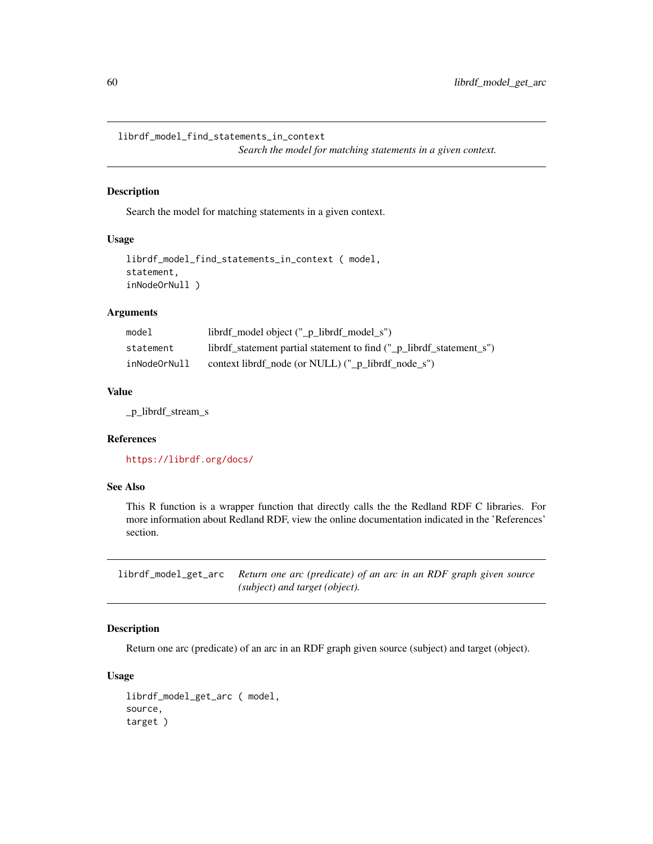librdf\_model\_find\_statements\_in\_context

*Search the model for matching statements in a given context.*

#### Description

Search the model for matching statements in a given context.

## Usage

```
librdf_model_find_statements_in_context ( model,
statement,
inNodeOrNull )
```
### Arguments

| model        | librdf_model object ("_p_librdf_model_s")                            |
|--------------|----------------------------------------------------------------------|
| statement    | librdf statement partial statement to find ("_p_librdf_statement_s") |
| inNodeOrNull | context librdf_node (or NULL) $("_p_{{\text{librdf\_node}}_s")$      |

## Value

\_p\_librdf\_stream\_s

# References

<https://librdf.org/docs/>

#### See Also

This R function is a wrapper function that directly calls the the Redland RDF C libraries. For more information about Redland RDF, view the online documentation indicated in the 'References' section.

librdf\_model\_get\_arc *Return one arc (predicate) of an arc in an RDF graph given source (subject) and target (object).*

## Description

Return one arc (predicate) of an arc in an RDF graph given source (subject) and target (object).

#### Usage

```
librdf_model_get_arc ( model,
source,
target )
```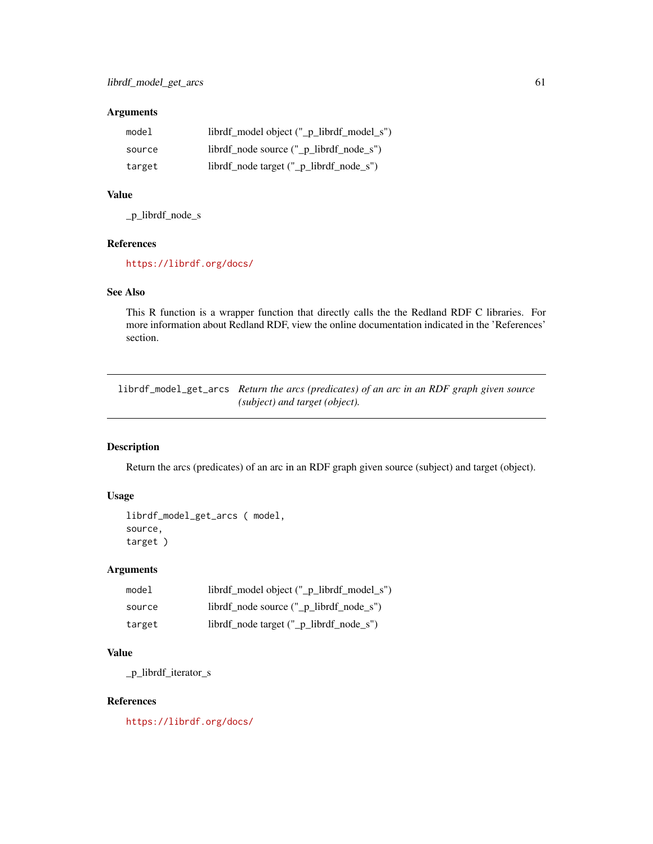## Arguments

| model  | librdf_model object ("_p_librdf_model_s") |
|--------|-------------------------------------------|
| source | librdf_node source ("_p_librdf_node_s")   |
| target | librdf_node target ("_p_librdf_node_s")   |

# Value

\_p\_librdf\_node\_s

## References

<https://librdf.org/docs/>

## See Also

This R function is a wrapper function that directly calls the the Redland RDF C libraries. For more information about Redland RDF, view the online documentation indicated in the 'References' section.

librdf\_model\_get\_arcs *Return the arcs (predicates) of an arc in an RDF graph given source (subject) and target (object).*

## Description

Return the arcs (predicates) of an arc in an RDF graph given source (subject) and target (object).

### Usage

```
librdf_model_get_arcs ( model,
source,
target )
```
## Arguments

| model  | librdf_model object ("_p_librdf_model_s") |
|--------|-------------------------------------------|
| source | librdf_node source ("_p_librdf_node_s")   |
| target | librdf_node target ("_p_librdf_node_s")   |

## Value

\_p\_librdf\_iterator\_s

## References

<https://librdf.org/docs/>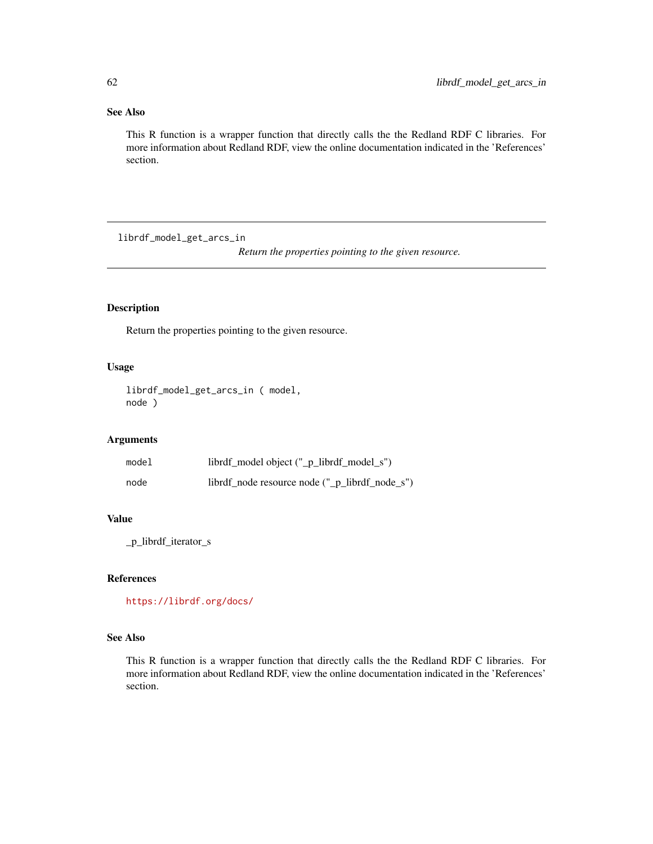# See Also

This R function is a wrapper function that directly calls the the Redland RDF C libraries. For more information about Redland RDF, view the online documentation indicated in the 'References' section.

librdf\_model\_get\_arcs\_in

*Return the properties pointing to the given resource.*

## Description

Return the properties pointing to the given resource.

## Usage

```
librdf_model_get_arcs_in ( model,
node )
```
## Arguments

| model | librdf_model object ("_p_librdf_model_s")      |
|-------|------------------------------------------------|
| node  | librdf_node resource node ("_p_librdf_node_s") |

## Value

\_p\_librdf\_iterator\_s

### References

<https://librdf.org/docs/>

### See Also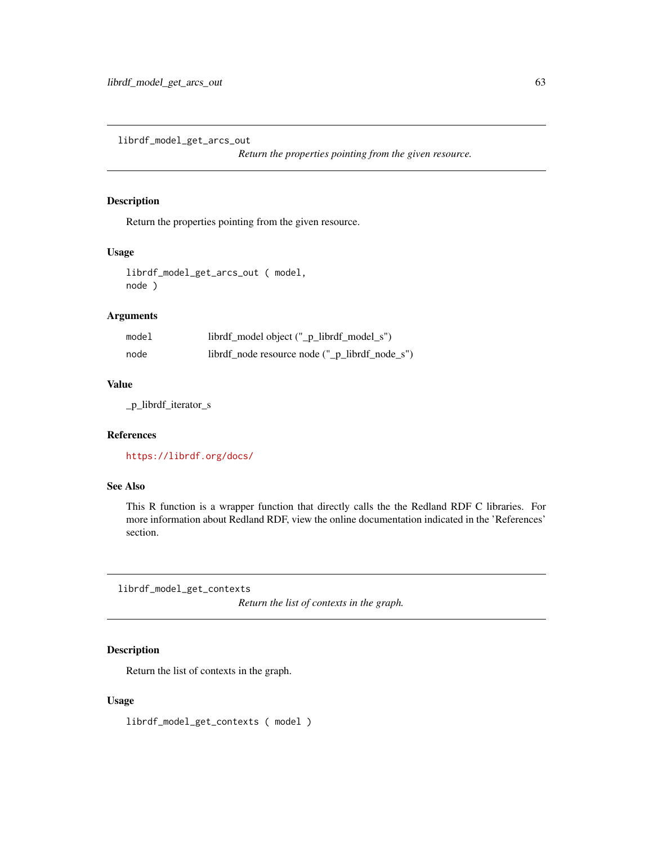librdf\_model\_get\_arcs\_out

*Return the properties pointing from the given resource.*

### Description

Return the properties pointing from the given resource.

### Usage

```
librdf_model_get_arcs_out ( model,
node )
```
## Arguments

| model | librdf_model object ("_p_librdf_model_s")      |
|-------|------------------------------------------------|
| node  | librdf_node resource node ("_p_librdf_node_s") |

## Value

\_p\_librdf\_iterator\_s

### References

<https://librdf.org/docs/>

## See Also

This R function is a wrapper function that directly calls the the Redland RDF C libraries. For more information about Redland RDF, view the online documentation indicated in the 'References' section.

librdf\_model\_get\_contexts

*Return the list of contexts in the graph.*

## Description

Return the list of contexts in the graph.

#### Usage

librdf\_model\_get\_contexts ( model )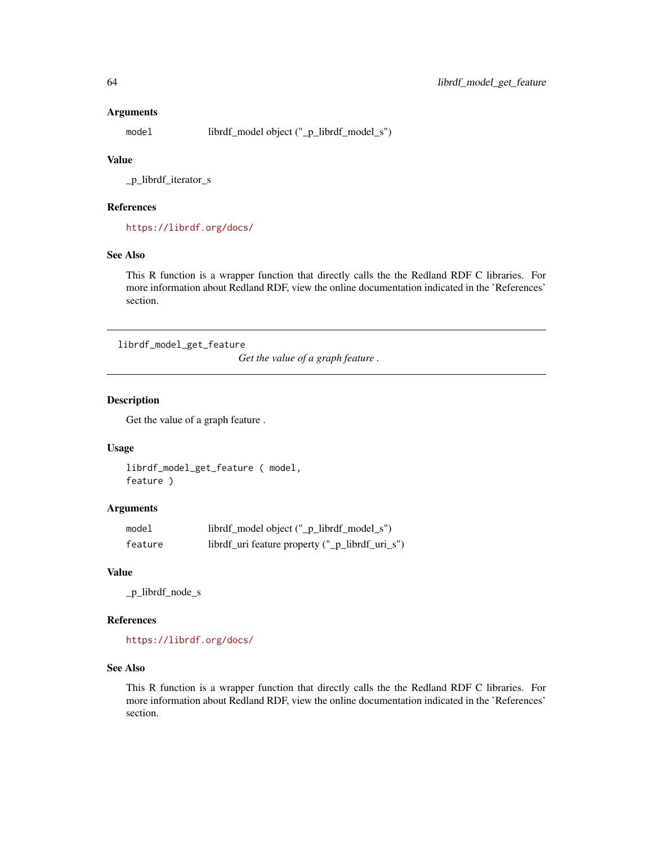#### Arguments

model librdf\_model object ("\_p\_librdf\_model\_s")

# Value

\_p\_librdf\_iterator\_s

### References

<https://librdf.org/docs/>

## See Also

This R function is a wrapper function that directly calls the the Redland RDF C libraries. For more information about Redland RDF, view the online documentation indicated in the 'References' section.

librdf\_model\_get\_feature

*Get the value of a graph feature .*

### Description

Get the value of a graph feature .

#### Usage

librdf\_model\_get\_feature ( model, feature )

### Arguments

| model   | librdf_model object ("_p_librdf_model_s")       |
|---------|-------------------------------------------------|
| feature | librdf_uri feature property ("_p_librdf_uri_s") |

#### Value

\_p\_librdf\_node\_s

#### References

<https://librdf.org/docs/>

### See Also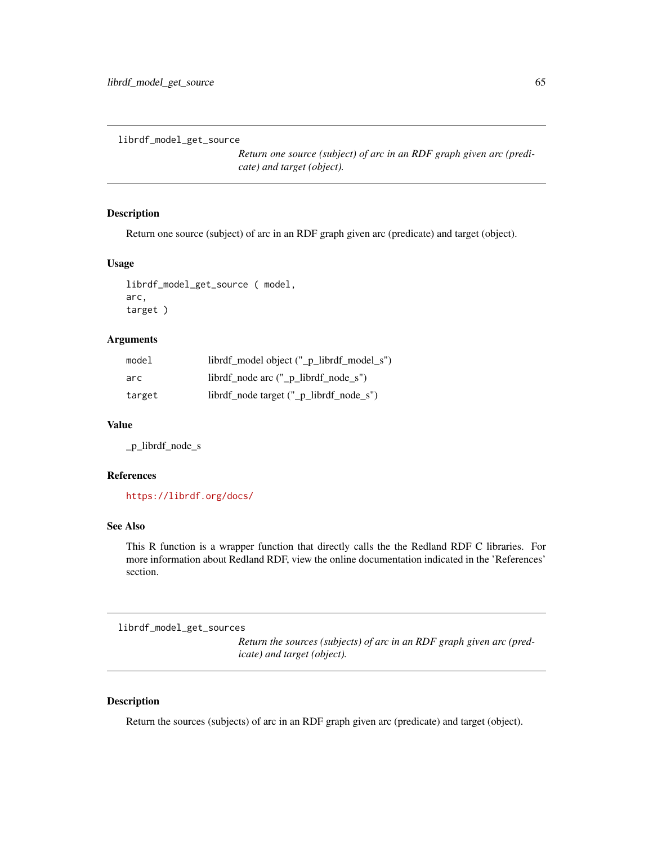librdf\_model\_get\_source

*Return one source (subject) of arc in an RDF graph given arc (predicate) and target (object).*

### Description

Return one source (subject) of arc in an RDF graph given arc (predicate) and target (object).

## Usage

librdf\_model\_get\_source ( model, arc, target )

## Arguments

| model  | librdf_model object ("_p_librdf_model_s") |
|--------|-------------------------------------------|
| arc    | $librdf-node arc ("_plibrdf-node_s")$     |
| target | librdf_node target ("_p_librdf_node_s")   |

#### Value

\_p\_librdf\_node\_s

### References

<https://librdf.org/docs/>

### See Also

This R function is a wrapper function that directly calls the the Redland RDF C libraries. For more information about Redland RDF, view the online documentation indicated in the 'References' section.

librdf\_model\_get\_sources

*Return the sources (subjects) of arc in an RDF graph given arc (predicate) and target (object).*

#### Description

Return the sources (subjects) of arc in an RDF graph given arc (predicate) and target (object).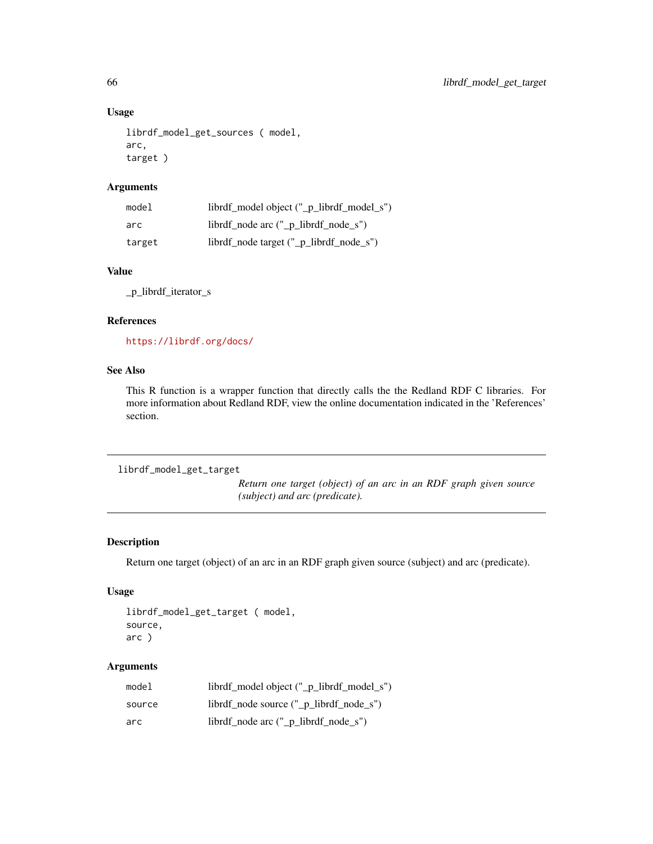### Usage

```
librdf_model_get_sources ( model,
arc,
target )
```
## Arguments

| model  | librdf_model object ("_p_librdf_model_s") |
|--------|-------------------------------------------|
| arc    | librdf_node arc ("_p_librdf_node_s")      |
| target | librdf_node target ("_p_librdf_node_s")   |

## Value

\_p\_librdf\_iterator\_s

#### References

<https://librdf.org/docs/>

# See Also

This R function is a wrapper function that directly calls the the Redland RDF C libraries. For more information about Redland RDF, view the online documentation indicated in the 'References' section.

```
librdf_model_get_target
```
*Return one target (object) of an arc in an RDF graph given source (subject) and arc (predicate).*

## Description

Return one target (object) of an arc in an RDF graph given source (subject) and arc (predicate).

## Usage

```
librdf_model_get_target ( model,
source,
arc )
```
### Arguments

| model  | librdf_model object ("_p_librdf_model_s") |
|--------|-------------------------------------------|
| source | librdf node source (" p librdf node s")   |
| arc    | librdf_node arc ("_p_librdf_node_s")      |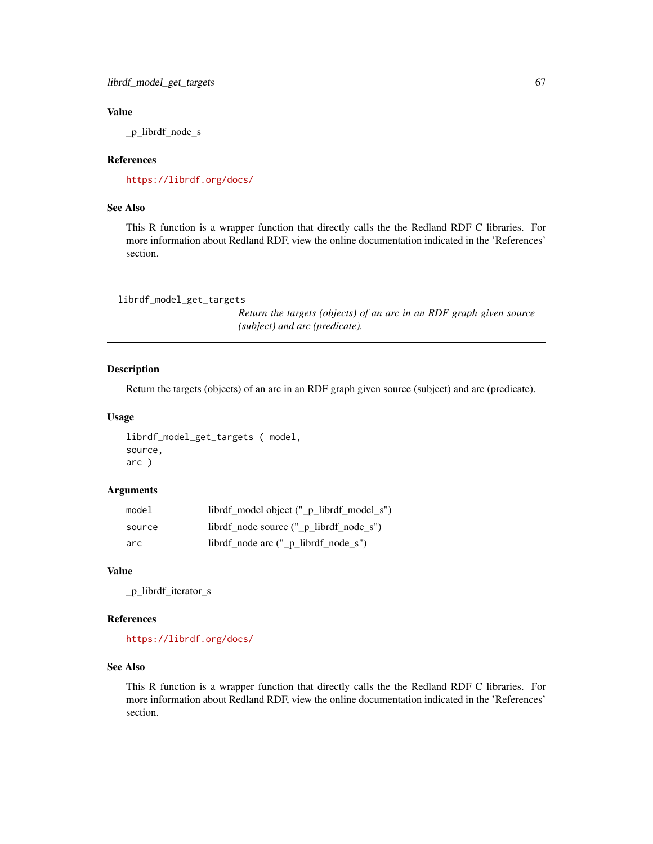# Value

\_p\_librdf\_node\_s

### References

<https://librdf.org/docs/>

# See Also

This R function is a wrapper function that directly calls the the Redland RDF C libraries. For more information about Redland RDF, view the online documentation indicated in the 'References' section.

```
librdf_model_get_targets
```
*Return the targets (objects) of an arc in an RDF graph given source (subject) and arc (predicate).*

## Description

Return the targets (objects) of an arc in an RDF graph given source (subject) and arc (predicate).

### Usage

```
librdf_model_get_targets ( model,
source,
arc )
```
### Arguments

| model  | librdf_model object ("_p_librdf_model_s") |
|--------|-------------------------------------------|
| source | librdf_node source ("_p_librdf_node_s")   |
| arc    | librdf_node arc ("_p_librdf_node_s")      |

#### Value

\_p\_librdf\_iterator\_s

#### References

<https://librdf.org/docs/>

## See Also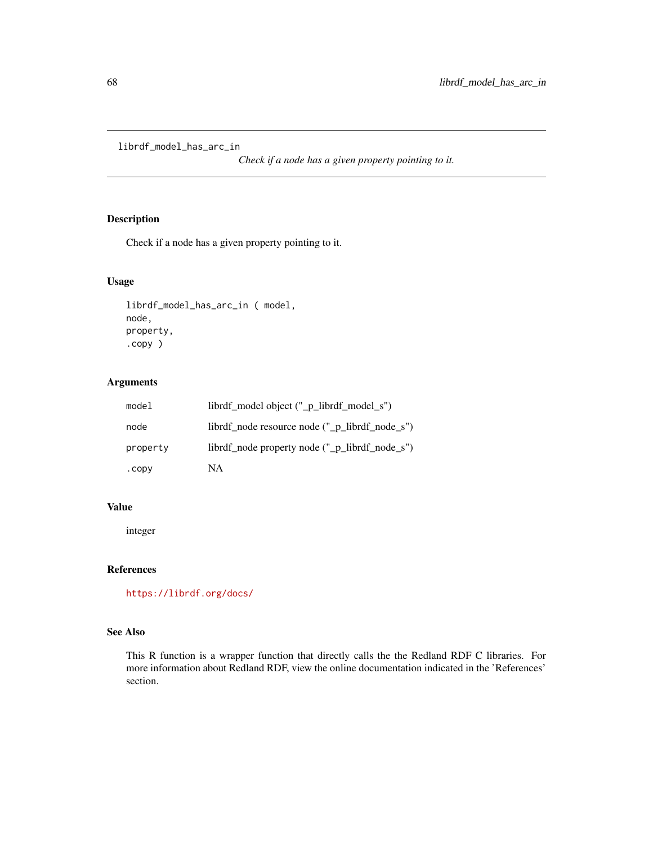librdf\_model\_has\_arc\_in

*Check if a node has a given property pointing to it.*

## Description

Check if a node has a given property pointing to it.

## Usage

```
librdf_model_has_arc_in ( model,
node,
property,
.copy )
```
## Arguments

| model    | librdf_model object ("_p_librdf_model_s")      |
|----------|------------------------------------------------|
| node     | librdf_node resource node ("_p_librdf_node_s") |
| property | librdf_node property node ("_p_librdf_node_s") |
| . copy   | NA                                             |

### Value

integer

# References

<https://librdf.org/docs/>

## See Also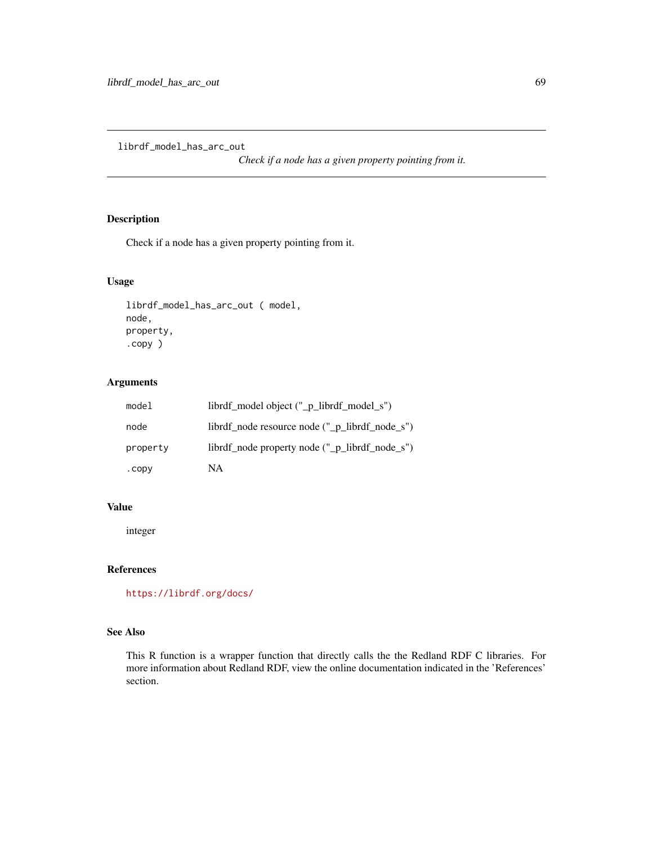librdf\_model\_has\_arc\_out

*Check if a node has a given property pointing from it.*

## Description

Check if a node has a given property pointing from it.

## Usage

```
librdf_model_has_arc_out ( model,
node,
property,
.copy )
```
## Arguments

| model    | librdf_model object ("_p_librdf_model_s")      |
|----------|------------------------------------------------|
| node     | librdf_node resource node ("_p_librdf_node_s") |
| property | librdf_node property node ("_p_librdf_node_s") |
| . copy   | NA                                             |

### Value

integer

# References

<https://librdf.org/docs/>

## See Also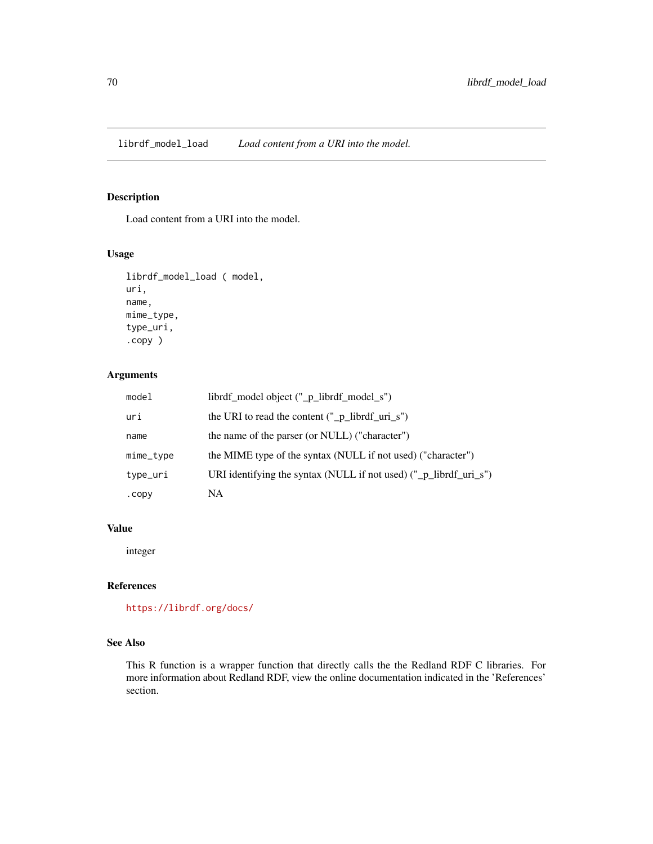librdf\_model\_load *Load content from a URI into the model.*

## Description

Load content from a URI into the model.

## Usage

```
librdf_model_load ( model,
uri,
name,
mime_type,
type_uri,
.copy )
```
# Arguments

| model     | librdf_model object ("_p_librdf_model_s")                                     |
|-----------|-------------------------------------------------------------------------------|
| uri       | the URI to read the content $("_p_{{\text{librdf\_uri}}_s")$                  |
| name      | the name of the parser (or NULL) ("character")                                |
| mime_type | the MIME type of the syntax (NULL if not used) ("character")                  |
| type_uri  | URI identifying the syntax (NULL if not used) $('_p_{{\text{light}}}$ uri_s") |
| .copy     | NA                                                                            |

## Value

integer

## References

<https://librdf.org/docs/>

## See Also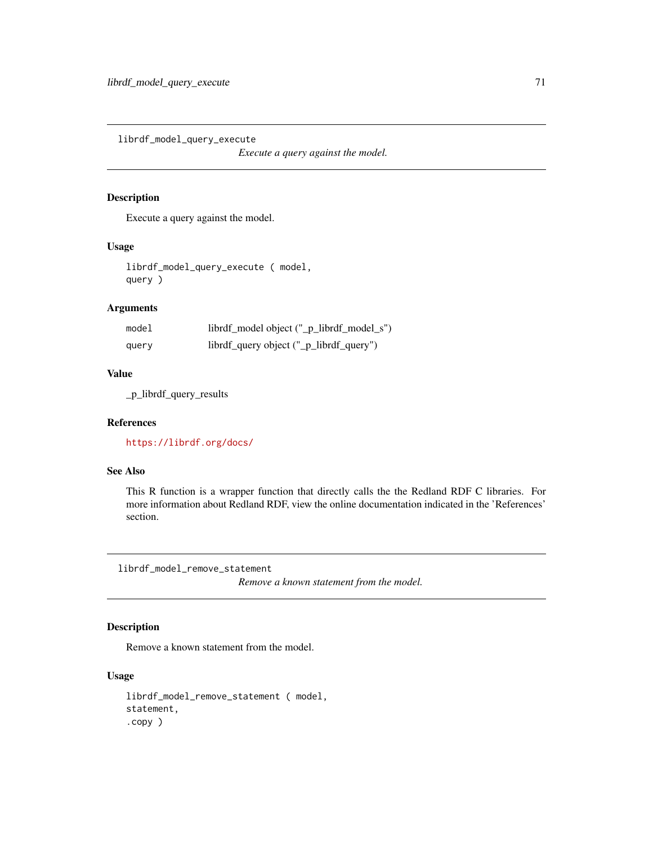librdf\_model\_query\_execute

*Execute a query against the model.*

### Description

Execute a query against the model.

### Usage

librdf\_model\_query\_execute ( model, query )

# Arguments

| model | librdf_model object ("_p_librdf_model_s") |
|-------|-------------------------------------------|
| query | librdf_query object ("_p_librdf_query")   |

#### Value

\_p\_librdf\_query\_results

## References

<https://librdf.org/docs/>

# See Also

This R function is a wrapper function that directly calls the the Redland RDF C libraries. For more information about Redland RDF, view the online documentation indicated in the 'References' section.

librdf\_model\_remove\_statement

*Remove a known statement from the model.*

## Description

Remove a known statement from the model.

### Usage

```
librdf_model_remove_statement ( model,
statement,
.copy )
```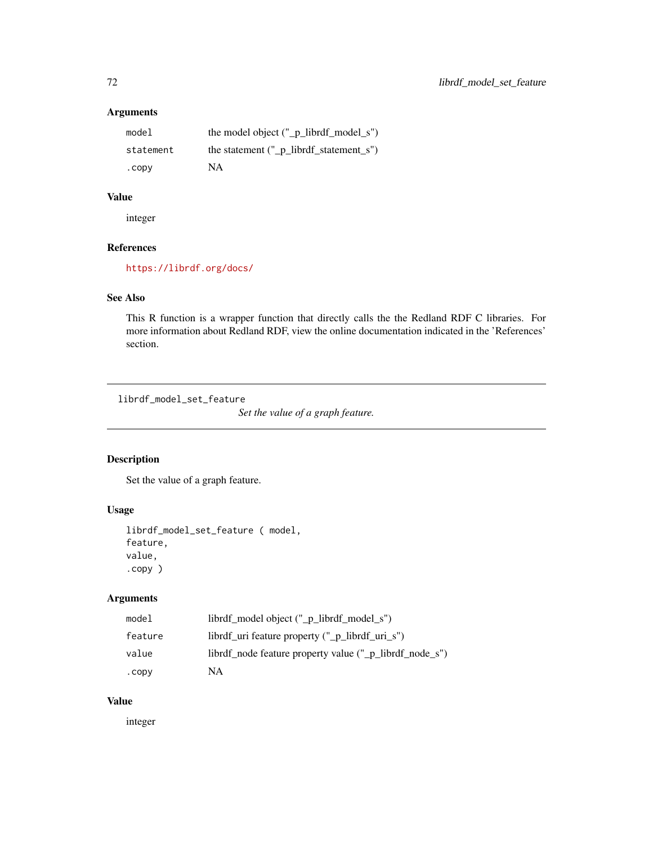# Arguments

| model     | the model object $("_p_{{\text{-}}}\text{librdf}_{{\text{-}}}\text{model}_s")$ |
|-----------|--------------------------------------------------------------------------------|
| statement | the statement $(" p librdf statement s")$                                      |
| . CODV    | NA                                                                             |

# Value

integer

# References

<https://librdf.org/docs/>

### See Also

This R function is a wrapper function that directly calls the the Redland RDF C libraries. For more information about Redland RDF, view the online documentation indicated in the 'References' section.

librdf\_model\_set\_feature

*Set the value of a graph feature.*

# Description

Set the value of a graph feature.

## Usage

```
librdf_model_set_feature ( model,
feature,
value,
.copy )
```
# Arguments

| model   | librdf model object (" p librdf model s")               |
|---------|---------------------------------------------------------|
| feature | librdf_uri feature property ("_p_librdf_uri_s")         |
| value   | librdf_node feature property value ("_p_librdf_node_s") |
| .copy   | NA                                                      |

## Value

integer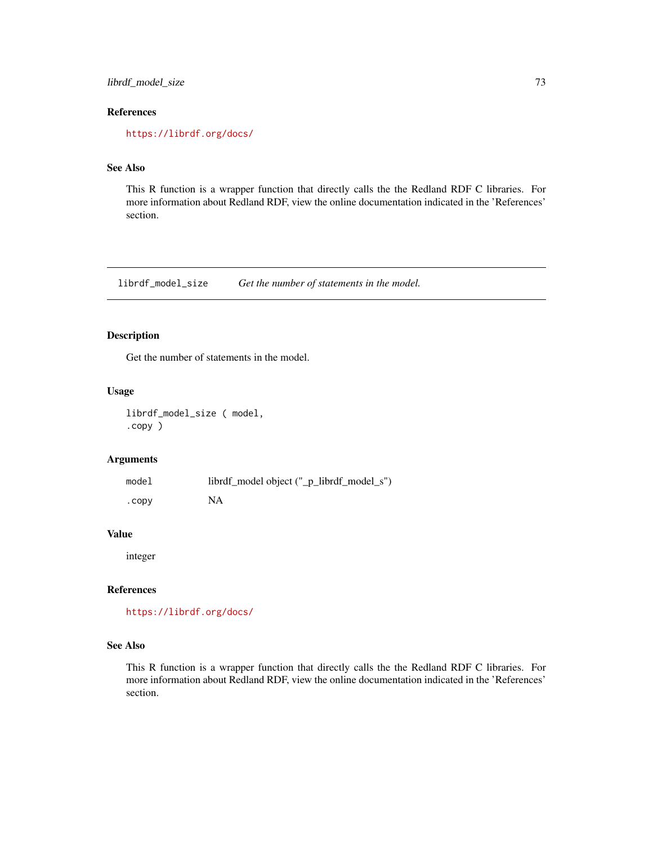librdf\_model\_size 73

## References

<https://librdf.org/docs/>

# See Also

This R function is a wrapper function that directly calls the the Redland RDF C libraries. For more information about Redland RDF, view the online documentation indicated in the 'References' section.

librdf\_model\_size *Get the number of statements in the model.*

## Description

Get the number of statements in the model.

#### Usage

```
librdf_model_size ( model,
.copy )
```
## Arguments

| model | librdf_model object ("_p_librdf_model_s") |
|-------|-------------------------------------------|
| .copy | <b>NA</b>                                 |

#### Value

integer

# References

<https://librdf.org/docs/>

#### See Also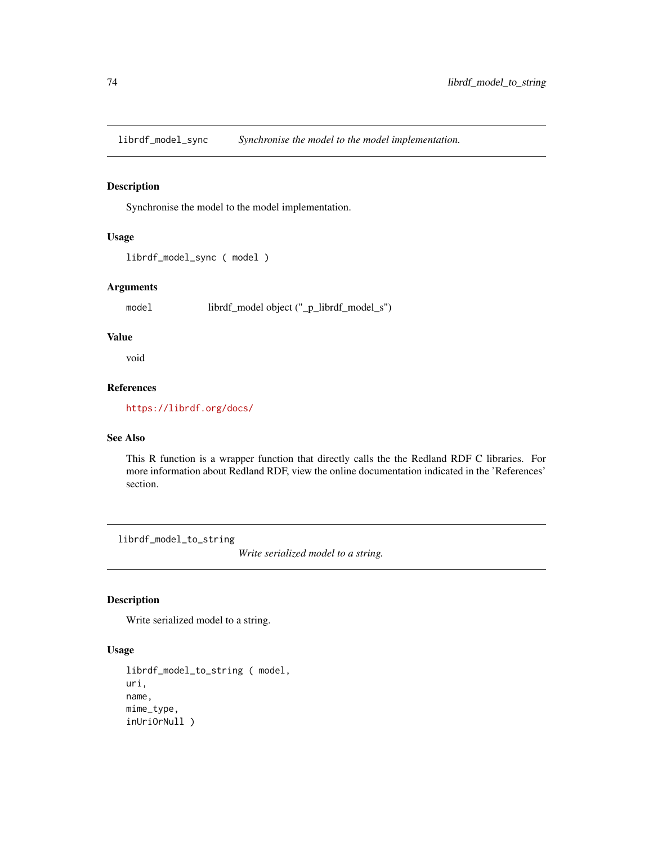librdf\_model\_sync *Synchronise the model to the model implementation.*

## Description

Synchronise the model to the model implementation.

## Usage

```
librdf_model_sync ( model )
```
## Arguments

model librdf\_model object ("\_p\_librdf\_model\_s")

#### Value

void

# References

<https://librdf.org/docs/>

## See Also

This R function is a wrapper function that directly calls the the Redland RDF C libraries. For more information about Redland RDF, view the online documentation indicated in the 'References' section.

librdf\_model\_to\_string

*Write serialized model to a string.*

#### Description

Write serialized model to a string.

## Usage

```
librdf_model_to_string ( model,
uri,
name,
mime_type,
inUriOrNull )
```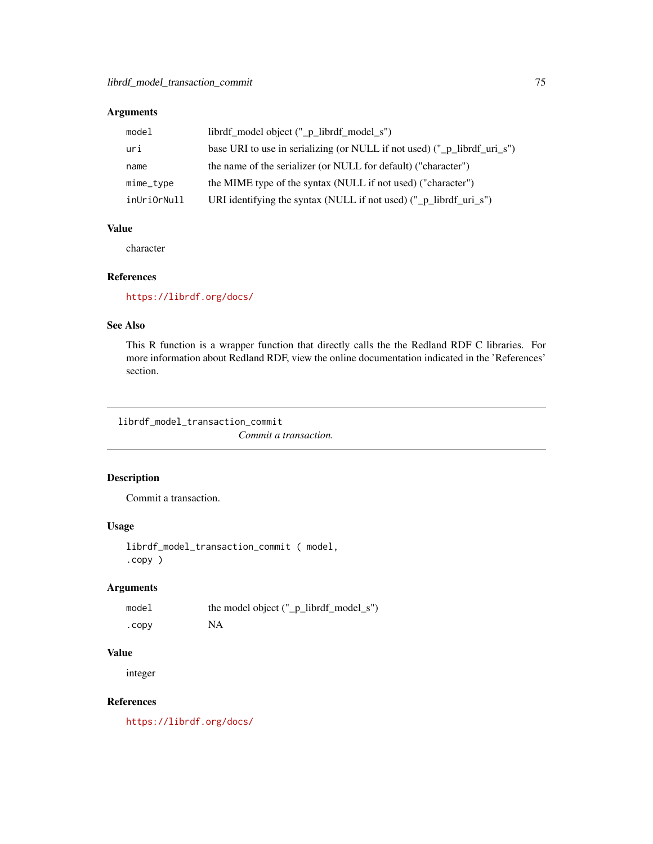| model       | librdf_model object ("_p_librdf_model_s")                                |
|-------------|--------------------------------------------------------------------------|
| uri         | base URI to use in serializing (or NULL if not used) ("_p_librdf_uri_s") |
| name        | the name of the serializer (or NULL for default) ("character")           |
| mime_type   | the MIME type of the syntax (NULL if not used) ("character")             |
| inUriOrNull | URI identifying the syntax (NULL if not used) ("_p_librdf_uri_s")        |

# Value

character

# References

<https://librdf.org/docs/>

# See Also

This R function is a wrapper function that directly calls the the Redland RDF C libraries. For more information about Redland RDF, view the online documentation indicated in the 'References' section.

librdf\_model\_transaction\_commit

*Commit a transaction.*

## Description

Commit a transaction.

## Usage

librdf\_model\_transaction\_commit ( model, .copy )

## Arguments

| model  | the model object ("_p_librdf_model_s") |
|--------|----------------------------------------|
| . CODV | NA                                     |

## Value

integer

## References

<https://librdf.org/docs/>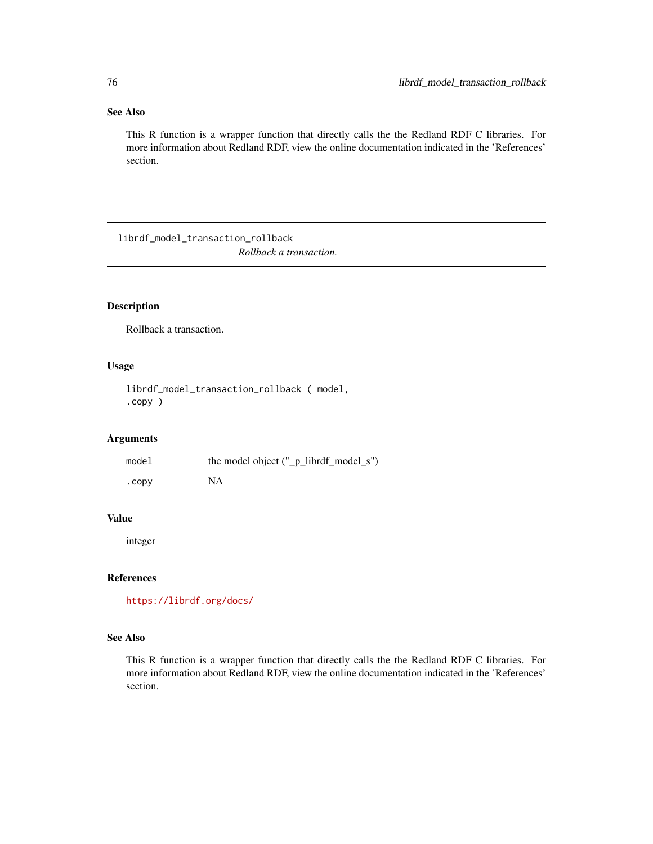# See Also

This R function is a wrapper function that directly calls the the Redland RDF C libraries. For more information about Redland RDF, view the online documentation indicated in the 'References' section.

librdf\_model\_transaction\_rollback *Rollback a transaction.*

## Description

Rollback a transaction.

## Usage

```
librdf_model_transaction_rollback ( model,
.copy )
```
#### Arguments

| model  | the model object ("_p_librdf_model_s") |
|--------|----------------------------------------|
| . CODV | <b>NA</b>                              |

## Value

integer

# References

<https://librdf.org/docs/>

#### See Also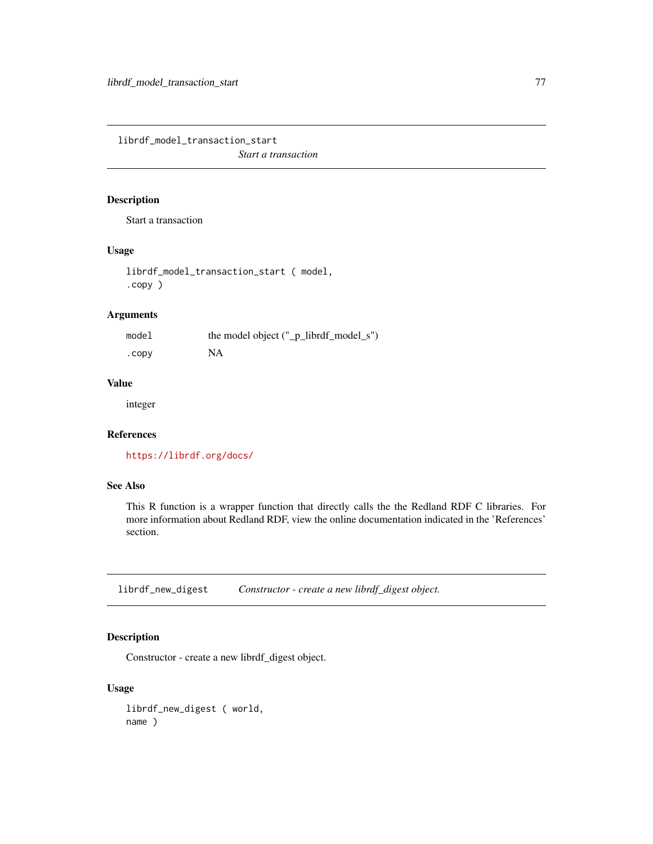librdf\_model\_transaction\_start

*Start a transaction*

## Description

Start a transaction

## Usage

librdf\_model\_transaction\_start ( model, .copy )

#### Arguments

| model | the model object $("_p_{{\text{-}}}\text{librdf}_{{\text{-}}}\text{model}_s")$ |
|-------|--------------------------------------------------------------------------------|
| .copy | NA.                                                                            |

## Value

integer

# References

<https://librdf.org/docs/>

# See Also

This R function is a wrapper function that directly calls the the Redland RDF C libraries. For more information about Redland RDF, view the online documentation indicated in the 'References' section.

librdf\_new\_digest *Constructor - create a new librdf\_digest object.*

# Description

Constructor - create a new librdf\_digest object.

## Usage

librdf\_new\_digest ( world, name )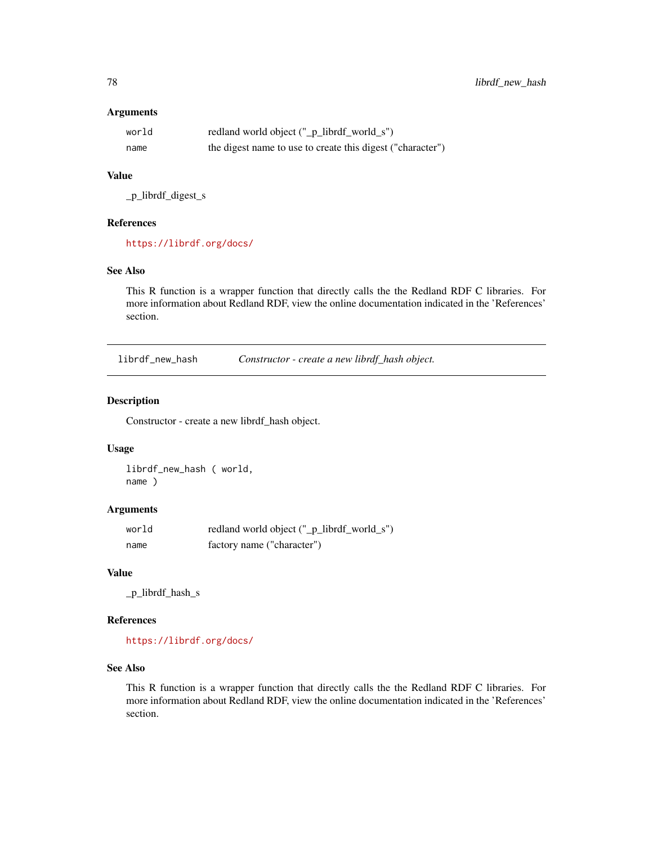| world | redland world object ("_p_librdf_world_s")                 |
|-------|------------------------------------------------------------|
| name  | the digest name to use to create this digest ("character") |

# Value

\_p\_librdf\_digest\_s

## References

<https://librdf.org/docs/>

## See Also

This R function is a wrapper function that directly calls the the Redland RDF C libraries. For more information about Redland RDF, view the online documentation indicated in the 'References' section.

librdf\_new\_hash *Constructor - create a new librdf\_hash object.*

#### Description

Constructor - create a new librdf\_hash object.

#### Usage

librdf\_new\_hash ( world, name )

## Arguments

| world | redland world object ("_p_librdf_world_s") |
|-------|--------------------------------------------|
| name  | factory name ("character")                 |

#### Value

\_p\_librdf\_hash\_s

## References

<https://librdf.org/docs/>

## See Also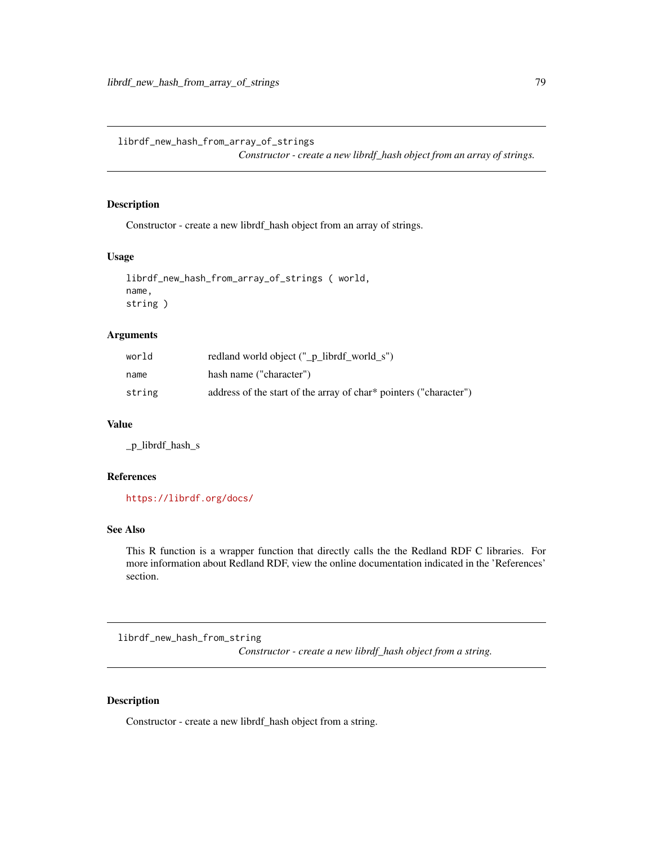librdf\_new\_hash\_from\_array\_of\_strings

*Constructor - create a new librdf\_hash object from an array of strings.*

## Description

Constructor - create a new librdf\_hash object from an array of strings.

## Usage

```
librdf_new_hash_from_array_of_strings ( world,
name,
string )
```
## Arguments

| world  | redland world object (" p librdf world s")                        |
|--------|-------------------------------------------------------------------|
| name   | hash name ("character")                                           |
| string | address of the start of the array of char* pointers ("character") |

#### Value

\_p\_librdf\_hash\_s

#### References

<https://librdf.org/docs/>

#### See Also

This R function is a wrapper function that directly calls the the Redland RDF C libraries. For more information about Redland RDF, view the online documentation indicated in the 'References' section.

librdf\_new\_hash\_from\_string

*Constructor - create a new librdf\_hash object from a string.*

#### Description

Constructor - create a new librdf\_hash object from a string.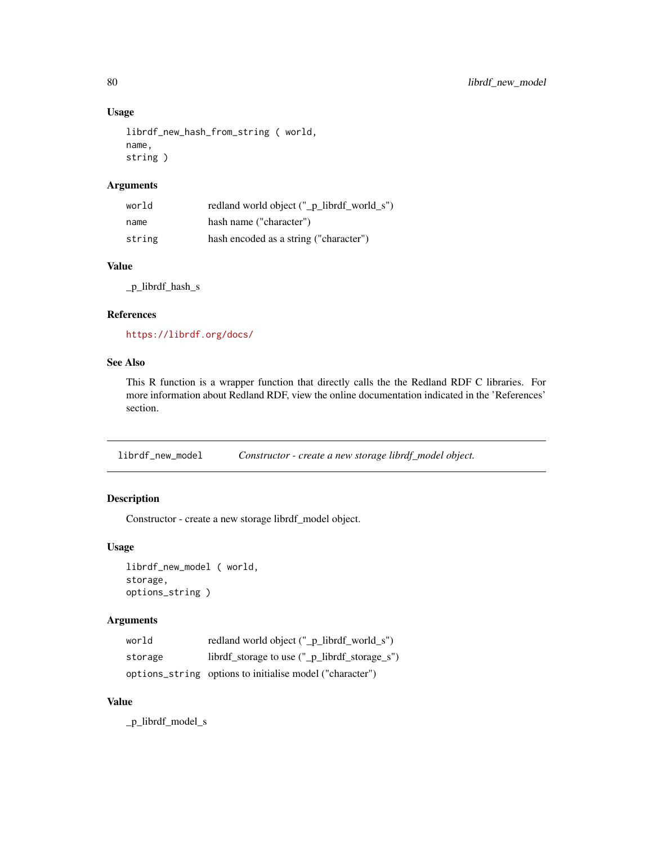## Usage

```
librdf_new_hash_from_string ( world,
name,
string )
```
#### Arguments

| world  | redland world object ("_p_librdf_world_s") |
|--------|--------------------------------------------|
| name   | hash name ("character")                    |
| string | hash encoded as a string ("character")     |

# Value

\_p\_librdf\_hash\_s

#### References

<https://librdf.org/docs/>

## See Also

This R function is a wrapper function that directly calls the the Redland RDF C libraries. For more information about Redland RDF, view the online documentation indicated in the 'References' section.

librdf\_new\_model *Constructor - create a new storage librdf\_model object.*

# Description

Constructor - create a new storage librdf\_model object.

#### Usage

```
librdf_new_model ( world,
storage,
options_string )
```
## Arguments

| world   | redland world object ("_p_librdf_world_s")               |
|---------|----------------------------------------------------------|
| storage | librdf_storage to use ("_p_librdf_storage_s")            |
|         | options_string options to initialise model ("character") |

# Value

\_p\_librdf\_model\_s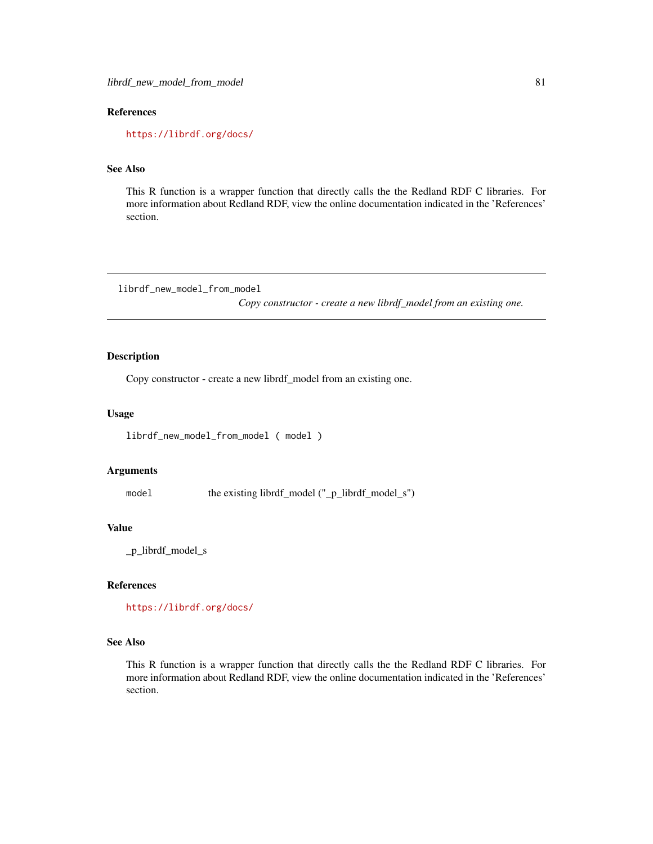# References

<https://librdf.org/docs/>

## See Also

This R function is a wrapper function that directly calls the the Redland RDF C libraries. For more information about Redland RDF, view the online documentation indicated in the 'References' section.

librdf\_new\_model\_from\_model

*Copy constructor - create a new librdf\_model from an existing one.*

#### Description

Copy constructor - create a new librdf\_model from an existing one.

#### Usage

librdf\_new\_model\_from\_model ( model )

#### Arguments

model the existing librdf\_model ("\_p\_librdf\_model\_s")

# Value

\_p\_librdf\_model\_s

## References

<https://librdf.org/docs/>

#### See Also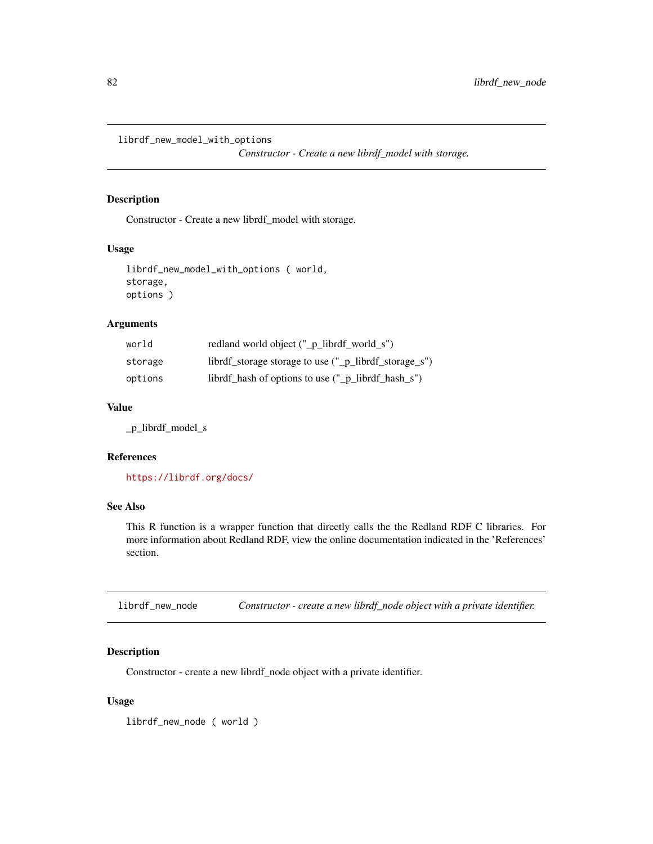librdf\_new\_model\_with\_options

*Constructor - Create a new librdf\_model with storage.*

## Description

Constructor - Create a new librdf\_model with storage.

# Usage

```
librdf_new_model_with_options ( world,
storage,
options )
```
## Arguments

| world   | redland world object ("_p_librdf_world_s")            |
|---------|-------------------------------------------------------|
| storage | librdf_storage storage to use ("_p_librdf_storage_s") |
| options | librdf hash of options to use ("_p_librdf_hash_s")    |

#### Value

\_p\_librdf\_model\_s

#### References

<https://librdf.org/docs/>

## See Also

This R function is a wrapper function that directly calls the the Redland RDF C libraries. For more information about Redland RDF, view the online documentation indicated in the 'References' section.

librdf\_new\_node *Constructor - create a new librdf\_node object with a private identifier.*

# Description

Constructor - create a new librdf\_node object with a private identifier.

## Usage

librdf\_new\_node ( world )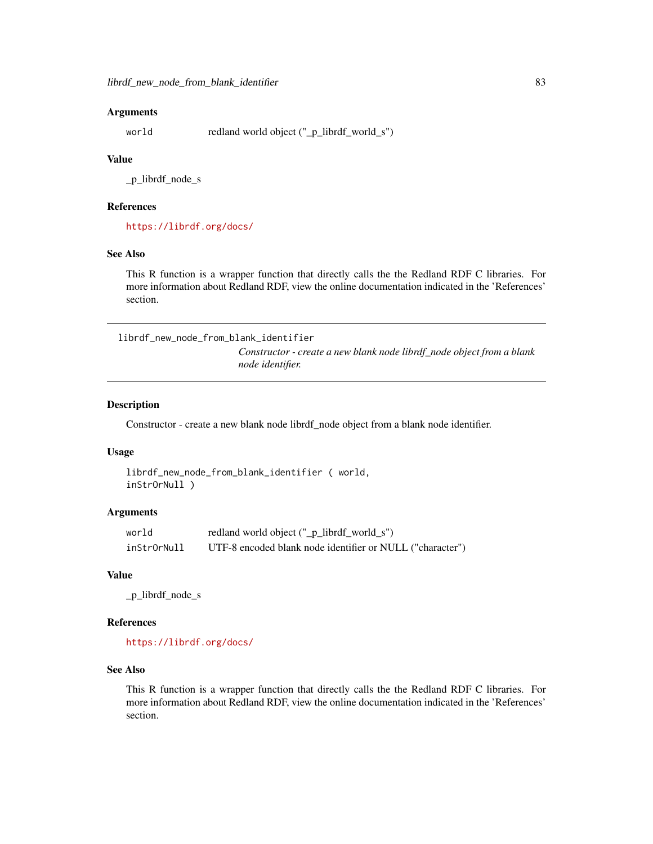world redland world object ("\_p\_librdf\_world\_s")

#### Value

\_p\_librdf\_node\_s

## References

<https://librdf.org/docs/>

## See Also

This R function is a wrapper function that directly calls the the Redland RDF C libraries. For more information about Redland RDF, view the online documentation indicated in the 'References' section.

librdf\_new\_node\_from\_blank\_identifier

*Constructor - create a new blank node librdf\_node object from a blank node identifier.*

#### Description

Constructor - create a new blank node librdf\_node object from a blank node identifier.

#### Usage

```
librdf_new_node_from_blank_identifier ( world,
inStrOrNull )
```
#### **Arguments**

| world       | redland world object ("_p_librdf_world_s")                |
|-------------|-----------------------------------------------------------|
| inStrOrNull | UTF-8 encoded blank node identifier or NULL ("character") |

#### Value

\_p\_librdf\_node\_s

## References

<https://librdf.org/docs/>

#### See Also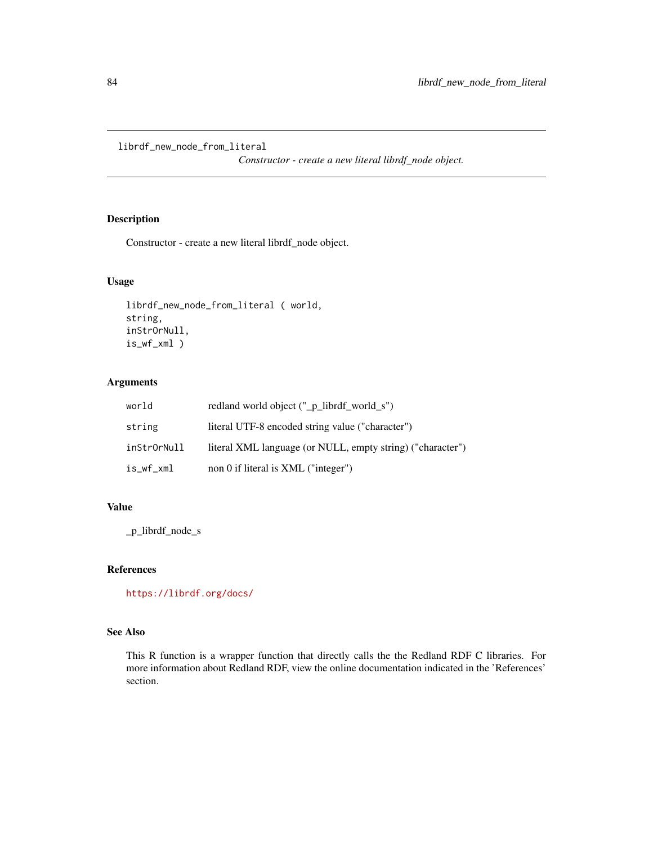librdf\_new\_node\_from\_literal

*Constructor - create a new literal librdf\_node object.*

## Description

Constructor - create a new literal librdf\_node object.

# Usage

```
librdf_new_node_from_literal ( world,
string,
inStrOrNull,
is_wf_xml )
```
## Arguments

| world       | redland world object ("_p_librdf_world_s")                 |
|-------------|------------------------------------------------------------|
| string      | literal UTF-8 encoded string value ("character")           |
| inStrOrNull | literal XML language (or NULL, empty string) ("character") |
| is_wf_xml   | non 0 if literal is XML ("integer")                        |

#### Value

\_p\_librdf\_node\_s

# References

<https://librdf.org/docs/>

# See Also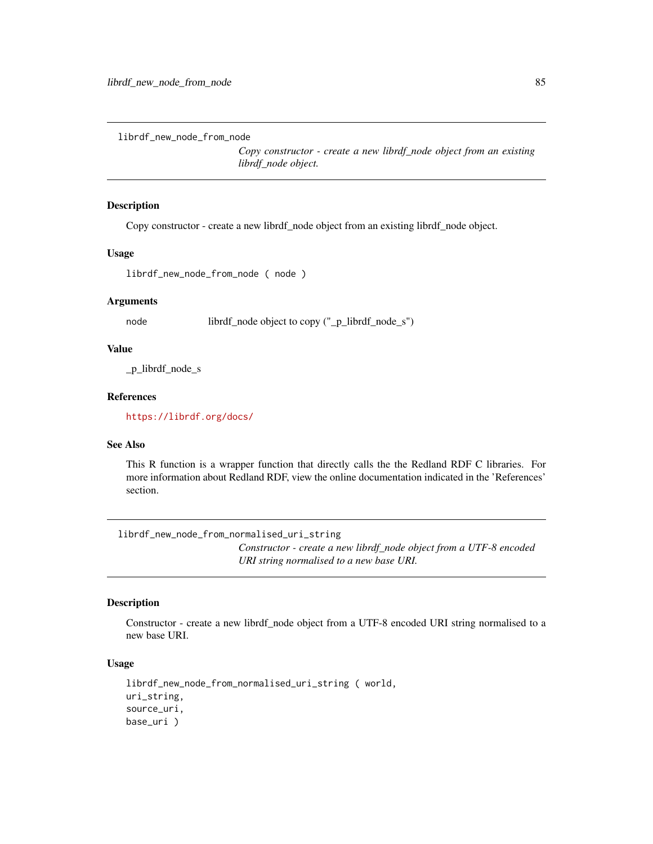librdf\_new\_node\_from\_node

*Copy constructor - create a new librdf\_node object from an existing librdf\_node object.*

## Description

Copy constructor - create a new librdf\_node object from an existing librdf\_node object.

#### Usage

librdf\_new\_node\_from\_node ( node )

#### Arguments

node librdf\_node object to copy ("\_p\_librdf\_node\_s")

#### Value

\_p\_librdf\_node\_s

#### References

<https://librdf.org/docs/>

# See Also

This R function is a wrapper function that directly calls the the Redland RDF C libraries. For more information about Redland RDF, view the online documentation indicated in the 'References' section.

librdf\_new\_node\_from\_normalised\_uri\_string

*Constructor - create a new librdf\_node object from a UTF-8 encoded URI string normalised to a new base URI.*

# Description

Constructor - create a new librdf\_node object from a UTF-8 encoded URI string normalised to a new base URI.

#### Usage

librdf\_new\_node\_from\_normalised\_uri\_string ( world, uri\_string, source\_uri, base\_uri )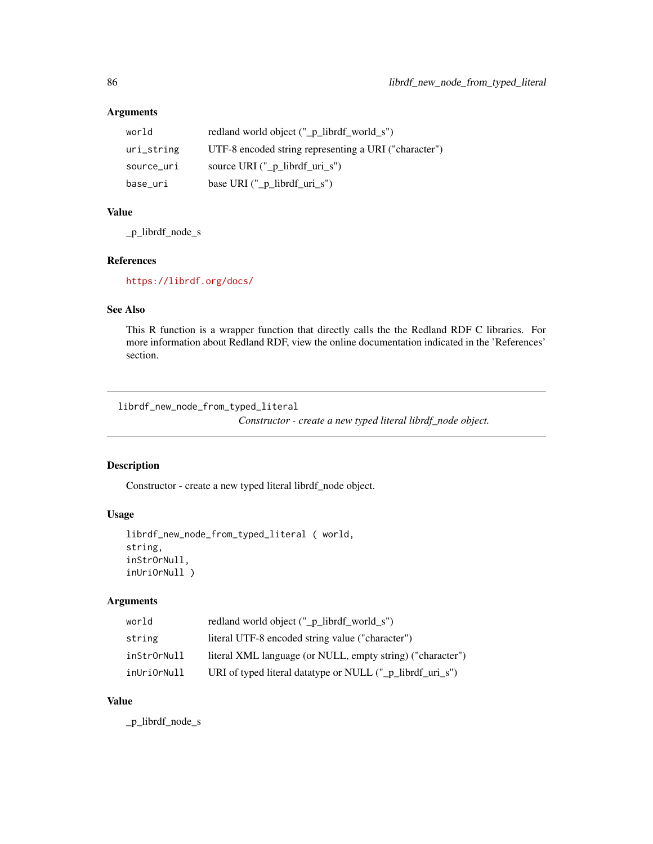| world      | redland world object ("_p_librdf_world_s")            |
|------------|-------------------------------------------------------|
| uri_string | UTF-8 encoded string representing a URI ("character") |
| source_uri | source URI $(" p$ librdf uri $s")$                    |
| base_uri   | base URI $("_p_{{\text{-}librdf\_uri_s}}")$           |

# Value

\_p\_librdf\_node\_s

#### References

<https://librdf.org/docs/>

#### See Also

This R function is a wrapper function that directly calls the the Redland RDF C libraries. For more information about Redland RDF, view the online documentation indicated in the 'References' section.

librdf\_new\_node\_from\_typed\_literal

*Constructor - create a new typed literal librdf\_node object.*

#### Description

Constructor - create a new typed literal librdf\_node object.

#### Usage

```
librdf_new_node_from_typed_literal ( world,
string,
inStrOrNull,
inUriOrNull )
```
#### Arguments

| world       | redland world object ("_p_librdf_world_s")                 |
|-------------|------------------------------------------------------------|
| string      | literal UTF-8 encoded string value ("character")           |
| inStrOrNull | literal XML language (or NULL, empty string) ("character") |
| inUriOrNull | URI of typed literal datatype or NULL ("_p_librdf_uri_s")  |

# Value

\_p\_librdf\_node\_s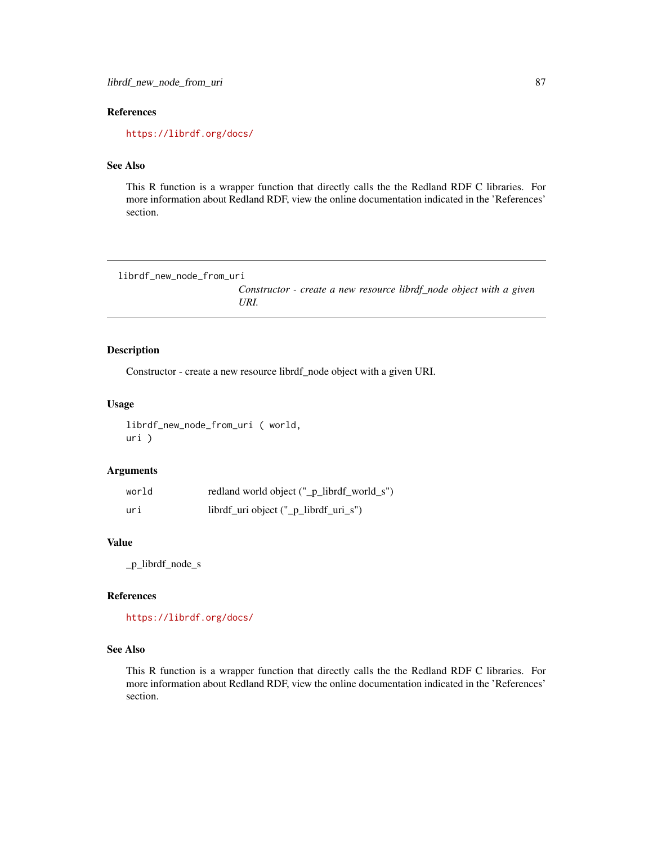## References

<https://librdf.org/docs/>

## See Also

This R function is a wrapper function that directly calls the the Redland RDF C libraries. For more information about Redland RDF, view the online documentation indicated in the 'References' section.

librdf\_new\_node\_from\_uri

*Constructor - create a new resource librdf\_node object with a given URI.*

## Description

Constructor - create a new resource librdf\_node object with a given URI.

# Usage

librdf\_new\_node\_from\_uri ( world, uri )

#### Arguments

| world | redland world object ("_p_librdf_world_s") |
|-------|--------------------------------------------|
| uri   | $librdf_luri object ("_p_librdf_luri_s")$  |

#### Value

\_p\_librdf\_node\_s

#### References

<https://librdf.org/docs/>

#### See Also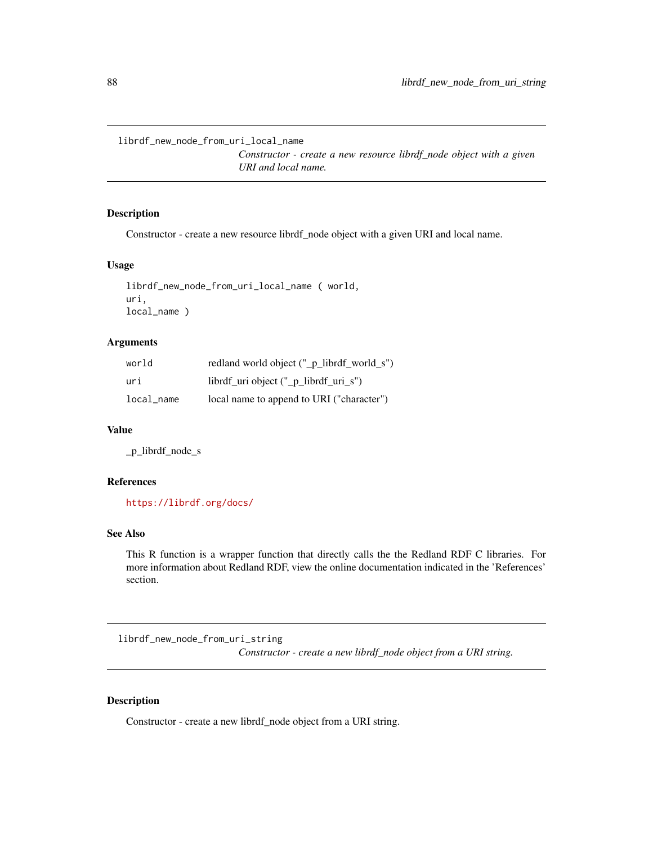librdf\_new\_node\_from\_uri\_local\_name

*Constructor - create a new resource librdf\_node object with a given URI and local name.*

## Description

Constructor - create a new resource librdf\_node object with a given URI and local name.

# Usage

```
librdf_new_node_from_uri_local_name ( world,
uri,
local_name )
```
### Arguments

| world      | redland world object ("_p_librdf_world_s") |
|------------|--------------------------------------------|
| uri        | $librdf_luri object ("_p_librdf_luri_s")$  |
| local_name | local name to append to URI ("character")  |

#### Value

\_p\_librdf\_node\_s

### References

<https://librdf.org/docs/>

## See Also

This R function is a wrapper function that directly calls the the Redland RDF C libraries. For more information about Redland RDF, view the online documentation indicated in the 'References' section.

librdf\_new\_node\_from\_uri\_string

*Constructor - create a new librdf\_node object from a URI string.*

#### Description

Constructor - create a new librdf\_node object from a URI string.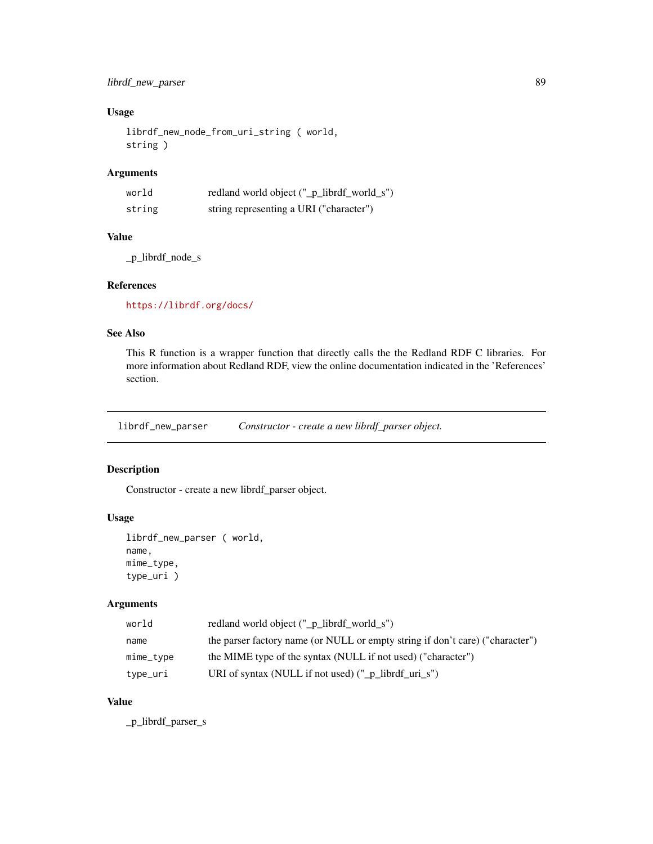librdf\_new\_parser 89

## Usage

```
librdf_new_node_from_uri_string ( world,
string )
```
# Arguments

| world  | redland world object ("_p_librdf_world_s") |
|--------|--------------------------------------------|
| string | string representing a URI ("character")    |

# Value

\_p\_librdf\_node\_s

# References

<https://librdf.org/docs/>

# See Also

This R function is a wrapper function that directly calls the the Redland RDF C libraries. For more information about Redland RDF, view the online documentation indicated in the 'References' section.

librdf\_new\_parser *Constructor - create a new librdf\_parser object.*

# Description

Constructor - create a new librdf\_parser object.

# Usage

```
librdf_new_parser ( world,
name,
mime_type,
type_uri )
```
## Arguments

| world     | redland world object ("_p_librdf_world_s")                                    |
|-----------|-------------------------------------------------------------------------------|
| name      | the parser factory name (or NULL or empty string if don't care) ("character") |
| mime_type | the MIME type of the syntax (NULL if not used) ("character")                  |
| type_uri  | URI of syntax (NULL if not used) $("_p_{{\text{librdf\_uri}}_s")$             |

# Value

\_p\_librdf\_parser\_s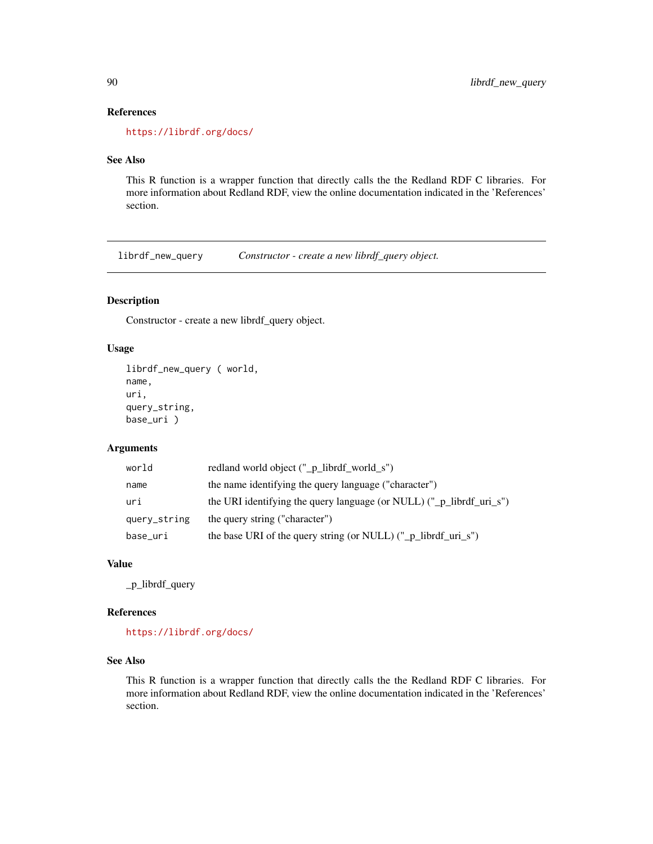## References

<https://librdf.org/docs/>

#### See Also

This R function is a wrapper function that directly calls the the Redland RDF C libraries. For more information about Redland RDF, view the online documentation indicated in the 'References' section.

librdf\_new\_query *Constructor - create a new librdf\_query object.*

# Description

Constructor - create a new librdf\_query object.

#### Usage

```
librdf_new_query ( world,
name,
uri,
query_string,
base_uri )
```
## Arguments

| world        | redland world object ("_p_librdf_world_s")                                       |
|--------------|----------------------------------------------------------------------------------|
| name         | the name identifying the query language ("character")                            |
| uri          | the URI identifying the query language (or NULL) $("_p_{{\text{librdf\_uri}}s")$ |
| query_string | the query string ("character")                                                   |
| base_uri     | the base URI of the query string (or NULL) $("_p_{{\text{librdf\_uri}}_s"})$     |

# Value

\_p\_librdf\_query

#### References

<https://librdf.org/docs/>

## See Also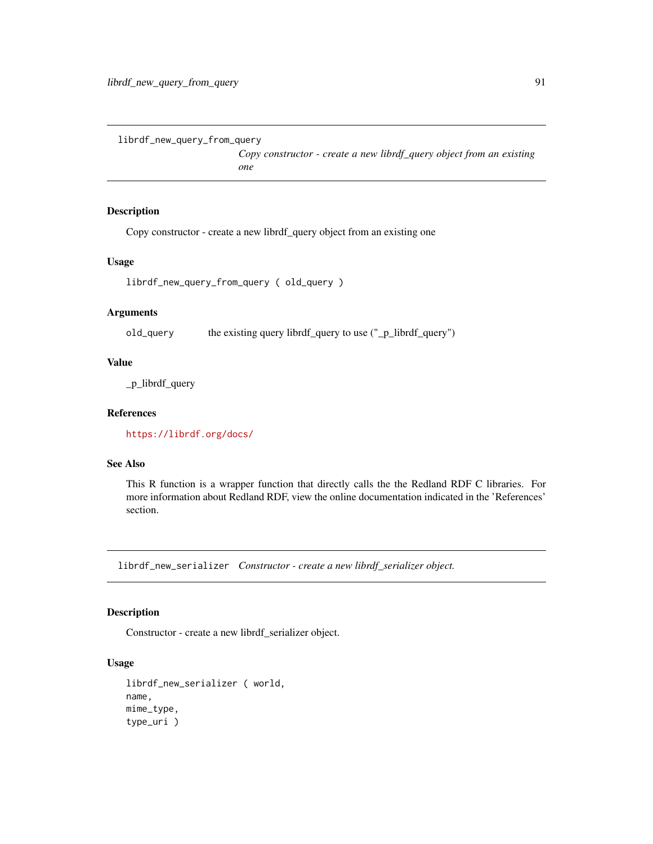librdf\_new\_query\_from\_query

*Copy constructor - create a new librdf\_query object from an existing one*

## Description

Copy constructor - create a new librdf\_query object from an existing one

#### Usage

librdf\_new\_query\_from\_query ( old\_query )

#### Arguments

old\_query the existing query librdf\_query to use ("\_p\_librdf\_query")

## Value

\_p\_librdf\_query

#### References

<https://librdf.org/docs/>

## See Also

This R function is a wrapper function that directly calls the the Redland RDF C libraries. For more information about Redland RDF, view the online documentation indicated in the 'References' section.

librdf\_new\_serializer *Constructor - create a new librdf\_serializer object.*

#### Description

Constructor - create a new librdf\_serializer object.

#### Usage

```
librdf_new_serializer ( world,
name,
mime_type,
type_uri )
```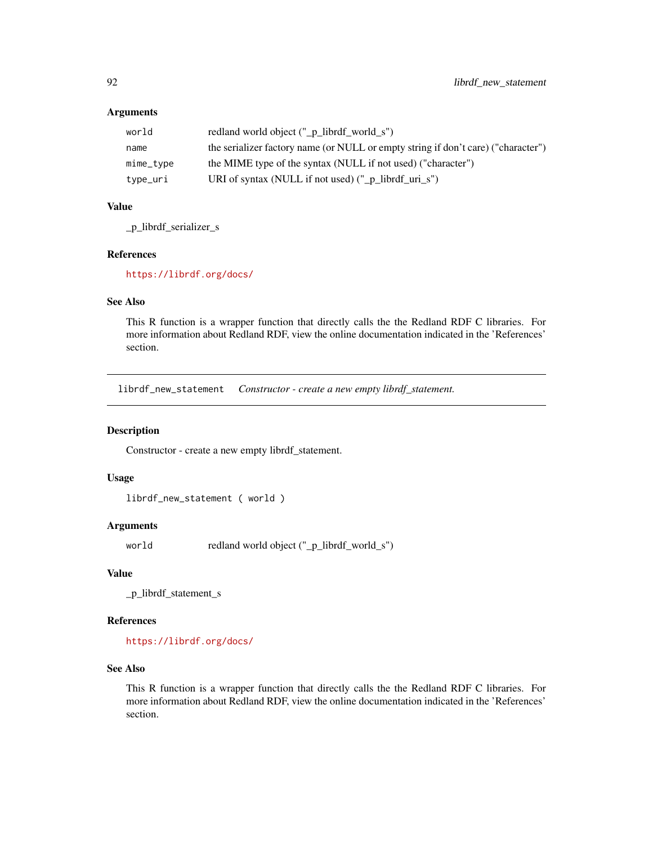| world        | redland world object ("_p_librdf_world_s")                                        |
|--------------|-----------------------------------------------------------------------------------|
| name         | the serializer factory name (or NULL or empty string if don't care) ("character") |
| $mime\_type$ | the MIME type of the syntax (NULL if not used) ("character")                      |
| type_uri     | URI of syntax (NULL if not used) $("_p_{{\text{librdf\_uri}}_s")$                 |

# Value

\_p\_librdf\_serializer\_s

## References

<https://librdf.org/docs/>

## See Also

This R function is a wrapper function that directly calls the the Redland RDF C libraries. For more information about Redland RDF, view the online documentation indicated in the 'References' section.

librdf\_new\_statement *Constructor - create a new empty librdf\_statement.*

#### Description

Constructor - create a new empty librdf\_statement.

#### Usage

```
librdf_new_statement ( world )
```
#### Arguments

world redland world object ("\_p\_librdf\_world\_s")

#### Value

\_p\_librdf\_statement\_s

#### References

<https://librdf.org/docs/>

## See Also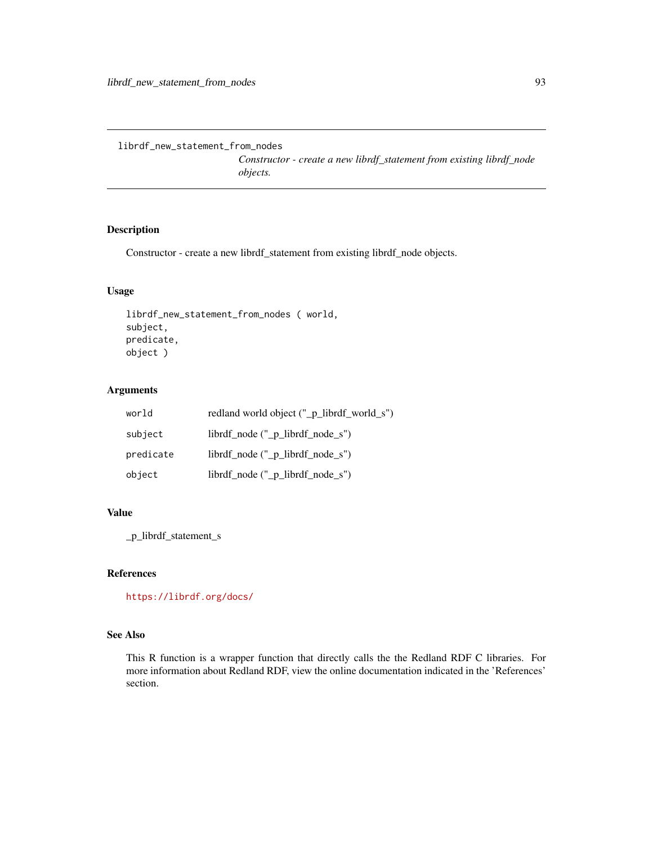librdf\_new\_statement\_from\_nodes

*Constructor - create a new librdf\_statement from existing librdf\_node objects.*

# Description

Constructor - create a new librdf\_statement from existing librdf\_node objects.

# Usage

```
librdf_new_statement_from_nodes ( world,
subject,
predicate,
object )
```
#### Arguments

| world     | redland world object ("_p_librdf_world_s") |
|-----------|--------------------------------------------|
| subject   | $librdf_model()$ = $('p_librdf_model)'$    |
| predicate | $librdf\_node$ (" $_p\_librdf\_node_s$ ")  |
| object    | librdf_node ("_p_librdf_node_s")           |

# Value

\_p\_librdf\_statement\_s

#### References

<https://librdf.org/docs/>

# See Also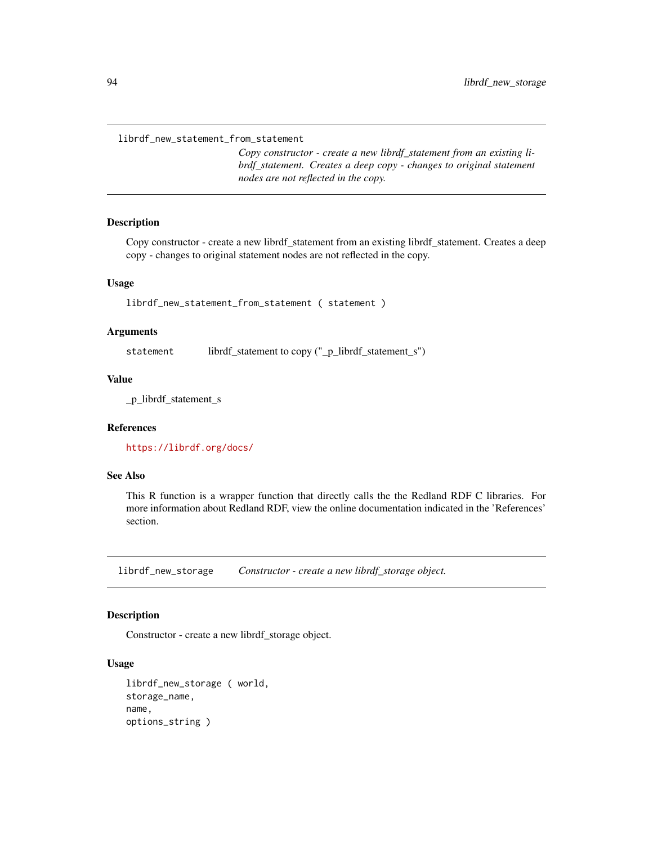librdf\_new\_statement\_from\_statement

*Copy constructor - create a new librdf\_statement from an existing librdf\_statement. Creates a deep copy - changes to original statement nodes are not reflected in the copy.*

#### **Description**

Copy constructor - create a new librdf\_statement from an existing librdf\_statement. Creates a deep copy - changes to original statement nodes are not reflected in the copy.

#### Usage

librdf\_new\_statement\_from\_statement ( statement )

#### Arguments

statement librdf\_statement to copy ("\_p\_librdf\_statement\_s")

#### Value

\_p\_librdf\_statement\_s

#### References

<https://librdf.org/docs/>

## See Also

This R function is a wrapper function that directly calls the the Redland RDF C libraries. For more information about Redland RDF, view the online documentation indicated in the 'References' section.

librdf\_new\_storage *Constructor - create a new librdf\_storage object.*

## Description

Constructor - create a new librdf\_storage object.

#### Usage

```
librdf_new_storage ( world,
storage_name,
name,
options_string )
```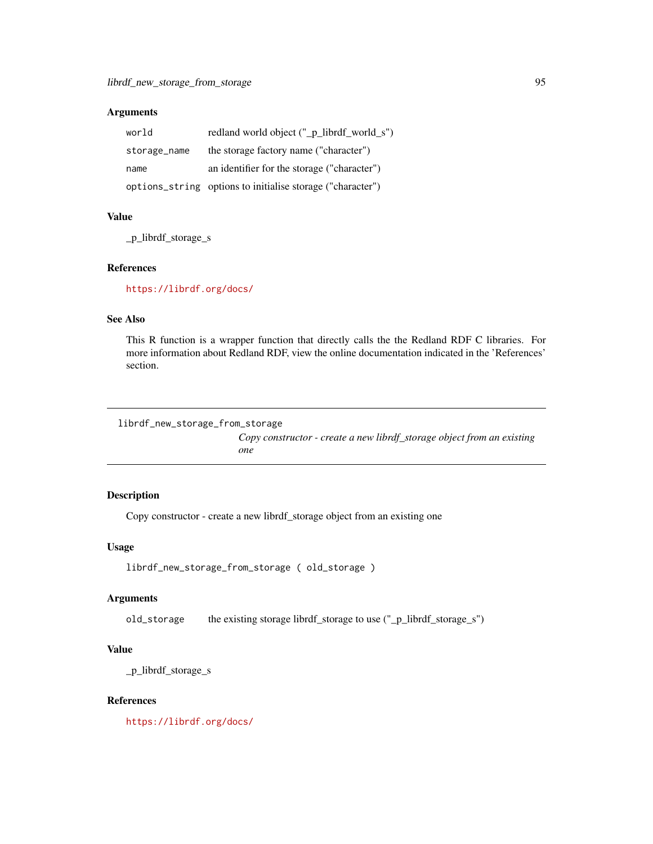| world        | redland world object ("_p_librdf_world_s")                 |
|--------------|------------------------------------------------------------|
| storage_name | the storage factory name ("character")                     |
| name         | an identifier for the storage ("character")                |
|              | options_string options to initialise storage ("character") |

#### Value

\_p\_librdf\_storage\_s

#### References

<https://librdf.org/docs/>

#### See Also

This R function is a wrapper function that directly calls the the Redland RDF C libraries. For more information about Redland RDF, view the online documentation indicated in the 'References' section.

```
librdf_new_storage_from_storage
```
*Copy constructor - create a new librdf\_storage object from an existing one*

## Description

Copy constructor - create a new librdf\_storage object from an existing one

#### Usage

librdf\_new\_storage\_from\_storage ( old\_storage )

## Arguments

old\_storage the existing storage librdf\_storage to use ("\_p\_librdf\_storage\_s")

## Value

\_p\_librdf\_storage\_s

#### References

<https://librdf.org/docs/>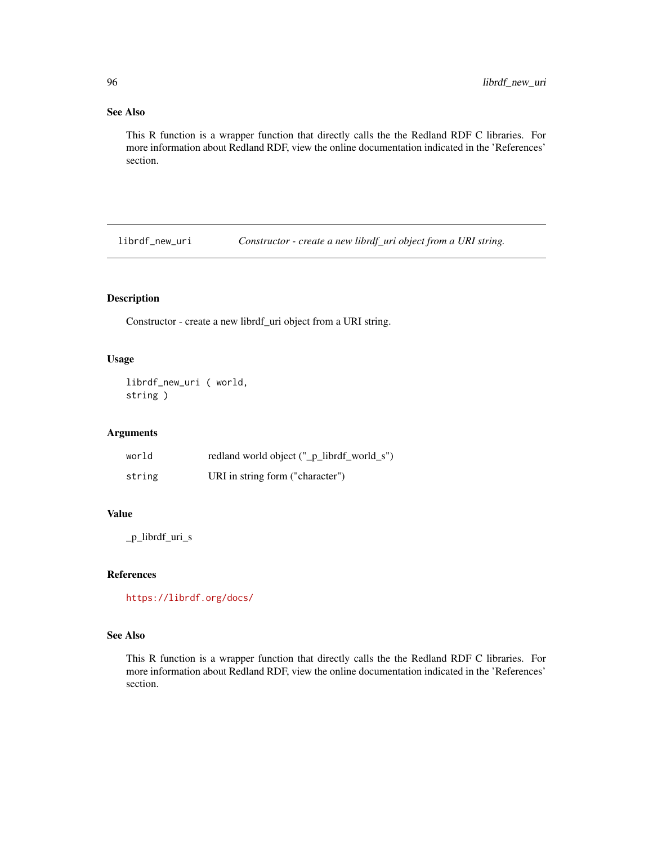# See Also

This R function is a wrapper function that directly calls the the Redland RDF C libraries. For more information about Redland RDF, view the online documentation indicated in the 'References' section.

librdf\_new\_uri *Constructor - create a new librdf\_uri object from a URI string.*

# Description

Constructor - create a new librdf\_uri object from a URI string.

#### Usage

```
librdf_new_uri ( world,
string )
```
## Arguments

| world  | redland world object ("_p_librdf_world_s") |
|--------|--------------------------------------------|
| string | URI in string form ("character")           |

# Value

\_p\_librdf\_uri\_s

## References

<https://librdf.org/docs/>

# See Also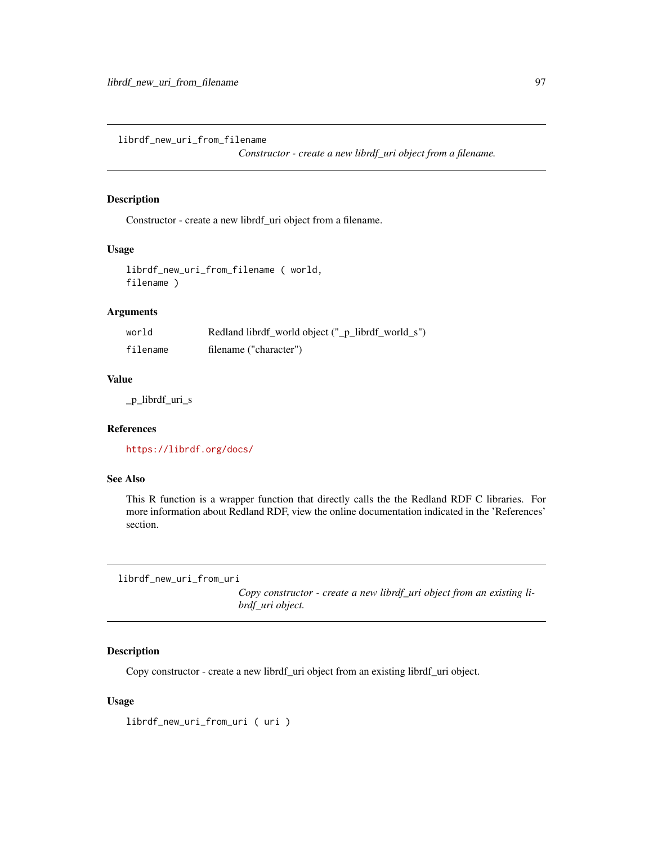librdf\_new\_uri\_from\_filename

*Constructor - create a new librdf\_uri object from a filename.*

## Description

Constructor - create a new librdf\_uri object from a filename.

#### Usage

librdf\_new\_uri\_from\_filename ( world, filename )

# Arguments

| world    | Redland librdf_world object ("_p_librdf_world_s") |
|----------|---------------------------------------------------|
| filename | filename ("character")                            |

#### Value

\_p\_librdf\_uri\_s

## References

<https://librdf.org/docs/>

#### See Also

This R function is a wrapper function that directly calls the the Redland RDF C libraries. For more information about Redland RDF, view the online documentation indicated in the 'References' section.

librdf\_new\_uri\_from\_uri

*Copy constructor - create a new librdf\_uri object from an existing librdf\_uri object.*

# Description

Copy constructor - create a new librdf\_uri object from an existing librdf\_uri object.

#### Usage

librdf\_new\_uri\_from\_uri ( uri )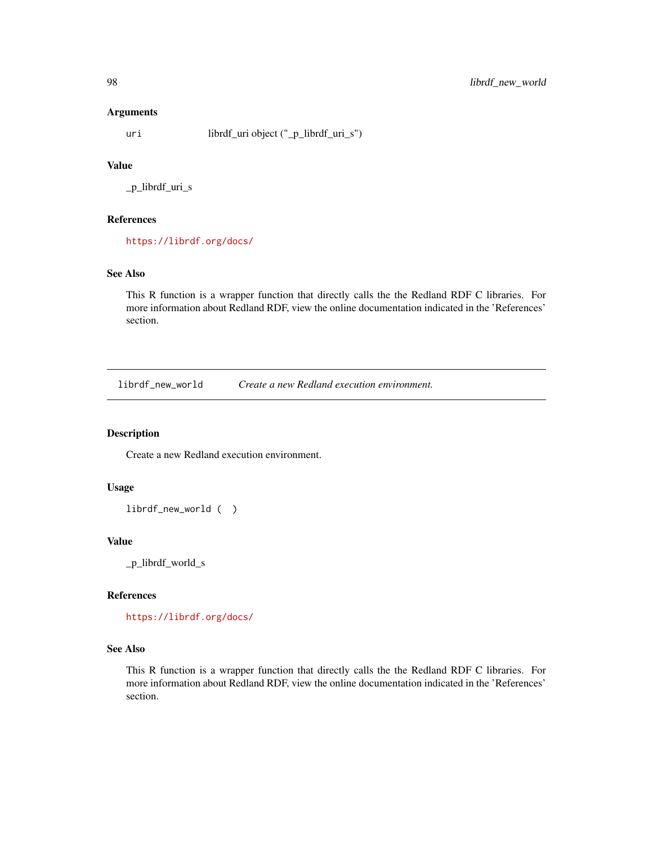uri librdf\_uri object ("\_p\_librdf\_uri\_s")

## Value

\_p\_librdf\_uri\_s

#### References

<https://librdf.org/docs/>

# See Also

This R function is a wrapper function that directly calls the the Redland RDF C libraries. For more information about Redland RDF, view the online documentation indicated in the 'References' section.

librdf\_new\_world *Create a new Redland execution environment.*

## Description

Create a new Redland execution environment.

# Usage

```
librdf_new_world ( )
```
#### Value

\_p\_librdf\_world\_s

#### References

<https://librdf.org/docs/>

#### See Also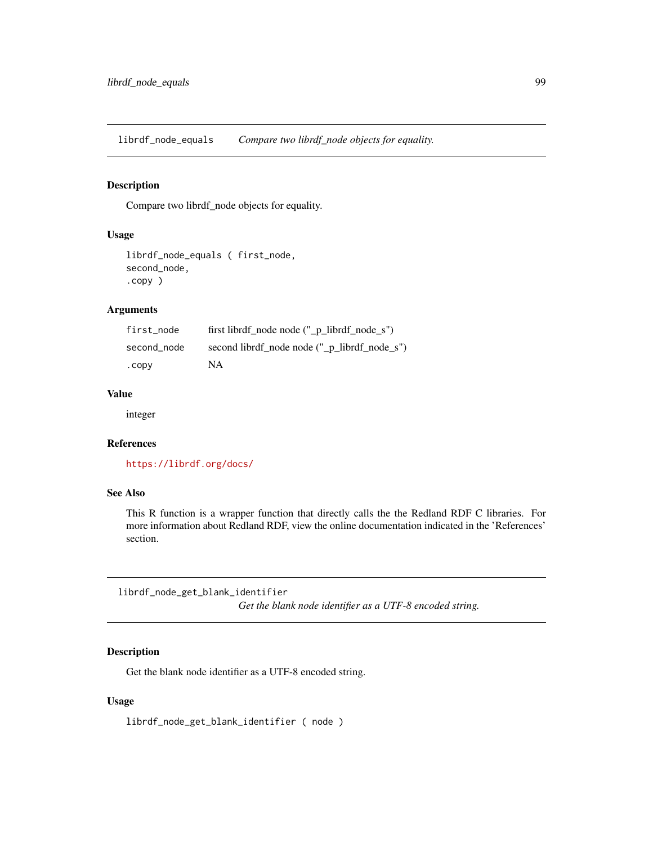librdf\_node\_equals *Compare two librdf\_node objects for equality.*

#### Description

Compare two librdf\_node objects for equality.

# Usage

```
librdf_node_equals ( first_node,
second_node,
.copy )
```
# Arguments

| first node  | first librdf_node node $("_p_{{\text{-}}}\text{librdf\_node\_s")}$ |
|-------------|--------------------------------------------------------------------|
| second_node | second librdf node node (" p librdf node s")                       |
| .copy       | NA                                                                 |

## Value

integer

#### References

<https://librdf.org/docs/>

#### See Also

This R function is a wrapper function that directly calls the the Redland RDF C libraries. For more information about Redland RDF, view the online documentation indicated in the 'References' section.

librdf\_node\_get\_blank\_identifier

*Get the blank node identifier as a UTF-8 encoded string.*

## Description

Get the blank node identifier as a UTF-8 encoded string.

## Usage

librdf\_node\_get\_blank\_identifier ( node )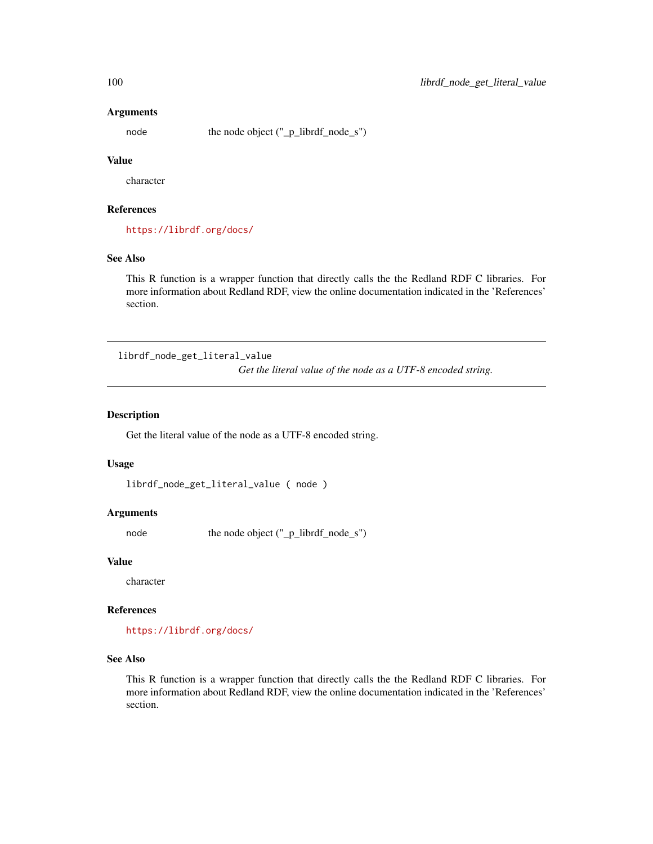node the node object ("\_p\_librdf\_node\_s")

# Value

character

# References

<https://librdf.org/docs/>

# See Also

This R function is a wrapper function that directly calls the the Redland RDF C libraries. For more information about Redland RDF, view the online documentation indicated in the 'References' section.

librdf\_node\_get\_literal\_value

*Get the literal value of the node as a UTF-8 encoded string.*

#### Description

Get the literal value of the node as a UTF-8 encoded string.

#### Usage

```
librdf_node_get_literal_value ( node )
```
#### Arguments

node the node object ("\_p\_librdf\_node\_s")

#### Value

character

#### References

<https://librdf.org/docs/>

## See Also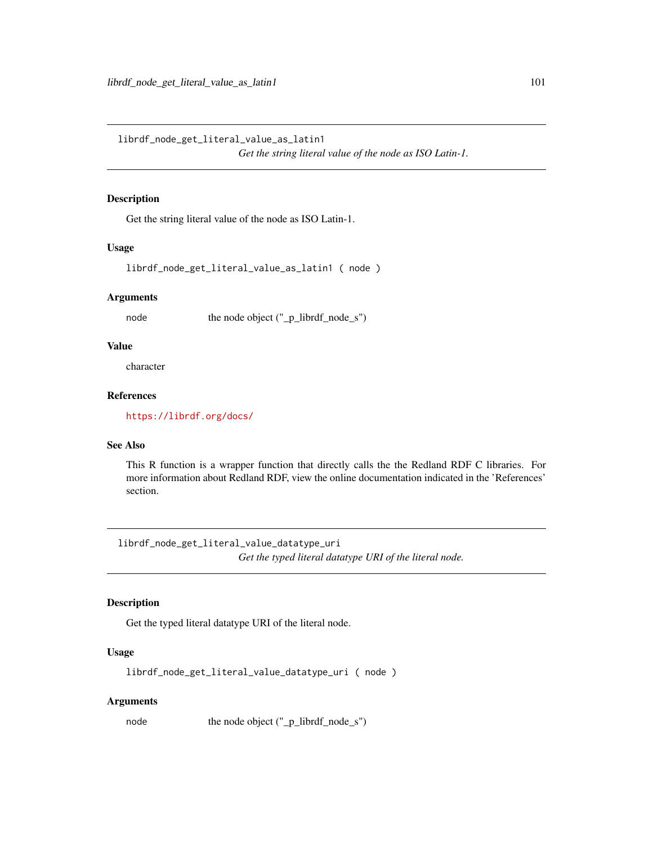librdf\_node\_get\_literal\_value\_as\_latin1 *Get the string literal value of the node as ISO Latin-1.*

## Description

Get the string literal value of the node as ISO Latin-1.

#### Usage

```
librdf_node_get_literal_value_as_latin1 ( node )
```
#### Arguments

node the node object ("\_p\_librdf\_node\_s")

# Value

character

# References

<https://librdf.org/docs/>

# See Also

This R function is a wrapper function that directly calls the the Redland RDF C libraries. For more information about Redland RDF, view the online documentation indicated in the 'References' section.

librdf\_node\_get\_literal\_value\_datatype\_uri *Get the typed literal datatype URI of the literal node.*

# Description

Get the typed literal datatype URI of the literal node.

#### Usage

librdf\_node\_get\_literal\_value\_datatype\_uri ( node )

#### Arguments

node the node object ("\_p\_librdf\_node\_s")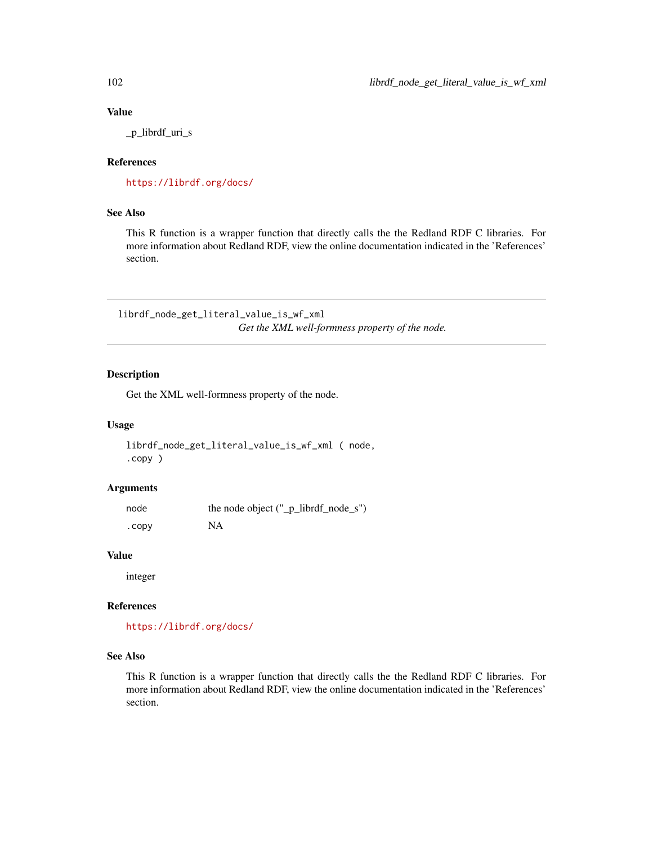## Value

\_p\_librdf\_uri\_s

## References

<https://librdf.org/docs/>

# See Also

This R function is a wrapper function that directly calls the the Redland RDF C libraries. For more information about Redland RDF, view the online documentation indicated in the 'References' section.

librdf\_node\_get\_literal\_value\_is\_wf\_xml *Get the XML well-formness property of the node.*

## Description

Get the XML well-formness property of the node.

#### Usage

librdf\_node\_get\_literal\_value\_is\_wf\_xml ( node, .copy )

#### Arguments

node the node object ("\_p\_librdf\_node\_s") .copy NA

#### Value

integer

#### References

<https://librdf.org/docs/>

# See Also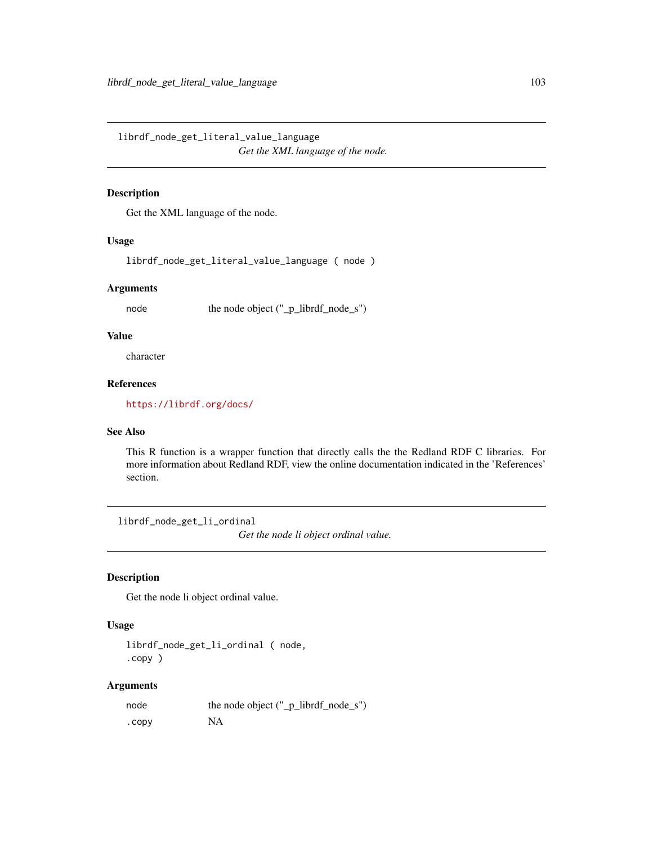librdf\_node\_get\_literal\_value\_language *Get the XML language of the node.*

# Description

Get the XML language of the node.

# Usage

librdf\_node\_get\_literal\_value\_language ( node )

#### Arguments

node the node object ("\_p\_librdf\_node\_s")

#### Value

character

# References

<https://librdf.org/docs/>

#### See Also

This R function is a wrapper function that directly calls the the Redland RDF C libraries. For more information about Redland RDF, view the online documentation indicated in the 'References' section.

librdf\_node\_get\_li\_ordinal

*Get the node li object ordinal value.*

#### Description

Get the node li object ordinal value.

#### Usage

```
librdf_node_get_li_ordinal ( node,
.copy )
```
#### Arguments

| node   | the node object ("_p_librdf_node_s") |
|--------|--------------------------------------|
| . CODV | <b>NA</b>                            |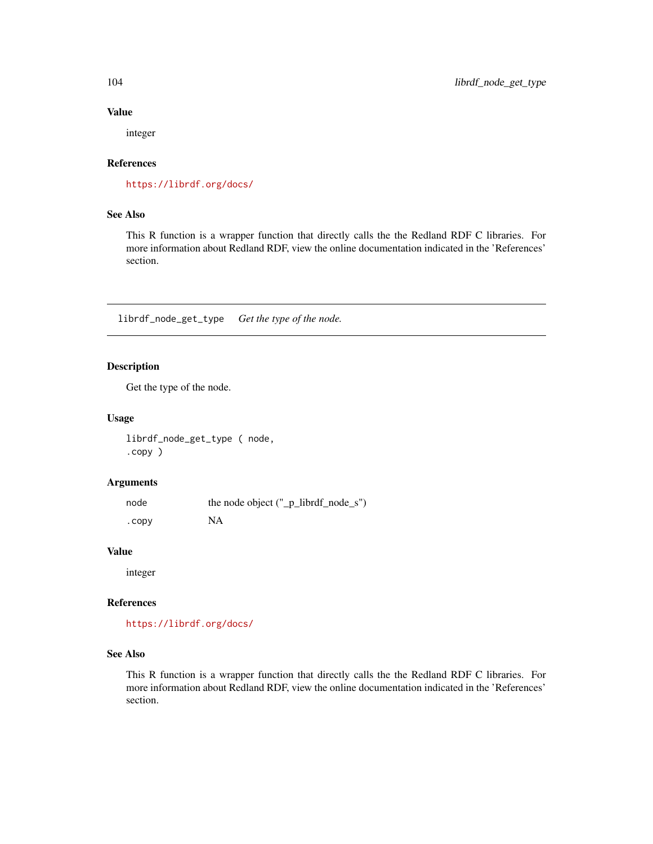# Value

integer

# References

<https://librdf.org/docs/>

# See Also

This R function is a wrapper function that directly calls the the Redland RDF C libraries. For more information about Redland RDF, view the online documentation indicated in the 'References' section.

librdf\_node\_get\_type *Get the type of the node.*

## Description

Get the type of the node.

## Usage

librdf\_node\_get\_type ( node, .copy )

## Arguments

| node  | the node object $("_p_{{\text{-}}}\text{librdf\_node\_s")}$ |
|-------|-------------------------------------------------------------|
| .copy | <b>NA</b>                                                   |

#### Value

integer

# References

<https://librdf.org/docs/>

# See Also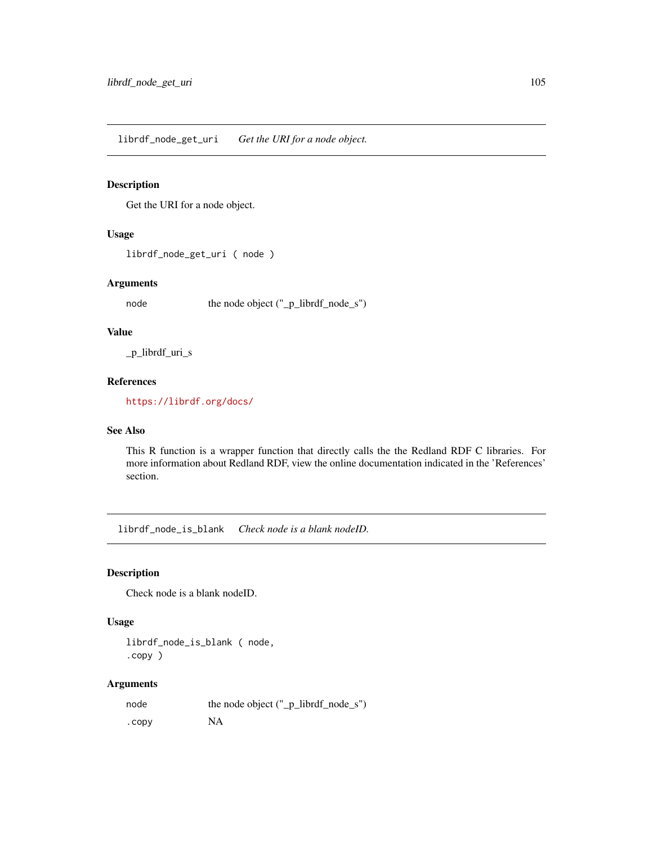librdf\_node\_get\_uri *Get the URI for a node object.*

#### Description

Get the URI for a node object.

# Usage

librdf\_node\_get\_uri ( node )

## Arguments

node the node object ("\_p\_librdf\_node\_s")

#### Value

\_p\_librdf\_uri\_s

# References

<https://librdf.org/docs/>

## See Also

This R function is a wrapper function that directly calls the the Redland RDF C libraries. For more information about Redland RDF, view the online documentation indicated in the 'References' section.

librdf\_node\_is\_blank *Check node is a blank nodeID.*

## Description

Check node is a blank nodeID.

## Usage

librdf\_node\_is\_blank ( node, .copy )

## Arguments

| node   | the node object $("_p_{{\text{-}}}\text{librdf\_node\_s")}$ |
|--------|-------------------------------------------------------------|
| . CODV | <b>NA</b>                                                   |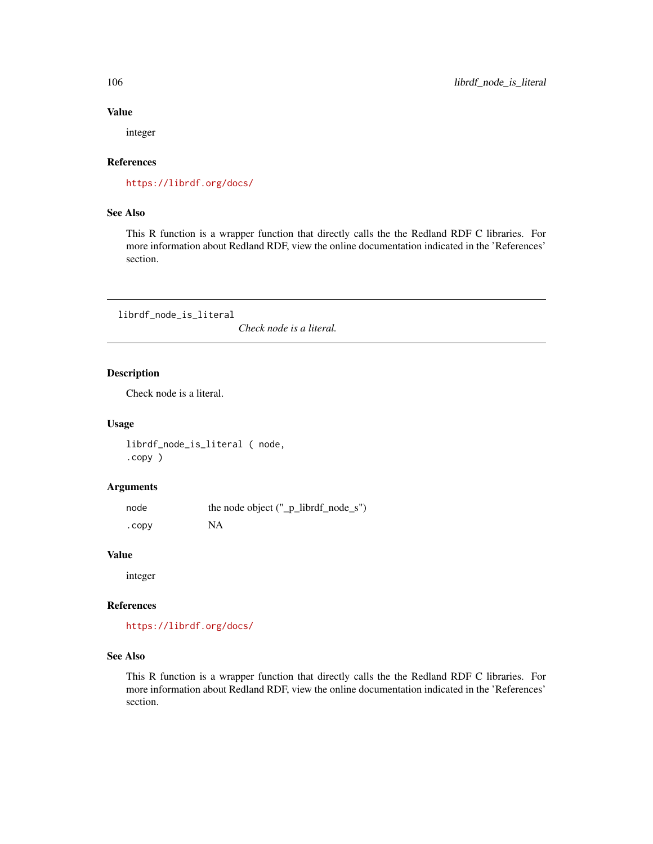#### Value

integer

#### References

<https://librdf.org/docs/>

## See Also

This R function is a wrapper function that directly calls the the Redland RDF C libraries. For more information about Redland RDF, view the online documentation indicated in the 'References' section.

librdf\_node\_is\_literal

*Check node is a literal.*

# Description

Check node is a literal.

#### Usage

librdf\_node\_is\_literal ( node, .copy )

# Arguments

node the node object ("\_p\_librdf\_node\_s") .copy NA

#### Value

integer

#### References

<https://librdf.org/docs/>

# See Also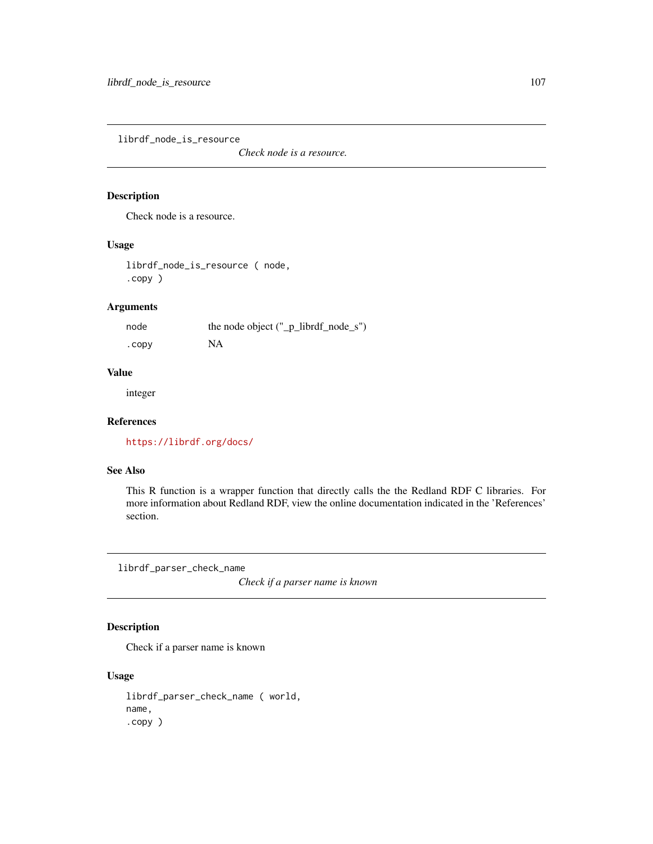librdf\_node\_is\_resource

*Check node is a resource.*

## Description

Check node is a resource.

## Usage

librdf\_node\_is\_resource ( node, .copy )

# Arguments

| node  | the node object ("_p_librdf_node_s") |
|-------|--------------------------------------|
| .copy | <b>NA</b>                            |

# Value

integer

## References

<https://librdf.org/docs/>

# See Also

This R function is a wrapper function that directly calls the the Redland RDF C libraries. For more information about Redland RDF, view the online documentation indicated in the 'References' section.

librdf\_parser\_check\_name

*Check if a parser name is known*

## Description

Check if a parser name is known

## Usage

librdf\_parser\_check\_name ( world, name, .copy )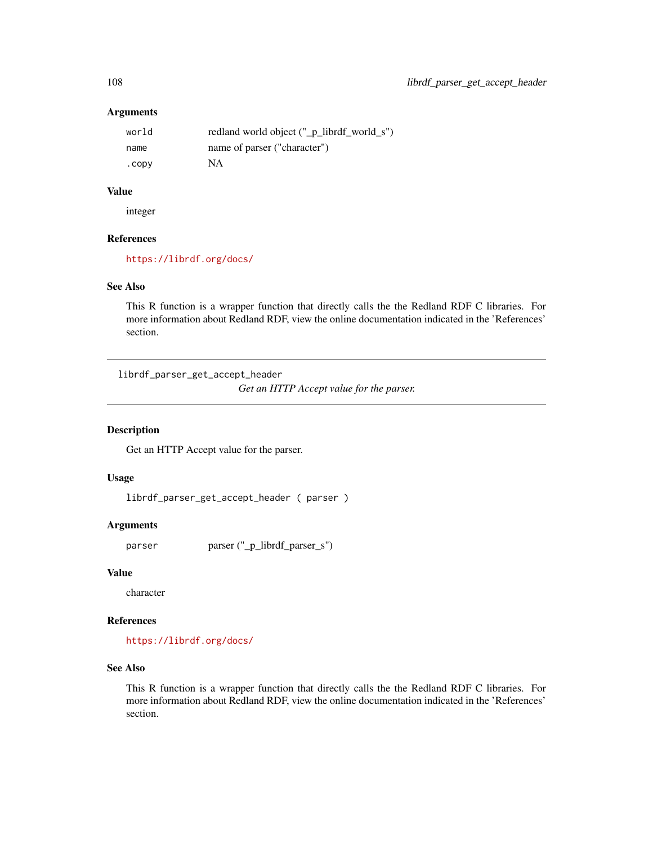| world  | redland world object ("_p_librdf_world_s") |
|--------|--------------------------------------------|
| name   | name of parser ("character")               |
| . CODV | NA                                         |

#### Value

integer

#### References

<https://librdf.org/docs/>

# See Also

This R function is a wrapper function that directly calls the the Redland RDF C libraries. For more information about Redland RDF, view the online documentation indicated in the 'References' section.

librdf\_parser\_get\_accept\_header *Get an HTTP Accept value for the parser.*

#### Description

Get an HTTP Accept value for the parser.

## Usage

librdf\_parser\_get\_accept\_header ( parser )

#### Arguments

parser parser ("\_p\_librdf\_parser\_s")

#### Value

character

## References

<https://librdf.org/docs/>

## See Also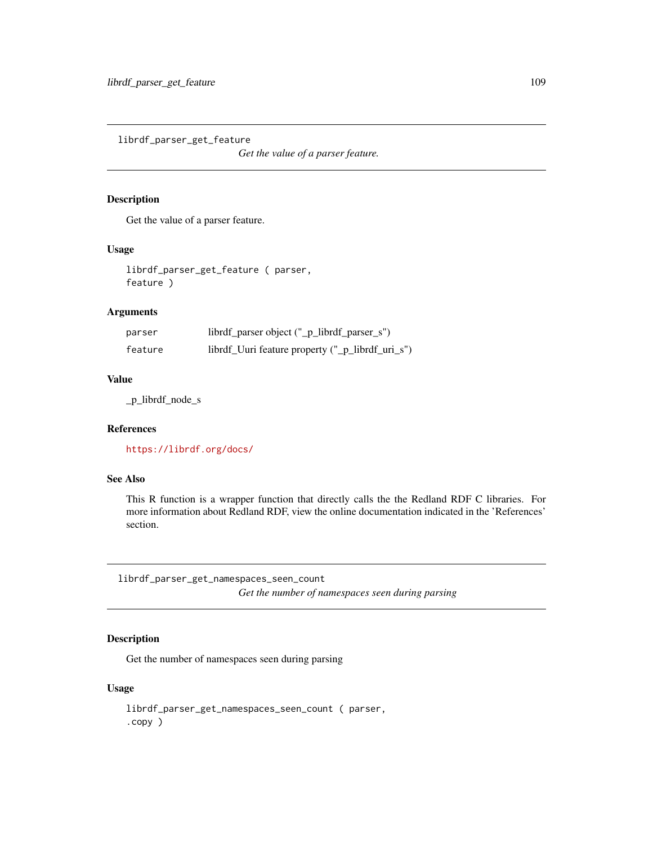librdf\_parser\_get\_feature

*Get the value of a parser feature.*

## Description

Get the value of a parser feature.

## Usage

librdf\_parser\_get\_feature ( parser, feature )

# Arguments

| parser  | librdf_parser object ("_p_librdf_parser_s")      |
|---------|--------------------------------------------------|
| feature | librdf_Uuri feature property ("_p_librdf_uri_s") |

#### Value

\_p\_librdf\_node\_s

# References

<https://librdf.org/docs/>

# See Also

This R function is a wrapper function that directly calls the the Redland RDF C libraries. For more information about Redland RDF, view the online documentation indicated in the 'References' section.

librdf\_parser\_get\_namespaces\_seen\_count *Get the number of namespaces seen during parsing*

# Description

Get the number of namespaces seen during parsing

```
librdf_parser_get_namespaces_seen_count ( parser,
.copy )
```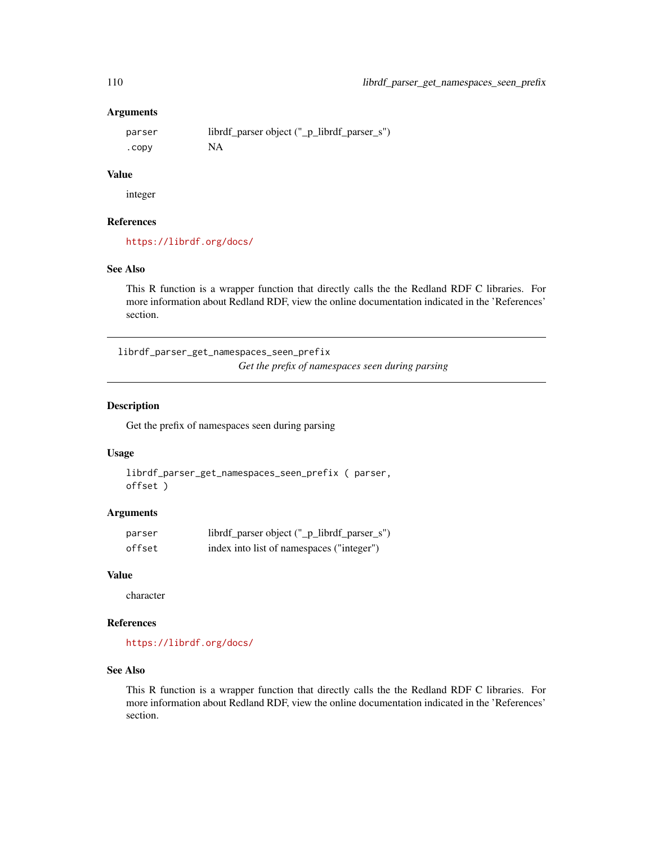| parser | librdf_parser object ("_p_librdf_parser_s") |
|--------|---------------------------------------------|
| .copy  | NA                                          |

## Value

integer

## References

<https://librdf.org/docs/>

# See Also

This R function is a wrapper function that directly calls the the Redland RDF C libraries. For more information about Redland RDF, view the online documentation indicated in the 'References' section.

librdf\_parser\_get\_namespaces\_seen\_prefix *Get the prefix of namespaces seen during parsing*

## Description

Get the prefix of namespaces seen during parsing

## Usage

```
librdf_parser_get_namespaces_seen_prefix ( parser,
offset )
```
# Arguments

| parser | librdf_parser object ("_p_librdf_parser_s") |
|--------|---------------------------------------------|
| offset | index into list of namespaces ("integer")   |

# Value

character

## References

<https://librdf.org/docs/>

## See Also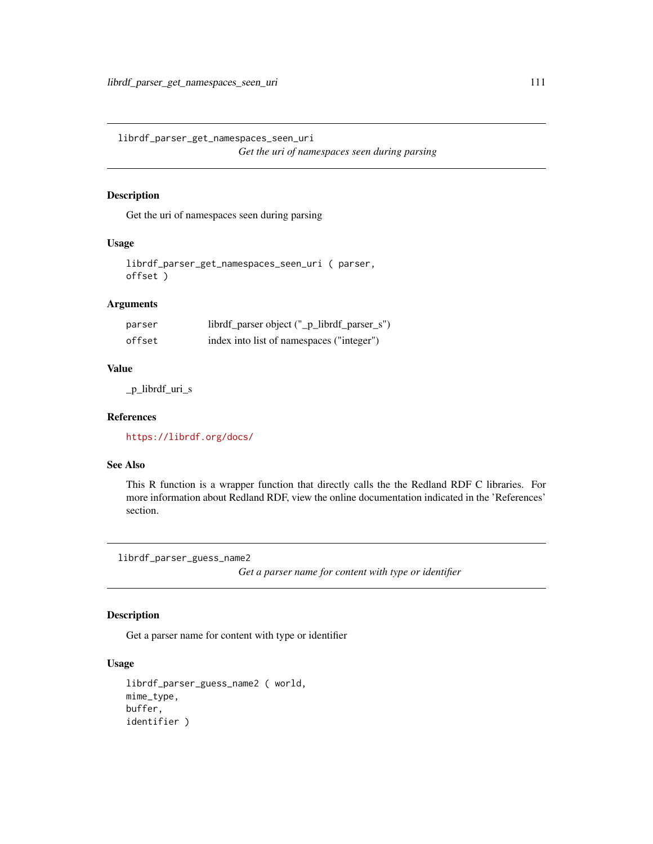librdf\_parser\_get\_namespaces\_seen\_uri *Get the uri of namespaces seen during parsing*

## Description

Get the uri of namespaces seen during parsing

## Usage

```
librdf_parser_get_namespaces_seen_uri ( parser,
offset )
```
# Arguments

| parser | librdf_parser object ("_p_librdf_parser_s") |
|--------|---------------------------------------------|
| offset | index into list of namespaces ("integer")   |

## Value

\_p\_librdf\_uri\_s

## References

<https://librdf.org/docs/>

## See Also

This R function is a wrapper function that directly calls the the Redland RDF C libraries. For more information about Redland RDF, view the online documentation indicated in the 'References' section.

librdf\_parser\_guess\_name2

*Get a parser name for content with type or identifier*

# Description

Get a parser name for content with type or identifier

```
librdf_parser_guess_name2 ( world,
mime_type,
buffer,
identifier )
```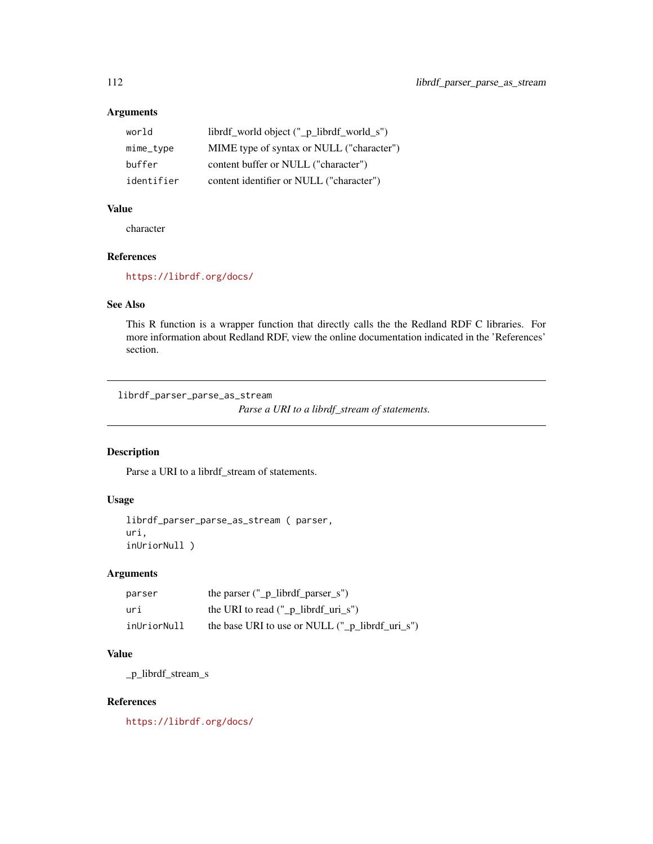| world      | librdf_world object ("_p_librdf_world_s") |
|------------|-------------------------------------------|
| mime_type  | MIME type of syntax or NULL ("character") |
| buffer     | content buffer or NULL ("character")      |
| identifier | content identifier or NULL ("character")  |

# Value

character

# References

<https://librdf.org/docs/>

# See Also

This R function is a wrapper function that directly calls the the Redland RDF C libraries. For more information about Redland RDF, view the online documentation indicated in the 'References' section.

librdf\_parser\_parse\_as\_stream

*Parse a URI to a librdf\_stream of statements.*

# Description

Parse a URI to a librdf\_stream of statements.

# Usage

```
librdf_parser_parse_as_stream ( parser,
uri,
inUriorNull )
```
# Arguments

| parser      | the parser $("_p_{{\text{-}}\text{-}}lib\text{rdf_{{\text{-}}\text{-}}p\text{arser_s''}})$ |
|-------------|--------------------------------------------------------------------------------------------|
| uri         | the URI to read $("_p_{{\text{librdf\_uri}}_s")$                                           |
| inUriorNull | the base URI to use or NULL $("_p_{{\text{lightdf}}_{{\text{un}}}}'$                       |

# Value

\_p\_librdf\_stream\_s

# References

<https://librdf.org/docs/>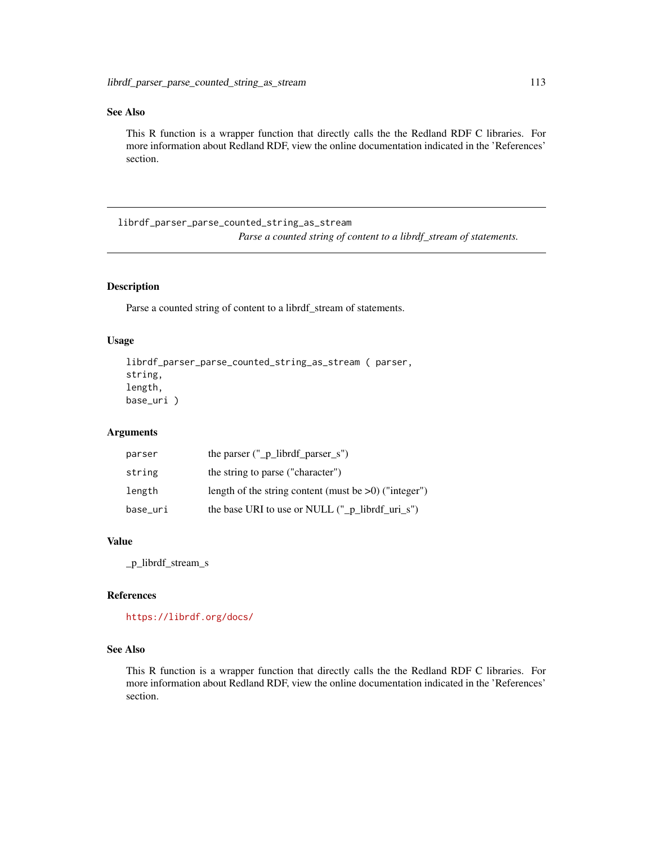## See Also

This R function is a wrapper function that directly calls the the Redland RDF C libraries. For more information about Redland RDF, view the online documentation indicated in the 'References' section.

librdf\_parser\_parse\_counted\_string\_as\_stream *Parse a counted string of content to a librdf\_stream of statements.*

## Description

Parse a counted string of content to a librdf\_stream of statements.

## Usage

```
librdf_parser_parse_counted_string_as_stream ( parser,
string,
length,
base_uri )
```
## Arguments

| parser   | the parser $("_p_{{\text{-}}\text{-}}lib\text{rdf_{{\text{-}}\text{-}}p\text{arser_s''}})$ |
|----------|--------------------------------------------------------------------------------------------|
| string   | the string to parse ("character")                                                          |
| length   | length of the string content (must be $>0$ ) ("integer")                                   |
| base_uri | the base URI to use or NULL ("_p_librdf_uri_s")                                            |

## Value

\_p\_librdf\_stream\_s

## References

<https://librdf.org/docs/>

## See Also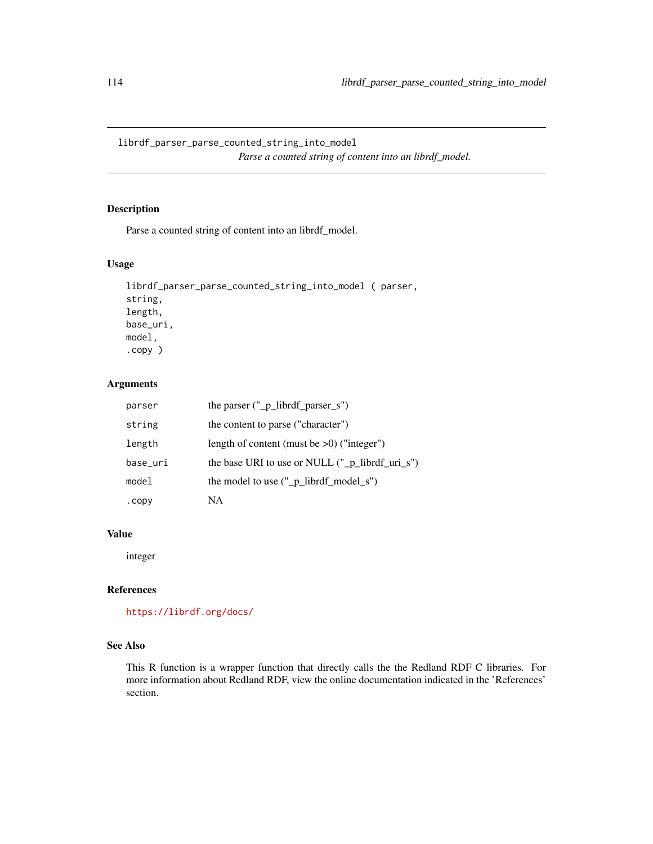librdf\_parser\_parse\_counted\_string\_into\_model *Parse a counted string of content into an librdf\_model.*

# Description

Parse a counted string of content into an librdf\_model.

## Usage

```
librdf_parser_parse_counted_string_into_model ( parser,
string,
length,
base_uri,
model,
.copy )
```
# Arguments

| parser   | the parser $("_p_{{\text{-}}\text{-}}lib\text{rdf_{{\text{-}}\text{-}}p\text{arser_{s}}")$ |
|----------|--------------------------------------------------------------------------------------------|
| string   | the content to parse ("character")                                                         |
| length   | length of content (must be $>0$ ) ("integer")                                              |
| base_uri | the base URI to use or NULL $("_p_{{\text{-}}}\text{librdf\_uri\_s"} )$                    |
| model    | the model to use $("_p_{{\text{librdf}}_{\text{model}}s")$                                 |
| .copy    | NA                                                                                         |

## Value

integer

# References

<https://librdf.org/docs/>

# See Also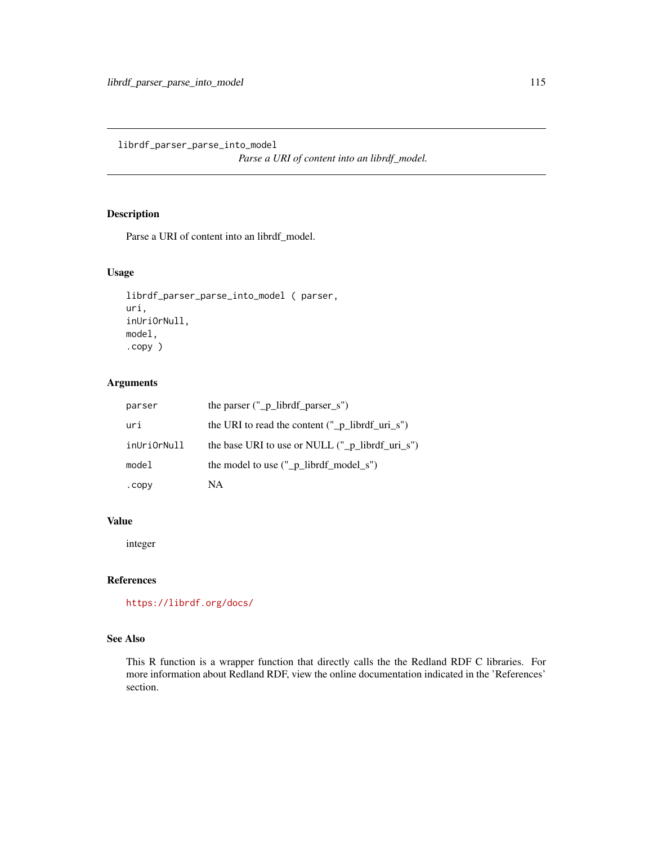librdf\_parser\_parse\_into\_model

*Parse a URI of content into an librdf\_model.*

# Description

Parse a URI of content into an librdf\_model.

# Usage

```
librdf_parser_parse_into_model ( parser,
uri,
inUriOrNull,
model,
.copy )
```
## Arguments

| parser      | the parser $(" p librdf parser s")$                              |
|-------------|------------------------------------------------------------------|
| uri         | the URI to read the content $(" p$ librdf uri s")                |
| inUriOrNull | the base URI to use or NULL $('' p$ librdf uri s'')              |
| model       | the model to use $("_p_{{\text{librdf}}_{{\text{model}}}} \_s")$ |
| .copy       | NA.                                                              |

# Value

integer

# References

<https://librdf.org/docs/>

# See Also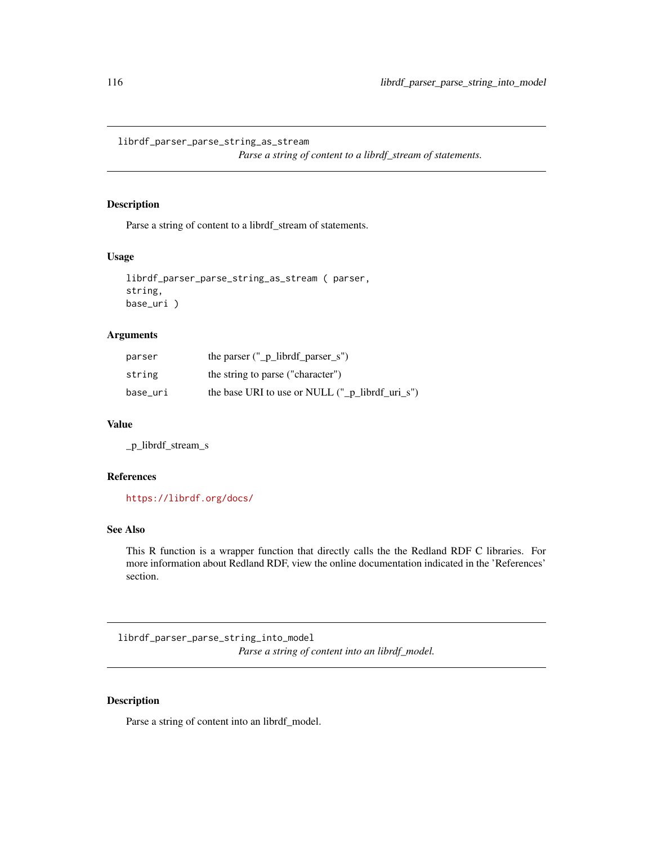librdf\_parser\_parse\_string\_as\_stream

*Parse a string of content to a librdf\_stream of statements.*

# Description

Parse a string of content to a librdf\_stream of statements.

## Usage

```
librdf_parser_parse_string_as_stream ( parser,
string,
base_uri )
```
## Arguments

| parser   | the parser $("_p_{{\text{-}}\text{-}}lib\text{rdf_{{\text{-}}\text{-}}p\text{arser_{s}}")$ |
|----------|--------------------------------------------------------------------------------------------|
| string   | the string to parse ("character")                                                          |
| base_uri | the base URI to use or NULL $("_p_{{\text{librdf\_uri}}_s")$                               |

#### Value

\_p\_librdf\_stream\_s

## References

<https://librdf.org/docs/>

## See Also

This R function is a wrapper function that directly calls the the Redland RDF C libraries. For more information about Redland RDF, view the online documentation indicated in the 'References' section.

librdf\_parser\_parse\_string\_into\_model *Parse a string of content into an librdf\_model.*

## Description

Parse a string of content into an librdf\_model.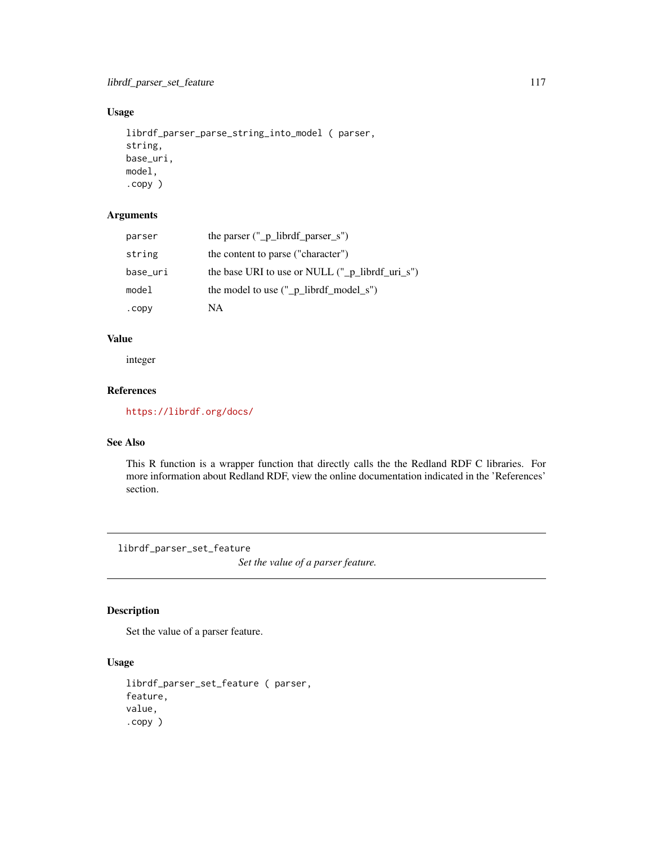# Usage

```
librdf_parser_parse_string_into_model ( parser,
string,
base_uri,
model,
.copy )
```
# Arguments

| parser   | the parser $("_p_{{\text{-}}\text{-}}librdf_{{\text{-}}\text{-}}parser_s")$ |
|----------|-----------------------------------------------------------------------------|
| string   | the content to parse ("character")                                          |
| base_uri | the base URI to use or NULL ("_p_librdf_uri_s")                             |
| model    | the model to use $("_p\_librdf\_model_s")$                                  |
| .copy    | NA                                                                          |

# Value

integer

# References

<https://librdf.org/docs/>

## See Also

This R function is a wrapper function that directly calls the the Redland RDF C libraries. For more information about Redland RDF, view the online documentation indicated in the 'References' section.

librdf\_parser\_set\_feature

*Set the value of a parser feature.*

# Description

Set the value of a parser feature.

# Usage

librdf\_parser\_set\_feature ( parser, feature, value, .copy )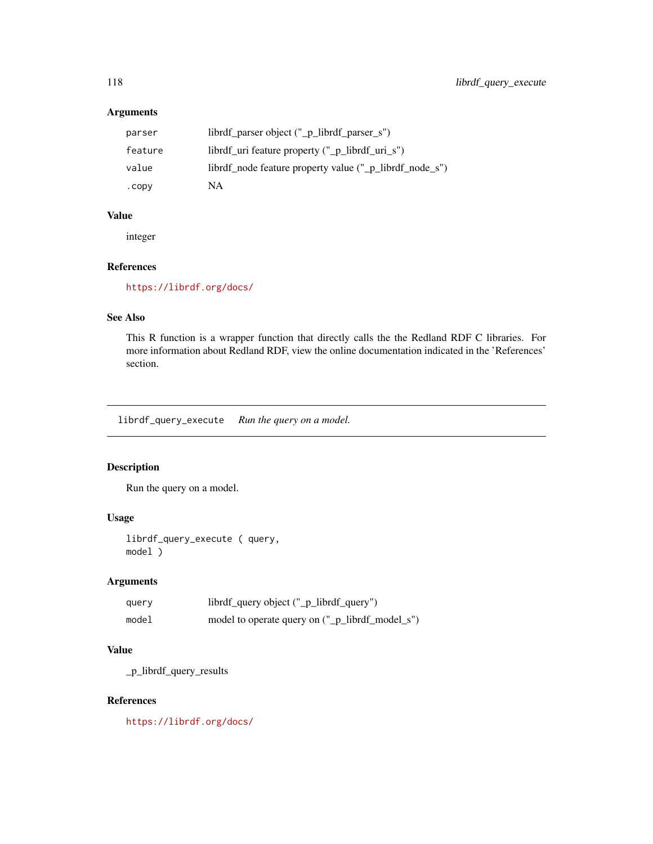| parser  | librdf_parser object ("_p_librdf_parser_s")             |
|---------|---------------------------------------------------------|
| feature | librdf_uri feature property ("_p_librdf_uri_s")         |
| value   | librdf_node feature property value ("_p_librdf_node_s") |
| .copy   | NA                                                      |

## Value

integer

## References

<https://librdf.org/docs/>

## See Also

This R function is a wrapper function that directly calls the the Redland RDF C libraries. For more information about Redland RDF, view the online documentation indicated in the 'References' section.

librdf\_query\_execute *Run the query on a model.*

# Description

Run the query on a model.

# Usage

```
librdf_query_execute ( query,
model )
```
# Arguments

| query | librdf_query object ("_p_librdf_query")         |
|-------|-------------------------------------------------|
| model | model to operate query on ("_p_librdf_model_s") |

# Value

\_p\_librdf\_query\_results

# References

<https://librdf.org/docs/>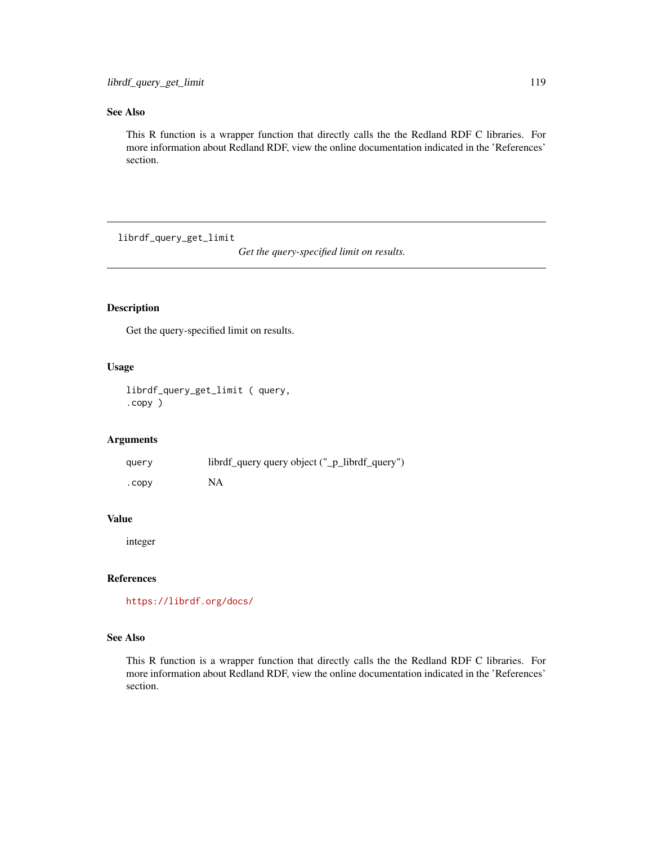# See Also

This R function is a wrapper function that directly calls the the Redland RDF C libraries. For more information about Redland RDF, view the online documentation indicated in the 'References' section.

librdf\_query\_get\_limit

*Get the query-specified limit on results.*

# Description

Get the query-specified limit on results.

## Usage

```
librdf_query_get_limit ( query,
.copy )
```
# Arguments

| query  | librdf_query query object ("_p_librdf_query") |
|--------|-----------------------------------------------|
| . CODV | <b>NA</b>                                     |

## Value

integer

# References

<https://librdf.org/docs/>

## See Also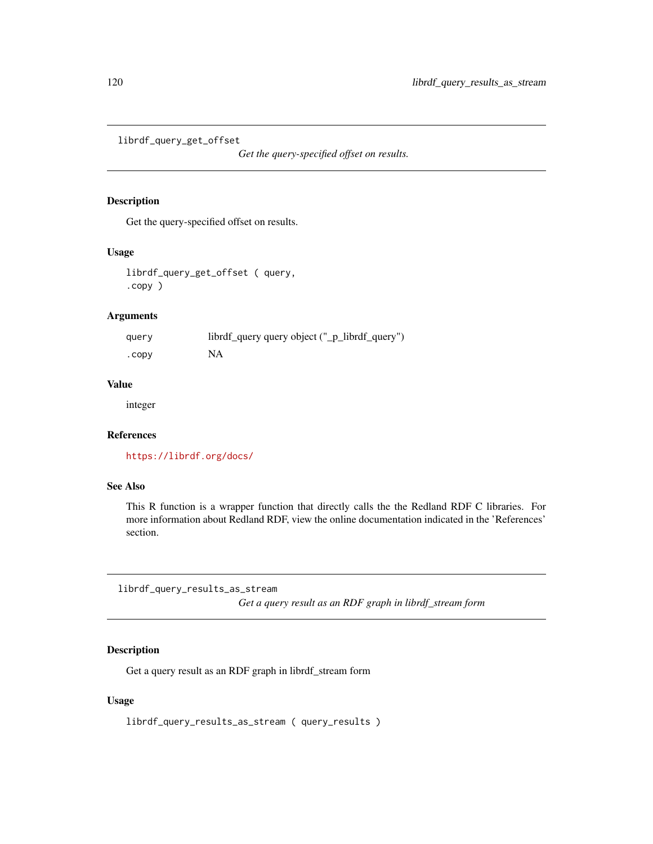librdf\_query\_get\_offset

*Get the query-specified offset on results.*

## Description

Get the query-specified offset on results.

## Usage

librdf\_query\_get\_offset ( query, .copy )

# Arguments

| query | librdf_query query object ("_p_librdf_query") |
|-------|-----------------------------------------------|
| .copy | NA                                            |

# Value

integer

## References

<https://librdf.org/docs/>

## See Also

This R function is a wrapper function that directly calls the the Redland RDF C libraries. For more information about Redland RDF, view the online documentation indicated in the 'References' section.

librdf\_query\_results\_as\_stream

*Get a query result as an RDF graph in librdf\_stream form*

# Description

Get a query result as an RDF graph in librdf\_stream form

#### Usage

librdf\_query\_results\_as\_stream ( query\_results )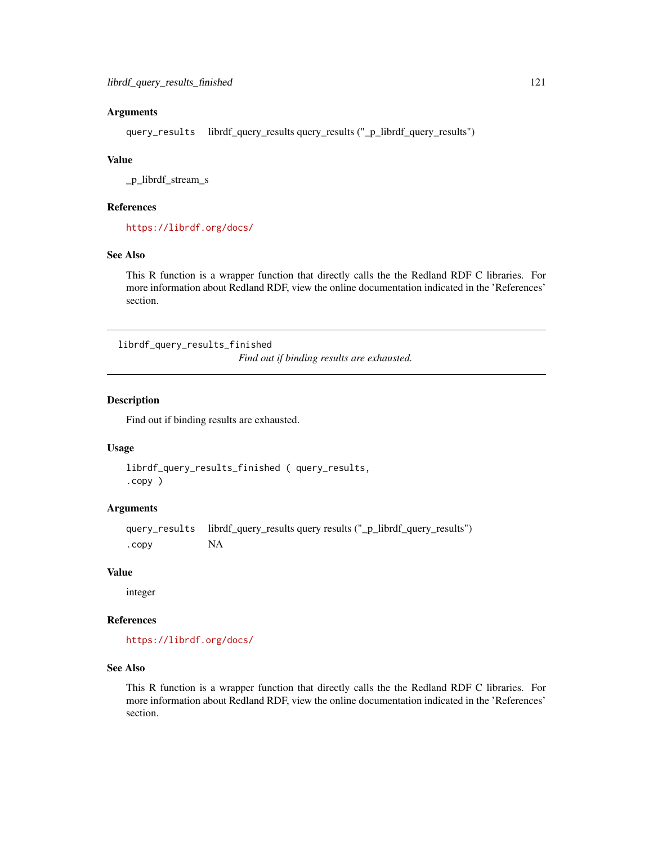query\_results librdf\_query\_results query\_results ("\_p\_librdf\_query\_results")

## Value

\_p\_librdf\_stream\_s

#### References

<https://librdf.org/docs/>

## See Also

This R function is a wrapper function that directly calls the the Redland RDF C libraries. For more information about Redland RDF, view the online documentation indicated in the 'References' section.

librdf\_query\_results\_finished

*Find out if binding results are exhausted.*

## Description

Find out if binding results are exhausted.

#### Usage

librdf\_query\_results\_finished ( query\_results, .copy )

#### Arguments

query\_results librdf\_query\_results query results ("\_p\_librdf\_query\_results") .copy NA

## Value

integer

#### References

<https://librdf.org/docs/>

## See Also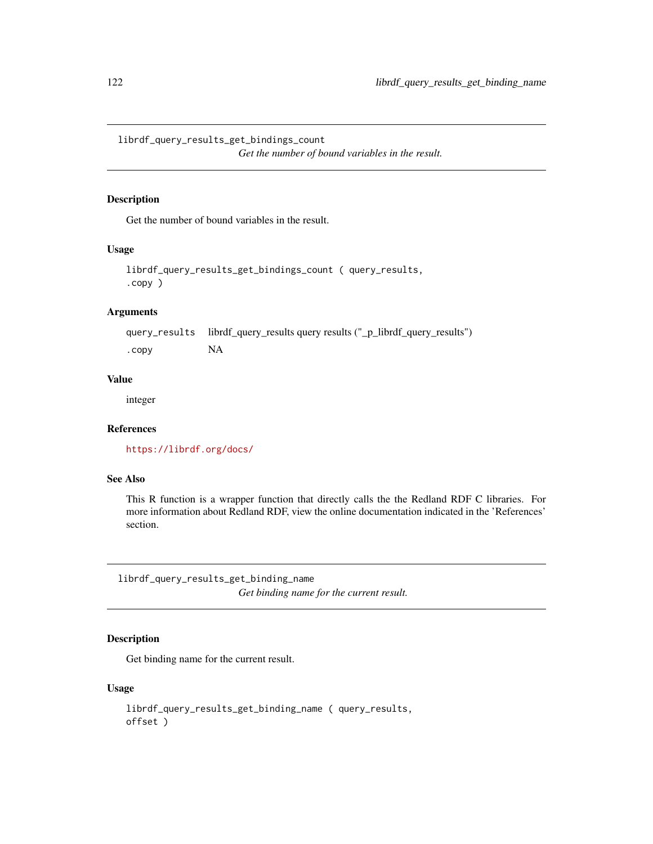librdf\_query\_results\_get\_bindings\_count *Get the number of bound variables in the result.*

## Description

Get the number of bound variables in the result.

# Usage

```
librdf_query_results_get_bindings_count ( query_results,
.copy )
```
# Arguments

|        | query_results librdf_query_results query results ("_p_librdf_query_results") |
|--------|------------------------------------------------------------------------------|
| . CODV | <b>NA</b>                                                                    |

#### Value

integer

# References

<https://librdf.org/docs/>

## See Also

This R function is a wrapper function that directly calls the the Redland RDF C libraries. For more information about Redland RDF, view the online documentation indicated in the 'References' section.

librdf\_query\_results\_get\_binding\_name *Get binding name for the current result.*

## Description

Get binding name for the current result.

```
librdf_query_results_get_binding_name ( query_results,
offset )
```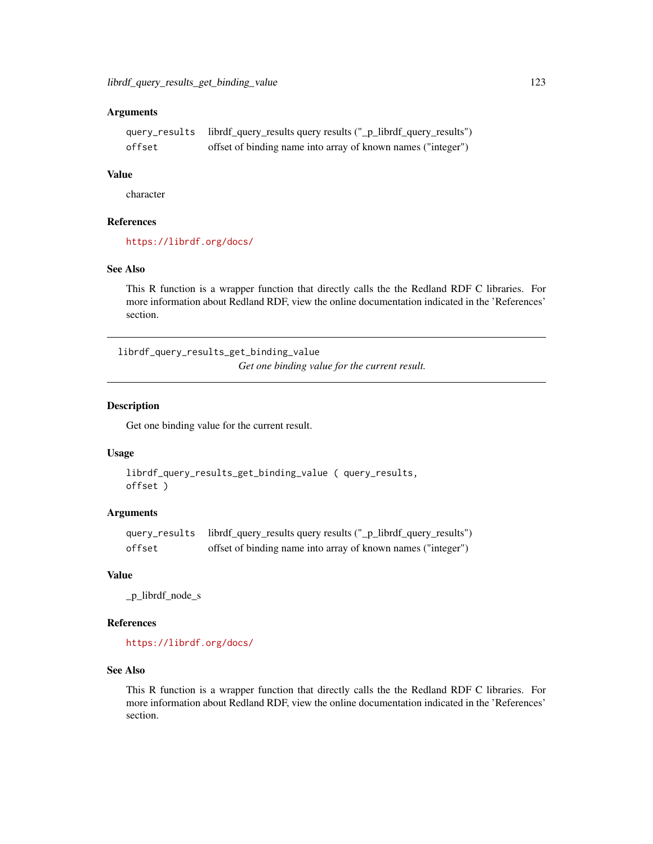|        | query_results librdf_query_results query results ("_p_librdf_query_results") |
|--------|------------------------------------------------------------------------------|
| offset | offset of binding name into array of known names ("integer")                 |

## Value

character

## References

<https://librdf.org/docs/>

## See Also

This R function is a wrapper function that directly calls the the Redland RDF C libraries. For more information about Redland RDF, view the online documentation indicated in the 'References' section.

librdf\_query\_results\_get\_binding\_value *Get one binding value for the current result.*

## Description

Get one binding value for the current result.

## Usage

```
librdf_query_results_get_binding_value ( query_results,
offset )
```
## Arguments

|        | query_results librdf_query_results query results ("_p_librdf_query_results") |
|--------|------------------------------------------------------------------------------|
| offset | offset of binding name into array of known names ("integer")                 |

#### Value

\_p\_librdf\_node\_s

#### References

<https://librdf.org/docs/>

## See Also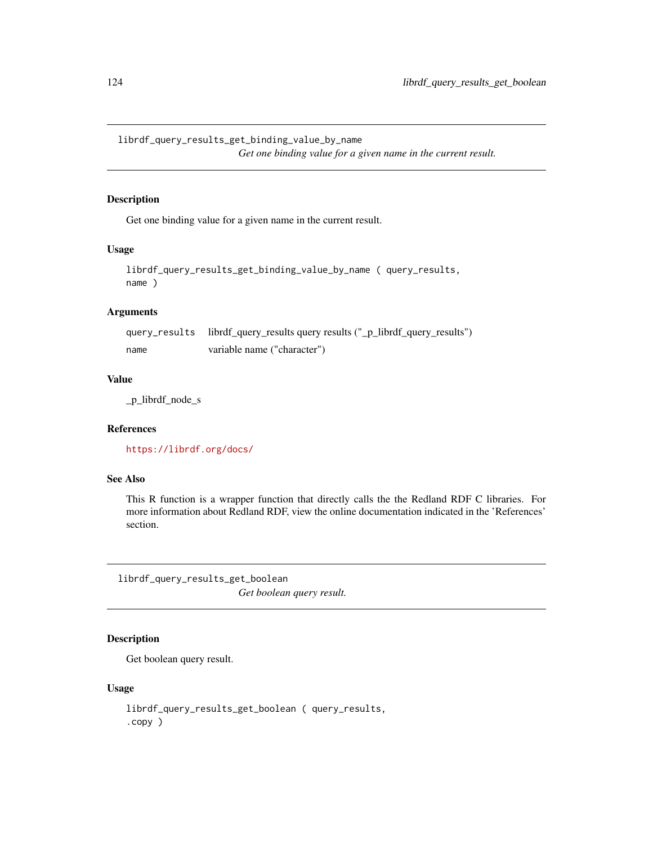librdf\_query\_results\_get\_binding\_value\_by\_name *Get one binding value for a given name in the current result.*

## Description

Get one binding value for a given name in the current result.

## Usage

```
librdf_query_results_get_binding_value_by_name ( query_results,
name )
```
# Arguments

|      | query_results librdf_query_results query results ("_p_librdf_query_results") |
|------|------------------------------------------------------------------------------|
| name | variable name ("character")                                                  |

#### Value

\_p\_librdf\_node\_s

## References

<https://librdf.org/docs/>

## See Also

This R function is a wrapper function that directly calls the the Redland RDF C libraries. For more information about Redland RDF, view the online documentation indicated in the 'References' section.

librdf\_query\_results\_get\_boolean *Get boolean query result.*

# Description

Get boolean query result.

```
librdf_query_results_get_boolean ( query_results,
.copy )
```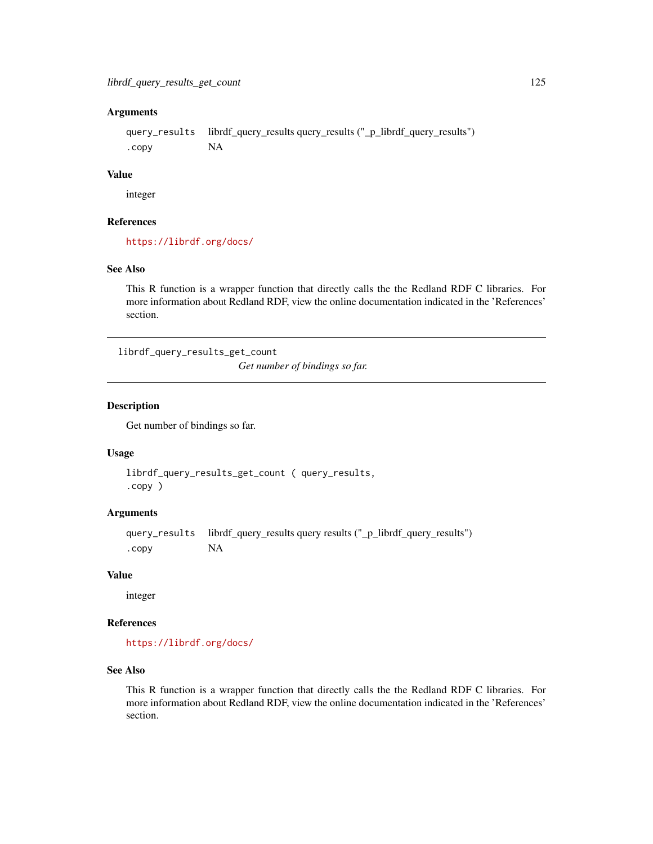```
query_results librdf_query_results query_results ("_p_librdf_query_results")
.copy NA
```
## Value

integer

## References

<https://librdf.org/docs/>

## See Also

This R function is a wrapper function that directly calls the the Redland RDF C libraries. For more information about Redland RDF, view the online documentation indicated in the 'References' section.

librdf\_query\_results\_get\_count

*Get number of bindings so far.*

## Description

Get number of bindings so far.

## Usage

```
librdf_query_results_get_count ( query_results,
.copy )
```
## Arguments

query\_results librdf\_query\_results query results ("\_p\_librdf\_query\_results") .copy NA

## Value

integer

# References

<https://librdf.org/docs/>

## See Also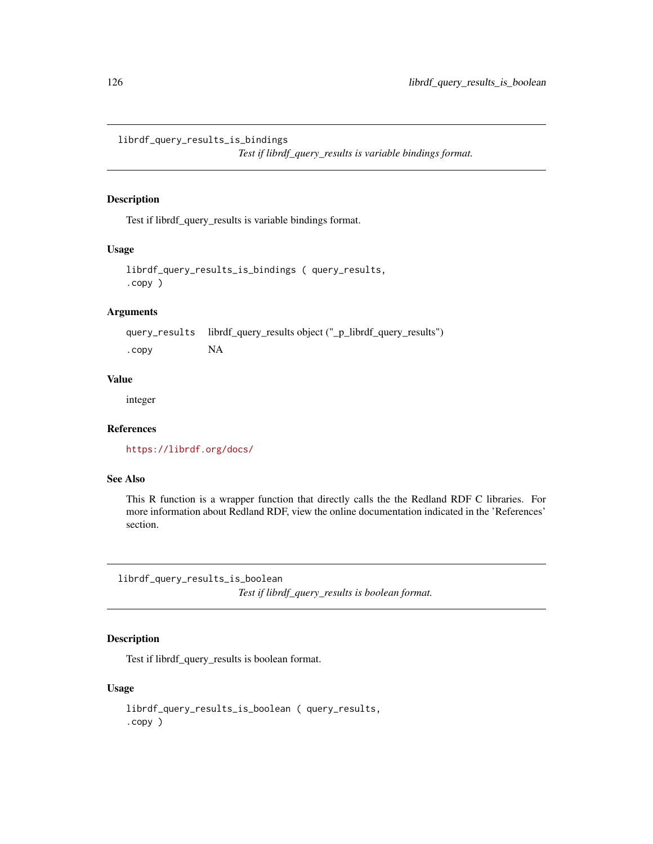librdf\_query\_results\_is\_bindings

*Test if librdf\_query\_results is variable bindings format.*

## Description

Test if librdf\_query\_results is variable bindings format.

## Usage

librdf\_query\_results\_is\_bindings ( query\_results, .copy )

# Arguments

query\_results librdf\_query\_results object ("\_p\_librdf\_query\_results") .copy NA

## Value

integer

# References

<https://librdf.org/docs/>

#### See Also

This R function is a wrapper function that directly calls the the Redland RDF C libraries. For more information about Redland RDF, view the online documentation indicated in the 'References' section.

librdf\_query\_results\_is\_boolean *Test if librdf\_query\_results is boolean format.*

# Description

Test if librdf\_query\_results is boolean format.

```
librdf_query_results_is_boolean ( query_results,
.copy )
```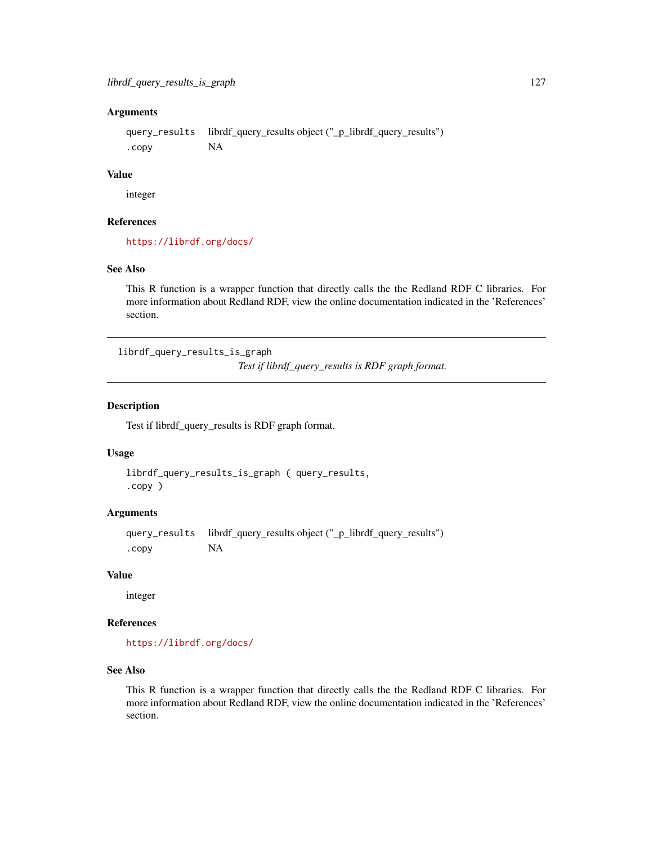query\_results librdf\_query\_results object ("\_p\_librdf\_query\_results") .copy NA

## Value

integer

# References

<https://librdf.org/docs/>

# See Also

This R function is a wrapper function that directly calls the the Redland RDF C libraries. For more information about Redland RDF, view the online documentation indicated in the 'References' section.

librdf\_query\_results\_is\_graph *Test if librdf\_query\_results is RDF graph format.*

## Description

Test if librdf\_query\_results is RDF graph format.

## Usage

```
librdf_query_results_is_graph ( query_results,
.copy )
```
## Arguments

query\_results librdf\_query\_results object ("\_p\_librdf\_query\_results") .copy NA

## Value

integer

# References

<https://librdf.org/docs/>

## See Also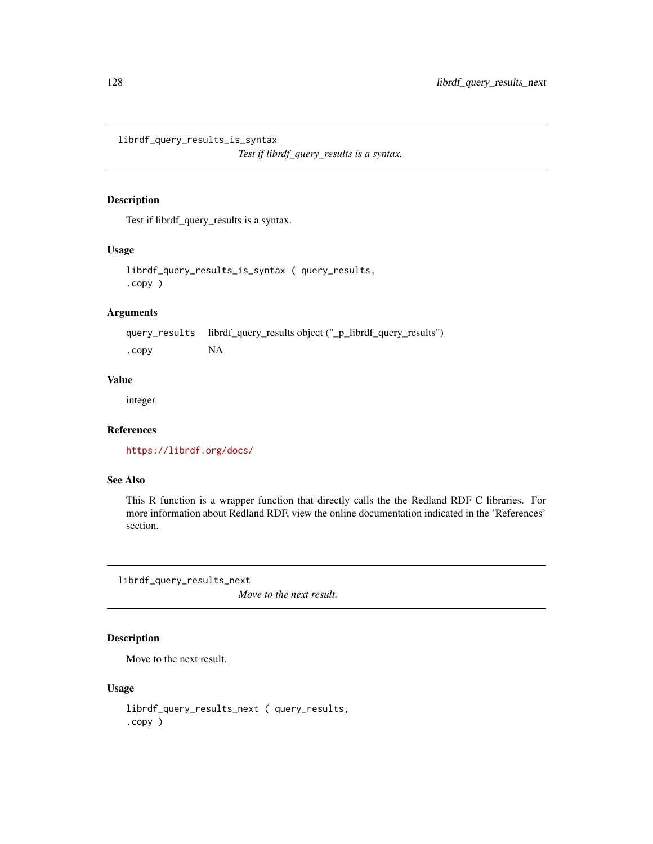librdf\_query\_results\_is\_syntax

*Test if librdf\_query\_results is a syntax.*

## Description

Test if librdf\_query\_results is a syntax.

## Usage

```
librdf_query_results_is_syntax ( query_results,
.copy )
```
# Arguments

|        | query_results librdf_query_results object ("_p_librdf_query_results") |
|--------|-----------------------------------------------------------------------|
| . CODV | NA.                                                                   |

## Value

integer

## References

<https://librdf.org/docs/>

# See Also

This R function is a wrapper function that directly calls the the Redland RDF C libraries. For more information about Redland RDF, view the online documentation indicated in the 'References' section.

librdf\_query\_results\_next

*Move to the next result.*

# Description

Move to the next result.

```
librdf_query_results_next ( query_results,
.copy )
```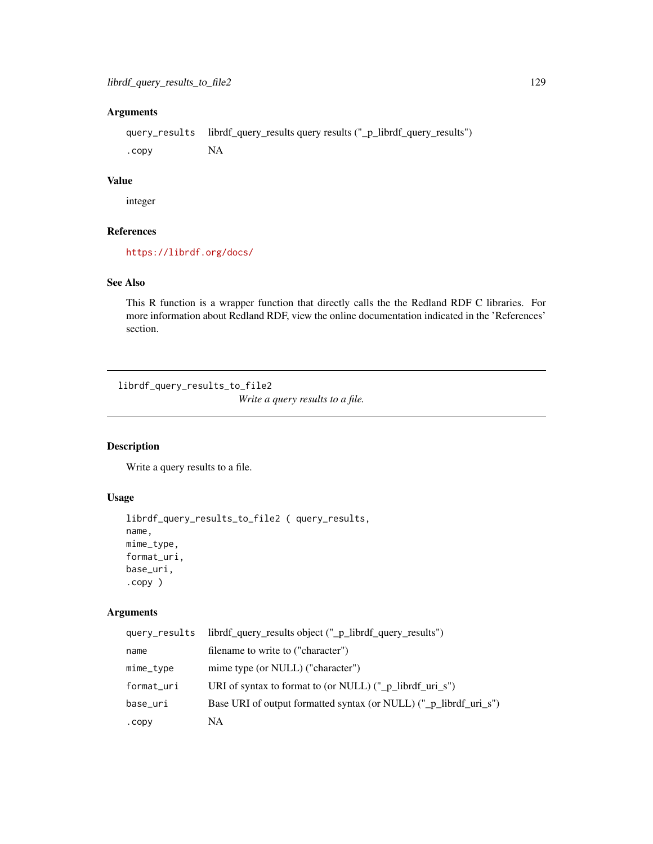```
query_results librdf_query_results query results ("_p_librdf_query_results")
.copy NA
```
#### Value

integer

# References

<https://librdf.org/docs/>

# See Also

This R function is a wrapper function that directly calls the the Redland RDF C libraries. For more information about Redland RDF, view the online documentation indicated in the 'References' section.

librdf\_query\_results\_to\_file2

*Write a query results to a file.*

# Description

Write a query results to a file.

# Usage

```
librdf_query_results_to_file2 ( query_results,
name,
mime_type,
format_uri,
base_uri,
.copy )
```
## Arguments

|            | query_results librdf_query_results object ("_p_librdf_query_results") |
|------------|-----------------------------------------------------------------------|
| name       | filename to write to ("character")                                    |
| mime_type  | mime type (or NULL) ("character")                                     |
| format_uri | URI of syntax to format to (or NULL) $("_p_{{\text{librdf\_uri}}_s"}$ |
| base_uri   | Base URI of output formatted syntax (or NULL) ("_p_librdf_uri_s")     |
| . CODY     | NA                                                                    |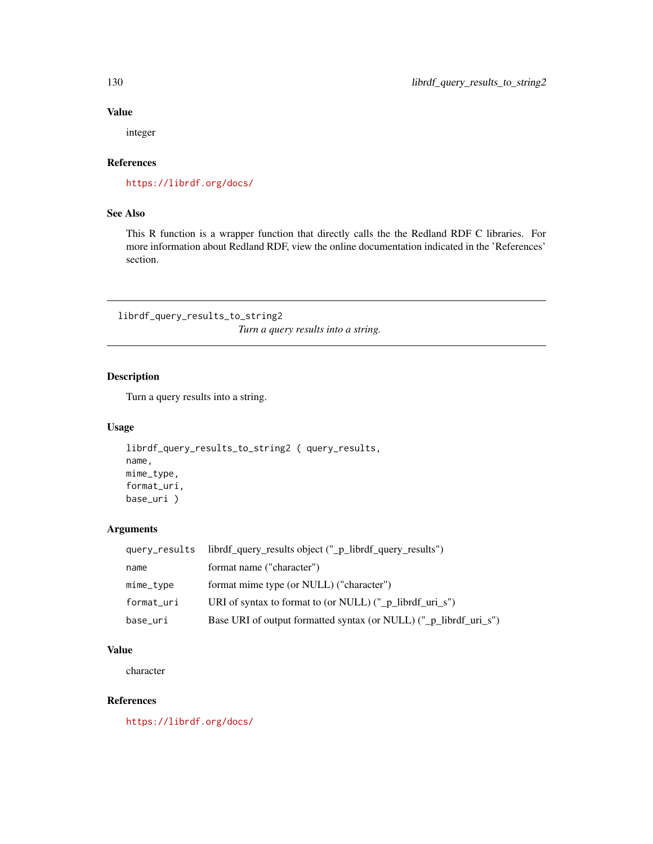# Value

integer

## References

<https://librdf.org/docs/>

# See Also

This R function is a wrapper function that directly calls the the Redland RDF C libraries. For more information about Redland RDF, view the online documentation indicated in the 'References' section.

librdf\_query\_results\_to\_string2 *Turn a query results into a string.*

# Description

Turn a query results into a string.

# Usage

```
librdf_query_results_to_string2 ( query_results,
name,
mime_type,
format_uri,
base_uri )
```
## Arguments

|            | query_results librdf_query_results object ("_p_librdf_query_results") |
|------------|-----------------------------------------------------------------------|
| name       | format name ("character")                                             |
| mime_type  | format mime type (or NULL) ("character")                              |
| format_uri | URI of syntax to format to (or NULL) $("_p_{{\text{librdf\_uri}}_s"}$ |
| base_uri   | Base URI of output formatted syntax (or NULL) ("_p_librdf_uri_s")     |

# Value

character

# References

<https://librdf.org/docs/>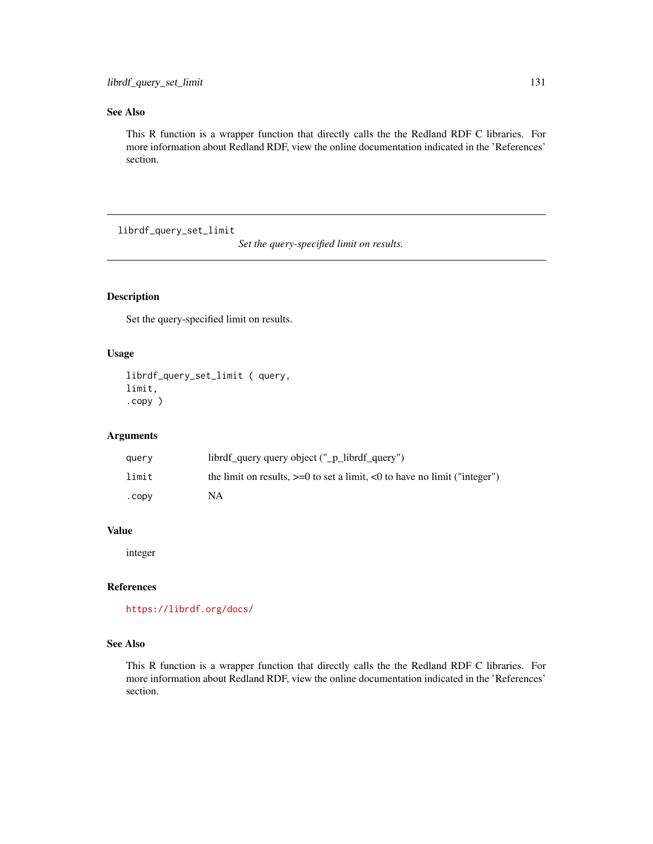# See Also

This R function is a wrapper function that directly calls the the Redland RDF C libraries. For more information about Redland RDF, view the online documentation indicated in the 'References' section.

librdf\_query\_set\_limit

*Set the query-specified limit on results.*

# Description

Set the query-specified limit on results.

## Usage

```
librdf_query_set_limit ( query,
limit,
.copy )
```
## Arguments

| query | librdf_query query object ("_p_librdf_query")                                  |
|-------|--------------------------------------------------------------------------------|
| limit | the limit on results, $>=0$ to set a limit, $< 0$ to have no limit ("integer") |
| .copy | NA                                                                             |

## Value

integer

# References

<https://librdf.org/docs/>

## See Also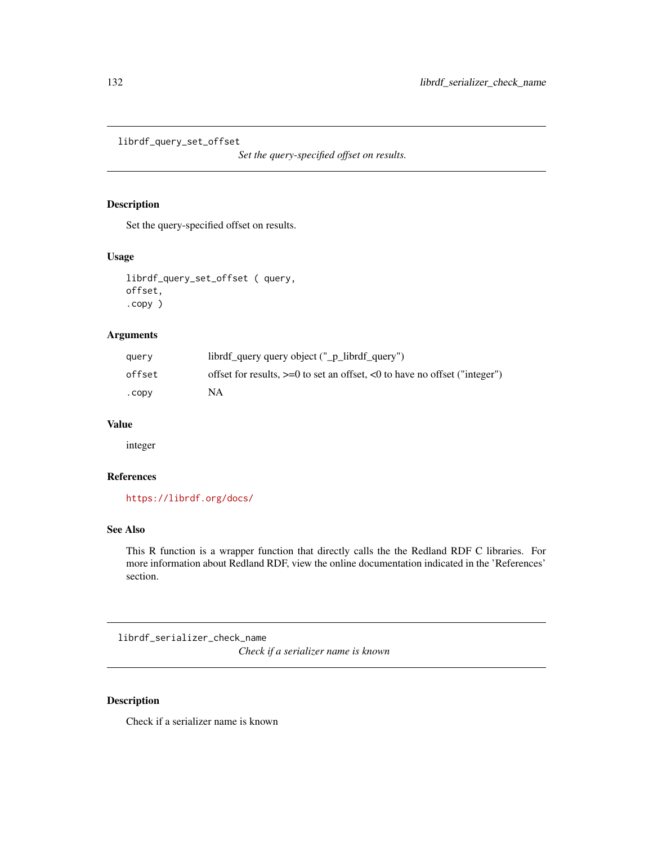librdf\_query\_set\_offset

*Set the query-specified offset on results.*

# Description

Set the query-specified offset on results.

# Usage

```
librdf_query_set_offset ( query,
offset,
.copy )
```
# Arguments

| query  | librdf query query object (" p librdf query")                                  |
|--------|--------------------------------------------------------------------------------|
| offset | offset for results, $>=0$ to set an offset, $<0$ to have no offset ("integer") |
| .copy  | NA                                                                             |

#### Value

integer

# References

<https://librdf.org/docs/>

## See Also

This R function is a wrapper function that directly calls the the Redland RDF C libraries. For more information about Redland RDF, view the online documentation indicated in the 'References' section.

librdf\_serializer\_check\_name

*Check if a serializer name is known*

# Description

Check if a serializer name is known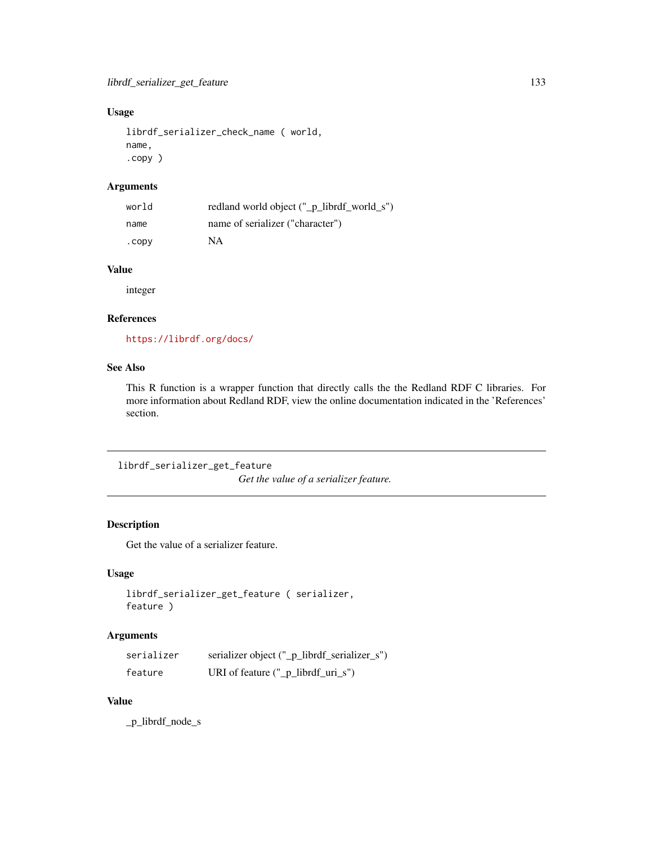# Usage

```
librdf_serializer_check_name ( world,
name,
.copy )
```
# Arguments

| world | redland world object ("_p_librdf_world_s") |
|-------|--------------------------------------------|
| name  | name of serializer ("character")           |
| .copy | NA                                         |

# Value

integer

## References

<https://librdf.org/docs/>

# See Also

This R function is a wrapper function that directly calls the the Redland RDF C libraries. For more information about Redland RDF, view the online documentation indicated in the 'References' section.

librdf\_serializer\_get\_feature

*Get the value of a serializer feature.*

# Description

Get the value of a serializer feature.

# Usage

```
librdf_serializer_get_feature ( serializer,
feature )
```
# Arguments

| serializer | serializer object ("_p_librdf_serializer_s")     |
|------------|--------------------------------------------------|
| feature    | URI of feature $("_p_{{\text{librdf\_uri_s}}"')$ |

## Value

\_p\_librdf\_node\_s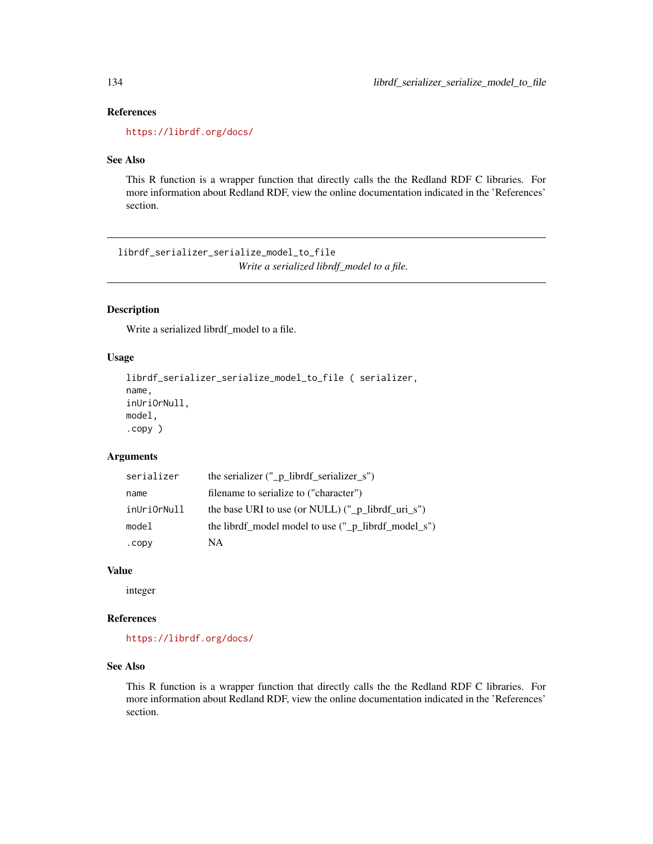# References

<https://librdf.org/docs/>

## See Also

This R function is a wrapper function that directly calls the the Redland RDF C libraries. For more information about Redland RDF, view the online documentation indicated in the 'References' section.

librdf\_serializer\_serialize\_model\_to\_file *Write a serialized librdf\_model to a file.*

## Description

Write a serialized librdf\_model to a file.

# Usage

```
librdf_serializer_serialize_model_to_file ( serializer,
name,
inUriOrNull,
model,
.copy )
```
# Arguments

| serializer  | the serializer $("_p_{{\text{-}}librdf_{{\text{-}}}\text{-}serializer_s")$  |
|-------------|-----------------------------------------------------------------------------|
| name        | filename to serialize to ("character")                                      |
| inUriOrNull | the base URI to use (or NULL) $('_p_{\text{librdf\_uri_s''}})$              |
| model       | the librdf_model model to use $("_p_{{\text{librdf}}_{{\text{model}}}}_s")$ |
| .copy       | NA                                                                          |

#### Value

integer

## References

<https://librdf.org/docs/>

## See Also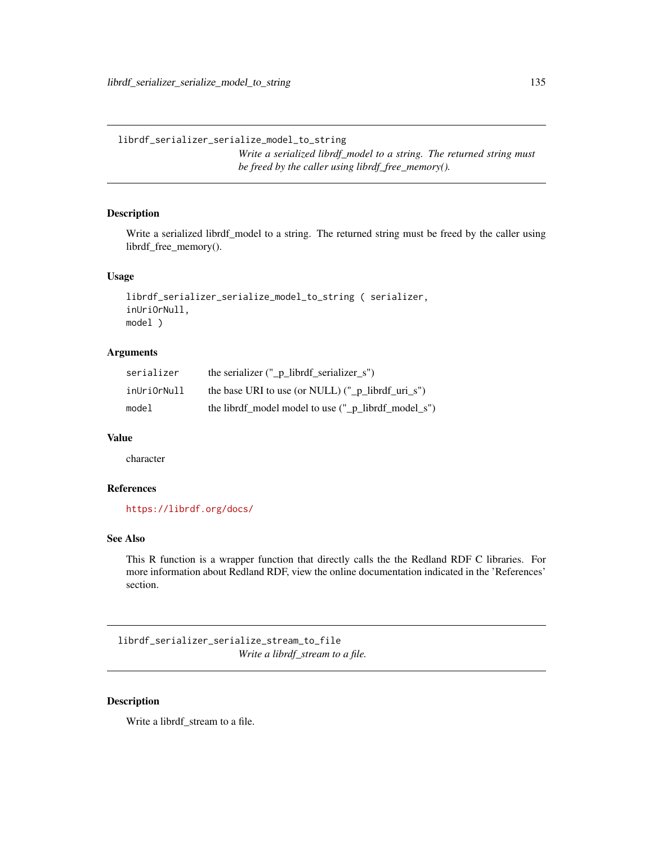librdf\_serializer\_serialize\_model\_to\_string *Write a serialized librdf\_model to a string. The returned string must be freed by the caller using librdf\_free\_memory().*

## Description

Write a serialized librdf\_model to a string. The returned string must be freed by the caller using librdf\_free\_memory().

# Usage

```
librdf_serializer_serialize_model_to_string ( serializer,
inUriOrNull,
model )
```
# Arguments

| serializer  | the serializer $("_p_{{\text{librdf\_serializer\_s}}")$        |
|-------------|----------------------------------------------------------------|
| inUriOrNull | the base URI to use (or NULL) $("_p_{{\text{librdf\_uri}}_s")$ |
| model       | the librdf model model to use (" p librdf model s")            |

# Value

character

## References

<https://librdf.org/docs/>

# See Also

This R function is a wrapper function that directly calls the the Redland RDF C libraries. For more information about Redland RDF, view the online documentation indicated in the 'References' section.

librdf\_serializer\_serialize\_stream\_to\_file *Write a librdf\_stream to a file.*

## Description

Write a librdf\_stream to a file.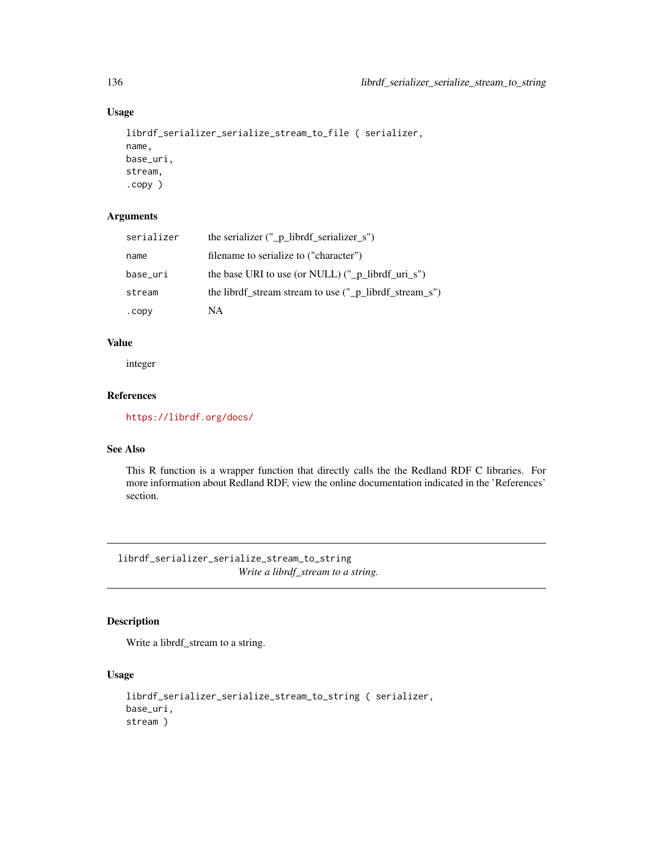# Usage

```
librdf_serializer_serialize_stream_to_file ( serializer,
name,
base_uri,
stream,
.copy )
```
# Arguments

| serializer | the serializer $("_p_{{\text{librdf\_serializer\_S}}")$ |
|------------|---------------------------------------------------------|
| name       | filename to serialize to ("character")                  |
| base_uri   | the base URI to use (or NULL) ("_p_librdf_uri_s")       |
| stream     | the librdf stream stream to use $('p$ librdf stream s") |
| .copy      | NA                                                      |

# Value

integer

## References

<https://librdf.org/docs/>

# See Also

This R function is a wrapper function that directly calls the the Redland RDF C libraries. For more information about Redland RDF, view the online documentation indicated in the 'References' section.

librdf\_serializer\_serialize\_stream\_to\_string *Write a librdf\_stream to a string.*

## Description

Write a librdf\_stream to a string.

```
librdf_serializer_serialize_stream_to_string ( serializer,
base_uri,
stream )
```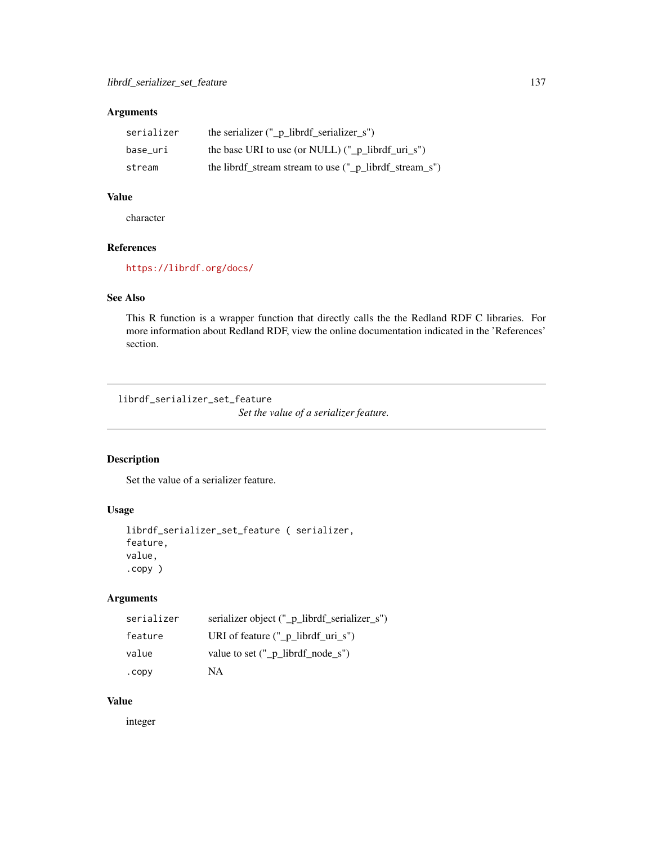| serializer | the serializer $("_p_{{\text{librdf\_serializer\_S}}")$              |
|------------|----------------------------------------------------------------------|
| base uri   | the base URI to use (or NULL) $("_p_{{\text{librdf\_uri}}_s")$       |
| stream     | the librdf_stream stream to use $("_p_{{\text{librdf\_stream\_s}}")$ |

# Value

character

## References

<https://librdf.org/docs/>

# See Also

This R function is a wrapper function that directly calls the the Redland RDF C libraries. For more information about Redland RDF, view the online documentation indicated in the 'References' section.

librdf\_serializer\_set\_feature

*Set the value of a serializer feature.*

# Description

Set the value of a serializer feature.

# Usage

```
librdf_serializer_set_feature ( serializer,
feature,
value,
.copy )
```
# Arguments

| serializer | serializer object ("_p_librdf_serializer_s")                |
|------------|-------------------------------------------------------------|
| feature    | URI of feature $("_p_{{\text{light}}\text{-}\text{uri}_s")$ |
| value      | value to set $(" p lineth)$ librdf node s")                 |
| .copy      | NA                                                          |

## Value

integer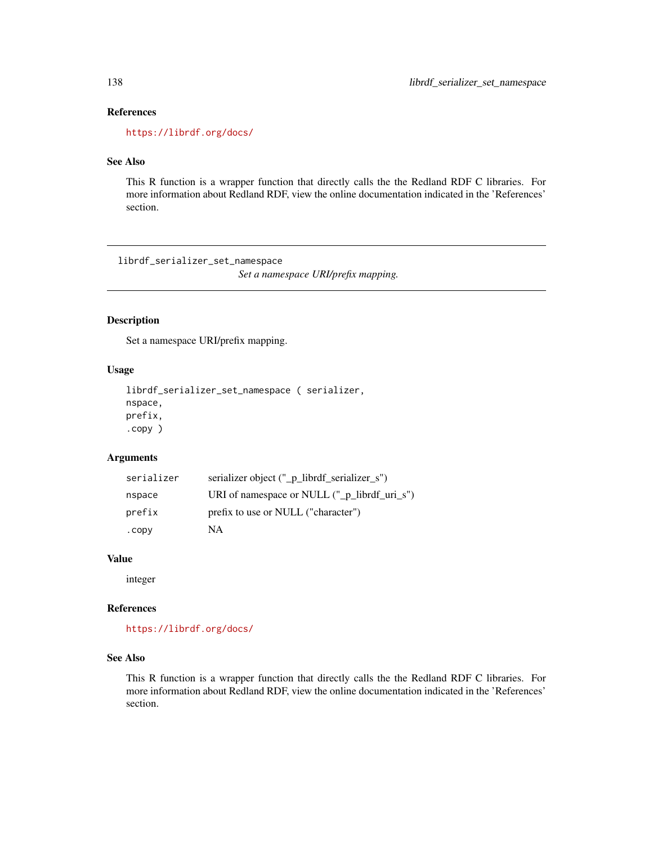# References

<https://librdf.org/docs/>

# See Also

This R function is a wrapper function that directly calls the the Redland RDF C libraries. For more information about Redland RDF, view the online documentation indicated in the 'References' section.

librdf\_serializer\_set\_namespace

*Set a namespace URI/prefix mapping.*

#### Description

Set a namespace URI/prefix mapping.

# Usage

```
librdf_serializer_set_namespace ( serializer,
nspace,
prefix,
.copy )
```
# Arguments

| serializer | serializer object ("_p_librdf_serializer_s")                      |
|------------|-------------------------------------------------------------------|
| nspace     | URI of namespace or NULL $("_p_{{\text{lightdf}}_{{\text{un}}}}'$ |
| prefix     | prefix to use or NULL ("character")                               |
| .copy      | NA.                                                               |

## Value

integer

## References

<https://librdf.org/docs/>

# See Also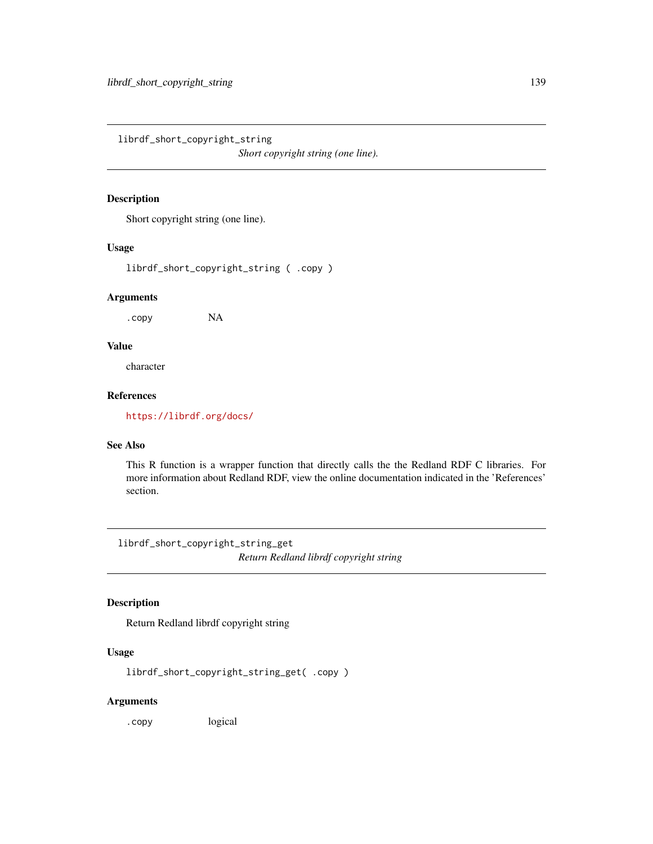librdf\_short\_copyright\_string

*Short copyright string (one line).*

# Description

Short copyright string (one line).

## Usage

librdf\_short\_copyright\_string ( .copy )

## Arguments

.copy NA

# Value

character

# References

<https://librdf.org/docs/>

# See Also

This R function is a wrapper function that directly calls the the Redland RDF C libraries. For more information about Redland RDF, view the online documentation indicated in the 'References' section.

librdf\_short\_copyright\_string\_get *Return Redland librdf copyright string*

# Description

Return Redland librdf copyright string

# Usage

librdf\_short\_copyright\_string\_get( .copy )

## Arguments

.copy logical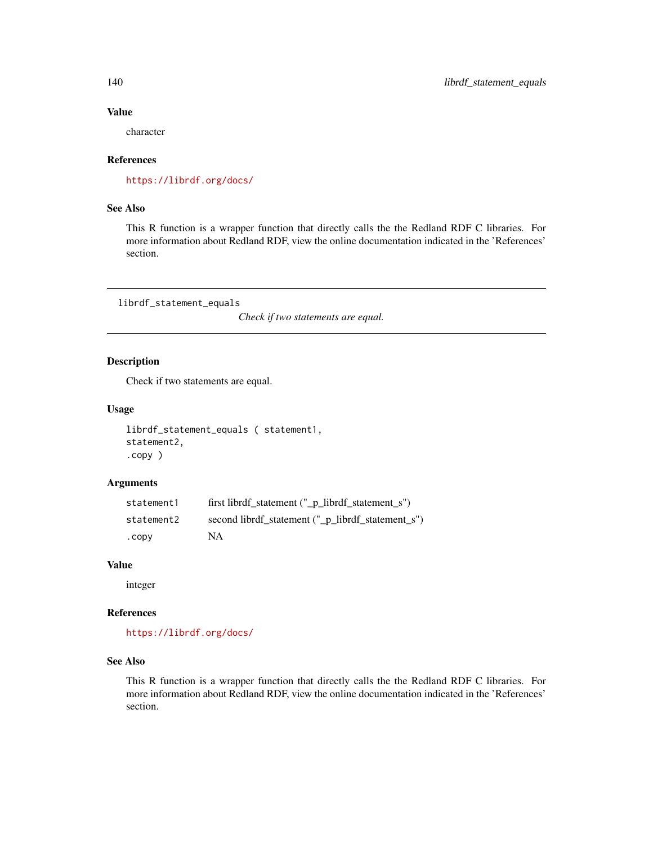# Value

character

#### References

<https://librdf.org/docs/>

## See Also

This R function is a wrapper function that directly calls the the Redland RDF C libraries. For more information about Redland RDF, view the online documentation indicated in the 'References' section.

librdf\_statement\_equals

*Check if two statements are equal.*

# Description

Check if two statements are equal.

## Usage

```
librdf_statement_equals ( statement1,
statement2,
.copy )
```
## Arguments

| statement1 | first librdf statement $(" p$ librdf statement $s")$ |
|------------|------------------------------------------------------|
| statement2 | second librdf_statement ("_p_librdf_statement_s")    |
| . CODV     | NA                                                   |

#### Value

integer

#### References

<https://librdf.org/docs/>

## See Also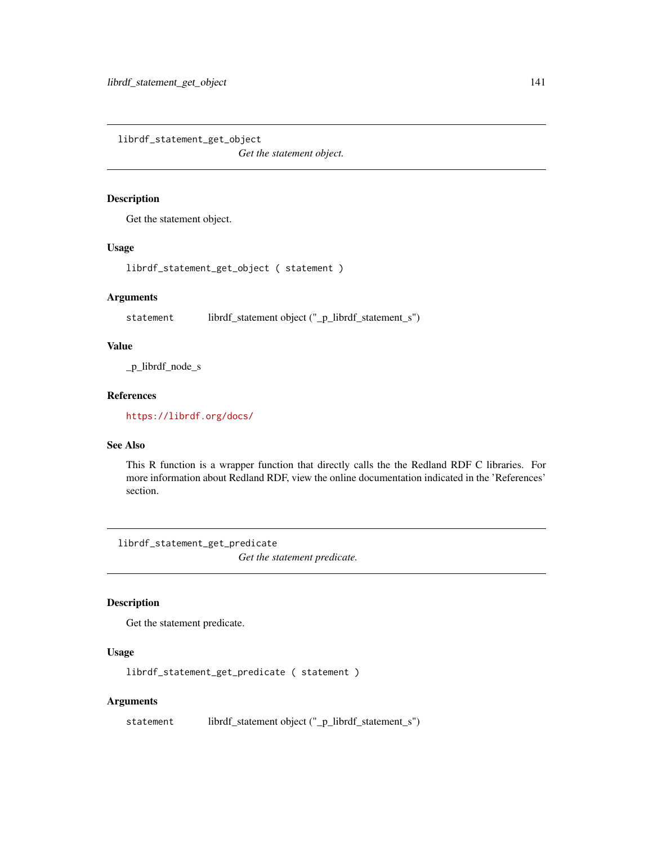librdf\_statement\_get\_object

*Get the statement object.*

## Description

Get the statement object.

#### Usage

librdf\_statement\_get\_object ( statement )

#### Arguments

statement librdf\_statement object ("\_p\_librdf\_statement\_s")

# Value

\_p\_librdf\_node\_s

# References

<https://librdf.org/docs/>

# See Also

This R function is a wrapper function that directly calls the the Redland RDF C libraries. For more information about Redland RDF, view the online documentation indicated in the 'References' section.

librdf\_statement\_get\_predicate

*Get the statement predicate.*

# Description

Get the statement predicate.

## Usage

librdf\_statement\_get\_predicate ( statement )

#### Arguments

statement librdf\_statement object ("\_p\_librdf\_statement\_s")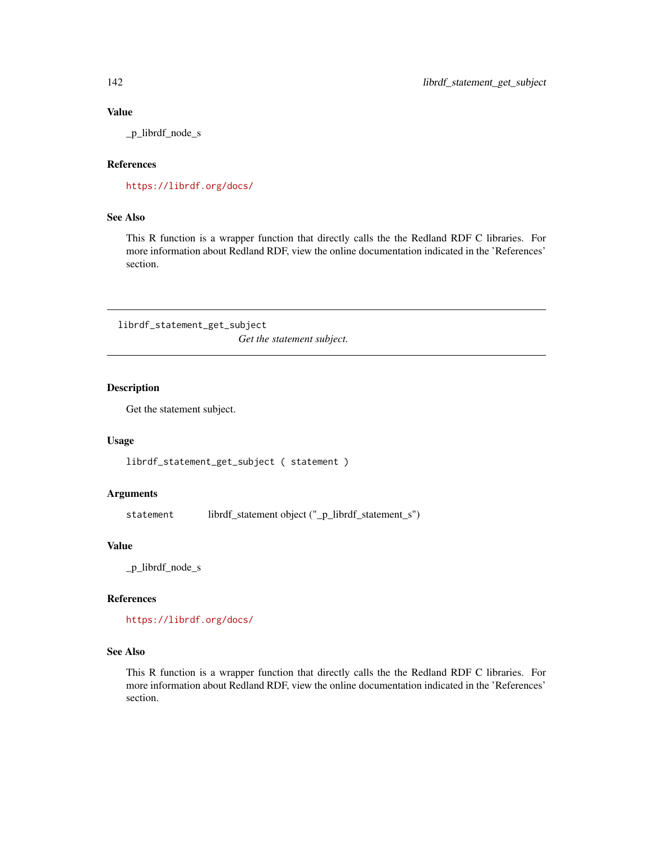# Value

\_p\_librdf\_node\_s

# References

<https://librdf.org/docs/>

# See Also

This R function is a wrapper function that directly calls the the Redland RDF C libraries. For more information about Redland RDF, view the online documentation indicated in the 'References' section.

librdf\_statement\_get\_subject *Get the statement subject.*

## Description

Get the statement subject.

#### Usage

librdf\_statement\_get\_subject ( statement )

## Arguments

statement librdf\_statement object ("\_p\_librdf\_statement\_s")

## Value

\_p\_librdf\_node\_s

#### References

<https://librdf.org/docs/>

## See Also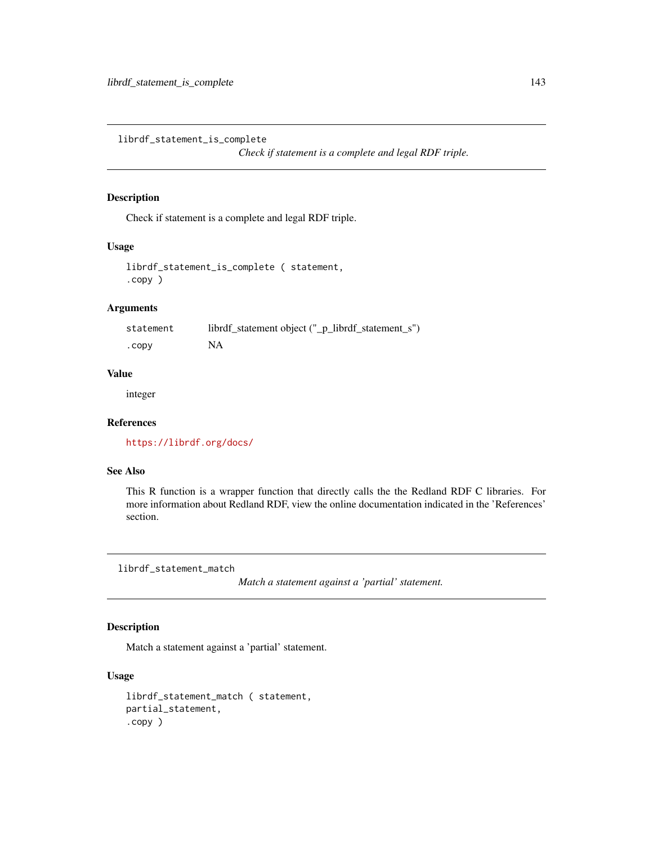librdf\_statement\_is\_complete

*Check if statement is a complete and legal RDF triple.*

## Description

Check if statement is a complete and legal RDF triple.

## Usage

```
librdf_statement_is_complete ( statement,
.copy )
```
## Arguments

| statement | librdf_statement object ("_p_librdf_statement_s") |
|-----------|---------------------------------------------------|
| . CODV    | NA                                                |

## Value

integer

# References

<https://librdf.org/docs/>

## See Also

This R function is a wrapper function that directly calls the the Redland RDF C libraries. For more information about Redland RDF, view the online documentation indicated in the 'References' section.

librdf\_statement\_match

*Match a statement against a 'partial' statement.*

# Description

Match a statement against a 'partial' statement.

```
librdf_statement_match ( statement,
partial_statement,
.copy )
```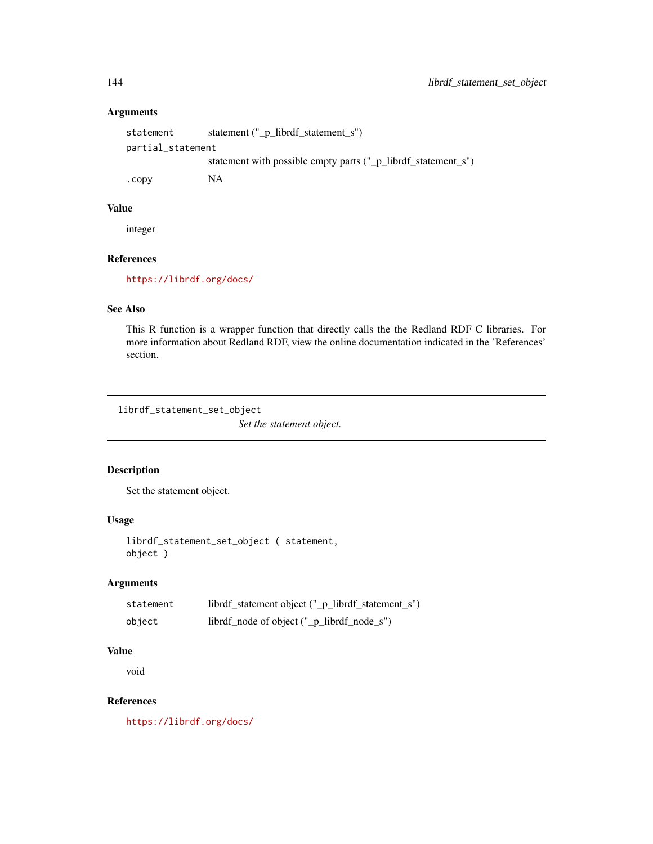```
statement statement ("_p_librdf_statement_s")
partial_statement
               statement with possible empty parts ("_p_librdf_statement_s")
.copy NA
```
## Value

integer

# References

<https://librdf.org/docs/>

## See Also

This R function is a wrapper function that directly calls the the Redland RDF C libraries. For more information about Redland RDF, view the online documentation indicated in the 'References' section.

librdf\_statement\_set\_object

*Set the statement object.*

## Description

Set the statement object.

## Usage

```
librdf_statement_set_object ( statement,
object )
```
## Arguments

| statement | librdf_statement object ("_p_librdf_statement_s") |
|-----------|---------------------------------------------------|
| object    | librdf_node of object ("_p_librdf_node_s")        |

# Value

void

# References

<https://librdf.org/docs/>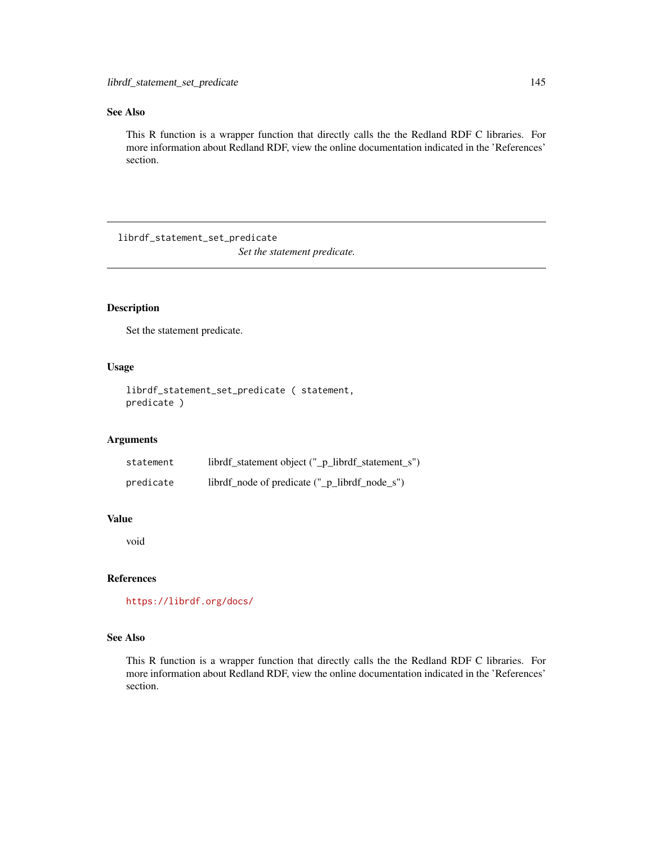## See Also

This R function is a wrapper function that directly calls the the Redland RDF C libraries. For more information about Redland RDF, view the online documentation indicated in the 'References' section.

librdf\_statement\_set\_predicate *Set the statement predicate.*

## Description

Set the statement predicate.

#### Usage

```
librdf_statement_set_predicate ( statement,
predicate )
```
## Arguments

| statement | librdf_statement object ("_p_librdf_statement_s") |
|-----------|---------------------------------------------------|
| predicate | librdf_node of predicate ("_p_librdf_node_s")     |

## Value

void

#### References

<https://librdf.org/docs/>

#### See Also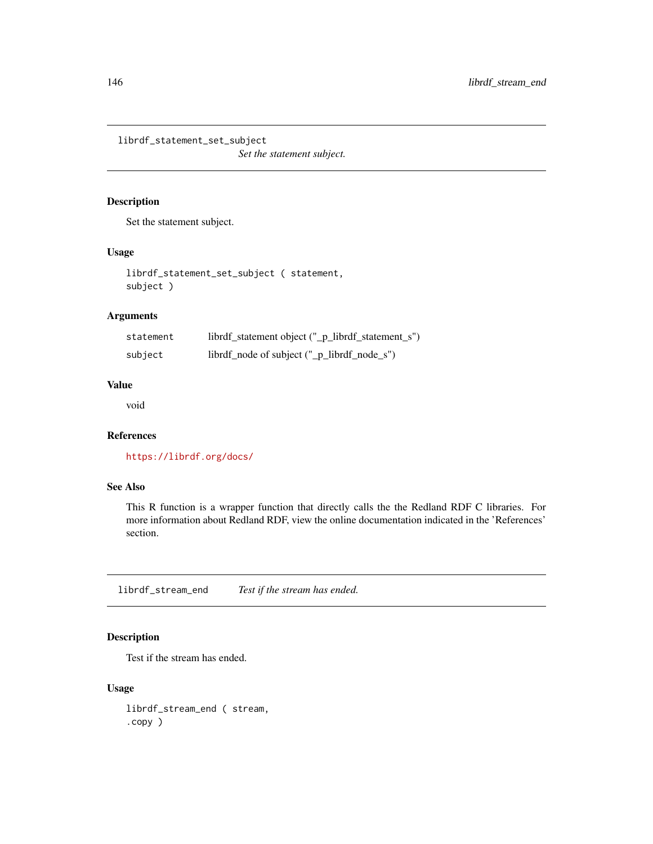librdf\_statement\_set\_subject

*Set the statement subject.*

#### Description

Set the statement subject.

## Usage

```
librdf_statement_set_subject ( statement,
subject )
```
## Arguments

| statement | librdf_statement object ("_p_librdf_statement_s") |
|-----------|---------------------------------------------------|
| subject   | librdf_node of subject ("_p_librdf_node_s")       |

#### Value

void

## References

<https://librdf.org/docs/>

# See Also

This R function is a wrapper function that directly calls the the Redland RDF C libraries. For more information about Redland RDF, view the online documentation indicated in the 'References' section.

librdf\_stream\_end *Test if the stream has ended.*

## Description

Test if the stream has ended.

#### Usage

librdf\_stream\_end ( stream, .copy )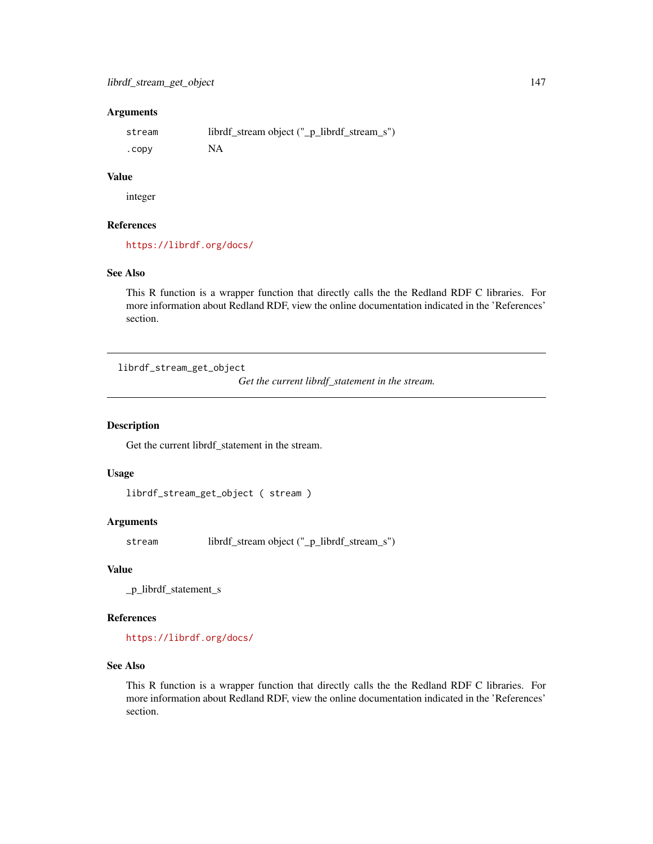#### Arguments

| stream | librdf_stream object ("_p_librdf_stream_s") |
|--------|---------------------------------------------|
| . CODV | <b>NA</b>                                   |

#### Value

integer

#### References

<https://librdf.org/docs/>

#### See Also

This R function is a wrapper function that directly calls the the Redland RDF C libraries. For more information about Redland RDF, view the online documentation indicated in the 'References' section.

librdf\_stream\_get\_object

*Get the current librdf\_statement in the stream.*

#### Description

Get the current librdf\_statement in the stream.

## Usage

```
librdf_stream_get_object ( stream )
```
#### Arguments

stream librdf\_stream object ("\_p\_librdf\_stream\_s")

# Value

\_p\_librdf\_statement\_s

#### References

<https://librdf.org/docs/>

#### See Also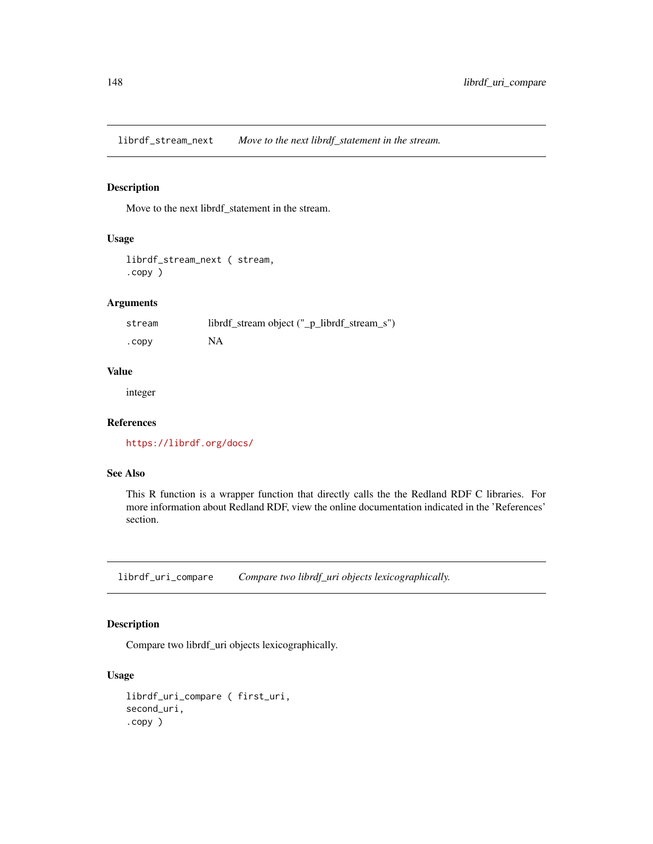librdf\_stream\_next *Move to the next librdf\_statement in the stream.*

# Description

Move to the next librdf\_statement in the stream.

#### Usage

```
librdf_stream_next ( stream,
.copy )
```
## Arguments

| stream | librdf_stream object ("_p_librdf_stream_s") |
|--------|---------------------------------------------|
| .copy  | <b>NA</b>                                   |

# Value

integer

# References

<https://librdf.org/docs/>

# See Also

This R function is a wrapper function that directly calls the the Redland RDF C libraries. For more information about Redland RDF, view the online documentation indicated in the 'References' section.

librdf\_uri\_compare *Compare two librdf\_uri objects lexicographically.*

# Description

Compare two librdf\_uri objects lexicographically.

## Usage

```
librdf_uri_compare ( first_uri,
second_uri,
.copy )
```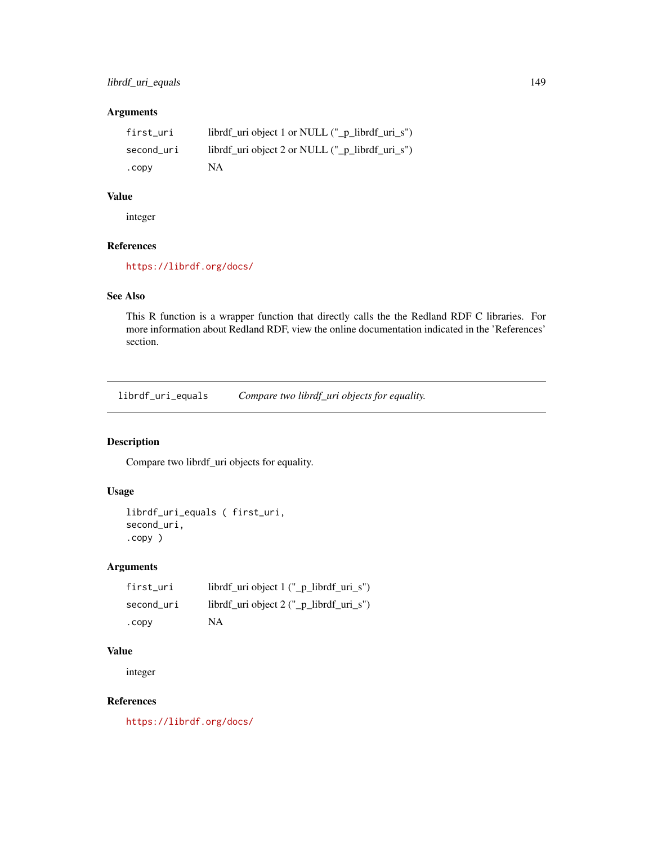## librdf\_uri\_equals 149

# Arguments

| first_uri  | librdf_uri object 1 or NULL $("_p_{{\text{lightdf}}_{{\text{uri}}S}}")$ |
|------------|-------------------------------------------------------------------------|
| second_uri | librdf_uri object 2 or NULL $("_p_{{\text{lightdf}}_{{\text{un}}}}'$    |
| . CODV     | NA.                                                                     |

## Value

integer

# References

<https://librdf.org/docs/>

# See Also

This R function is a wrapper function that directly calls the the Redland RDF C libraries. For more information about Redland RDF, view the online documentation indicated in the 'References' section.

librdf\_uri\_equals *Compare two librdf\_uri objects for equality.*

## Description

Compare two librdf\_uri objects for equality.

## Usage

```
librdf_uri_equals ( first_uri,
second_uri,
.copy )
```
## Arguments

| first uri  | librdf_uri object $1 ("_p_{{\text{-}}\text{-}}liptdf_{{\text{-}}\text{-}}ur_i_s")$ |
|------------|------------------------------------------------------------------------------------|
| second uri | librdf_uri object $2$ ("_p_librdf_uri_s")                                          |
| . CODV     | NA                                                                                 |

# Value

integer

# References

<https://librdf.org/docs/>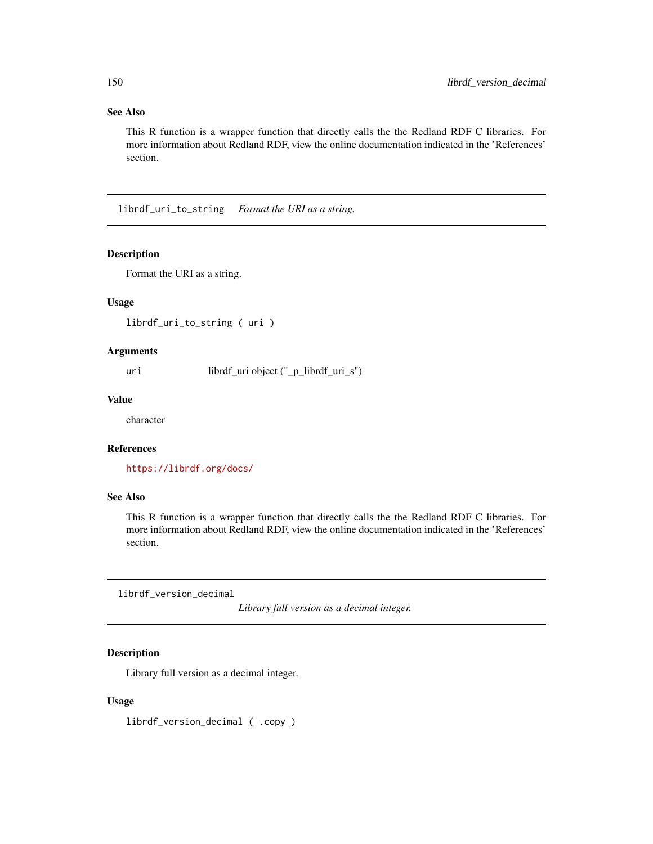# See Also

This R function is a wrapper function that directly calls the the Redland RDF C libraries. For more information about Redland RDF, view the online documentation indicated in the 'References' section.

librdf\_uri\_to\_string *Format the URI as a string.*

#### Description

Format the URI as a string.

# Usage

librdf\_uri\_to\_string ( uri )

## Arguments

uri librdf\_uri object ("\_p\_librdf\_uri\_s")

#### Value

character

## References

<https://librdf.org/docs/>

#### See Also

This R function is a wrapper function that directly calls the the Redland RDF C libraries. For more information about Redland RDF, view the online documentation indicated in the 'References' section.

librdf\_version\_decimal

*Library full version as a decimal integer.*

#### Description

Library full version as a decimal integer.

#### Usage

librdf\_version\_decimal ( .copy )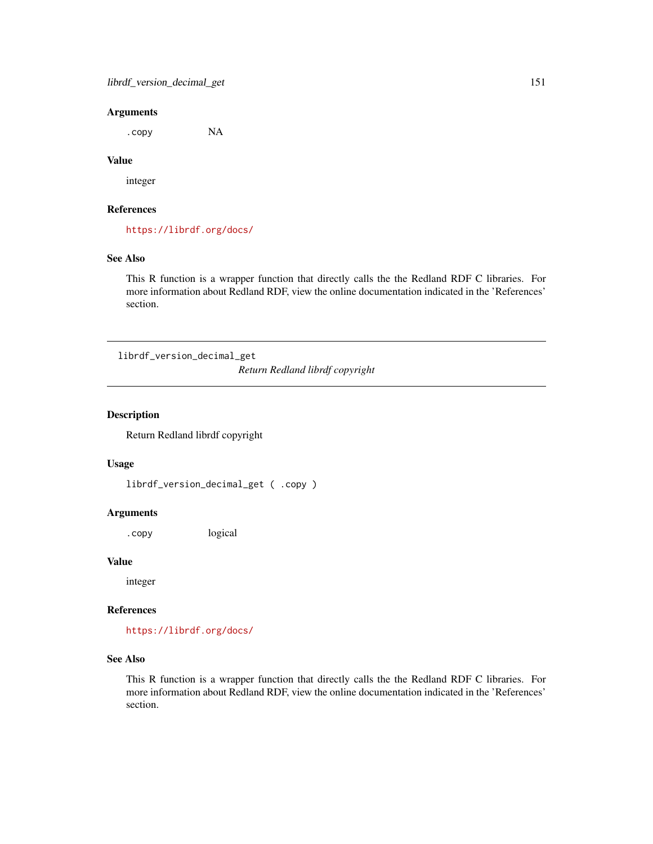#### Arguments

.copy NA

## Value

integer

# References

<https://librdf.org/docs/>

## See Also

This R function is a wrapper function that directly calls the the Redland RDF C libraries. For more information about Redland RDF, view the online documentation indicated in the 'References' section.

librdf\_version\_decimal\_get

*Return Redland librdf copyright*

## Description

Return Redland librdf copyright

#### Usage

```
librdf_version_decimal_get ( .copy )
```
### Arguments

.copy logical

#### Value

integer

#### References

<https://librdf.org/docs/>

## See Also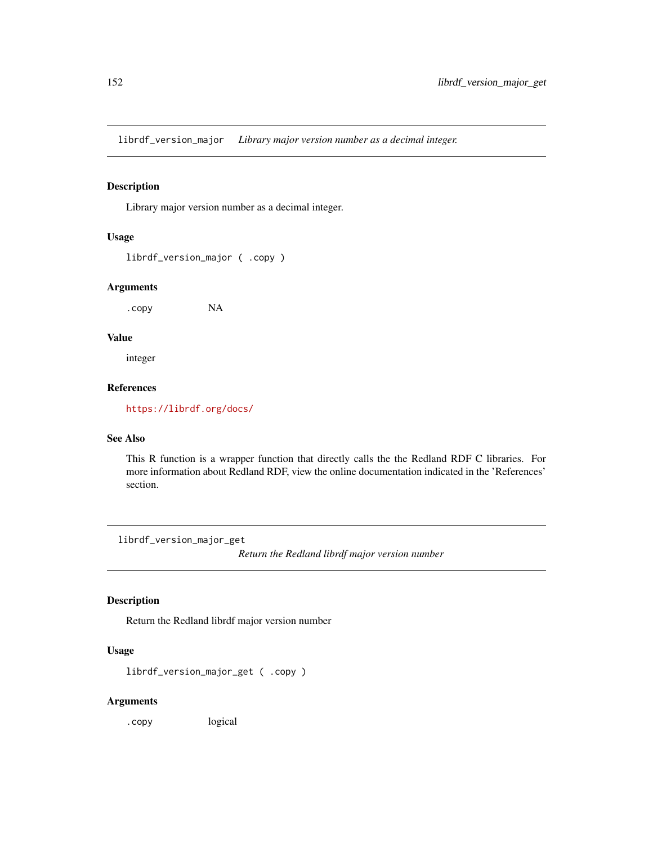librdf\_version\_major *Library major version number as a decimal integer.*

## Description

Library major version number as a decimal integer.

## Usage

```
librdf_version_major ( .copy )
```
#### Arguments

.copy NA

#### Value

integer

## References

<https://librdf.org/docs/>

#### See Also

This R function is a wrapper function that directly calls the the Redland RDF C libraries. For more information about Redland RDF, view the online documentation indicated in the 'References' section.

librdf\_version\_major\_get

*Return the Redland librdf major version number*

#### Description

Return the Redland librdf major version number

# Usage

librdf\_version\_major\_get ( .copy )

#### Arguments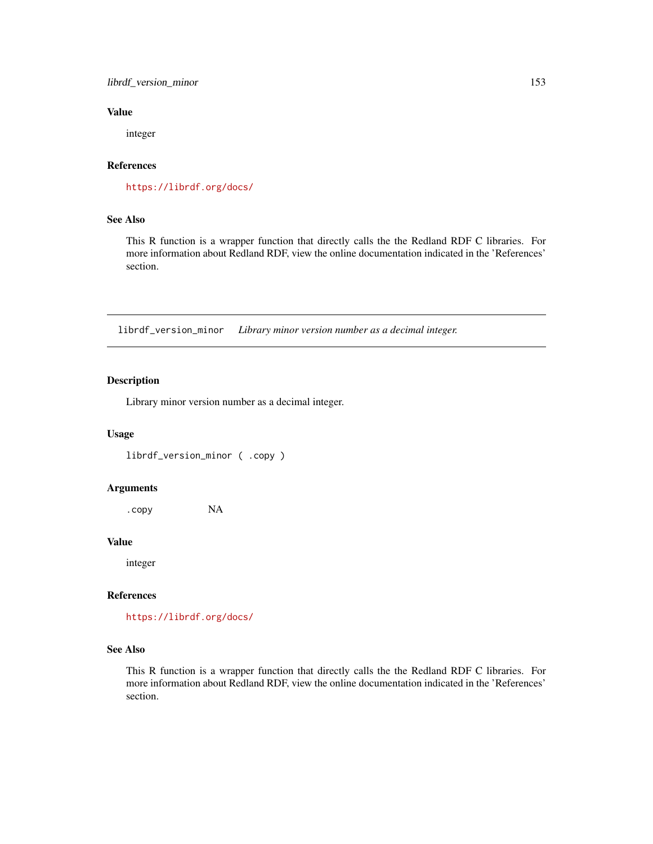## librdf\_version\_minor 153

# Value

integer

#### References

<https://librdf.org/docs/>

#### See Also

This R function is a wrapper function that directly calls the the Redland RDF C libraries. For more information about Redland RDF, view the online documentation indicated in the 'References' section.

librdf\_version\_minor *Library minor version number as a decimal integer.*

## Description

Library minor version number as a decimal integer.

#### Usage

librdf\_version\_minor ( .copy )

## Arguments

.copy NA

#### Value

integer

## References

<https://librdf.org/docs/>

#### See Also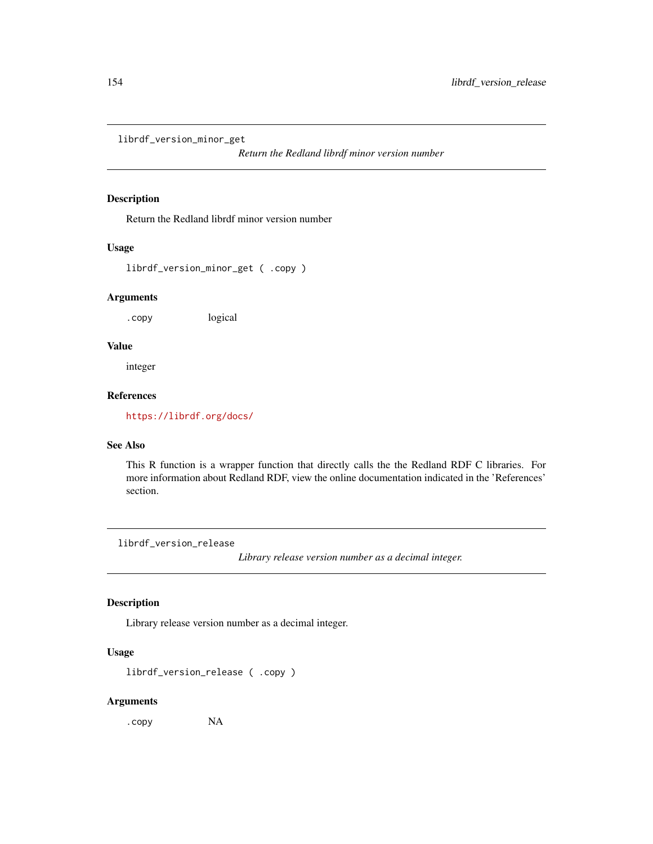librdf\_version\_minor\_get

*Return the Redland librdf minor version number*

## Description

Return the Redland librdf minor version number

#### Usage

librdf\_version\_minor\_get ( .copy )

#### Arguments

.copy logical

## Value

integer

# References

<https://librdf.org/docs/>

# See Also

This R function is a wrapper function that directly calls the the Redland RDF C libraries. For more information about Redland RDF, view the online documentation indicated in the 'References' section.

librdf\_version\_release

*Library release version number as a decimal integer.*

# Description

Library release version number as a decimal integer.

#### Usage

librdf\_version\_release ( .copy )

# Arguments

.copy NA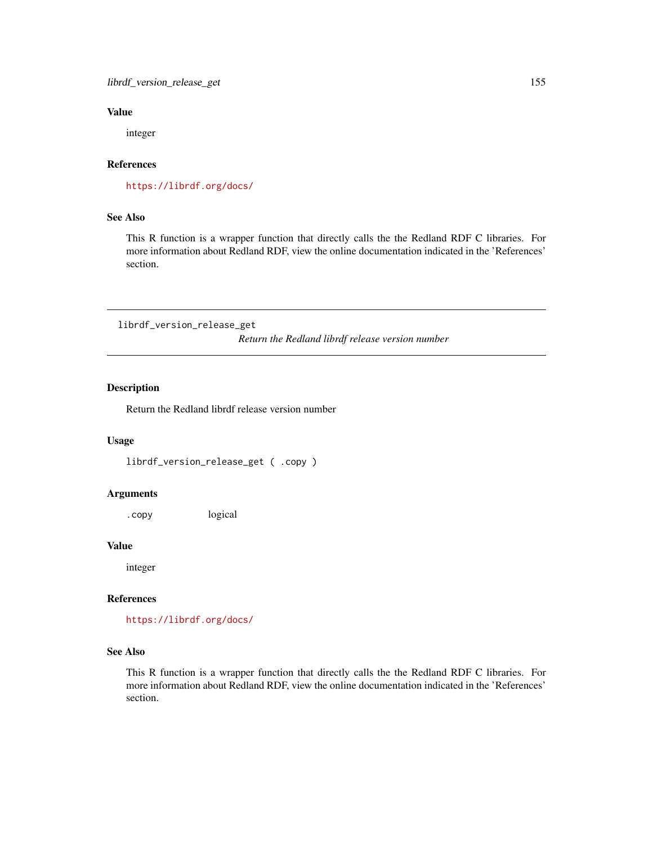# Value

integer

# References

<https://librdf.org/docs/>

## See Also

This R function is a wrapper function that directly calls the the Redland RDF C libraries. For more information about Redland RDF, view the online documentation indicated in the 'References' section.

librdf\_version\_release\_get

*Return the Redland librdf release version number*

#### Description

Return the Redland librdf release version number

#### Usage

librdf\_version\_release\_get ( .copy )

#### Arguments

.copy logical

#### Value

integer

#### References

<https://librdf.org/docs/>

# See Also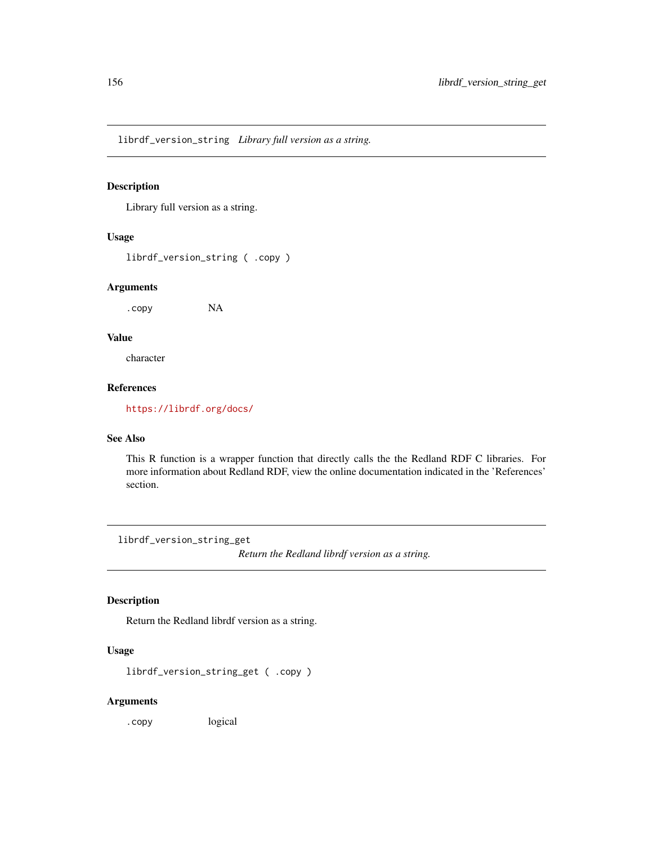librdf\_version\_string *Library full version as a string.*

## Description

Library full version as a string.

## Usage

librdf\_version\_string ( .copy )

#### Arguments

.copy NA

#### Value

character

## References

<https://librdf.org/docs/>

#### See Also

This R function is a wrapper function that directly calls the the Redland RDF C libraries. For more information about Redland RDF, view the online documentation indicated in the 'References' section.

librdf\_version\_string\_get

*Return the Redland librdf version as a string.*

#### Description

Return the Redland librdf version as a string.

## Usage

librdf\_version\_string\_get ( .copy )

#### Arguments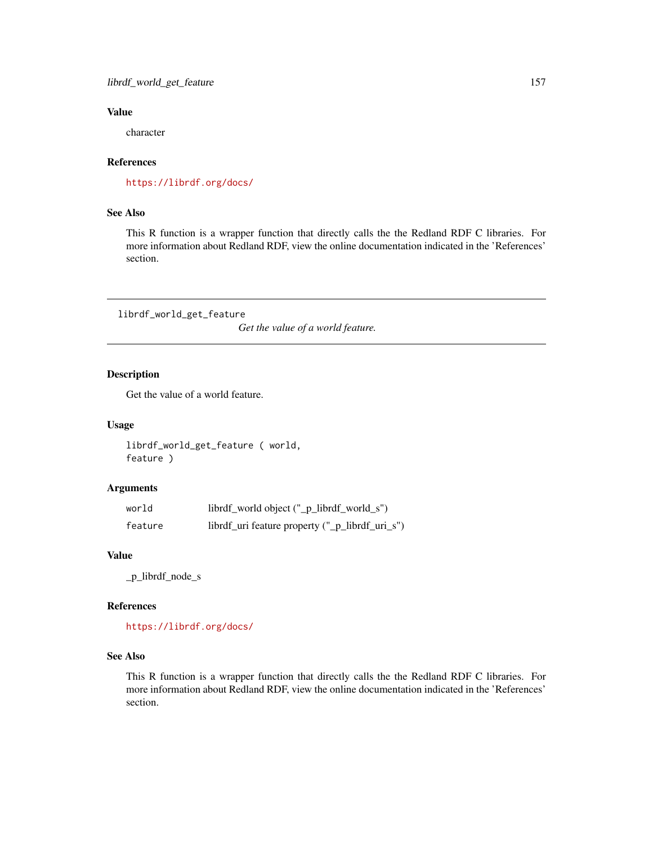# Value

character

## References

<https://librdf.org/docs/>

# See Also

This R function is a wrapper function that directly calls the the Redland RDF C libraries. For more information about Redland RDF, view the online documentation indicated in the 'References' section.

librdf\_world\_get\_feature

*Get the value of a world feature.*

## Description

Get the value of a world feature.

#### Usage

librdf\_world\_get\_feature ( world, feature )

## Arguments

| world   | librdf_world object ("_p_librdf_world_s")       |
|---------|-------------------------------------------------|
| feature | librdf_uri feature property ("_p_librdf_uri_s") |

## Value

\_p\_librdf\_node\_s

#### References

<https://librdf.org/docs/>

# See Also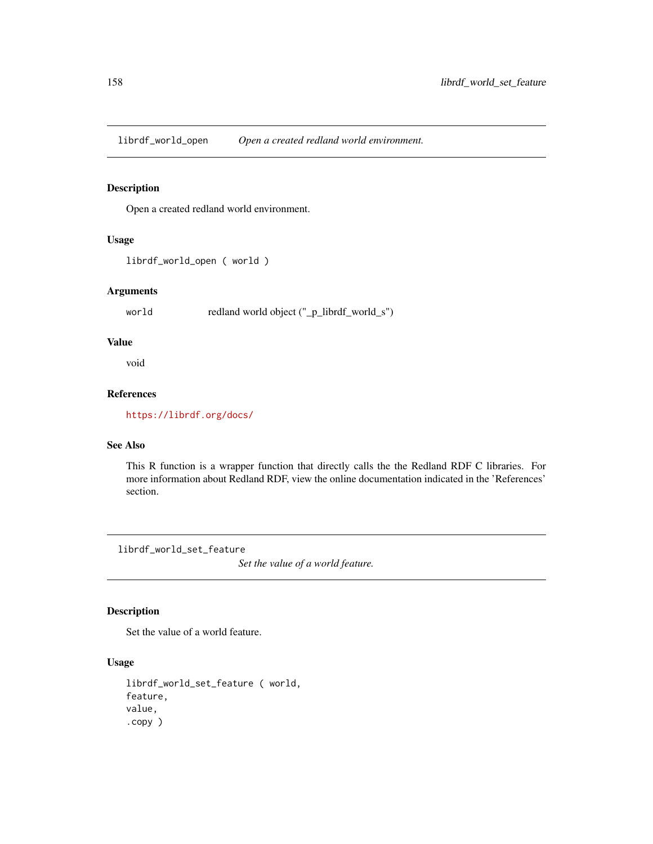librdf\_world\_open *Open a created redland world environment.*

# Description

Open a created redland world environment.

## Usage

```
librdf_world_open ( world )
```
#### Arguments

world redland world object ("\_p\_librdf\_world\_s")

## Value

void

# References

<https://librdf.org/docs/>

# See Also

This R function is a wrapper function that directly calls the the Redland RDF C libraries. For more information about Redland RDF, view the online documentation indicated in the 'References' section.

librdf\_world\_set\_feature

*Set the value of a world feature.*

#### Description

Set the value of a world feature.

# Usage

librdf\_world\_set\_feature ( world, feature, value, .copy )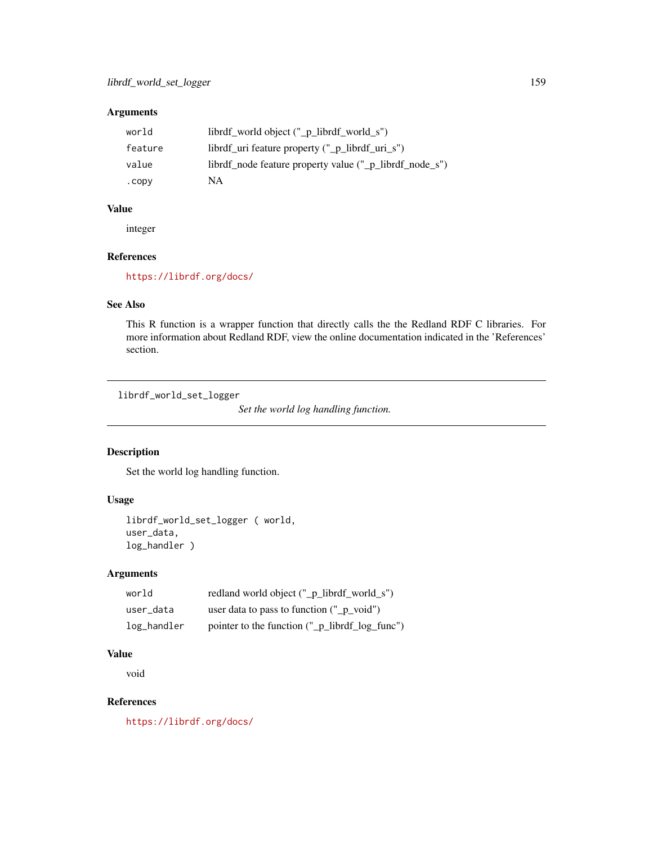# Arguments

| world   | librdf_world object ("_p_librdf_world_s")               |
|---------|---------------------------------------------------------|
| feature | librdf_uri feature property ("_p_librdf_uri_s")         |
| value   | librdf_node feature property value ("_p_librdf_node_s") |
| .copy   | NA                                                      |

# Value

integer

# References

<https://librdf.org/docs/>

# See Also

This R function is a wrapper function that directly calls the the Redland RDF C libraries. For more information about Redland RDF, view the online documentation indicated in the 'References' section.

librdf\_world\_set\_logger

*Set the world log handling function.*

# Description

Set the world log handling function.

# Usage

```
librdf_world_set_logger ( world,
user_data,
log_handler )
```
## Arguments

| world       | redland world object ("_p_librdf_world_s")     |
|-------------|------------------------------------------------|
| user data   | user data to pass to function $("_p\_void")$   |
| log_handler | pointer to the function ("_p_librdf_log_func") |

# Value

void

# References

<https://librdf.org/docs/>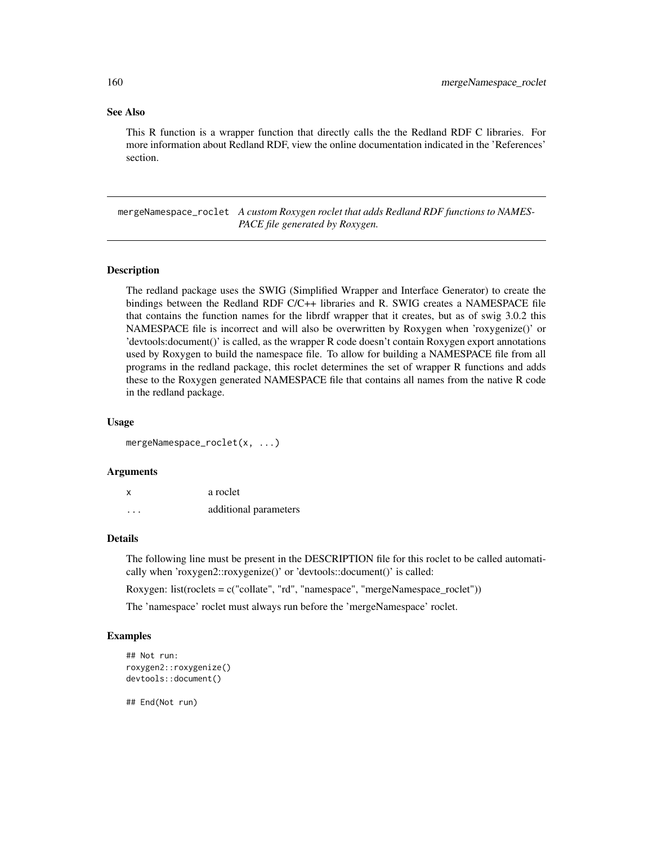#### See Also

This R function is a wrapper function that directly calls the the Redland RDF C libraries. For more information about Redland RDF, view the online documentation indicated in the 'References' section.

mergeNamespace\_roclet *A custom Roxygen roclet that adds Redland RDF functions to NAMES-PACE file generated by Roxygen.*

## Description

The redland package uses the SWIG (Simplified Wrapper and Interface Generator) to create the bindings between the Redland RDF C/C++ libraries and R. SWIG creates a NAMESPACE file that contains the function names for the librdf wrapper that it creates, but as of swig 3.0.2 this NAMESPACE file is incorrect and will also be overwritten by Roxygen when 'roxygenize()' or 'devtools:document()' is called, as the wrapper R code doesn't contain Roxygen export annotations used by Roxygen to build the namespace file. To allow for building a NAMESPACE file from all programs in the redland package, this roclet determines the set of wrapper R functions and adds these to the Roxygen generated NAMESPACE file that contains all names from the native R code in the redland package.

#### Usage

mergeNamespace\_roclet(x, ...)

#### **Arguments**

| x                    | a roclet              |
|----------------------|-----------------------|
| $\ddot{\phantom{0}}$ | additional parameters |

# Details

The following line must be present in the DESCRIPTION file for this roclet to be called automatically when 'roxygen2::roxygenize()' or 'devtools::document()' is called:

Roxygen:  $list(rootets = c("collate", "rd", "namespace", "mergeNamespace\_roclet"))$ 

The 'namespace' roclet must always run before the 'mergeNamespace' roclet.

#### Examples

```
## Not run:
roxygen2::roxygenize()
devtools::document()
```
## End(Not run)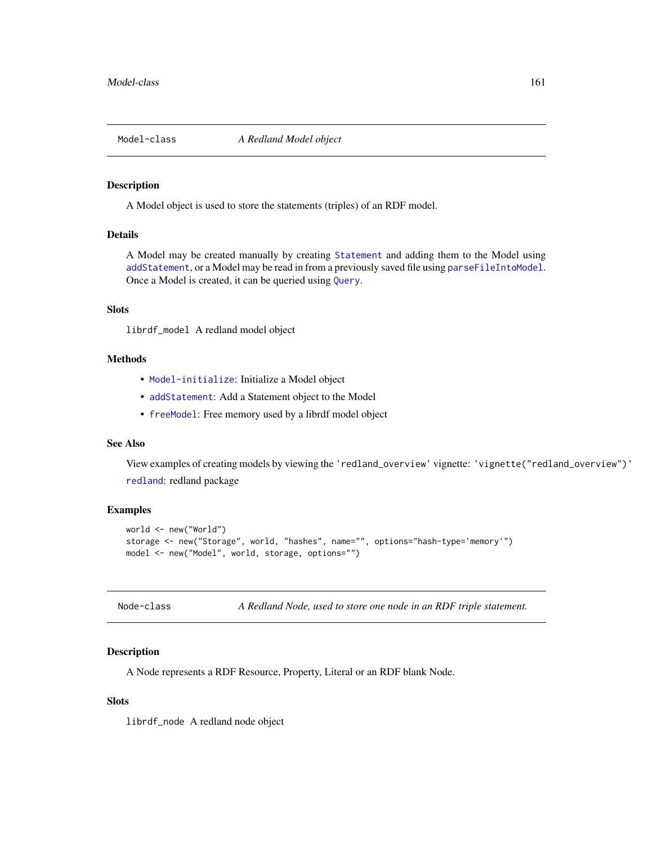#### Description

A Model object is used to store the statements (triples) of an RDF model.

# Details

A Model may be created manually by creating [Statement](#page-187-0) and adding them to the Model using [addStatement](#page-6-0), or a Model may be read in from a previously saved file using [parseFileIntoModel](#page-161-0). Once a Model is created, it can be queried using [Query](#page-163-0).

## Slots

librdf\_model A redland model object

#### Methods

- [Model-initialize](#page-18-0): Initialize a Model object
- [addStatement](#page-6-0): Add a Statement object to the Model
- [freeModel](#page-7-0): Free memory used by a librdf model object

#### See Also

View examples of creating models by viewing the 'redland\_overview' vignette: 'vignette("redland\_overview")' [redland](#page-181-0): redland package

# Examples

```
world <- new("World")
storage <- new("Storage", world, "hashes", name="", options="hash-type='memory'")
model <- new("Model", world, storage, options="")
```

| Node-class | A Redland Node, used to store one node in an RDF triple statement. |  |  |  |
|------------|--------------------------------------------------------------------|--|--|--|
|------------|--------------------------------------------------------------------|--|--|--|

#### Description

A Node represents a RDF Resource, Property, Literal or an RDF blank Node.

#### Slots

librdf\_node A redland node object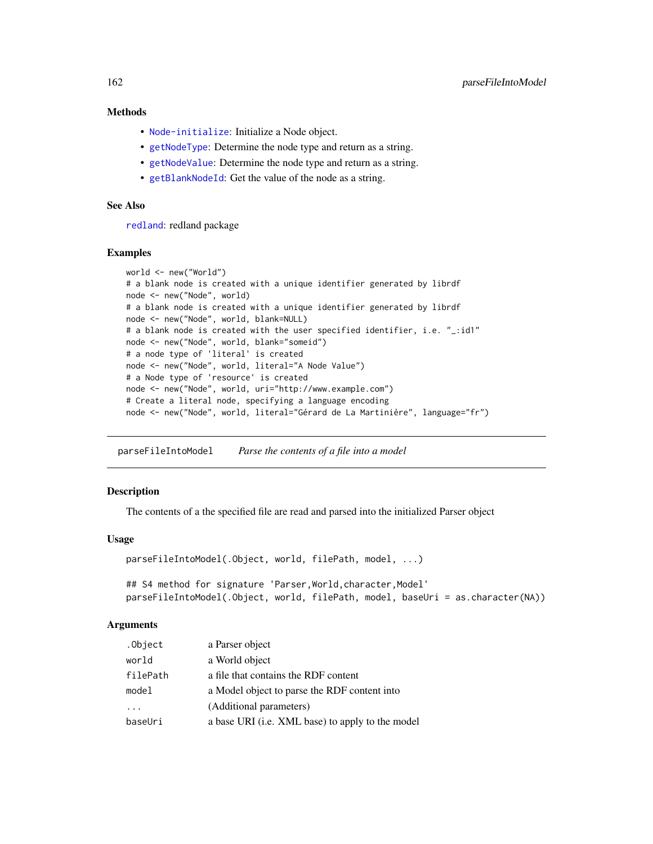## Methods

- [Node-initialize](#page-18-1): Initialize a Node object.
- [getNodeType](#page-14-0): Determine the node type and return as a string.
- [getNodeValue](#page-15-0): Determine the node type and return as a string.
- [getBlankNodeId](#page-13-0): Get the value of the node as a string.

## See Also

[redland](#page-181-0): redland package

#### Examples

```
world <- new("World")
# a blank node is created with a unique identifier generated by librdf
node <- new("Node", world)
# a blank node is created with a unique identifier generated by librdf
node <- new("Node", world, blank=NULL)
# a blank node is created with the user specified identifier, i.e. "_:id1"
node <- new("Node", world, blank="someid")
# a node type of 'literal' is created
node <- new("Node", world, literal="A Node Value")
# a Node type of 'resource' is created
node <- new("Node", world, uri="http://www.example.com")
# Create a literal node, specifying a language encoding
node <- new("Node", world, literal="Gérard de La Martinière", language="fr")
```
<span id="page-161-0"></span>parseFileIntoModel *Parse the contents of a file into a model*

#### Description

The contents of a the specified file are read and parsed into the initialized Parser object

#### Usage

```
parseFileIntoModel(.Object, world, filePath, model, ...)
```
## S4 method for signature 'Parser,World,character,Model' parseFileIntoModel(.Object, world, filePath, model, baseUri = as.character(NA))

#### Arguments

| .Object  | a Parser object                                  |
|----------|--------------------------------------------------|
| world    | a World object                                   |
| filePath | a file that contains the RDF content             |
| model    | a Model object to parse the RDF content into     |
| $\cdots$ | (Additional parameters)                          |
| baseUri  | a base URI (i.e. XML base) to apply to the model |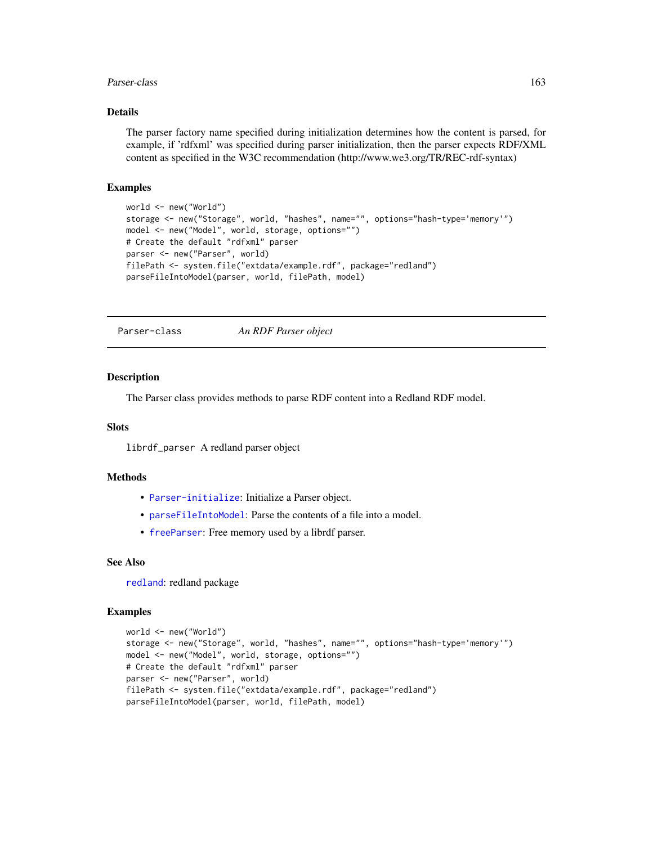#### Parser-class 163

#### Details

The parser factory name specified during initialization determines how the content is parsed, for example, if 'rdfxml' was specified during parser initialization, then the parser expects RDF/XML content as specified in the W3C recommendation (http://www.we3.org/TR/REC-rdf-syntax)

#### Examples

```
world <- new("World")
storage <- new("Storage", world, "hashes", name="", options="hash-type='memory'")
model <- new("Model", world, storage, options="")
# Create the default "rdfxml" parser
parser <- new("Parser", world)
filePath <- system.file("extdata/example.rdf", package="redland")
parseFileIntoModel(parser, world, filePath, model)
```
Parser-class *An RDF Parser object*

## Description

The Parser class provides methods to parse RDF content into a Redland RDF model.

#### **Slots**

librdf\_parser A redland parser object

#### Methods

- [Parser-initialize](#page-19-0): Initialize a Parser object.
- [parseFileIntoModel](#page-161-0): Parse the contents of a file into a model.
- [freeParser](#page-8-0): Free memory used by a librdf parser.

#### See Also

[redland](#page-181-0): redland package

## Examples

```
world <- new("World")
storage <- new("Storage", world, "hashes", name="", options="hash-type='memory'")
model <- new("Model", world, storage, options="")
# Create the default "rdfxml" parser
parser <- new("Parser", world)
filePath <- system.file("extdata/example.rdf", package="redland")
parseFileIntoModel(parser, world, filePath, model)
```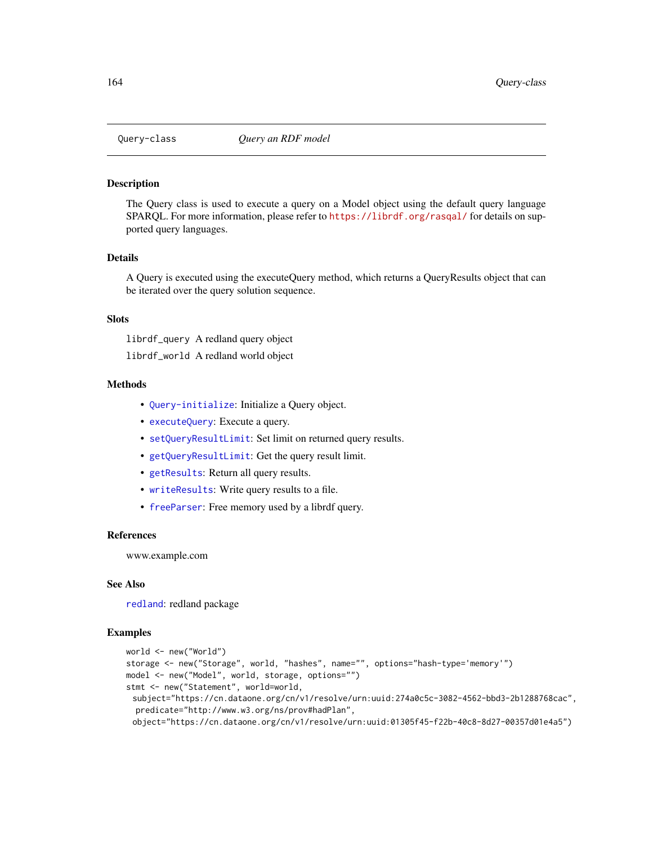#### <span id="page-163-0"></span>Description

The Query class is used to execute a query on a Model object using the default query language SPARQL. For more information, please refer to <https://librdf.org/rasqal/> for details on supported query languages.

# Details

A Query is executed using the executeQuery method, which returns a QueryResults object that can be iterated over the query solution sequence.

## **Slots**

librdf\_query A redland query object

librdf\_world A redland world object

## **Methods**

- [Query-initialize](#page-20-0): Initialize a Query object.
- [executeQuery](#page-7-1): Execute a query.
- [setQueryResultLimit](#page-187-1): Set limit on returned query results.
- [getQueryResultLimit](#page-15-1): Get the query result limit.
- [getResults](#page-16-0): Return all query results.
- [writeResults](#page-189-0): Write query results to a file.
- [freeParser](#page-8-0): Free memory used by a librdf query.

#### References

www.example.com

#### See Also

[redland](#page-181-0): redland package

#### Examples

```
world <- new("World")
storage <- new("Storage", world, "hashes", name="", options="hash-type='memory'")
model <- new("Model", world, storage, options="")
stmt <- new("Statement", world=world,
 subject="https://cn.dataone.org/cn/v1/resolve/urn:uuid:274a0c5c-3082-4562-bbd3-2b1288768cac",
 predicate="http://www.w3.org/ns/prov#hadPlan",
 object="https://cn.dataone.org/cn/v1/resolve/urn:uuid:01305f45-f22b-40c8-8d27-00357d01e4a5")
```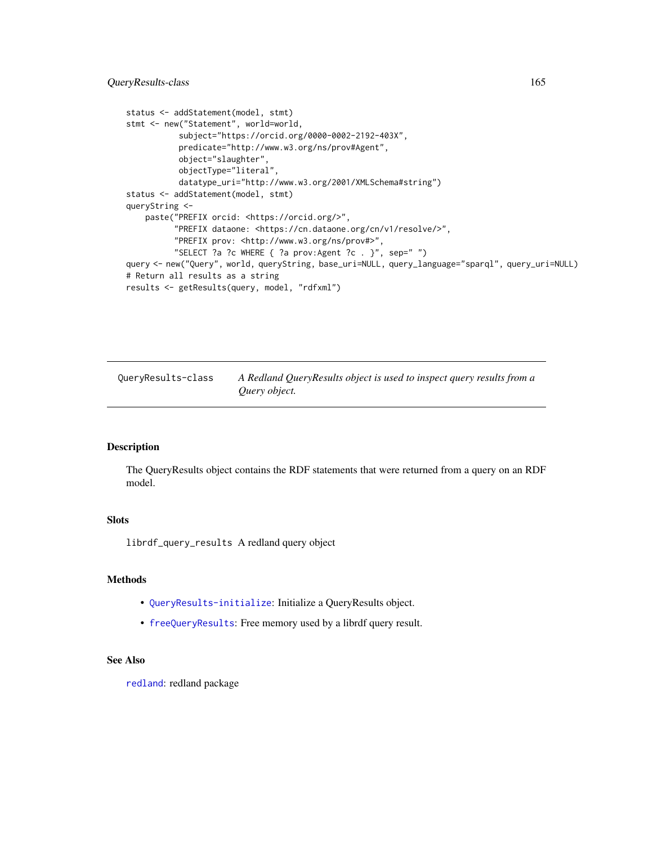## QueryResults-class 165

```
status <- addStatement(model, stmt)
stmt <- new("Statement", world=world,
           subject="https://orcid.org/0000-0002-2192-403X",
           predicate="http://www.w3.org/ns/prov#Agent",
           object="slaughter",
           objectType="literal",
           datatype_uri="http://www.w3.org/2001/XMLSchema#string")
status <- addStatement(model, stmt)
queryString <-
   paste("PREFIX orcid: <https://orcid.org/>",
          "PREFIX dataone: <https://cn.dataone.org/cn/v1/resolve/>",
          "PREFIX prov: <http://www.w3.org/ns/prov#>",
          "SELECT ?a ?c WHERE { ?a prov:Agent ?c . }", sep=" ")
query <- new("Query", world, queryString, base_uri=NULL, query_language="sparql", query_uri=NULL)
# Return all results as a string
results <- getResults(query, model, "rdfxml")
```
QueryResults-class *A Redland QueryResults object is used to inspect query results from a Query object.*

#### Description

The QueryResults object contains the RDF statements that were returned from a query on an RDF model.

#### Slots

librdf\_query\_results A redland query object

#### Methods

- [QueryResults-initialize](#page-21-0): Initialize a QueryResults object.
- [freeQueryResults](#page-10-0): Free memory used by a librdf query result.

# See Also

[redland](#page-181-0): redland package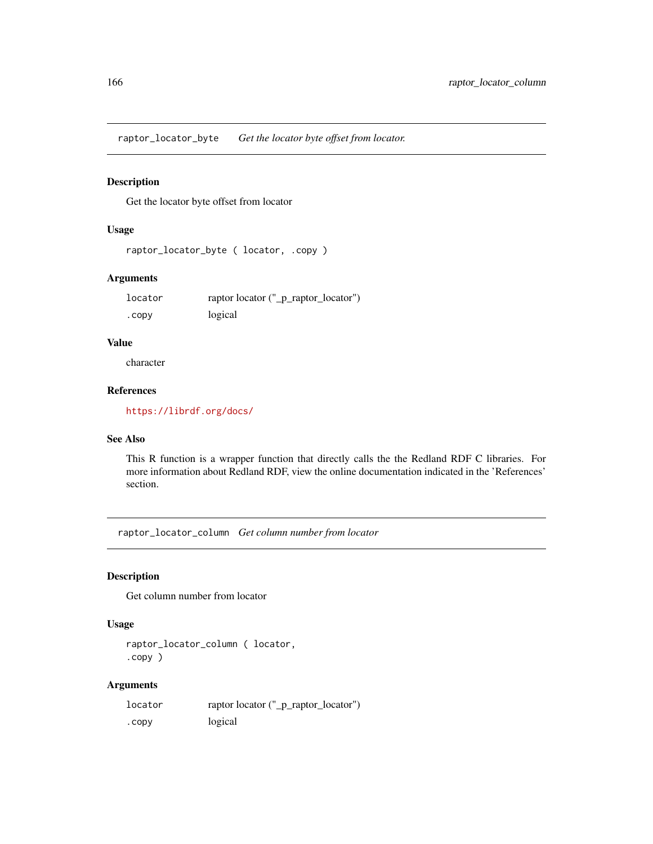raptor\_locator\_byte *Get the locator byte offset from locator.*

## Description

Get the locator byte offset from locator

#### Usage

```
raptor_locator_byte ( locator, .copy )
```
## Arguments

locator raptor locator ("\_p\_raptor\_locator") .copy logical

## Value

character

#### References

<https://librdf.org/docs/>

## See Also

This R function is a wrapper function that directly calls the the Redland RDF C libraries. For more information about Redland RDF, view the online documentation indicated in the 'References' section.

raptor\_locator\_column *Get column number from locator*

#### Description

Get column number from locator

#### Usage

```
raptor_locator_column ( locator,
.copy )
```
## Arguments

| locator | raptor locator ("_p_raptor_locator") |
|---------|--------------------------------------|
| . CODV  | logical                              |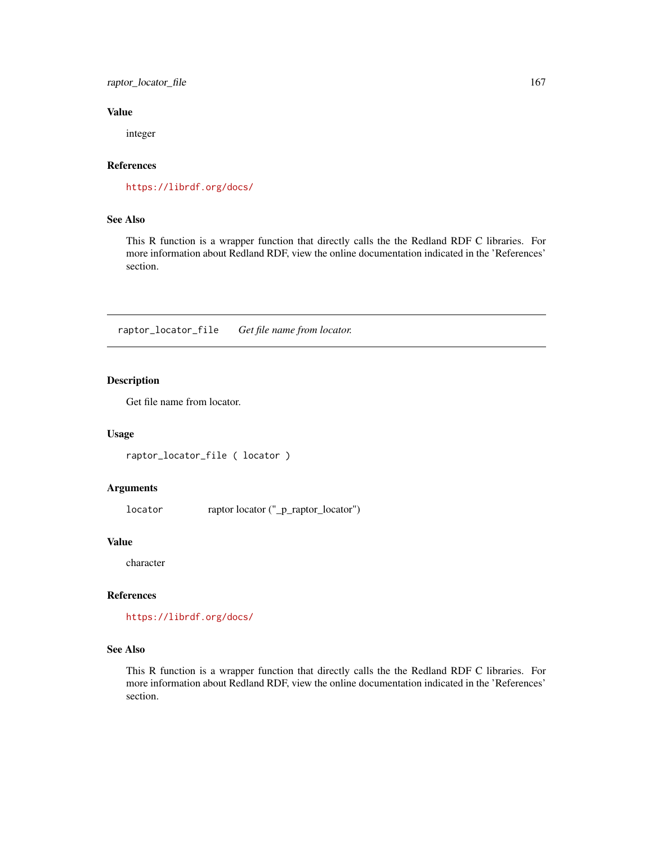raptor\_locator\_file 167

## Value

integer

## References

<https://librdf.org/docs/>

#### See Also

This R function is a wrapper function that directly calls the the Redland RDF C libraries. For more information about Redland RDF, view the online documentation indicated in the 'References' section.

raptor\_locator\_file *Get file name from locator.*

## Description

Get file name from locator.

## Usage

raptor\_locator\_file ( locator )

## Arguments

locator raptor locator ("\_p\_raptor\_locator")

# Value

character

## References

<https://librdf.org/docs/>

#### See Also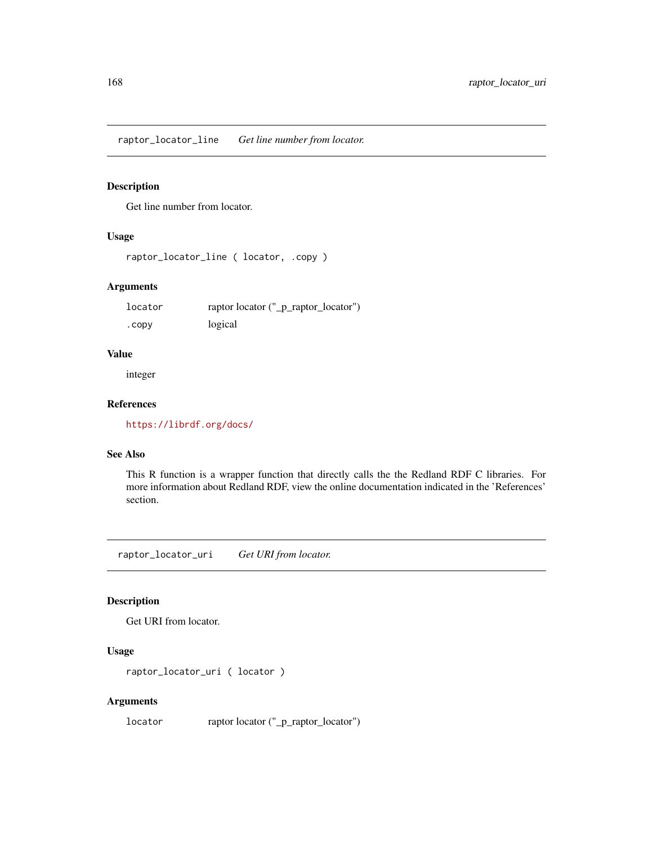raptor\_locator\_line *Get line number from locator.*

## Description

Get line number from locator.

## Usage

```
raptor_locator_line ( locator, .copy )
```
## Arguments

| locator | raptor locator ("_p_raptor_locator") |
|---------|--------------------------------------|
| .copy   | logical                              |

#### Value

integer

#### References

<https://librdf.org/docs/>

## See Also

This R function is a wrapper function that directly calls the the Redland RDF C libraries. For more information about Redland RDF, view the online documentation indicated in the 'References' section.

raptor\_locator\_uri *Get URI from locator.*

#### Description

Get URI from locator.

# Usage

raptor\_locator\_uri ( locator )

## Arguments

locator raptor locator ("\_p\_raptor\_locator")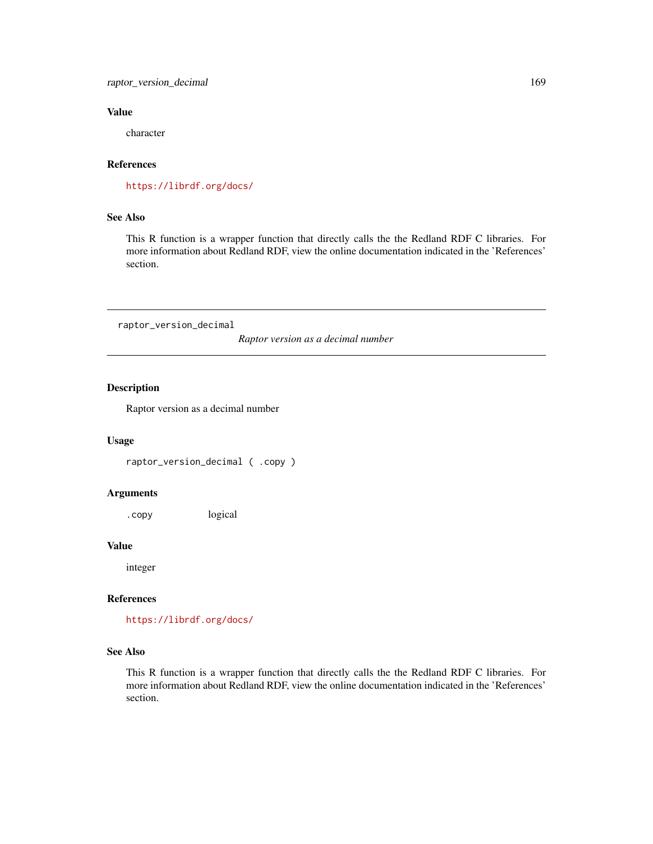# Value

character

# References

<https://librdf.org/docs/>

## See Also

This R function is a wrapper function that directly calls the the Redland RDF C libraries. For more information about Redland RDF, view the online documentation indicated in the 'References' section.

raptor\_version\_decimal

*Raptor version as a decimal number*

## Description

Raptor version as a decimal number

#### Usage

raptor\_version\_decimal ( .copy )

#### Arguments

.copy logical

#### Value

integer

#### References

<https://librdf.org/docs/>

# See Also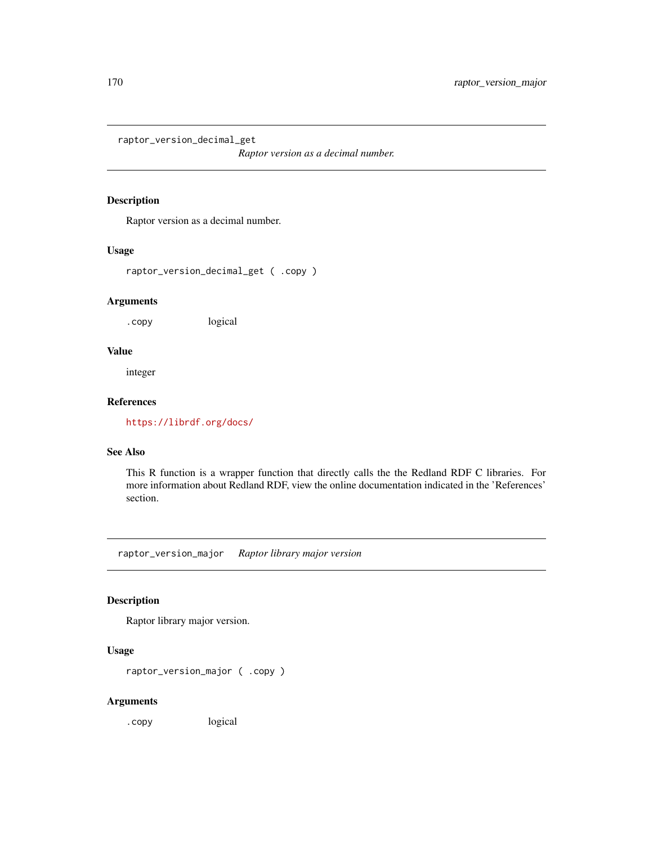raptor\_version\_decimal\_get

*Raptor version as a decimal number.*

#### Description

Raptor version as a decimal number.

#### Usage

raptor\_version\_decimal\_get ( .copy )

#### Arguments

.copy logical

#### Value

integer

#### References

<https://librdf.org/docs/>

# See Also

This R function is a wrapper function that directly calls the the Redland RDF C libraries. For more information about Redland RDF, view the online documentation indicated in the 'References' section.

raptor\_version\_major *Raptor library major version*

#### Description

Raptor library major version.

## Usage

raptor\_version\_major ( .copy )

## Arguments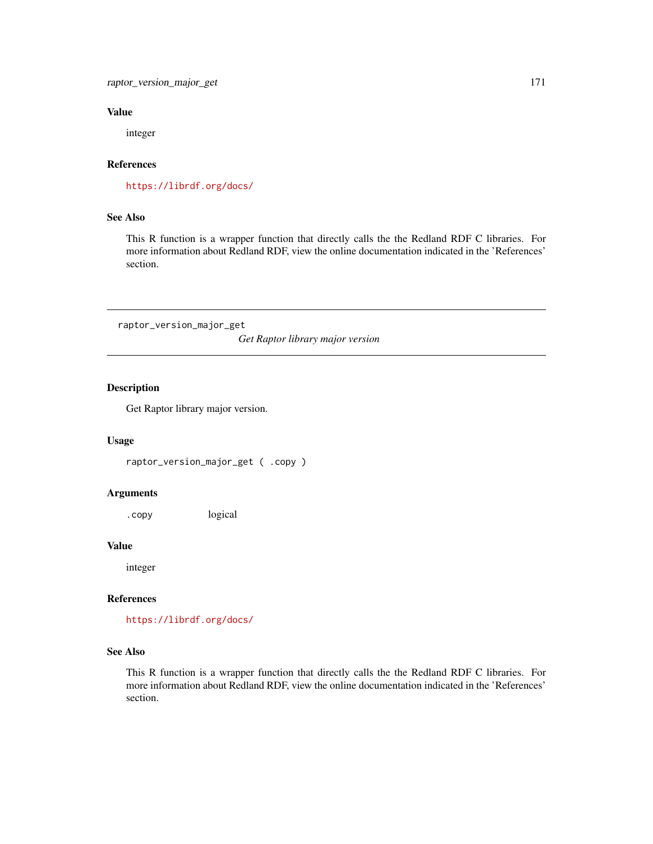# Value

integer

# References

<https://librdf.org/docs/>

# See Also

This R function is a wrapper function that directly calls the the Redland RDF C libraries. For more information about Redland RDF, view the online documentation indicated in the 'References' section.

raptor\_version\_major\_get

*Get Raptor library major version*

## Description

Get Raptor library major version.

#### Usage

raptor\_version\_major\_get ( .copy )

#### Arguments

.copy logical

#### Value

integer

#### References

<https://librdf.org/docs/>

# See Also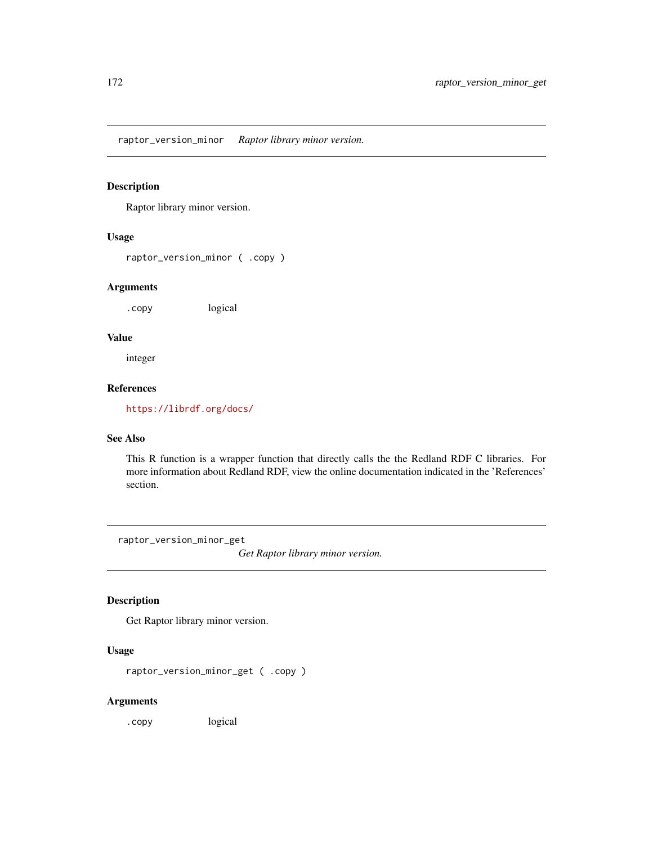raptor\_version\_minor *Raptor library minor version.*

## Description

Raptor library minor version.

## Usage

raptor\_version\_minor ( .copy )

#### Arguments

.copy logical

#### Value

integer

## References

<https://librdf.org/docs/>

#### See Also

This R function is a wrapper function that directly calls the the Redland RDF C libraries. For more information about Redland RDF, view the online documentation indicated in the 'References' section.

raptor\_version\_minor\_get

*Get Raptor library minor version.*

#### Description

Get Raptor library minor version.

## Usage

raptor\_version\_minor\_get ( .copy )

## Arguments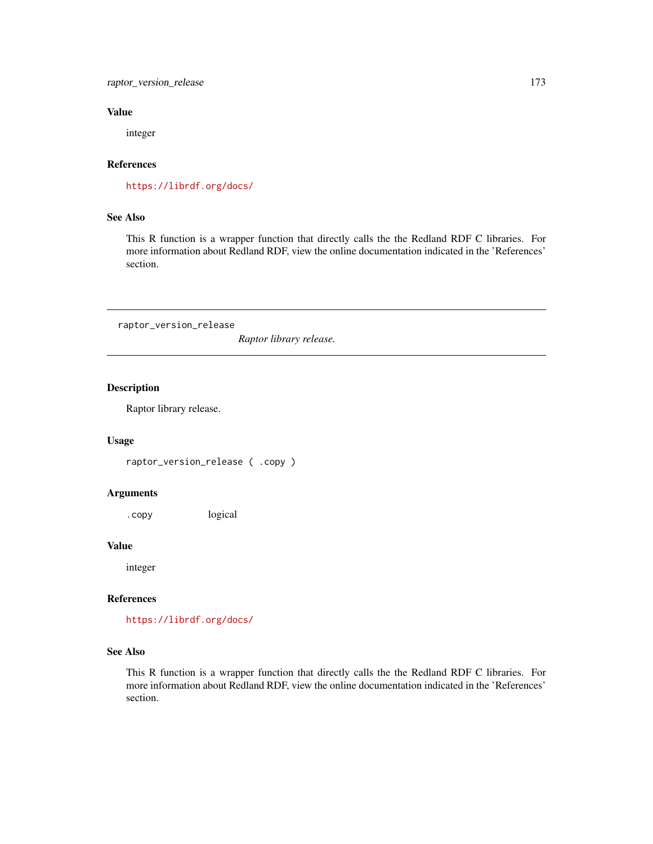# Value

integer

# References

<https://librdf.org/docs/>

# See Also

This R function is a wrapper function that directly calls the the Redland RDF C libraries. For more information about Redland RDF, view the online documentation indicated in the 'References' section.

raptor\_version\_release

*Raptor library release.*

## Description

Raptor library release.

#### Usage

raptor\_version\_release ( .copy )

#### Arguments

.copy logical

#### Value

integer

#### References

<https://librdf.org/docs/>

# See Also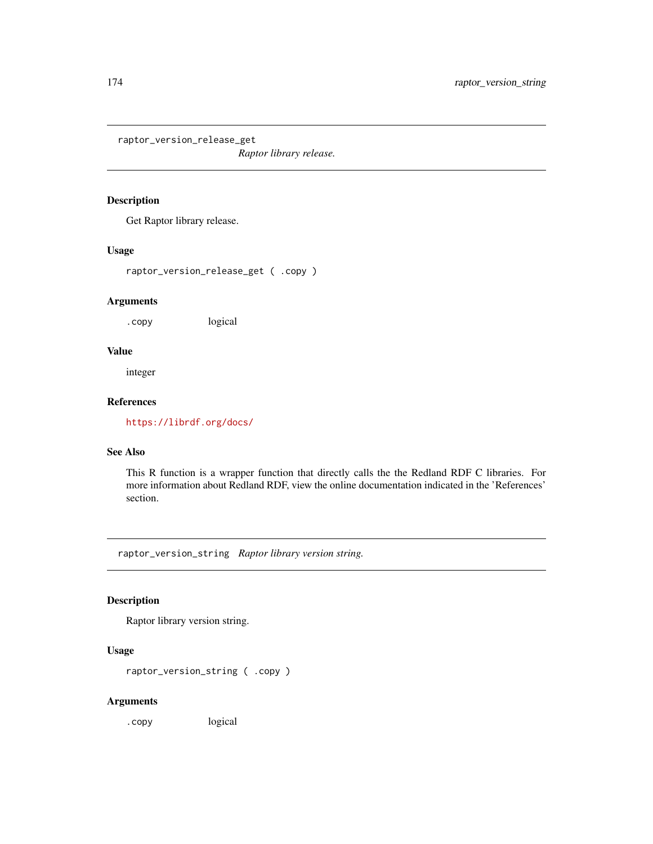raptor\_version\_release\_get

*Raptor library release.*

#### Description

Get Raptor library release.

#### Usage

raptor\_version\_release\_get ( .copy )

#### Arguments

.copy logical

#### Value

integer

#### References

<https://librdf.org/docs/>

# See Also

This R function is a wrapper function that directly calls the the Redland RDF C libraries. For more information about Redland RDF, view the online documentation indicated in the 'References' section.

raptor\_version\_string *Raptor library version string.*

#### Description

Raptor library version string.

## Usage

raptor\_version\_string ( .copy )

## Arguments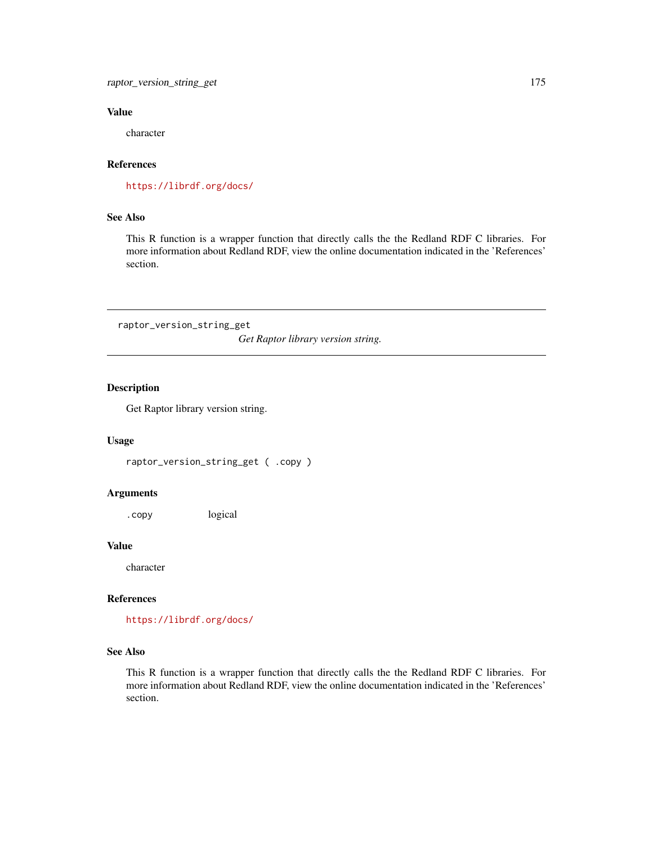# Value

character

# References

<https://librdf.org/docs/>

## See Also

This R function is a wrapper function that directly calls the the Redland RDF C libraries. For more information about Redland RDF, view the online documentation indicated in the 'References' section.

raptor\_version\_string\_get

*Get Raptor library version string.*

## Description

Get Raptor library version string.

#### Usage

raptor\_version\_string\_get ( .copy )

#### Arguments

.copy logical

#### Value

character

#### References

<https://librdf.org/docs/>

# See Also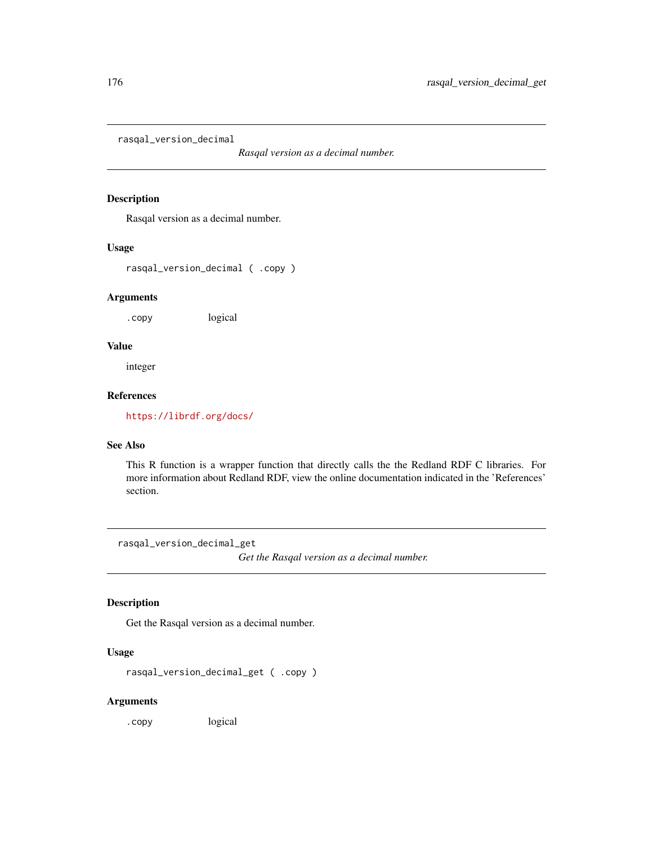rasqal\_version\_decimal

*Rasqal version as a decimal number.*

## Description

Rasqal version as a decimal number.

#### Usage

rasqal\_version\_decimal ( .copy )

#### Arguments

.copy logical

# Value

integer

# References

<https://librdf.org/docs/>

# See Also

This R function is a wrapper function that directly calls the the Redland RDF C libraries. For more information about Redland RDF, view the online documentation indicated in the 'References' section.

rasqal\_version\_decimal\_get *Get the Rasqal version as a decimal number.*

#### Description

Get the Rasqal version as a decimal number.

# Usage

rasqal\_version\_decimal\_get ( .copy )

# Arguments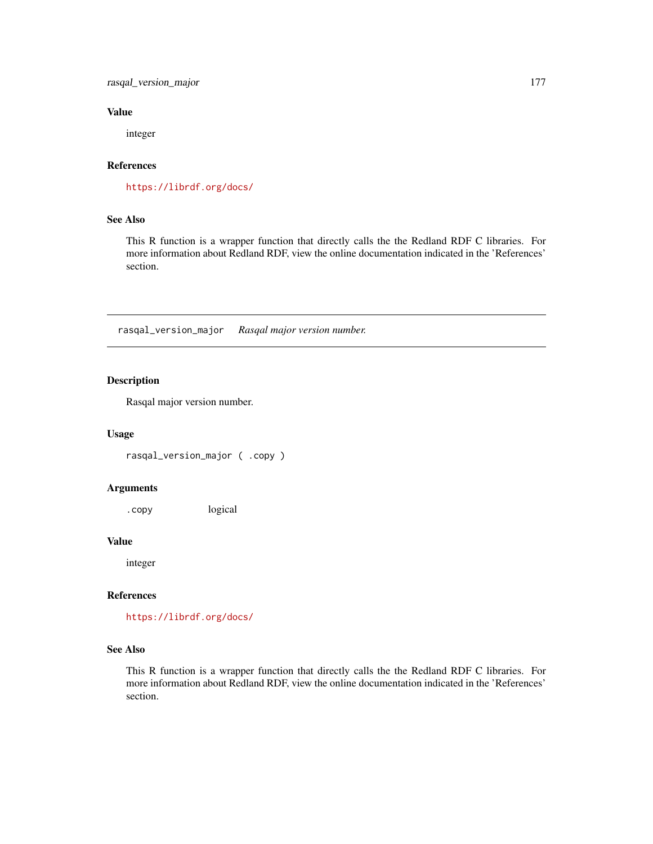rasqal\_version\_major 177

## Value

integer

## References

<https://librdf.org/docs/>

## See Also

This R function is a wrapper function that directly calls the the Redland RDF C libraries. For more information about Redland RDF, view the online documentation indicated in the 'References' section.

rasqal\_version\_major *Rasqal major version number.*

## Description

Rasqal major version number.

## Usage

rasqal\_version\_major ( .copy )

#### Arguments

.copy logical

## Value

integer

#### References

<https://librdf.org/docs/>

#### See Also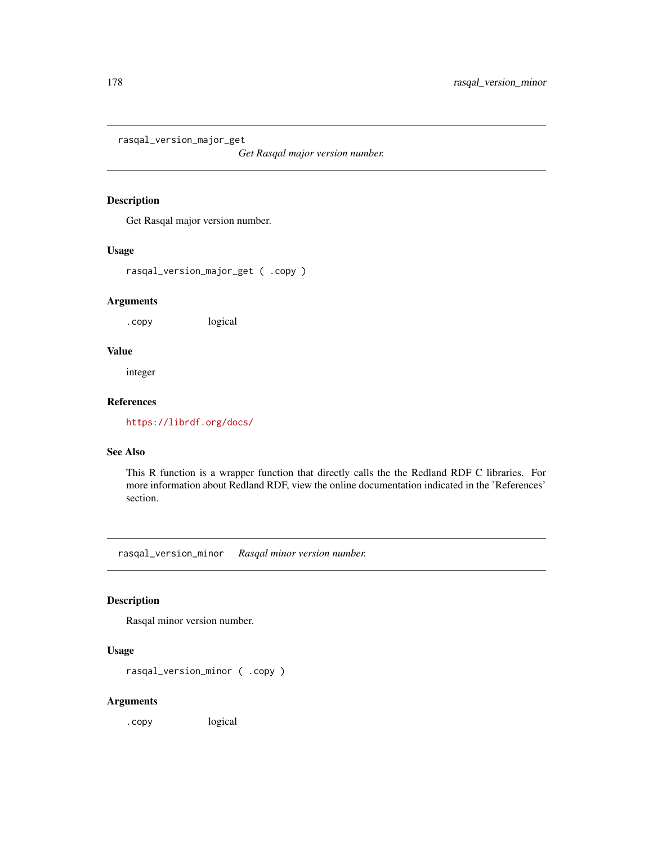rasqal\_version\_major\_get

*Get Rasqal major version number.*

## Description

Get Rasqal major version number.

## Usage

rasqal\_version\_major\_get ( .copy )

#### Arguments

.copy logical

#### Value

integer

#### References

<https://librdf.org/docs/>

# See Also

This R function is a wrapper function that directly calls the the Redland RDF C libraries. For more information about Redland RDF, view the online documentation indicated in the 'References' section.

rasqal\_version\_minor *Rasqal minor version number.*

#### Description

Rasqal minor version number.

## Usage

rasqal\_version\_minor ( .copy )

## Arguments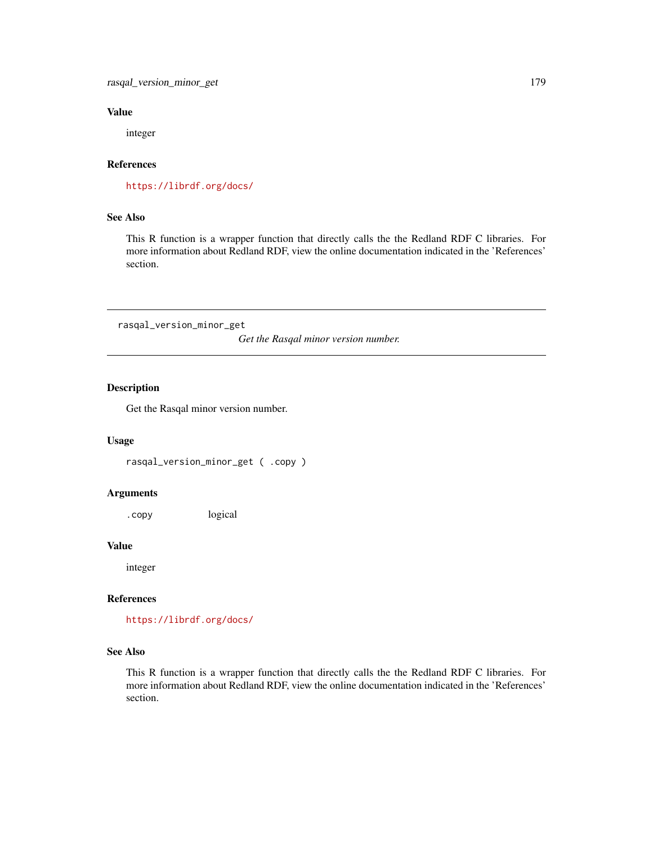# Value

integer

# References

<https://librdf.org/docs/>

## See Also

This R function is a wrapper function that directly calls the the Redland RDF C libraries. For more information about Redland RDF, view the online documentation indicated in the 'References' section.

rasqal\_version\_minor\_get

*Get the Rasqal minor version number.*

## Description

Get the Rasqal minor version number.

#### Usage

rasqal\_version\_minor\_get ( .copy )

#### Arguments

.copy logical

#### Value

integer

#### References

<https://librdf.org/docs/>

# See Also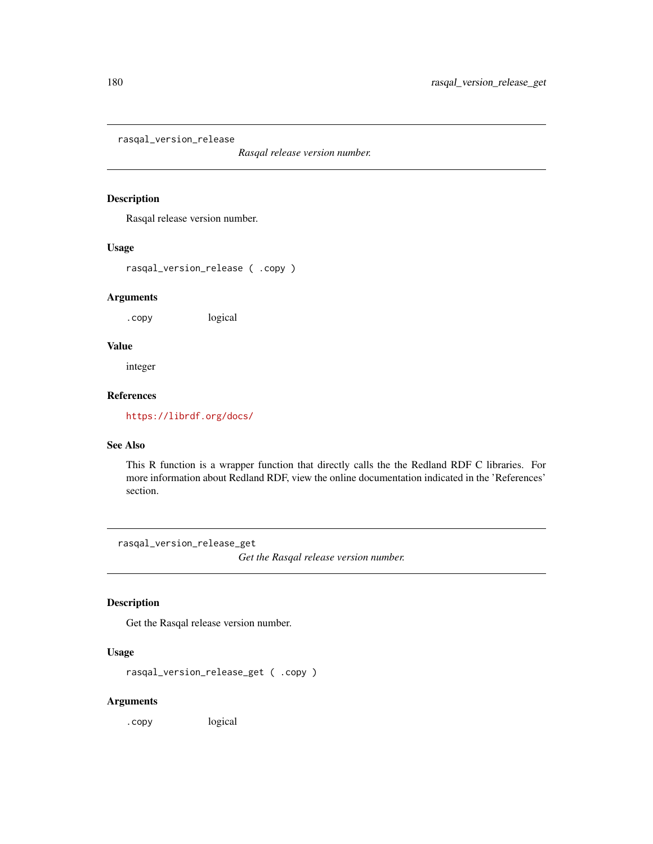rasqal\_version\_release

*Rasqal release version number.*

## Description

Rasqal release version number.

#### Usage

rasqal\_version\_release ( .copy )

#### Arguments

.copy logical

#### Value

integer

# References

<https://librdf.org/docs/>

#### See Also

This R function is a wrapper function that directly calls the the Redland RDF C libraries. For more information about Redland RDF, view the online documentation indicated in the 'References' section.

rasqal\_version\_release\_get

*Get the Rasqal release version number.*

## Description

Get the Rasqal release version number.

# Usage

rasqal\_version\_release\_get ( .copy )

## Arguments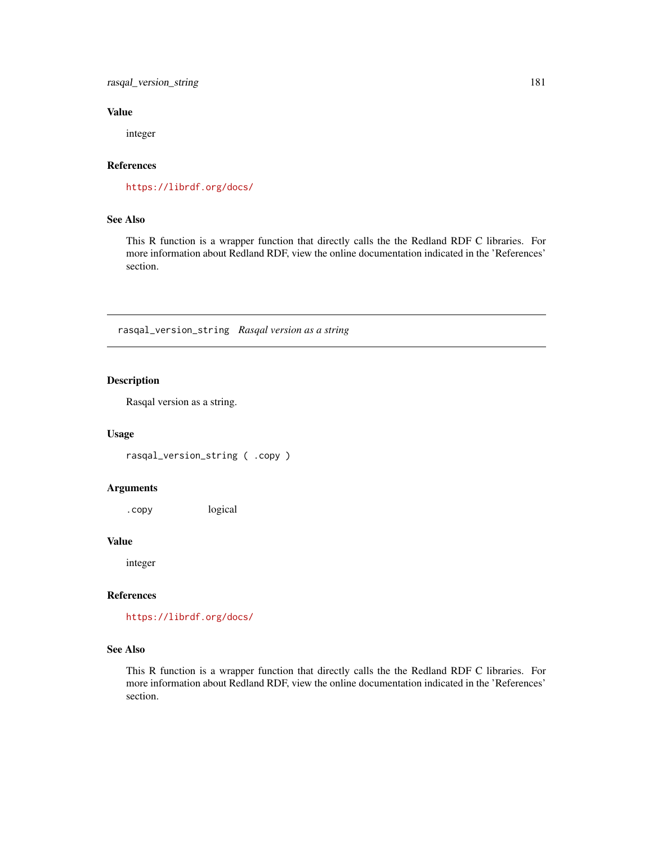<span id="page-180-0"></span>rasqal\_version\_string 181

# Value

integer

# References

<https://librdf.org/docs/>

#### See Also

This R function is a wrapper function that directly calls the the Redland RDF C libraries. For more information about Redland RDF, view the online documentation indicated in the 'References' section.

rasqal\_version\_string *Rasqal version as a string*

# Description

Rasqal version as a string.

# Usage

rasqal\_version\_string ( .copy )

#### Arguments

.copy logical

# Value

integer

# References

<https://librdf.org/docs/>

# See Also

This R function is a wrapper function that directly calls the the Redland RDF C libraries. For more information about Redland RDF, view the online documentation indicated in the 'References' section.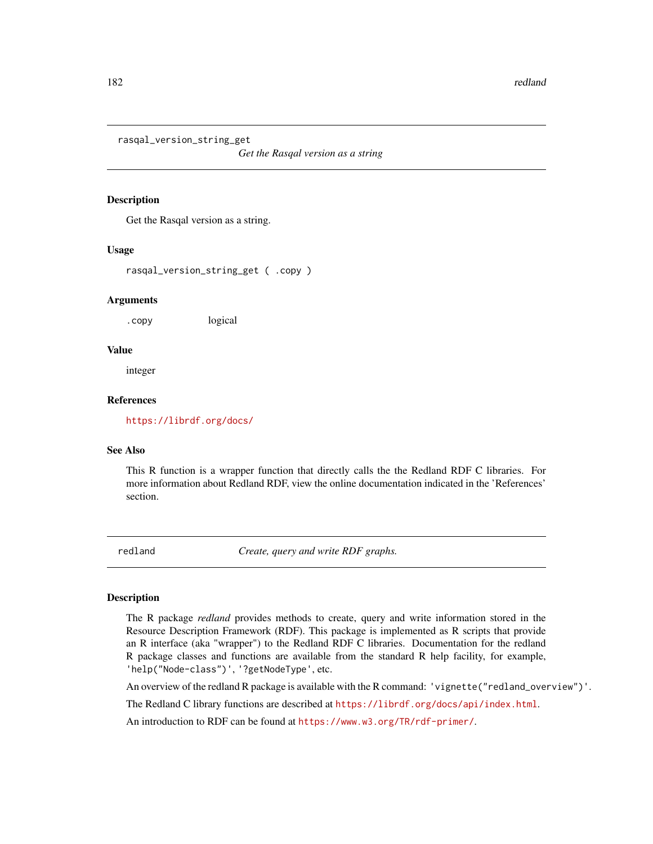<span id="page-181-1"></span>rasqal\_version\_string\_get

*Get the Rasqal version as a string*

#### Description

Get the Rasqal version as a string.

#### Usage

rasqal\_version\_string\_get ( .copy )

#### Arguments

.copy logical

#### Value

integer

# References

<https://librdf.org/docs/>

# See Also

This R function is a wrapper function that directly calls the the Redland RDF C libraries. For more information about Redland RDF, view the online documentation indicated in the 'References' section.

<span id="page-181-0"></span>redland *Create, query and write RDF graphs.*

#### **Description**

The R package *redland* provides methods to create, query and write information stored in the Resource Description Framework (RDF). This package is implemented as R scripts that provide an R interface (aka "wrapper") to the Redland RDF C libraries. Documentation for the redland R package classes and functions are available from the standard R help facility, for example, 'help("Node-class")', '?getNodeType', etc.

An overview of the redland R package is available with the R command: 'vignette("redland\_overview")'.

The Redland C library functions are described at <https://librdf.org/docs/api/index.html>.

An introduction to RDF can be found at <https://www.w3.org/TR/rdf-primer/>.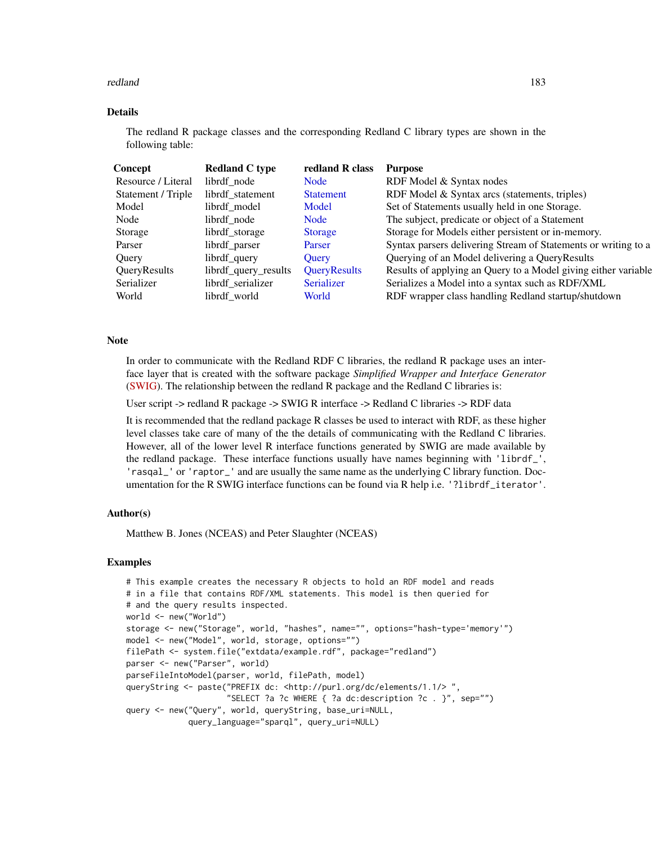#### <span id="page-182-0"></span>redland the state of the state of the state of the state of the state of the state of the state of the state of the state of the state of the state of the state of the state of the state of the state of the state of the st

#### Details

The redland R package classes and the corresponding Redland C library types are shown in the following table:

| Resource / Literal<br>RDF Model & Syntax nodes<br>librdf node<br>Node<br>Statement / Triple<br>RDF Model & Syntax arcs (statements, triples)<br>librdf_statement<br><b>Statement</b> |
|--------------------------------------------------------------------------------------------------------------------------------------------------------------------------------------|
|                                                                                                                                                                                      |
|                                                                                                                                                                                      |
| Set of Statements usually held in one Storage.<br>Model<br>librdf model<br>Model                                                                                                     |
| The subject, predicate or object of a Statement<br>Node<br>librdf node<br><b>Node</b>                                                                                                |
| Storage for Models either persistent or in-memory.<br>Storage<br>librdf_storage<br>Storage                                                                                           |
| Syntax parsers delivering Stream of Statements or writing to a<br>Parser<br>librdf_parser<br>Parser                                                                                  |
| Querying of an Model delivering a QueryResults<br>Ouery<br>librdf_query<br>Query                                                                                                     |
| Results of applying an Query to a Model giving either variable<br>QueryResults<br>QueryResults<br>librdf_query_results                                                               |
| Serializer<br>librdf_serializer<br>Serializer<br>Serializes a Model into a syntax such as RDF/XML                                                                                    |
| RDF wrapper class handling Redland startup/shutdown<br>World<br>librdf world<br>World                                                                                                |

# Note

In order to communicate with the Redland RDF C libraries, the redland R package uses an interface layer that is created with the software package *Simplified Wrapper and Interface Generator* [\(SWIG\)](https://github.com/swig/swig). The relationship between the redland R package and the Redland C libraries is:

User script -> redland R package -> SWIG R interface -> Redland C libraries -> RDF data

It is recommended that the redland package R classes be used to interact with RDF, as these higher level classes take care of many of the the details of communicating with the Redland C libraries. However, all of the lower level R interface functions generated by SWIG are made available by the redland package. These interface functions usually have names beginning with 'librdf\_', 'rasqal\_' or 'raptor\_' and are usually the same name as the underlying C library function. Documentation for the R SWIG interface functions can be found via R help i.e. '?librdf\_iterator'.

#### Author(s)

Matthew B. Jones (NCEAS) and Peter Slaughter (NCEAS)

#### Examples

```
# This example creates the necessary R objects to hold an RDF model and reads
# in a file that contains RDF/XML statements. This model is then queried for
# and the query results inspected.
world <- new("World")
storage <- new("Storage", world, "hashes", name="", options="hash-type='memory'")
model <- new("Model", world, storage, options="")
filePath <- system.file("extdata/example.rdf", package="redland")
parser <- new("Parser", world)
parseFileIntoModel(parser, world, filePath, model)
queryString <- paste("PREFIX dc: <http://purl.org/dc/elements/1.1/> ",
                     "SELECT ?a ?c WHERE { ?a dc:description ?c . }", sep="")
query <- new("Query", world, queryString, base_uri=NULL,
             query_language="sparql", query_uri=NULL)
```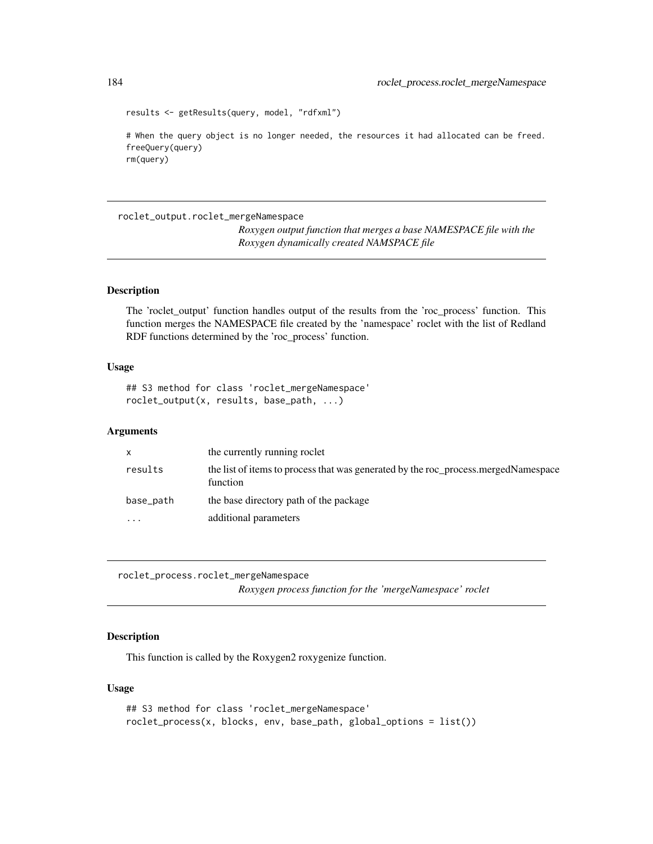```
results <- getResults(query, model, "rdfxml")
```
# When the query object is no longer needed, the resources it had allocated can be freed. freeQuery(query) rm(query)

roclet\_output.roclet\_mergeNamespace

*Roxygen output function that merges a base NAMESPACE file with the Roxygen dynamically created NAMSPACE file*

#### Description

The 'roclet\_output' function handles output of the results from the 'roc\_process' function. This function merges the NAMESPACE file created by the 'namespace' roclet with the list of Redland RDF functions determined by the 'roc\_process' function.

#### Usage

## S3 method for class 'roclet\_mergeNamespace' roclet\_output(x, results, base\_path, ...)

#### Arguments

| X         | the currently running roclet                                                                   |
|-----------|------------------------------------------------------------------------------------------------|
| results   | the list of items to process that was generated by the roc_process.mergedNamespace<br>function |
| base_path | the base directory path of the package                                                         |
| .         | additional parameters                                                                          |

roclet\_process.roclet\_mergeNamespace *Roxygen process function for the 'mergeNamespace' roclet*

# Description

This function is called by the Roxygen2 roxygenize function.

#### Usage

```
## S3 method for class 'roclet_mergeNamespace'
roclet_process(x, blocks, env, base_path, global_options = list())
```
<span id="page-183-0"></span>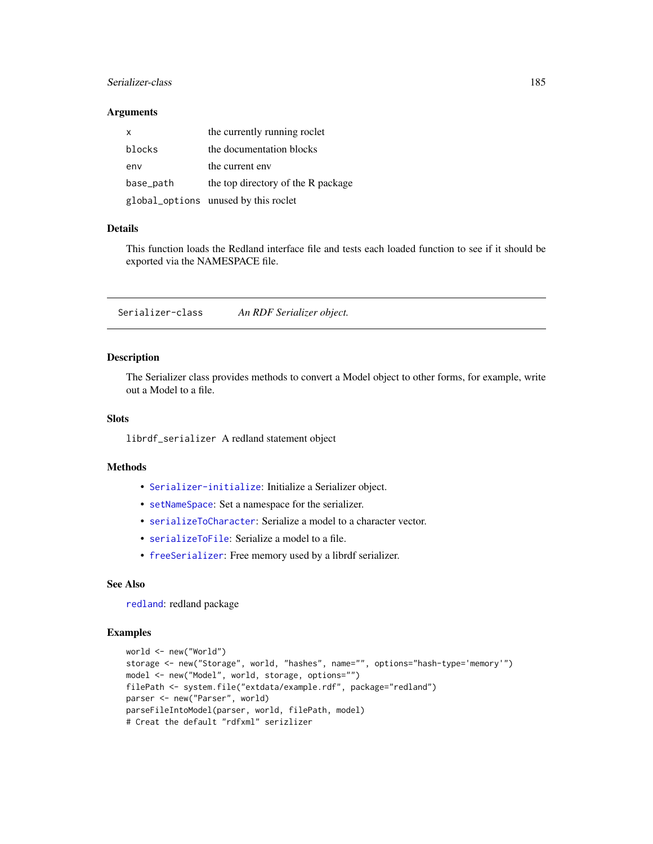# <span id="page-184-1"></span>Serializer-class 185

# Arguments

| x         | the currently running roclet         |
|-----------|--------------------------------------|
| blocks    | the documentation blocks             |
| env       | the current env                      |
| base_path | the top directory of the R package   |
|           | global_options unused by this roclet |

#### Details

This function loads the Redland interface file and tests each loaded function to see if it should be exported via the NAMESPACE file.

<span id="page-184-0"></span>Serializer-class *An RDF Serializer object.*

# Description

The Serializer class provides methods to convert a Model object to other forms, for example, write out a Model to a file.

#### **Slots**

librdf\_serializer A redland statement object

#### Methods

- [Serializer-initialize](#page-21-0): Initialize a Serializer object.
- [setNameSpace](#page-186-0): Set a namespace for the serializer.
- [serializeToCharacter](#page-185-0): Serialize a model to a character vector.
- [serializeToFile](#page-185-1): Serialize a model to a file.
- [freeSerializer](#page-10-0): Free memory used by a librdf serializer.

# See Also

[redland](#page-181-0): redland package

## Examples

```
world <- new("World")
storage <- new("Storage", world, "hashes", name="", options="hash-type='memory'")
model <- new("Model", world, storage, options="")
filePath <- system.file("extdata/example.rdf", package="redland")
parser <- new("Parser", world)
parseFileIntoModel(parser, world, filePath, model)
# Creat the default "rdfxml" serizlizer
```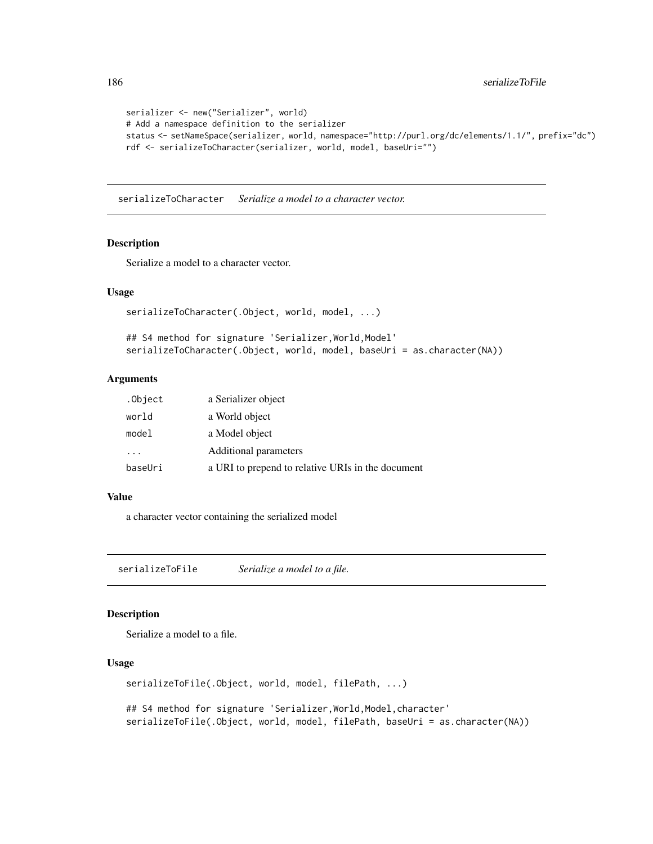```
serializer <- new("Serializer", world)
# Add a namespace definition to the serializer
status <- setNameSpace(serializer, world, namespace="http://purl.org/dc/elements/1.1/", prefix="dc")
rdf <- serializeToCharacter(serializer, world, model, baseUri="")
```
<span id="page-185-0"></span>serializeToCharacter *Serialize a model to a character vector.*

# Description

Serialize a model to a character vector.

#### Usage

```
serializeToCharacter(.Object, world, model, ...)
```
## S4 method for signature 'Serializer,World,Model' serializeToCharacter(.Object, world, model, baseUri = as.character(NA))

#### Arguments

| .Object | a Serializer object                               |
|---------|---------------------------------------------------|
| world   | a World object                                    |
| model   | a Model object                                    |
| .       | Additional parameters                             |
| baseUri | a URI to prepend to relative URIs in the document |

#### Value

a character vector containing the serialized model

<span id="page-185-1"></span>serializeToFile *Serialize a model to a file.*

# Description

Serialize a model to a file.

#### Usage

serializeToFile(.Object, world, model, filePath, ...)

## S4 method for signature 'Serializer, World, Model, character' serializeToFile(.Object, world, model, filePath, baseUri = as.character(NA))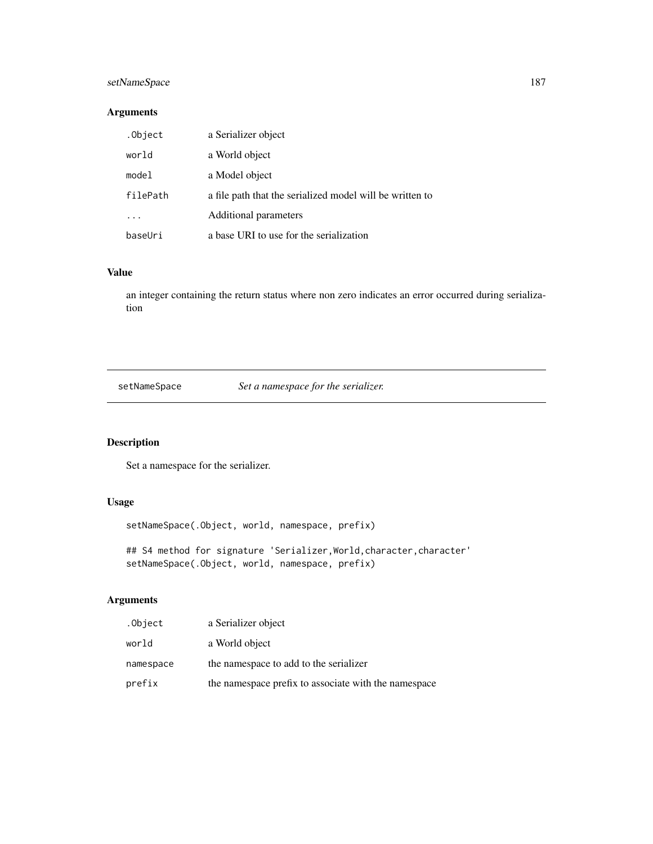# <span id="page-186-1"></span>setNameSpace 187

# Arguments

| .Object   | a Serializer object                                      |
|-----------|----------------------------------------------------------|
| world     | a World object                                           |
| model     | a Model object                                           |
| filePath  | a file path that the serialized model will be written to |
| $\cdot$ . | Additional parameters                                    |
| baseUri   | a base URI to use for the serialization                  |

# Value

an integer containing the return status where non zero indicates an error occurred during serialization

<span id="page-186-0"></span>setNameSpace *Set a namespace for the serializer.*

# Description

Set a namespace for the serializer.

# Usage

setNameSpace(.Object, world, namespace, prefix)

## S4 method for signature 'Serializer, World, character, character' setNameSpace(.Object, world, namespace, prefix)

# Arguments

| .Object   | a Serializer object                                  |
|-----------|------------------------------------------------------|
| world     | a World object                                       |
| namespace | the namespace to add to the serializer               |
| prefix    | the namespace prefix to associate with the namespace |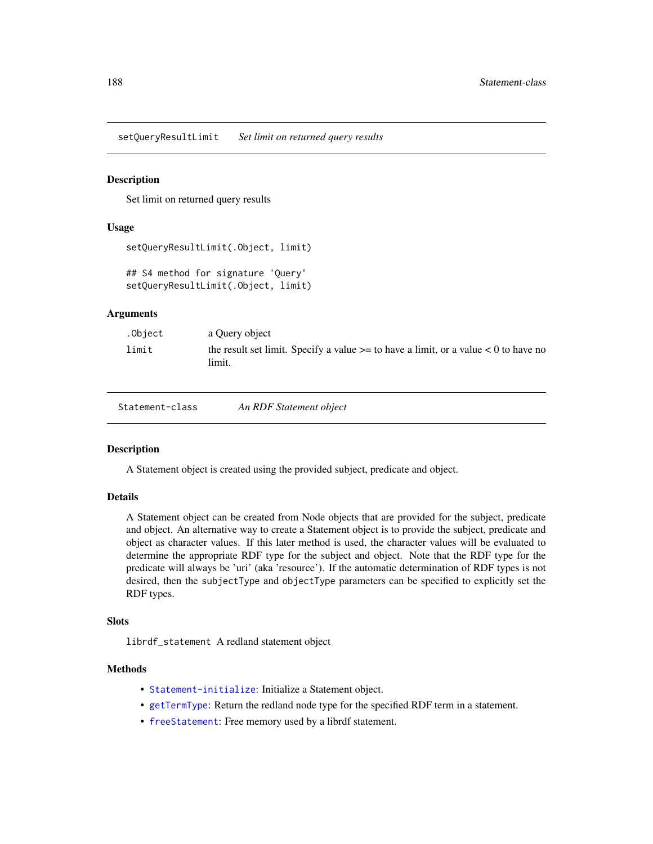<span id="page-187-1"></span>setQueryResultLimit *Set limit on returned query results*

#### **Description**

Set limit on returned query results

#### Usage

```
setQueryResultLimit(.Object, limit)
## S4 method for signature 'Query'
setQueryResultLimit(.Object, limit)
```
#### Arguments

| .Object | a Ouery object                                                                                        |
|---------|-------------------------------------------------------------------------------------------------------|
| limit   | the result set limit. Specify a value $\geq$ to have a limit, or a value $\lt 0$ to have no<br>limit. |

<span id="page-187-0"></span>Statement-class *An RDF Statement object*

#### Description

A Statement object is created using the provided subject, predicate and object.

# Details

A Statement object can be created from Node objects that are provided for the subject, predicate and object. An alternative way to create a Statement object is to provide the subject, predicate and object as character values. If this later method is used, the character values will be evaluated to determine the appropriate RDF type for the subject and object. Note that the RDF type for the predicate will always be 'uri' (aka 'resource'). If the automatic determination of RDF types is not desired, then the subjectType and objectType parameters can be specified to explicitly set the RDF types.

#### Slots

librdf\_statement A redland statement object

#### Methods

- [Statement-initialize](#page-22-0): Initialize a Statement object.
- [getTermType](#page-17-0): Return the redland node type for the specified RDF term in a statement.
- [freeStatement](#page-11-0): Free memory used by a librdf statement.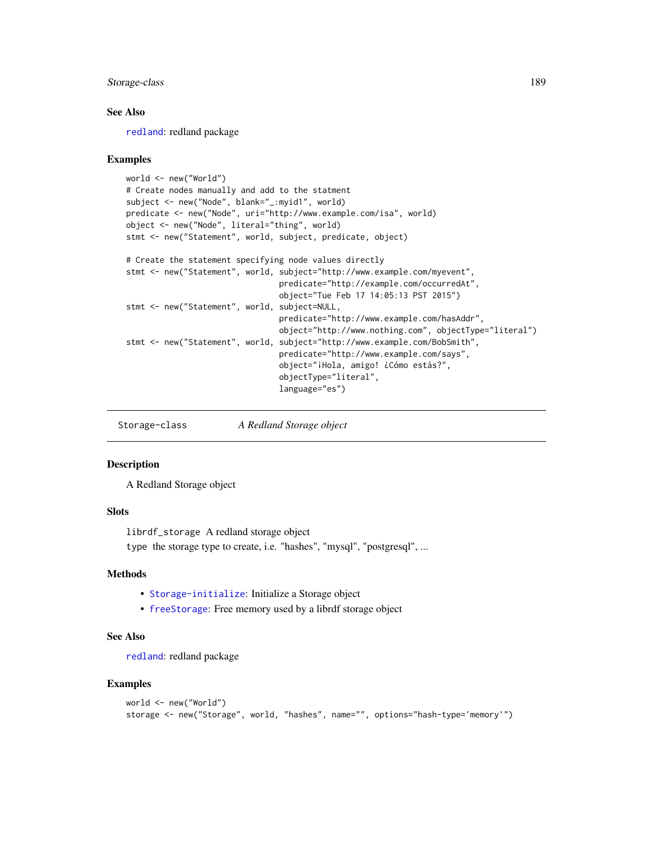# <span id="page-188-1"></span>Storage-class 189

# See Also

[redland](#page-181-0): redland package

#### Examples

```
world <- new("World")
# Create nodes manually and add to the statment
subject <- new("Node", blank="_:myid1", world)
predicate <- new("Node", uri="http://www.example.com/isa", world)
object <- new("Node", literal="thing", world)
stmt <- new("Statement", world, subject, predicate, object)
# Create the statement specifying node values directly
stmt <- new("Statement", world, subject="http://www.example.com/myevent",
                                predicate="http://example.com/occurredAt",
                                object="Tue Feb 17 14:05:13 PST 2015")
stmt <- new("Statement", world, subject=NULL,
                                predicate="http://www.example.com/hasAddr",
                                object="http://www.nothing.com", objectType="literal")
stmt <- new("Statement", world, subject="http://www.example.com/BobSmith",
                                predicate="http://www.example.com/says",
                                object="¡Hola, amigo! ¿Cómo estás?",
                                objectType="literal",
                                language="es")
```
<span id="page-188-0"></span>Storage-class *A Redland Storage object*

# Description

A Redland Storage object

#### **Slots**

librdf\_storage A redland storage object type the storage type to create, i.e. "hashes", "mysql", "postgresql", ...

# Methods

- [Storage-initialize](#page-23-0): Initialize a Storage object
- [freeStorage](#page-12-0): Free memory used by a librdf storage object

# See Also

[redland](#page-181-0): redland package

#### Examples

```
world <- new("World")
storage <- new("Storage", world, "hashes", name="", options="hash-type='memory'")
```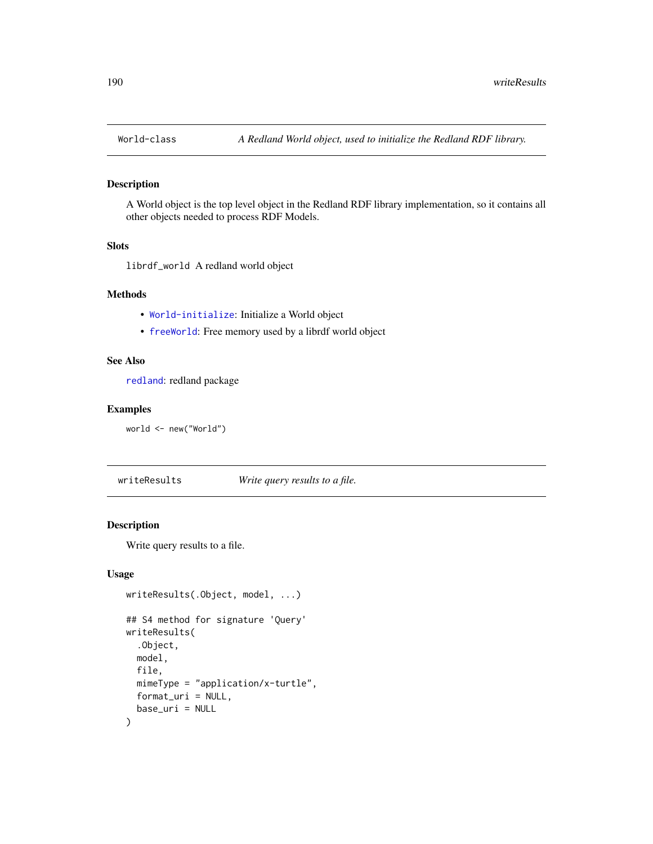<span id="page-189-1"></span><span id="page-189-0"></span>

# Description

A World object is the top level object in the Redland RDF library implementation, so it contains all other objects needed to process RDF Models.

# Slots

librdf\_world A redland world object

#### Methods

- [World-initialize](#page-24-0): Initialize a World object
- [freeWorld](#page-13-0): Free memory used by a librdf world object

# See Also

[redland](#page-181-0): redland package

# Examples

world <- new("World")

writeResults *Write query results to a file.*

#### Description

Write query results to a file.

# Usage

```
writeResults(.Object, model, ...)
## S4 method for signature 'Query'
writeResults(
  .Object,
 model,
  file,
 mimeType = "application/x-turtle",
  format_uri = NULL,
  base_uri = NULL
)
```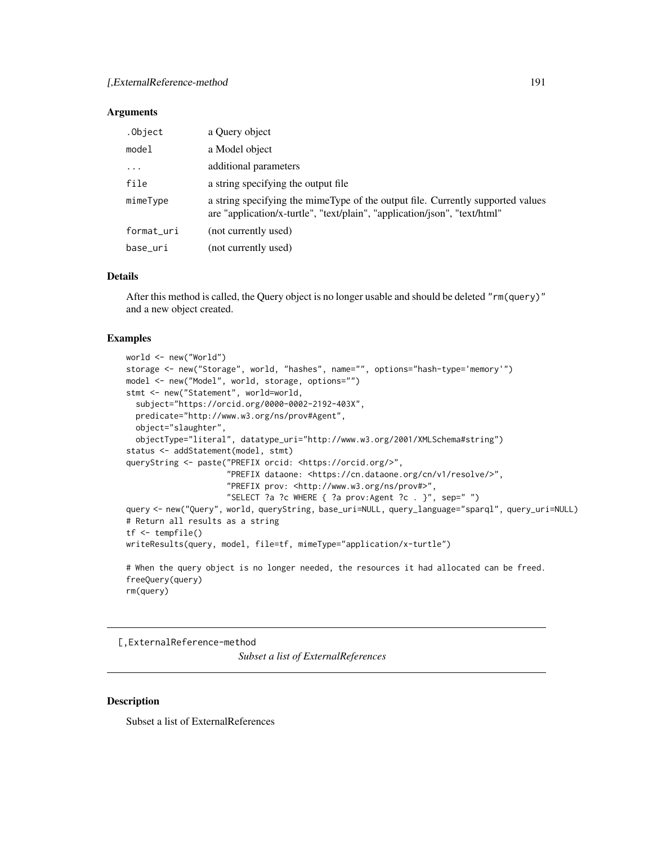#### <span id="page-190-0"></span>Arguments

| .Object    | a Query object                                                                                                                                               |
|------------|--------------------------------------------------------------------------------------------------------------------------------------------------------------|
| model      | a Model object                                                                                                                                               |
| $\ddotsc$  | additional parameters                                                                                                                                        |
| file       | a string specifying the output file.                                                                                                                         |
| mimeType   | a string specifying the mimeType of the output file. Currently supported values<br>are "application/x-turtle", "text/plain", "application/json", "text/html" |
| format_uri | (not currently used)                                                                                                                                         |
| base_uri   | (not currently used)                                                                                                                                         |

# Details

After this method is called, the Query object is no longer usable and should be deleted "rm(query)" and a new object created.

#### Examples

```
world <- new("World")
storage <- new("Storage", world, "hashes", name="", options="hash-type='memory'")
model <- new("Model", world, storage, options="")
stmt <- new("Statement", world=world,
  subject="https://orcid.org/0000-0002-2192-403X",
  predicate="http://www.w3.org/ns/prov#Agent",
  object="slaughter",
  objectType="literal", datatype_uri="http://www.w3.org/2001/XMLSchema#string")
status <- addStatement(model, stmt)
queryString <- paste("PREFIX orcid: <https://orcid.org/>",
                     "PREFIX dataone: <https://cn.dataone.org/cn/v1/resolve/>",
                     "PREFIX prov: <http://www.w3.org/ns/prov#>",
                     "SELECT ?a ?c WHERE { ?a prov:Agent ?c . }", sep=" ")
query <- new("Query", world, queryString, base_uri=NULL, query_language="sparql", query_uri=NULL)
# Return all results as a string
tf <- tempfile()
writeResults(query, model, file=tf, mimeType="application/x-turtle")
# When the query object is no longer needed, the resources it had allocated can be freed.
freeQuery(query)
rm(query)
```
[,ExternalReference-method

*Subset a list of ExternalReferences*

# Description

Subset a list of ExternalReferences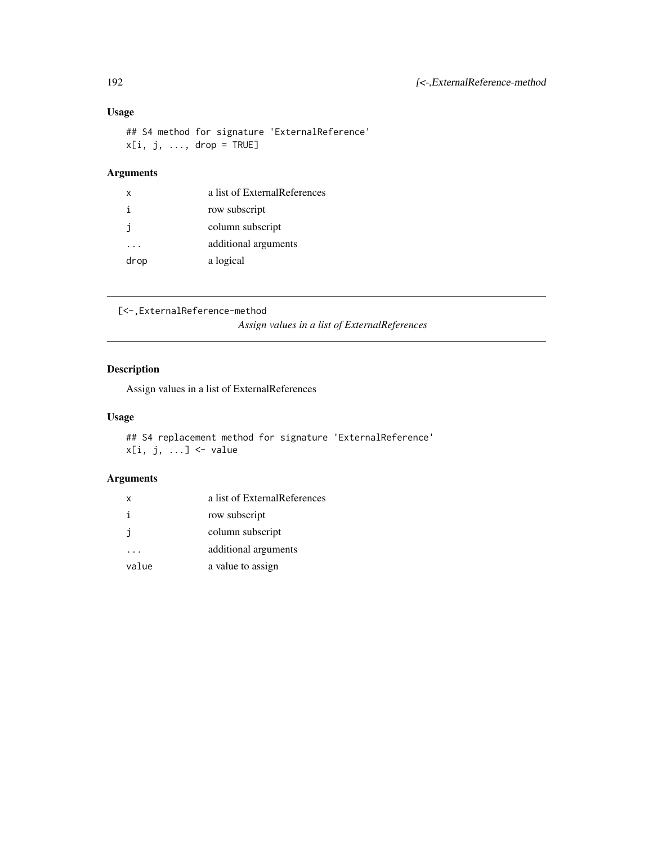# <span id="page-191-0"></span>Usage

## S4 method for signature 'ExternalReference'  $x[i, j, ..., drop = TRUE]$ 

# Arguments

| $\times$ | a list of ExternalReferences |
|----------|------------------------------|
| i        | row subscript                |
| j.       | column subscript             |
|          | additional arguments         |
| drop     | a logical                    |

```
[<-,ExternalReference-method
```
*Assign values in a list of ExternalReferences*

# Description

Assign values in a list of ExternalReferences

# Usage

```
## S4 replacement method for signature 'ExternalReference'
x[i, j, ...] <- value
```
# Arguments

| X     | a list of ExternalReferences |
|-------|------------------------------|
| i     | row subscript                |
| j     | column subscript             |
|       | additional arguments         |
| value | a value to assign            |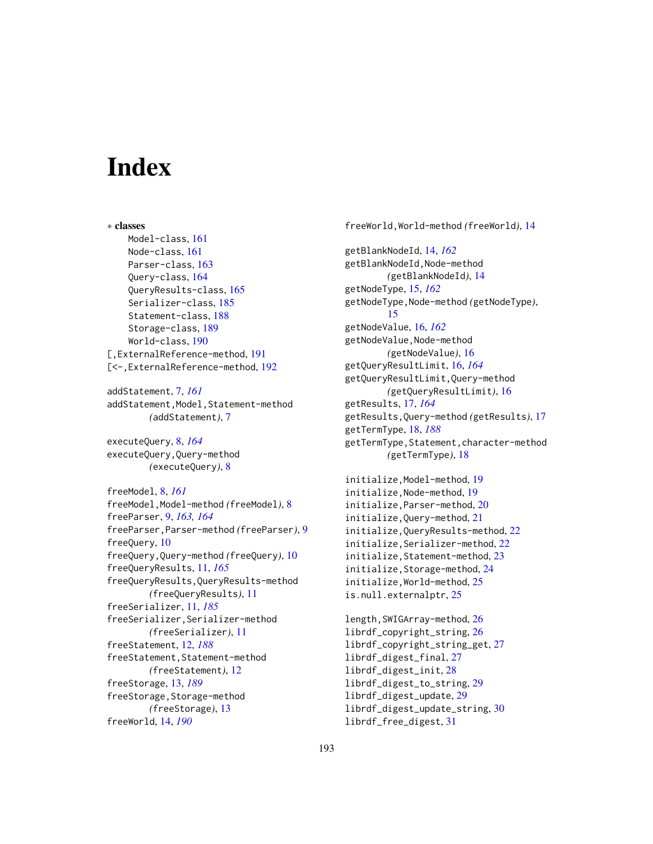# **Index**

∗ classes Model-class, [161](#page-160-2) Node-class, [161](#page-160-2) Parser-class, [163](#page-162-1) Query-class, [164](#page-163-1) QueryResults-class, [165](#page-164-1) Serializer-class, [185](#page-184-1) Statement-class, [188](#page-187-1) Storage-class, [189](#page-188-1) World-class, [190](#page-189-1) [,ExternalReference-method, [191](#page-190-0) [<-,ExternalReference-method, [192](#page-191-0) addStatement, [7,](#page-6-0) *[161](#page-160-2)* addStatement,Model,Statement-method *(*addStatement*)*, [7](#page-6-0) executeQuery, [8,](#page-7-0) *[164](#page-163-1)* executeQuery,Query-method *(*executeQuery*)*, [8](#page-7-0) freeModel, [8,](#page-7-0) *[161](#page-160-2)* freeModel,Model-method *(*freeModel*)*, [8](#page-7-0) freeParser, [9,](#page-8-0) *[163,](#page-162-1) [164](#page-163-1)* freeParser,Parser-method *(*freeParser*)*, [9](#page-8-0) freeQuery, [10](#page-9-0) freeQuery,Query-method *(*freeQuery*)*, [10](#page-9-0) freeQueryResults, [11,](#page-10-1) *[165](#page-164-1)* freeQueryResults,QueryResults-method *(*freeQueryResults*)*, [11](#page-10-1) freeSerializer, [11,](#page-10-1) *[185](#page-184-1)* freeSerializer,Serializer-method *(*freeSerializer*)*, [11](#page-10-1) freeStatement, [12,](#page-11-1) *[188](#page-187-1)* freeStatement,Statement-method *(*freeStatement*)*, [12](#page-11-1) freeStorage, [13,](#page-12-1) *[189](#page-188-1)* freeStorage,Storage-method *(*freeStorage*)*, [13](#page-12-1) freeWorld, [14,](#page-13-1) *[190](#page-189-1)*

freeWorld,World-method *(*freeWorld*)*, [14](#page-13-1) getBlankNodeId, [14,](#page-13-1) *[162](#page-161-0)* getBlankNodeId,Node-method *(*getBlankNodeId*)*, [14](#page-13-1) getNodeType, [15,](#page-14-0) *[162](#page-161-0)* getNodeType,Node-method *(*getNodeType*)*, [15](#page-14-0) getNodeValue, [16,](#page-15-0) *[162](#page-161-0)* getNodeValue,Node-method *(*getNodeValue*)*, [16](#page-15-0) getQueryResultLimit, [16,](#page-15-0) *[164](#page-163-1)* getQueryResultLimit,Query-method *(*getQueryResultLimit*)*, [16](#page-15-0) getResults, [17,](#page-16-0) *[164](#page-163-1)* getResults,Query-method *(*getResults*)*, [17](#page-16-0) getTermType, [18,](#page-17-1) *[188](#page-187-1)* getTermType,Statement,character-method *(*getTermType*)*, [18](#page-17-1) initialize,Model-method, [19](#page-18-0) initialize,Node-method, [19](#page-18-0) initialize, Parser-method, [20](#page-19-0) initialize,Query-method, [21](#page-20-0) initialize,QueryResults-method, [22](#page-21-1) initialize,Serializer-method, [22](#page-21-1) initialize, Statement-method, [23](#page-22-1) initialize, Storage-method, [24](#page-23-1) initialize,World-method, [25](#page-24-1) is.null.externalptr, [25](#page-24-1) length,SWIGArray-method, [26](#page-25-0) librdf\_copyright\_string, [26](#page-25-0) librdf\_copyright\_string\_get, [27](#page-26-0) librdf\_digest\_final, [27](#page-26-0) librdf\_digest\_init, [28](#page-27-0) librdf\_digest\_to\_string, [29](#page-28-0)

librdf\_digest\_update, [29](#page-28-0)

librdf\_free\_digest, [31](#page-30-0)

librdf\_digest\_update\_string, [30](#page-29-0)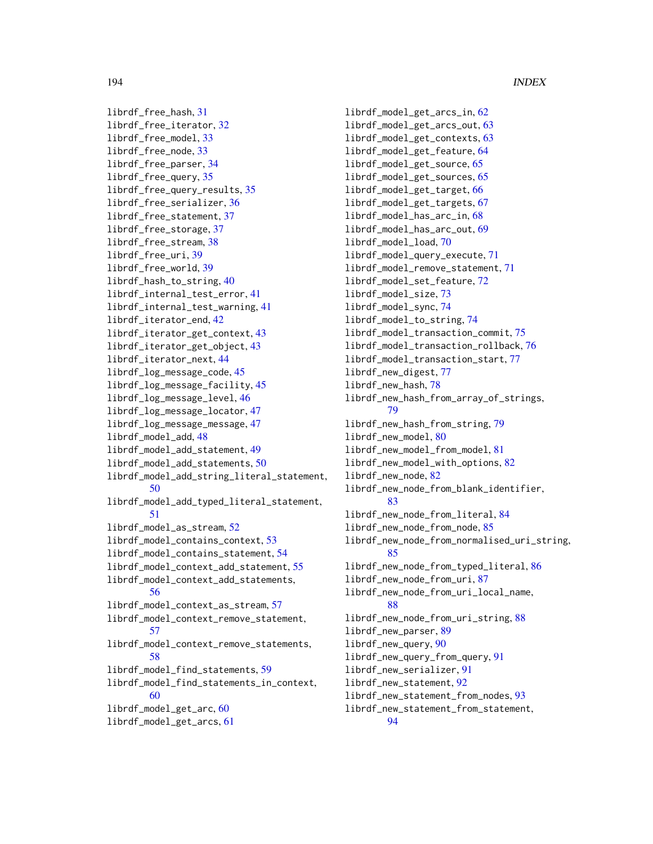librdf\_free\_hash, [31](#page-30-0) librdf\_free\_iterator, [32](#page-31-0) librdf\_free\_model, [33](#page-32-0) librdf\_free\_node, [33](#page-32-0) librdf\_free\_parser, [34](#page-33-0) librdf\_free\_query, [35](#page-34-0) librdf\_free\_query\_results, [35](#page-34-0) librdf\_free\_serializer, [36](#page-35-0) librdf\_free\_statement, [37](#page-36-0) librdf\_free\_storage, [37](#page-36-0) librdf\_free\_stream, [38](#page-37-0) librdf\_free\_uri, [39](#page-38-0) librdf\_free\_world, [39](#page-38-0) librdf\_hash\_to\_string, [40](#page-39-0) librdf\_internal\_test\_error, [41](#page-40-0) librdf\_internal\_test\_warning, [41](#page-40-0) librdf\_iterator\_end, [42](#page-41-0) librdf\_iterator\_get\_context, [43](#page-42-0) librdf\_iterator\_get\_object, [43](#page-42-0) librdf\_iterator\_next, [44](#page-43-0) librdf\_log\_message\_code, [45](#page-44-0) librdf\_log\_message\_facility, [45](#page-44-0) librdf\_log\_message\_level, [46](#page-45-0) librdf\_log\_message\_locator, [47](#page-46-0) librdf\_log\_message\_message, [47](#page-46-0) librdf\_model\_add, [48](#page-47-0) librdf\_model\_add\_statement, [49](#page-48-0) librdf\_model\_add\_statements, [50](#page-49-0) librdf\_model\_add\_string\_literal\_statement, [50](#page-49-0) librdf\_model\_add\_typed\_literal\_statement, [51](#page-50-0) librdf\_model\_as\_stream, [52](#page-51-0) librdf\_model\_contains\_context, [53](#page-52-0) librdf\_model\_contains\_statement, [54](#page-53-0) librdf\_model\_context\_add\_statement, [55](#page-54-0) librdf\_model\_context\_add\_statements, [56](#page-55-0) librdf\_model\_context\_as\_stream, [57](#page-56-0) librdf\_model\_context\_remove\_statement, [57](#page-56-0) librdf\_model\_context\_remove\_statements, [58](#page-57-0) librdf\_model\_find\_statements, [59](#page-58-0) librdf\_model\_find\_statements\_in\_context, [60](#page-59-0) librdf\_model\_get\_arc, [60](#page-59-0) librdf\_model\_get\_arcs, [61](#page-60-0)

librdf\_model\_get\_arcs\_in, [62](#page-61-0) librdf\_model\_get\_arcs\_out, [63](#page-62-0) librdf\_model\_get\_contexts, [63](#page-62-0) librdf\_model\_get\_feature, [64](#page-63-0) librdf\_model\_get\_source, [65](#page-64-0) librdf\_model\_get\_sources, [65](#page-64-0) librdf\_model\_get\_target, [66](#page-65-0) librdf\_model\_get\_targets, [67](#page-66-0) librdf\_model\_has\_arc\_in, [68](#page-67-0) librdf\_model\_has\_arc\_out, [69](#page-68-0) librdf\_model\_load, [70](#page-69-0) librdf\_model\_query\_execute, [71](#page-70-0) librdf\_model\_remove\_statement, [71](#page-70-0) librdf\_model\_set\_feature, [72](#page-71-0) librdf\_model\_size, [73](#page-72-0) librdf\_model\_sync, [74](#page-73-0) librdf\_model\_to\_string, [74](#page-73-0) librdf\_model\_transaction\_commit, [75](#page-74-0) librdf\_model\_transaction\_rollback, [76](#page-75-0) librdf\_model\_transaction\_start, [77](#page-76-0) librdf\_new\_digest, [77](#page-76-0) librdf\_new\_hash, [78](#page-77-0) librdf\_new\_hash\_from\_array\_of\_strings, [79](#page-78-0) librdf\_new\_hash\_from\_string, [79](#page-78-0) librdf\_new\_model, [80](#page-79-0) librdf\_new\_model\_from\_model, [81](#page-80-0) librdf\_new\_model\_with\_options, [82](#page-81-0) librdf\_new\_node, [82](#page-81-0) librdf\_new\_node\_from\_blank\_identifier, [83](#page-82-0) librdf\_new\_node\_from\_literal, [84](#page-83-0) librdf\_new\_node\_from\_node, [85](#page-84-0) librdf\_new\_node\_from\_normalised\_uri\_string, [85](#page-84-0) librdf\_new\_node\_from\_typed\_literal, [86](#page-85-0) librdf\_new\_node\_from\_uri, [87](#page-86-0) librdf\_new\_node\_from\_uri\_local\_name, [88](#page-87-0) librdf\_new\_node\_from\_uri\_string, [88](#page-87-0) librdf\_new\_parser, [89](#page-88-0) librdf\_new\_query, [90](#page-89-0) librdf\_new\_query\_from\_query, [91](#page-90-0) librdf\_new\_serializer, [91](#page-90-0) librdf\_new\_statement, [92](#page-91-0) librdf\_new\_statement\_from\_nodes, [93](#page-92-0) librdf\_new\_statement\_from\_statement, [94](#page-93-0)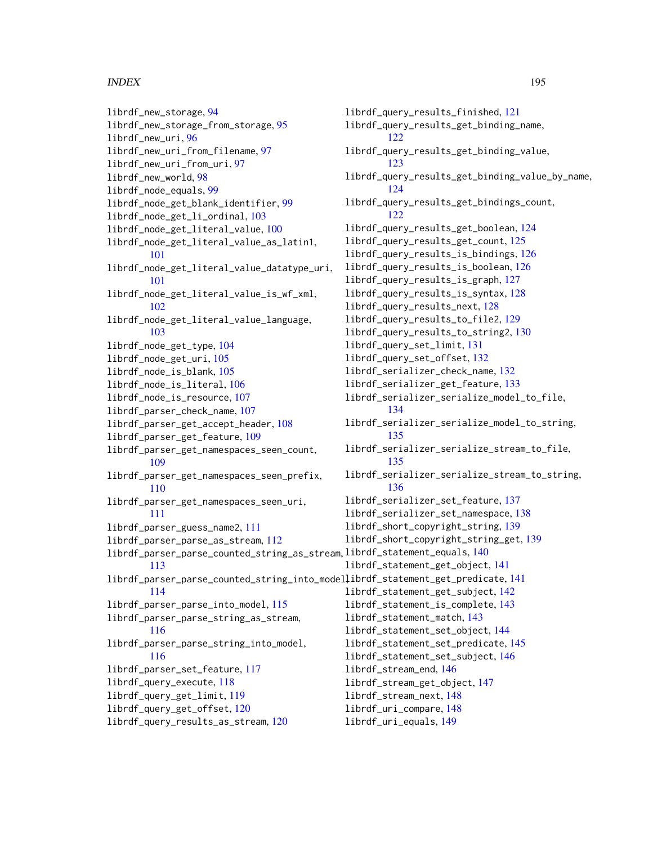# INDEX 195

librdf\_new\_storage, [94](#page-93-0) librdf\_new\_storage\_from\_storage, [95](#page-94-0) librdf\_new\_uri, [96](#page-95-0) librdf\_new\_uri\_from\_filename, [97](#page-96-0) librdf\_new\_uri\_from\_uri, [97](#page-96-0) librdf\_new\_world, [98](#page-97-0) librdf\_node\_equals, [99](#page-98-0) librdf\_node\_get\_blank\_identifier, [99](#page-98-0) librdf\_node\_get\_li\_ordinal, [103](#page-102-0) librdf\_node\_get\_literal\_value, [100](#page-99-0) librdf\_node\_get\_literal\_value\_as\_latin1, [101](#page-100-0) librdf\_node\_get\_literal\_value\_datatype\_uri, [101](#page-100-0) librdf\_node\_get\_literal\_value\_is\_wf\_xml, [102](#page-101-0) librdf\_node\_get\_literal\_value\_language, [103](#page-102-0) librdf\_node\_get\_type, [104](#page-103-0) librdf\_node\_get\_uri, [105](#page-104-0) librdf\_node\_is\_blank, [105](#page-104-0) librdf\_node\_is\_literal, [106](#page-105-0) librdf\_node\_is\_resource, [107](#page-106-0) librdf\_parser\_check\_name, [107](#page-106-0) librdf\_parser\_get\_accept\_header, [108](#page-107-0) librdf\_parser\_get\_feature, [109](#page-108-0) librdf\_parser\_get\_namespaces\_seen\_count, [109](#page-108-0) librdf\_parser\_get\_namespaces\_seen\_prefix, [110](#page-109-0) librdf\_parser\_get\_namespaces\_seen\_uri, [111](#page-110-0) librdf\_parser\_guess\_name2, [111](#page-110-0) librdf\_parser\_parse\_as\_stream, [112](#page-111-0) librdf\_parser\_parse\_counted\_string\_as\_stream, librdf\_statement\_equals, [140](#page-139-0) [113](#page-112-0) librdf\_parser\_parse\_counted\_string\_into\_model, librdf\_statement\_get\_predicate, [141](#page-140-0) [114](#page-113-0) librdf\_parser\_parse\_into\_model, [115](#page-114-0) librdf\_parser\_parse\_string\_as\_stream, [116](#page-115-0) librdf\_parser\_parse\_string\_into\_model, [116](#page-115-0) librdf\_parser\_set\_feature, [117](#page-116-0) librdf\_query\_execute, [118](#page-117-0) librdf\_query\_get\_limit, [119](#page-118-0) librdf\_query\_get\_offset, [120](#page-119-0) librdf\_query\_results\_as\_stream, [120](#page-119-0)

librdf\_query\_results\_finished, [121](#page-120-0) librdf\_query\_results\_get\_binding\_name, [122](#page-121-0) librdf\_query\_results\_get\_binding\_value, [123](#page-122-0) librdf\_query\_results\_get\_binding\_value\_by\_name, [124](#page-123-0) librdf\_query\_results\_get\_bindings\_count, [122](#page-121-0) librdf\_query\_results\_get\_boolean, [124](#page-123-0) librdf\_query\_results\_get\_count, [125](#page-124-0) librdf\_query\_results\_is\_bindings, [126](#page-125-0) librdf\_query\_results\_is\_boolean, [126](#page-125-0) librdf\_query\_results\_is\_graph, [127](#page-126-0) librdf\_query\_results\_is\_syntax, [128](#page-127-0) librdf\_query\_results\_next, [128](#page-127-0) librdf\_query\_results\_to\_file2, [129](#page-128-0) librdf\_query\_results\_to\_string2, [130](#page-129-0) librdf\_query\_set\_limit, [131](#page-130-0) librdf\_query\_set\_offset, [132](#page-131-0) librdf\_serializer\_check\_name, [132](#page-131-0) librdf\_serializer\_get\_feature, [133](#page-132-0) librdf\_serializer\_serialize\_model\_to\_file, [134](#page-133-0) librdf\_serializer\_serialize\_model\_to\_string, [135](#page-134-0) librdf\_serializer\_serialize\_stream\_to\_file, [135](#page-134-0) librdf\_serializer\_serialize\_stream\_to\_string, [136](#page-135-0) librdf\_serializer\_set\_feature, [137](#page-136-0) librdf\_serializer\_set\_namespace, [138](#page-137-0) librdf\_short\_copyright\_string, [139](#page-138-0) librdf\_short\_copyright\_string\_get, [139](#page-138-0) librdf\_statement\_get\_object, [141](#page-140-0) librdf\_statement\_get\_subject, [142](#page-141-0) librdf\_statement\_is\_complete, [143](#page-142-0) librdf\_statement\_match, [143](#page-142-0) librdf\_statement\_set\_object, [144](#page-143-0) librdf\_statement\_set\_predicate, [145](#page-144-0) librdf\_statement\_set\_subject, [146](#page-145-0) librdf\_stream\_end, [146](#page-145-0) librdf\_stream\_get\_object, [147](#page-146-0) librdf\_stream\_next, [148](#page-147-0) librdf\_uri\_compare, [148](#page-147-0) librdf\_uri\_equals, [149](#page-148-0)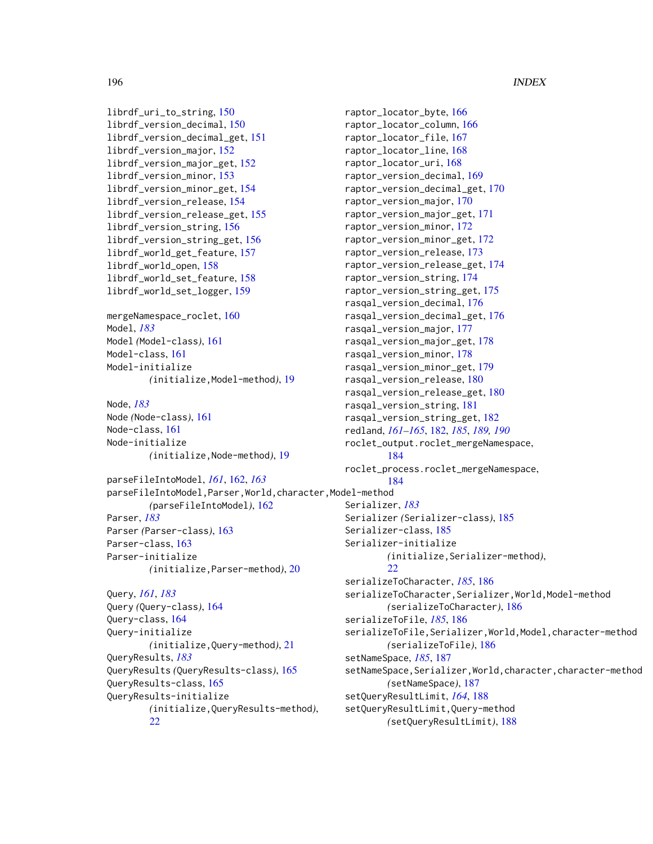```
librdf_uri_to_string, 150
librdf_version_decimal, 150
librdf_version_decimal_get, 151
librdf_version_major, 152
librdf_version_major_get, 152
librdf_version_minor, 153
librdf_version_minor_get, 154
librdf_version_release, 154
librdf_version_release_get, 155
librdf_version_string, 156
librdf_version_string_get, 156
librdf_world_get_feature, 157
librdf_world_open, 158
librdf_world_set_feature, 158
librdf_world_set_logger, 159
mergeNamespace_roclet, 160
Model, 183
Model (Model-class), 161
Model-class, 161
Model-initialize
        (initialize,Model-method), 19
Node, 183
Node (Node-class), 161
Node-class, 161
Node-initialize
        (initialize,Node-method), 19
parseFileIntoModel, 161, 162, 163
parseFileIntoModel,Parser,World,character,Model-method
        (parseFileIntoModel), 162
Parser, 183
Parser (Parser-class), 163
Parser-class, 163
Parser-initialize
        (initialize,Parser-method), 20
Query, 161, 183
Query (Query-class), 164
Query-class, 164
Query-initialize
```

```
(initialize,Query-method), 21
QueryResults, 183
QueryResults (QueryResults-class), 165
QueryResults-class, 165
QueryResults-initialize
        (initialize,QueryResults-method),
        22
```
raptor\_locator\_byte, [166](#page-165-0) raptor\_locator\_column, [166](#page-165-0) raptor\_locator\_file, [167](#page-166-0) raptor\_locator\_line, [168](#page-167-0) raptor\_locator\_uri, [168](#page-167-0) raptor\_version\_decimal, [169](#page-168-0) raptor\_version\_decimal\_get, [170](#page-169-0) raptor\_version\_major, [170](#page-169-0) raptor\_version\_major\_get, [171](#page-170-0) raptor\_version\_minor, [172](#page-171-0) raptor\_version\_minor\_get, [172](#page-171-0) raptor\_version\_release, [173](#page-172-0) raptor\_version\_release\_get, [174](#page-173-0) raptor\_version\_string, [174](#page-173-0) raptor\_version\_string\_get, [175](#page-174-0) rasqal\_version\_decimal, [176](#page-175-0) rasqal\_version\_decimal\_get, [176](#page-175-0) rasqal\_version\_major, [177](#page-176-0) rasqal\_version\_major\_get, [178](#page-177-0) rasqal\_version\_minor, [178](#page-177-0) rasqal\_version\_minor\_get, [179](#page-178-0) rasqal\_version\_release, [180](#page-179-0) rasqal\_version\_release\_get, [180](#page-179-0) rasqal\_version\_string, [181](#page-180-0) rasqal\_version\_string\_get, [182](#page-181-1) redland, *[161](#page-160-2)[–165](#page-164-1)*, [182,](#page-181-1) *[185](#page-184-1)*, *[189,](#page-188-1) [190](#page-189-1)* roclet\_output.roclet\_mergeNamespace, [184](#page-183-0) roclet\_process.roclet\_mergeNamespace, [184](#page-183-0) Serializer, *[183](#page-182-0)* Serializer *(*Serializer-class*)*, [185](#page-184-1) Serializer-class, [185](#page-184-1) Serializer-initialize *(*initialize,Serializer-method*)*, [22](#page-21-1) serializeToCharacter, *[185](#page-184-1)*, [186](#page-185-2) serializeToCharacter,Serializer,World,Model-method *(*serializeToCharacter*)*, [186](#page-185-2) serializeToFile, *[185](#page-184-1)*, [186](#page-185-2) serializeToFile,Serializer,World,Model,character-method *(*serializeToFile*)*, [186](#page-185-2) setNameSpace, *[185](#page-184-1)*, [187](#page-186-1) setNameSpace, Serializer, World, character, character-method *(*setNameSpace*)*, [187](#page-186-1) setQueryResultLimit, *[164](#page-163-1)*, [188](#page-187-1) setQueryResultLimit,Query-method *(*setQueryResultLimit*)*, [188](#page-187-1)